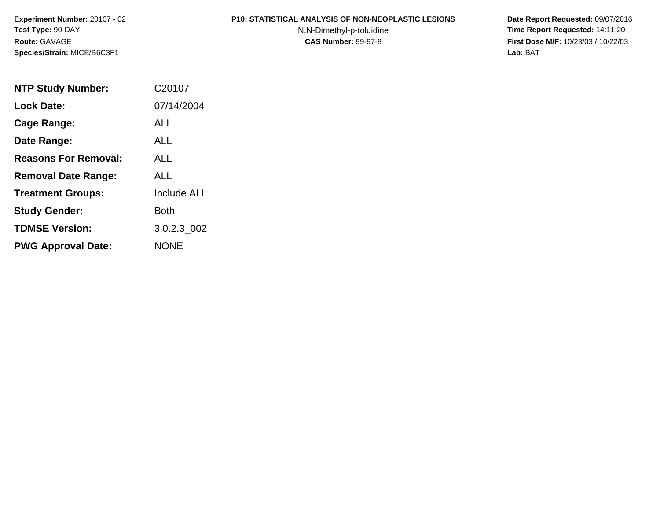**Experiment Number:** 20107 - 02**Test Type:** 90-DAY**Route:** GAVAGE**Species/Strain:** MICE/B6C3F1

#### **P10: STATISTICAL ANALYSIS OF NON-NEOPLASTIC LESIONS**

N,N-Dimethyl-p-toluidine

 **Date Report Requested:** 09/07/2016 **Time Report Requested:** 14:11:20 **First Dose M/F:** 10/23/03 / 10/22/03<br>Lab: BAT **Lab:** BAT

| <b>NTP Study Number:</b>    | C <sub>20107</sub> |
|-----------------------------|--------------------|
| <b>Lock Date:</b>           | 07/14/2004         |
| Cage Range:                 | ALL                |
| Date Range:                 | AI I               |
| <b>Reasons For Removal:</b> | ALL.               |
| <b>Removal Date Range:</b>  | ALL                |
| <b>Treatment Groups:</b>    | <b>Include ALL</b> |
| <b>Study Gender:</b>        | <b>Both</b>        |
| <b>TDMSE Version:</b>       | 3.0.2.3 002        |
| <b>PWG Approval Date:</b>   | <b>NONE</b>        |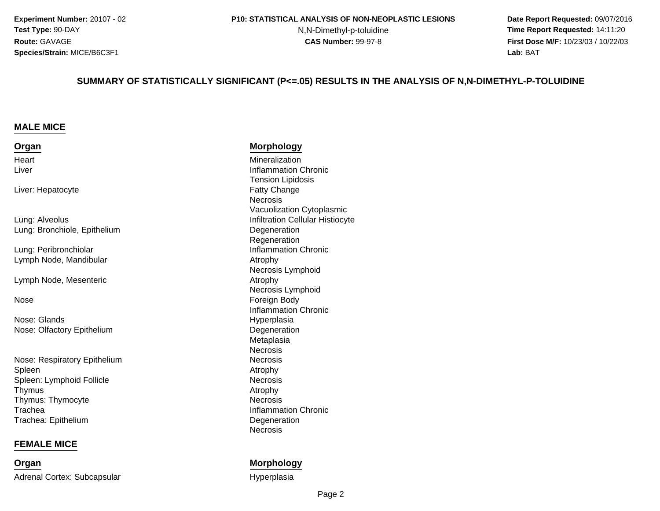**Experiment Number:** 20107 - 02**Test Type:** 90-DAY**Route:** GAVAGE**Species/Strain:** MICE/B6C3F1

N,N-Dimethyl-p-toluidine

 **Date Report Requested:** 09/07/2016 **Time Report Requested:** 14:11:20 **First Dose M/F:** 10/23/03 / 10/22/03<br>**Lab:** BAT **Lab:** BAT

#### **SUMMARY OF STATISTICALLY SIGNIFICANT (P<=.05) RESULTS IN THE ANALYSIS OF N,N-DIMETHYL-P-TOLUIDINE**

#### **MALE MICE**

#### **OrganHeart** Liver

Liver: Hepatocyte

Lung: AlveolusLung: Bronchiole, Epithelium

Lung: PeribronchiolarLymph Node, Mandibular

Lymph Node, Mesenteric

#### Nose

Nose: GlandsNose: Olfactory Epithelium

Nose: Respiratory EpitheliumSpleenn Atrophy Spleen: Lymphoid Follicle**Thymus** s and the contract of the contract of the contract of the contract of the contract of the contract of the contract of the contract of the contract of the contract of the contract of the contract of the contract of the cont Thymus: Thymocytee Necrosis TracheaTrachea: Epithelium

#### **FEMALE MICE**

**Organ**Adrenal Cortex: Subcapsular

#### **Morphology**

 Mineralization**Inflammation Chronic Chronic Chronic Inflammation Chronic** Tension Lipidosis Fatty Change Necrosis Vacuolization Cytoplasmics **Infiltration Cellular Histiocyte Degeneration** Regeneration**Inflammation Chronic**  Atrophy Necrosis Lymphoid Atrophy Necrosis Lymphoid Foreign Body Inflammation Chronic Hyperplasiam Degeneration<br>Material Meteristics MetaplasiaNecrosis**Necrosis** m Necrosis<br>Atrachy Necrosis<br>Atrophy Inflammation Chronic **Degeneration** Necrosis

#### **Morphology**

Hyperplasia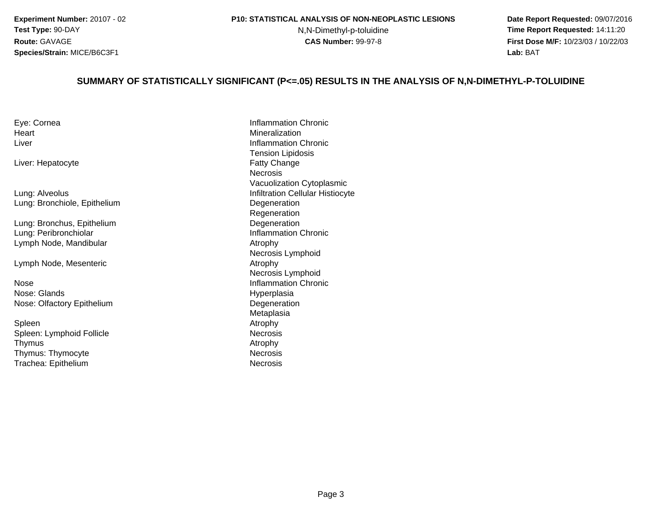**Experiment Number:** 20107 - 02**Test Type:** 90-DAY**Route:** GAVAGE**Species/Strain:** MICE/B6C3F1

#### **P10: STATISTICAL ANALYSIS OF NON-NEOPLASTIC LESIONS**

N,N-Dimethyl-p-toluidine

 **Date Report Requested:** 09/07/2016 **Time Report Requested:** 14:11:20 **First Dose M/F:** 10/23/03 / 10/22/03<br>**Lab:** BAT **Lab:** BAT

#### **SUMMARY OF STATISTICALLY SIGNIFICANT (P<=.05) RESULTS IN THE ANALYSIS OF N,N-DIMETHYL-P-TOLUIDINE**

| Eye: Cornea |  |
|-------------|--|
| Heart       |  |
| Liver       |  |

Liver: Hepatocyte

Lung: AlveolusLung: Bronchiole, Epithelium

Lung: Bronchus, EpitheliumLung: PeribronchiolarLymph Node, Mandibular

Lymph Node, Mesenteric

e Inflammation Chronic NoseNose: GlandsNose: Olfactory Epithelium

Spleenn Atrophy Spleen: Lymphoid FollicleThymuss and the contract of the contract of the contract of the contract of the contract of the contract of the contract of the contract of the contract of the contract of the contract of the contract of the contract of the cont Thymus: ThymocyteTrachea: Epithelium

 Inflammation Chronic Mineralization**Inflammation Chronic Chronic Chronic Inflammation Chronic** Tension Lipidosis Fatty Change Necrosis Vacuolization Cytoplasmics **Infiltration Cellular Histiocyte**  Degeneration Regenerationm Degeneration<br>Lettermonics Inflammation Chronic Atrophy Necrosis Lymphoid Atrophy Necrosis Lymphoid Hyperplasiam Degeneration<br>Material Meteristics MetaplasiaNecrosis<br>Atrophy e Necrosis m **Necrosis**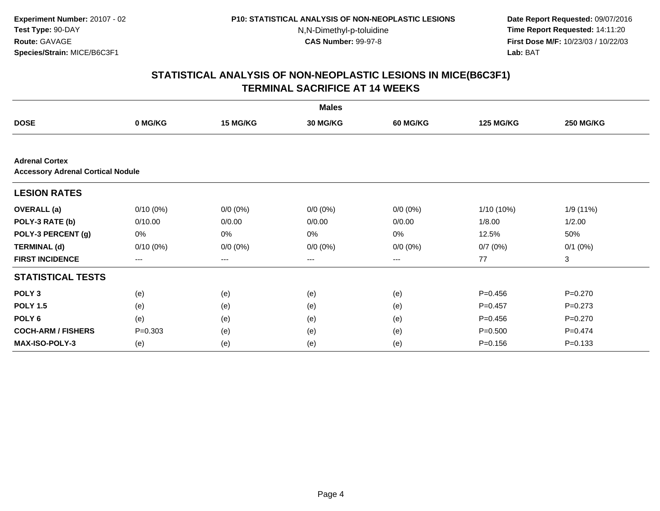**Date Report Requested:** 09/07/2016 **Time Report Requested:** 14:11:20 **First Dose M/F:** 10/23/03 / 10/22/03<br>**Lab:** BAT **Lab:** BAT

|                                                                   |             |             | <b>Males</b> |                        |                  |                  |
|-------------------------------------------------------------------|-------------|-------------|--------------|------------------------|------------------|------------------|
| <b>DOSE</b>                                                       | 0 MG/KG     | 15 MG/KG    | 30 MG/KG     | 60 MG/KG               | <b>125 MG/KG</b> | <b>250 MG/KG</b> |
|                                                                   |             |             |              |                        |                  |                  |
| <b>Adrenal Cortex</b><br><b>Accessory Adrenal Cortical Nodule</b> |             |             |              |                        |                  |                  |
| <b>LESION RATES</b>                                               |             |             |              |                        |                  |                  |
| <b>OVERALL</b> (a)                                                | $0/10(0\%)$ | $0/0 (0\%)$ | $0/0 (0\%)$  | $0/0 (0\%)$            | $1/10(10\%)$     | 1/9(11%)         |
| POLY-3 RATE (b)                                                   | 0/10.00     | 0/0.00      | 0/0.00       | 0/0.00                 | 1/8.00           | 1/2.00           |
| POLY-3 PERCENT (g)                                                | 0%          | 0%          | 0%           | 0%                     | 12.5%            | 50%              |
| <b>TERMINAL (d)</b>                                               | $0/10(0\%)$ | $0/0 (0\%)$ | $0/0 (0\%)$  | $0/0 (0\%)$            | 0/7(0%)          | $0/1$ $(0%)$     |
| <b>FIRST INCIDENCE</b>                                            | ---         | ---         | ---          | $\qquad \qquad \cdots$ | 77               | 3                |
| <b>STATISTICAL TESTS</b>                                          |             |             |              |                        |                  |                  |
| POLY <sub>3</sub>                                                 | (e)         | (e)         | (e)          | (e)                    | $P = 0.456$      | $P=0.270$        |
| <b>POLY 1.5</b>                                                   | (e)         | (e)         | (e)          | (e)                    | $P=0.457$        | $P=0.273$        |
| POLY <sub>6</sub>                                                 | (e)         | (e)         | (e)          | (e)                    | $P=0.456$        | $P=0.270$        |
| <b>COCH-ARM / FISHERS</b>                                         | $P = 0.303$ | (e)         | (e)          | (e)                    | $P = 0.500$      | $P=0.474$        |
| <b>MAX-ISO-POLY-3</b>                                             | (e)         | (e)         | (e)          | (e)                    | $P = 0.156$      | $P = 0.133$      |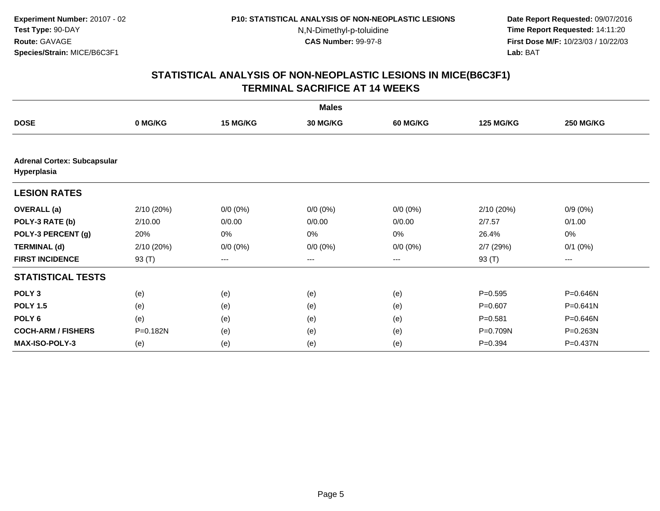**Date Report Requested:** 09/07/2016 **Time Report Requested:** 14:11:20 **First Dose M/F:** 10/23/03 / 10/22/03<br>**Lab:** BAT **Lab:** BAT

|                                                   |            |                        | <b>Males</b>    |                 |                  |                  |
|---------------------------------------------------|------------|------------------------|-----------------|-----------------|------------------|------------------|
| <b>DOSE</b>                                       | 0 MG/KG    | 15 MG/KG               | <b>30 MG/KG</b> | <b>60 MG/KG</b> | <b>125 MG/KG</b> | <b>250 MG/KG</b> |
|                                                   |            |                        |                 |                 |                  |                  |
| <b>Adrenal Cortex: Subcapsular</b><br>Hyperplasia |            |                        |                 |                 |                  |                  |
| <b>LESION RATES</b>                               |            |                        |                 |                 |                  |                  |
| <b>OVERALL</b> (a)                                | 2/10(20%)  | $0/0 (0\%)$            | $0/0 (0\%)$     | $0/0 (0\%)$     | 2/10 (20%)       | $0/9(0\%)$       |
| POLY-3 RATE (b)                                   | 2/10.00    | 0/0.00                 | 0/0.00          | 0/0.00          | 2/7.57           | 0/1.00           |
| POLY-3 PERCENT (g)                                | 20%        | 0%                     | 0%              | 0%              | 26.4%            | 0%               |
| <b>TERMINAL (d)</b>                               | 2/10 (20%) | $0/0 (0\%)$            | $0/0 (0\%)$     | $0/0 (0\%)$     | 2/7(29%)         | $0/1$ $(0%)$     |
| <b>FIRST INCIDENCE</b>                            | 93 (T)     | $\qquad \qquad \cdots$ | $---$           | $---$           | 93 (T)           | ---              |
| <b>STATISTICAL TESTS</b>                          |            |                        |                 |                 |                  |                  |
| POLY <sub>3</sub>                                 | (e)        | (e)                    | (e)             | (e)             | $P = 0.595$      | P=0.646N         |
| <b>POLY 1.5</b>                                   | (e)        | (e)                    | (e)             | (e)             | $P = 0.607$      | P=0.641N         |
| POLY <sub>6</sub>                                 | (e)        | (e)                    | (e)             | (e)             | $P = 0.581$      | P=0.646N         |
| <b>COCH-ARM / FISHERS</b>                         | P=0.182N   | (e)                    | (e)             | (e)             | P=0.709N         | P=0.263N         |
| <b>MAX-ISO-POLY-3</b>                             | (e)        | (e)                    | (e)             | (e)             | $P = 0.394$      | P=0.437N         |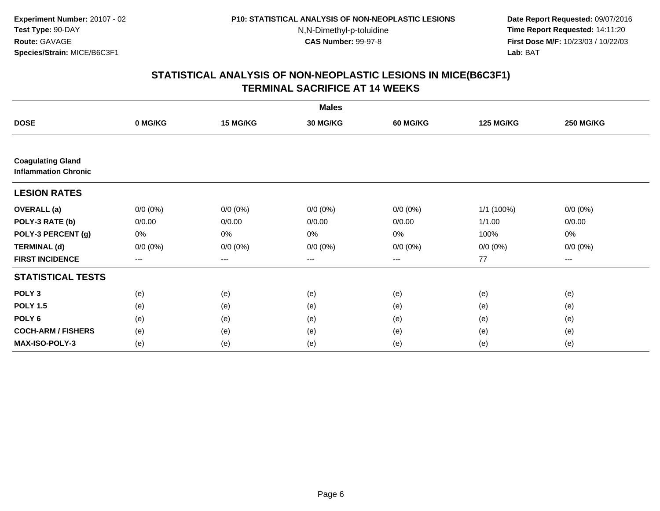**Date Report Requested:** 09/07/2016 **Time Report Requested:** 14:11:20 **First Dose M/F:** 10/23/03 / 10/22/03<br>**Lab:** BAT **Lab:** BAT

|                                                         |                        |                          | <b>Males</b> |             |                  |                  |
|---------------------------------------------------------|------------------------|--------------------------|--------------|-------------|------------------|------------------|
| <b>DOSE</b>                                             | 0 MG/KG                | 15 MG/KG                 | 30 MG/KG     | 60 MG/KG    | <b>125 MG/KG</b> | <b>250 MG/KG</b> |
|                                                         |                        |                          |              |             |                  |                  |
| <b>Coagulating Gland</b><br><b>Inflammation Chronic</b> |                        |                          |              |             |                  |                  |
| <b>LESION RATES</b>                                     |                        |                          |              |             |                  |                  |
| <b>OVERALL</b> (a)                                      | $0/0 (0\%)$            | $0/0(0\%)$               | $0/0 (0\%)$  | $0/0 (0\%)$ | 1/1 (100%)       | $0/0 (0\%)$      |
| POLY-3 RATE (b)                                         | 0/0.00                 | 0/0.00                   | 0/0.00       | 0/0.00      | 1/1.00           | 0/0.00           |
| POLY-3 PERCENT (g)                                      | 0%                     | $0\%$                    | 0%           | 0%          | 100%             | 0%               |
| <b>TERMINAL (d)</b>                                     | $0/0 (0\%)$            | $0/0 (0\%)$              | $0/0 (0\%)$  | $0/0 (0\%)$ | $0/0 (0\%)$      | $0/0 (0\%)$      |
| <b>FIRST INCIDENCE</b>                                  | $\qquad \qquad \cdots$ | $\hspace{0.05cm} \ldots$ | $---$        | ---         | 77               | ---              |
| <b>STATISTICAL TESTS</b>                                |                        |                          |              |             |                  |                  |
| POLY <sub>3</sub>                                       | (e)                    | (e)                      | (e)          | (e)         | (e)              | (e)              |
| <b>POLY 1.5</b>                                         | (e)                    | (e)                      | (e)          | (e)         | (e)              | (e)              |
| POLY <sub>6</sub>                                       | (e)                    | (e)                      | (e)          | (e)         | (e)              | (e)              |
| <b>COCH-ARM / FISHERS</b>                               | (e)                    | (e)                      | (e)          | (e)         | (e)              | (e)              |
| <b>MAX-ISO-POLY-3</b>                                   | (e)                    | (e)                      | (e)          | (e)         | (e)              | (e)              |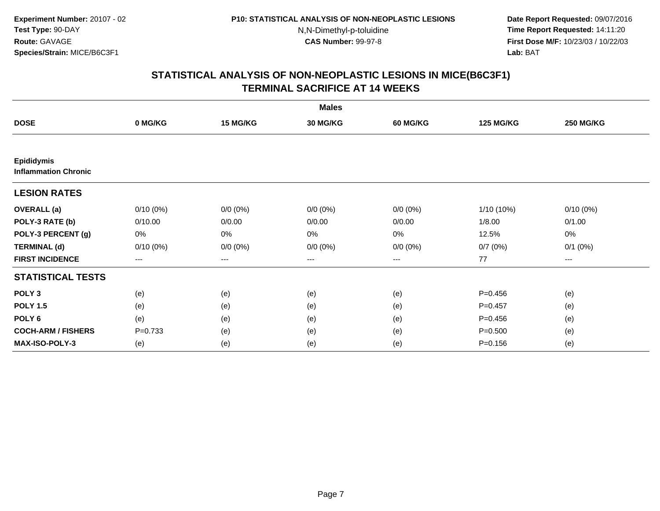**Date Report Requested:** 09/07/2016 **Time Report Requested:** 14:11:20 **First Dose M/F:** 10/23/03 / 10/22/03<br>**Lab:** BAT **Lab:** BAT

|                                                  |             |                        | <b>Males</b> |             |                  |                  |
|--------------------------------------------------|-------------|------------------------|--------------|-------------|------------------|------------------|
| <b>DOSE</b>                                      | 0 MG/KG     | 15 MG/KG               | 30 MG/KG     | 60 MG/KG    | <b>125 MG/KG</b> | <b>250 MG/KG</b> |
|                                                  |             |                        |              |             |                  |                  |
| <b>Epididymis</b><br><b>Inflammation Chronic</b> |             |                        |              |             |                  |                  |
| <b>LESION RATES</b>                              |             |                        |              |             |                  |                  |
| <b>OVERALL</b> (a)                               | $0/10(0\%)$ | $0/0 (0\%)$            | $0/0 (0\%)$  | $0/0 (0\%)$ | $1/10(10\%)$     | $0/10(0\%)$      |
| POLY-3 RATE (b)                                  | 0/10.00     | 0/0.00                 | 0/0.00       | 0/0.00      | 1/8.00           | 0/1.00           |
| POLY-3 PERCENT (g)                               | 0%          | 0%                     | 0%           | 0%          | 12.5%            | 0%               |
| <b>TERMINAL (d)</b>                              | $0/10(0\%)$ | $0/0 (0\%)$            | $0/0 (0\%)$  | $0/0 (0\%)$ | 0/7(0%)          | $0/1$ $(0%)$     |
| <b>FIRST INCIDENCE</b>                           | $--$        | $\qquad \qquad \cdots$ | $---$        | ---         | 77               | $--$             |
| <b>STATISTICAL TESTS</b>                         |             |                        |              |             |                  |                  |
| POLY <sub>3</sub>                                | (e)         | (e)                    | (e)          | (e)         | $P = 0.456$      | (e)              |
| <b>POLY 1.5</b>                                  | (e)         | (e)                    | (e)          | (e)         | $P = 0.457$      | (e)              |
| POLY <sub>6</sub>                                | (e)         | (e)                    | (e)          | (e)         | $P=0.456$        | (e)              |
| <b>COCH-ARM / FISHERS</b>                        | $P = 0.733$ | (e)                    | (e)          | (e)         | $P = 0.500$      | (e)              |
| <b>MAX-ISO-POLY-3</b>                            | (e)         | (e)                    | (e)          | (e)         | $P = 0.156$      | (e)              |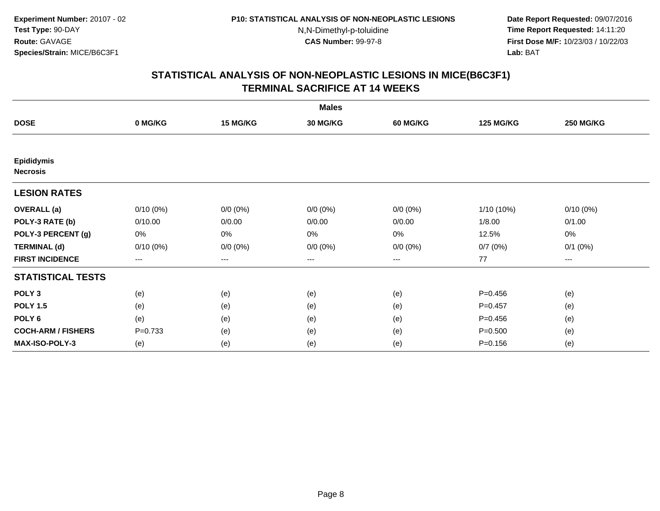**Date Report Requested:** 09/07/2016 **Time Report Requested:** 14:11:20 **First Dose M/F:** 10/23/03 / 10/22/03<br>**Lab:** BAT **Lab:** BAT

|                                      |                   |                   | <b>Males</b>    |                 |                  |                  |
|--------------------------------------|-------------------|-------------------|-----------------|-----------------|------------------|------------------|
| <b>DOSE</b>                          | 0 MG/KG           | 15 MG/KG          | <b>30 MG/KG</b> | <b>60 MG/KG</b> | <b>125 MG/KG</b> | <b>250 MG/KG</b> |
|                                      |                   |                   |                 |                 |                  |                  |
| <b>Epididymis</b><br><b>Necrosis</b> |                   |                   |                 |                 |                  |                  |
| <b>LESION RATES</b>                  |                   |                   |                 |                 |                  |                  |
| <b>OVERALL</b> (a)                   | $0/10(0\%)$       | $0/0 (0\%)$       | $0/0 (0\%)$     | $0/0 (0\%)$     | 1/10 (10%)       | $0/10(0\%)$      |
| POLY-3 RATE (b)                      | 0/10.00           | 0/0.00            | 0/0.00          | 0/0.00          | 1/8.00           | 0/1.00           |
| POLY-3 PERCENT (g)                   | 0%                | $0\%$             | 0%              | 0%              | 12.5%            | 0%               |
| <b>TERMINAL (d)</b>                  | $0/10(0\%)$       | $0/0 (0\%)$       | $0/0 (0\%)$     | $0/0 (0\%)$     | 0/7(0%)          | $0/1$ $(0%)$     |
| <b>FIRST INCIDENCE</b>               | $\qquad \qquad -$ | $\qquad \qquad -$ | $---$           | ---             | 77               | ---              |
| <b>STATISTICAL TESTS</b>             |                   |                   |                 |                 |                  |                  |
| POLY <sub>3</sub>                    | (e)               | (e)               | (e)             | (e)             | $P = 0.456$      | (e)              |
| <b>POLY 1.5</b>                      | (e)               | (e)               | (e)             | (e)             | $P = 0.457$      | (e)              |
| POLY <sub>6</sub>                    | (e)               | (e)               | (e)             | (e)             | $P=0.456$        | (e)              |
| <b>COCH-ARM / FISHERS</b>            | $P = 0.733$       | (e)               | (e)             | (e)             | $P = 0.500$      | (e)              |
| MAX-ISO-POLY-3                       | (e)               | (e)               | (e)             | (e)             | $P = 0.156$      | (e)              |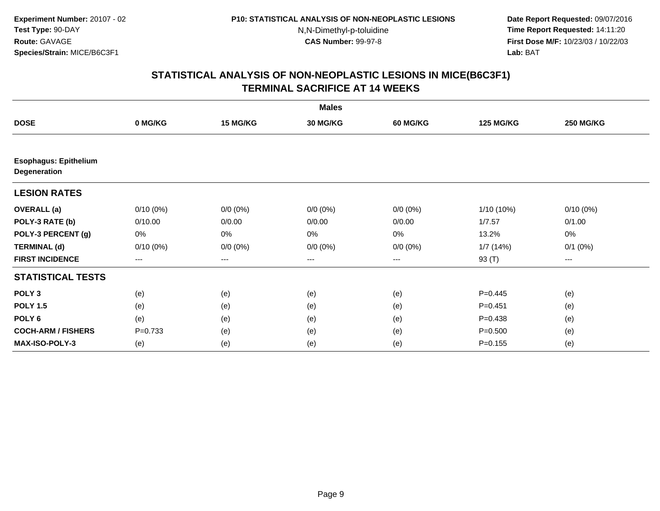**Date Report Requested:** 09/07/2016 **Time Report Requested:** 14:11:20 **First Dose M/F:** 10/23/03 / 10/22/03<br>**Lab:** BAT **Lab:** BAT

|                                              |             |             | <b>Males</b>    |                 |                  |                  |
|----------------------------------------------|-------------|-------------|-----------------|-----------------|------------------|------------------|
| <b>DOSE</b>                                  | 0 MG/KG     | 15 MG/KG    | <b>30 MG/KG</b> | <b>60 MG/KG</b> | <b>125 MG/KG</b> | <b>250 MG/KG</b> |
|                                              |             |             |                 |                 |                  |                  |
| <b>Esophagus: Epithelium</b><br>Degeneration |             |             |                 |                 |                  |                  |
| <b>LESION RATES</b>                          |             |             |                 |                 |                  |                  |
| <b>OVERALL</b> (a)                           | $0/10(0\%)$ | $0/0 (0\%)$ | $0/0 (0\%)$     | $0/0 (0\%)$     | $1/10(10\%)$     | $0/10(0\%)$      |
| POLY-3 RATE (b)                              | 0/10.00     | 0/0.00      | 0/0.00          | 0/0.00          | 1/7.57           | 0/1.00           |
| POLY-3 PERCENT (g)                           | 0%          | 0%          | 0%              | 0%              | 13.2%            | $0\%$            |
| <b>TERMINAL (d)</b>                          | $0/10(0\%)$ | $0/0 (0\%)$ | $0/0 (0\%)$     | $0/0 (0\%)$     | 1/7(14%)         | $0/1$ $(0%)$     |
| <b>FIRST INCIDENCE</b>                       | $---$       | ---         | ---             | ---             | 93 (T)           | ---              |
| <b>STATISTICAL TESTS</b>                     |             |             |                 |                 |                  |                  |
| POLY <sub>3</sub>                            | (e)         | (e)         | (e)             | (e)             | $P=0.445$        | (e)              |
| <b>POLY 1.5</b>                              | (e)         | (e)         | (e)             | (e)             | $P = 0.451$      | (e)              |
| POLY <sub>6</sub>                            | (e)         | (e)         | (e)             | (e)             | $P = 0.438$      | (e)              |
| <b>COCH-ARM / FISHERS</b>                    | $P = 0.733$ | (e)         | (e)             | (e)             | $P = 0.500$      | (e)              |
| <b>MAX-ISO-POLY-3</b>                        | (e)         | (e)         | (e)             | (e)             | $P = 0.155$      | (e)              |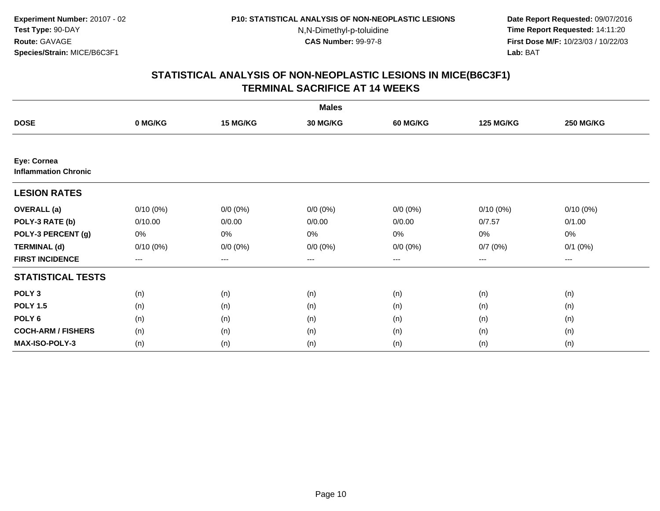**Date Report Requested:** 09/07/2016 **Time Report Requested:** 14:11:20 **First Dose M/F:** 10/23/03 / 10/22/03<br>**Lab:** BAT **Lab:** BAT

|                                            |             |             | <b>Males</b>    |                 |                  |                  |
|--------------------------------------------|-------------|-------------|-----------------|-----------------|------------------|------------------|
| <b>DOSE</b>                                | 0 MG/KG     | 15 MG/KG    | <b>30 MG/KG</b> | <b>60 MG/KG</b> | <b>125 MG/KG</b> | <b>250 MG/KG</b> |
|                                            |             |             |                 |                 |                  |                  |
| Eye: Cornea<br><b>Inflammation Chronic</b> |             |             |                 |                 |                  |                  |
| <b>LESION RATES</b>                        |             |             |                 |                 |                  |                  |
| <b>OVERALL</b> (a)                         | $0/10(0\%)$ | $0/0 (0\%)$ | $0/0 (0\%)$     | $0/0 (0\%)$     | $0/10(0\%)$      | $0/10(0\%)$      |
| POLY-3 RATE (b)                            | 0/10.00     | 0/0.00      | 0/0.00          | 0/0.00          | 0/7.57           | 0/1.00           |
| POLY-3 PERCENT (g)                         | 0%          | 0%          | 0%              | 0%              | 0%               | 0%               |
| <b>TERMINAL (d)</b>                        | $0/10(0\%)$ | $0/0 (0\%)$ | $0/0 (0\%)$     | $0/0 (0\%)$     | 0/7(0%)          | $0/1$ $(0%)$     |
| <b>FIRST INCIDENCE</b>                     | $--$        | ---         | $--$            | ---             | $--$             | $--$             |
| <b>STATISTICAL TESTS</b>                   |             |             |                 |                 |                  |                  |
| POLY <sub>3</sub>                          | (n)         | (n)         | (n)             | (n)             | (n)              | (n)              |
| <b>POLY 1.5</b>                            | (n)         | (n)         | (n)             | (n)             | (n)              | (n)              |
| POLY <sub>6</sub>                          | (n)         | (n)         | (n)             | (n)             | (n)              | (n)              |
| <b>COCH-ARM / FISHERS</b>                  | (n)         | (n)         | (n)             | (n)             | (n)              | (n)              |
| MAX-ISO-POLY-3                             | (n)         | (n)         | (n)             | (n)             | (n)              | (n)              |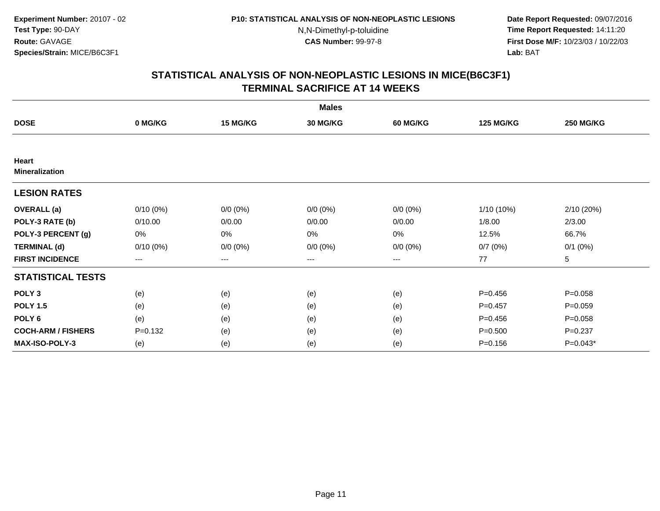**Date Report Requested:** 09/07/2016 **Time Report Requested:** 14:11:20 **First Dose M/F:** 10/23/03 / 10/22/03<br>**Lab:** BAT **Lab:** BAT

|                                |             |             | <b>Males</b>    |             |                  |                  |
|--------------------------------|-------------|-------------|-----------------|-------------|------------------|------------------|
| <b>DOSE</b>                    | 0 MG/KG     | 15 MG/KG    | <b>30 MG/KG</b> | 60 MG/KG    | <b>125 MG/KG</b> | <b>250 MG/KG</b> |
|                                |             |             |                 |             |                  |                  |
| Heart<br><b>Mineralization</b> |             |             |                 |             |                  |                  |
| <b>LESION RATES</b>            |             |             |                 |             |                  |                  |
| <b>OVERALL</b> (a)             | $0/10(0\%)$ | $0/0(0\%)$  | $0/0 (0\%)$     | $0/0 (0\%)$ | $1/10(10\%)$     | 2/10 (20%)       |
| POLY-3 RATE (b)                | 0/10.00     | 0/0.00      | 0/0.00          | 0/0.00      | 1/8.00           | 2/3.00           |
| POLY-3 PERCENT (g)             | 0%          | 0%          | 0%              | 0%          | 12.5%            | 66.7%            |
| <b>TERMINAL (d)</b>            | $0/10(0\%)$ | $0/0 (0\%)$ | $0/0 (0\%)$     | $0/0 (0\%)$ | 0/7(0%)          | $0/1$ $(0%)$     |
| <b>FIRST INCIDENCE</b>         | ---         | $--$        | $--$            | ---         | 77               | 5                |
| <b>STATISTICAL TESTS</b>       |             |             |                 |             |                  |                  |
| POLY <sub>3</sub>              | (e)         | (e)         | (e)             | (e)         | $P = 0.456$      | $P = 0.058$      |
| <b>POLY 1.5</b>                | (e)         | (e)         | (e)             | (e)         | $P=0.457$        | $P = 0.059$      |
| POLY 6                         | (e)         | (e)         | (e)             | (e)         | $P = 0.456$      | $P = 0.058$      |
| <b>COCH-ARM / FISHERS</b>      | $P = 0.132$ | (e)         | (e)             | (e)         | $P = 0.500$      | $P = 0.237$      |
| MAX-ISO-POLY-3                 | (e)         | (e)         | (e)             | (e)         | $P = 0.156$      | $P=0.043*$       |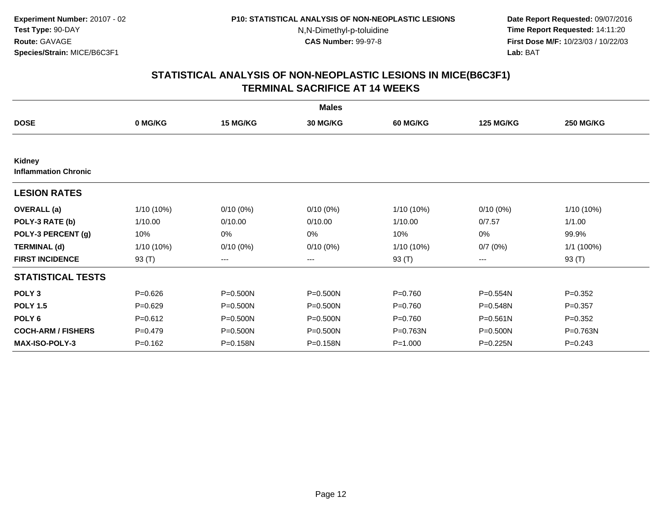**Date Report Requested:** 09/07/2016 **Time Report Requested:** 14:11:20 **First Dose M/F:** 10/23/03 / 10/22/03<br>**Lab:** BAT **Lab:** BAT

|                                              |             |             | <b>Males</b>    |                 |                  |                  |
|----------------------------------------------|-------------|-------------|-----------------|-----------------|------------------|------------------|
| <b>DOSE</b>                                  | 0 MG/KG     | 15 MG/KG    | <b>30 MG/KG</b> | <b>60 MG/KG</b> | <b>125 MG/KG</b> | <b>250 MG/KG</b> |
|                                              |             |             |                 |                 |                  |                  |
| <b>Kidney</b><br><b>Inflammation Chronic</b> |             |             |                 |                 |                  |                  |
| <b>LESION RATES</b>                          |             |             |                 |                 |                  |                  |
| <b>OVERALL</b> (a)                           | 1/10 (10%)  | $0/10(0\%)$ | $0/10(0\%)$     | 1/10 (10%)      | $0/10(0\%)$      | 1/10 (10%)       |
| POLY-3 RATE (b)                              | 1/10.00     | 0/10.00     | 0/10.00         | 1/10.00         | 0/7.57           | 1/1.00           |
| POLY-3 PERCENT (g)                           | 10%         | 0%          | $0\%$           | 10%             | 0%               | 99.9%            |
| <b>TERMINAL (d)</b>                          | 1/10 (10%)  | $0/10(0\%)$ | $0/10(0\%)$     | 1/10 (10%)      | 0/7(0%)          | 1/1 (100%)       |
| <b>FIRST INCIDENCE</b>                       | 93 (T)      | $---$       | ---             | 93 (T)          | ---              | 93 (T)           |
| <b>STATISTICAL TESTS</b>                     |             |             |                 |                 |                  |                  |
| POLY <sub>3</sub>                            | $P = 0.626$ | P=0.500N    | $P = 0.500N$    | $P=0.760$       | P=0.554N         | $P=0.352$        |
| <b>POLY 1.5</b>                              | $P = 0.629$ | P=0.500N    | $P = 0.500N$    | $P=0.760$       | P=0.548N         | $P=0.357$        |
| POLY <sub>6</sub>                            | $P = 0.612$ | P=0.500N    | $P = 0.500N$    | $P=0.760$       | $P = 0.561N$     | $P=0.352$        |
| <b>COCH-ARM / FISHERS</b>                    | $P=0.479$   | P=0.500N    | P=0.500N        | P=0.763N        | $P = 0.500N$     | P=0.763N         |
| <b>MAX-ISO-POLY-3</b>                        | $P = 0.162$ | P=0.158N    | P=0.158N        | $P = 1.000$     | $P = 0.225N$     | $P = 0.243$      |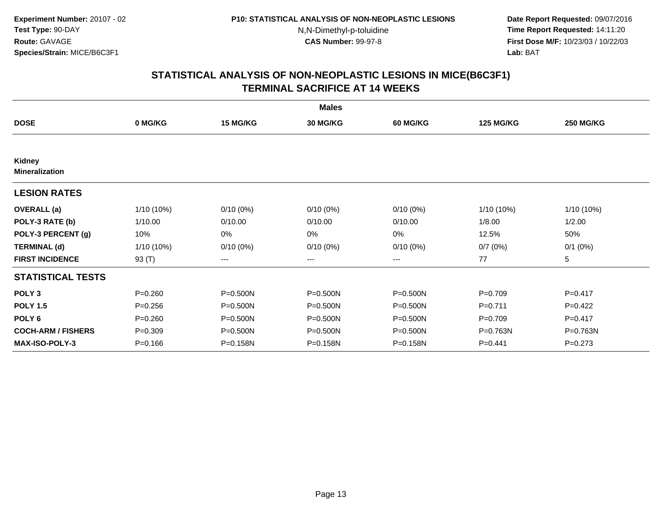**Date Report Requested:** 09/07/2016 **Time Report Requested:** 14:11:20 **First Dose M/F:** 10/23/03 / 10/22/03<br>**Lab:** BAT **Lab:** BAT

|                                 |             |              | <b>Males</b> |                 |                  |                  |
|---------------------------------|-------------|--------------|--------------|-----------------|------------------|------------------|
| <b>DOSE</b>                     | 0 MG/KG     | 15 MG/KG     | 30 MG/KG     | <b>60 MG/KG</b> | <b>125 MG/KG</b> | <b>250 MG/KG</b> |
|                                 |             |              |              |                 |                  |                  |
| Kidney<br><b>Mineralization</b> |             |              |              |                 |                  |                  |
| <b>LESION RATES</b>             |             |              |              |                 |                  |                  |
| <b>OVERALL</b> (a)              | 1/10 (10%)  | $0/10(0\%)$  | $0/10(0\%)$  | $0/10(0\%)$     | $1/10(10\%)$     | 1/10 (10%)       |
| POLY-3 RATE (b)                 | 1/10.00     | 0/10.00      | 0/10.00      | 0/10.00         | 1/8.00           | 1/2.00           |
| POLY-3 PERCENT (g)              | 10%         | 0%           | 0%           | $0\%$           | 12.5%            | 50%              |
| <b>TERMINAL (d)</b>             | 1/10 (10%)  | $0/10(0\%)$  | $0/10(0\%)$  | $0/10(0\%)$     | 0/7(0%)          | $0/1$ $(0%)$     |
| <b>FIRST INCIDENCE</b>          | 93 (T)      | $---$        | ---          | ---             | 77               | 5                |
| <b>STATISTICAL TESTS</b>        |             |              |              |                 |                  |                  |
| POLY <sub>3</sub>               | $P = 0.260$ | P=0.500N     | P=0.500N     | $P = 0.500N$    | $P=0.709$        | $P = 0.417$      |
| <b>POLY 1.5</b>                 | $P = 0.256$ | $P = 0.500N$ | $P = 0.500N$ | P=0.500N        | $P=0.711$        | $P=0.422$        |
| POLY <sub>6</sub>               | $P = 0.260$ | $P = 0.500N$ | $P = 0.500N$ | $P = 0.500N$    | $P=0.709$        | $P=0.417$        |
| <b>COCH-ARM / FISHERS</b>       | $P = 0.309$ | P=0.500N     | P=0.500N     | P=0.500N        | P=0.763N         | P=0.763N         |
| <b>MAX-ISO-POLY-3</b>           | $P = 0.166$ | P=0.158N     | P=0.158N     | P=0.158N        | $P = 0.441$      | $P = 0.273$      |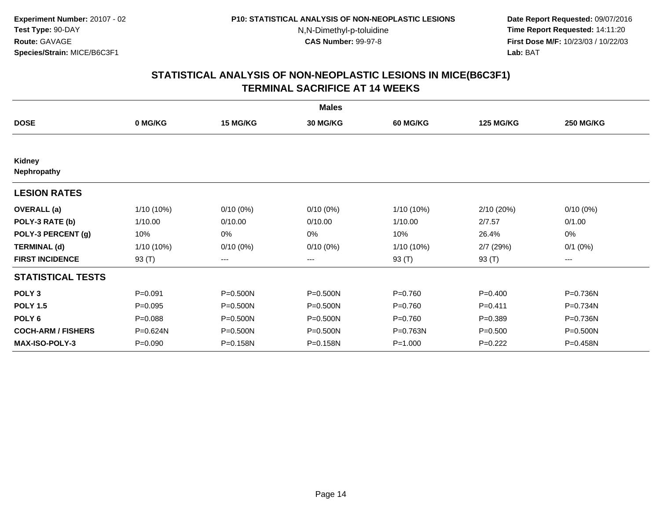**Date Report Requested:** 09/07/2016 **Time Report Requested:** 14:11:20 **First Dose M/F:** 10/23/03 / 10/22/03<br>**Lab:** BAT **Lab:** BAT

|                           |             |              | <b>Males</b>    |             |                  |                  |
|---------------------------|-------------|--------------|-----------------|-------------|------------------|------------------|
| <b>DOSE</b>               | 0 MG/KG     | 15 MG/KG     | <b>30 MG/KG</b> | 60 MG/KG    | <b>125 MG/KG</b> | <b>250 MG/KG</b> |
|                           |             |              |                 |             |                  |                  |
| Kidney<br>Nephropathy     |             |              |                 |             |                  |                  |
| <b>LESION RATES</b>       |             |              |                 |             |                  |                  |
| <b>OVERALL</b> (a)        | 1/10 (10%)  | $0/10(0\%)$  | $0/10(0\%)$     | 1/10 (10%)  | 2/10 (20%)       | $0/10(0\%)$      |
| POLY-3 RATE (b)           | 1/10.00     | 0/10.00      | 0/10.00         | 1/10.00     | 2/7.57           | 0/1.00           |
| POLY-3 PERCENT (g)        | 10%         | 0%           | 0%              | 10%         | 26.4%            | 0%               |
| <b>TERMINAL (d)</b>       | 1/10 (10%)  | $0/10(0\%)$  | $0/10(0\%)$     | 1/10 (10%)  | 2/7(29%)         | $0/1$ $(0%)$     |
| <b>FIRST INCIDENCE</b>    | 93 (T)      | $--$         | ---             | 93 $(T)$    | 93 $(T)$         | ---              |
| <b>STATISTICAL TESTS</b>  |             |              |                 |             |                  |                  |
| POLY <sub>3</sub>         | $P = 0.091$ | P=0.500N     | P=0.500N        | $P = 0.760$ | $P=0.400$        | P=0.736N         |
| <b>POLY 1.5</b>           | $P = 0.095$ | P=0.500N     | P=0.500N        | $P = 0.760$ | $P = 0.411$      | P=0.734N         |
| POLY <sub>6</sub>         | $P = 0.088$ | $P = 0.500N$ | $P = 0.500N$    | $P = 0.760$ | $P = 0.389$      | P=0.736N         |
| <b>COCH-ARM / FISHERS</b> | P=0.624N    | P=0.500N     | P=0.500N        | P=0.763N    | $P = 0.500$      | P=0.500N         |
| <b>MAX-ISO-POLY-3</b>     | $P = 0.090$ | P=0.158N     | P=0.158N        | $P = 1.000$ | $P=0.222$        | P=0.458N         |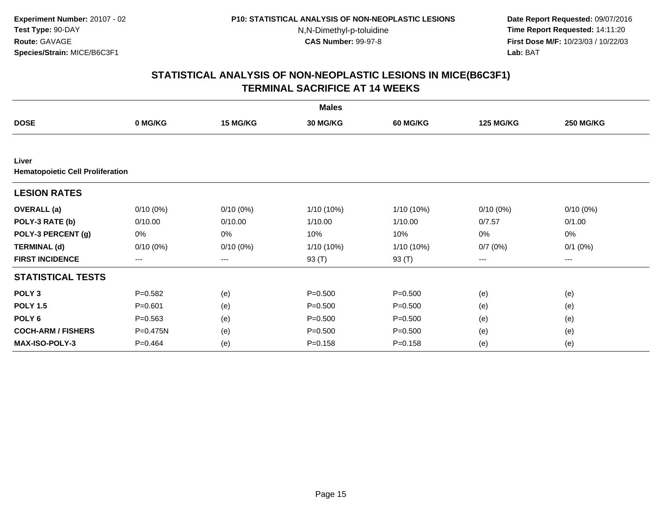**Date Report Requested:** 09/07/2016 **Time Report Requested:** 14:11:20 **First Dose M/F:** 10/23/03 / 10/22/03<br>**Lab:** BAT **Lab:** BAT

|                                                  |                        |             | <b>Males</b>    |                 |                  |                  |
|--------------------------------------------------|------------------------|-------------|-----------------|-----------------|------------------|------------------|
| <b>DOSE</b>                                      | 0 MG/KG                | 15 MG/KG    | <b>30 MG/KG</b> | <b>60 MG/KG</b> | <b>125 MG/KG</b> | <b>250 MG/KG</b> |
|                                                  |                        |             |                 |                 |                  |                  |
| Liver<br><b>Hematopoietic Cell Proliferation</b> |                        |             |                 |                 |                  |                  |
| <b>LESION RATES</b>                              |                        |             |                 |                 |                  |                  |
| <b>OVERALL</b> (a)                               | $0/10(0\%)$            | $0/10(0\%)$ | 1/10 (10%)      | $1/10(10\%)$    | $0/10(0\%)$      | $0/10(0\%)$      |
| POLY-3 RATE (b)                                  | 0/10.00                | 0/10.00     | 1/10.00         | 1/10.00         | 0/7.57           | 0/1.00           |
| POLY-3 PERCENT (g)                               | 0%                     | 0%          | 10%             | 10%             | $0\%$            | 0%               |
| <b>TERMINAL (d)</b>                              | $0/10(0\%)$            | $0/10(0\%)$ | 1/10 (10%)      | $1/10(10\%)$    | 0/7(0%)          | $0/1$ $(0%)$     |
| <b>FIRST INCIDENCE</b>                           | $\qquad \qquad \cdots$ | ---         | 93 (T)          | 93 (T)          | ---              | ---              |
| <b>STATISTICAL TESTS</b>                         |                        |             |                 |                 |                  |                  |
| POLY <sub>3</sub>                                | $P = 0.582$            | (e)         | $P = 0.500$     | $P = 0.500$     | (e)              | (e)              |
| <b>POLY 1.5</b>                                  | $P = 0.601$            | (e)         | $P = 0.500$     | $P = 0.500$     | (e)              | (e)              |
| POLY <sub>6</sub>                                | $P = 0.563$            | (e)         | $P = 0.500$     | $P = 0.500$     | (e)              | (e)              |
| <b>COCH-ARM / FISHERS</b>                        | P=0.475N               | (e)         | $P = 0.500$     | $P = 0.500$     | (e)              | (e)              |
| <b>MAX-ISO-POLY-3</b>                            | $P=0.464$              | (e)         | $P = 0.158$     | $P = 0.158$     | (e)              | (e)              |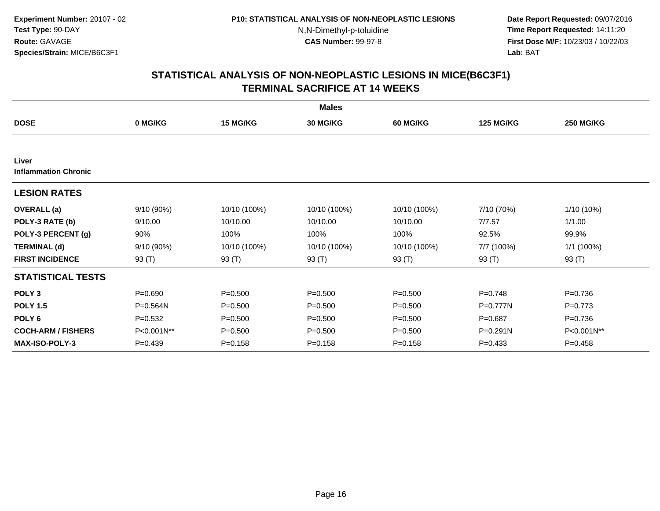**Date Report Requested:** 09/07/2016 **Time Report Requested:** 14:11:20 **First Dose M/F:** 10/23/03 / 10/22/03<br>**Lab:** BAT **Lab:** BAT

| <b>Males</b>                         |              |              |                 |                 |                  |                  |  |  |
|--------------------------------------|--------------|--------------|-----------------|-----------------|------------------|------------------|--|--|
| <b>DOSE</b>                          | 0 MG/KG      | 15 MG/KG     | <b>30 MG/KG</b> | <b>60 MG/KG</b> | <b>125 MG/KG</b> | <b>250 MG/KG</b> |  |  |
|                                      |              |              |                 |                 |                  |                  |  |  |
| Liver<br><b>Inflammation Chronic</b> |              |              |                 |                 |                  |                  |  |  |
| <b>LESION RATES</b>                  |              |              |                 |                 |                  |                  |  |  |
| <b>OVERALL</b> (a)                   | 9/10 (90%)   | 10/10 (100%) | 10/10 (100%)    | 10/10 (100%)    | 7/10 (70%)       | 1/10 (10%)       |  |  |
| POLY-3 RATE (b)                      | 9/10.00      | 10/10.00     | 10/10.00        | 10/10.00        | 7/7.57           | 1/1.00           |  |  |
| POLY-3 PERCENT (g)                   | 90%          | 100%         | 100%            | 100%            | 92.5%            | 99.9%            |  |  |
| <b>TERMINAL (d)</b>                  | 9/10 (90%)   | 10/10 (100%) | 10/10 (100%)    | 10/10 (100%)    | 7/7 (100%)       | 1/1 (100%)       |  |  |
| <b>FIRST INCIDENCE</b>               | 93 (T)       | 93 (T)       | 93 (T)          | 93 (T)          | 93 (T)           | 93 (T)           |  |  |
| <b>STATISTICAL TESTS</b>             |              |              |                 |                 |                  |                  |  |  |
| POLY <sub>3</sub>                    | $P = 0.690$  | $P = 0.500$  | $P = 0.500$     | $P = 0.500$     | $P = 0.748$      | $P = 0.736$      |  |  |
| <b>POLY 1.5</b>                      | $P = 0.564N$ | $P = 0.500$  | $P = 0.500$     | $P = 0.500$     | $P = 0.777N$     | $P=0.773$        |  |  |
| POLY 6                               | $P=0.532$    | $P = 0.500$  | $P = 0.500$     | $P = 0.500$     | $P = 0.687$      | $P = 0.736$      |  |  |
| <b>COCH-ARM / FISHERS</b>            | P<0.001N**   | $P = 0.500$  | $P = 0.500$     | $P = 0.500$     | P=0.291N         | P<0.001N**       |  |  |
| <b>MAX-ISO-POLY-3</b>                | $P=0.439$    | $P = 0.158$  | $P = 0.158$     | $P = 0.158$     | $P = 0.433$      | $P=0.458$        |  |  |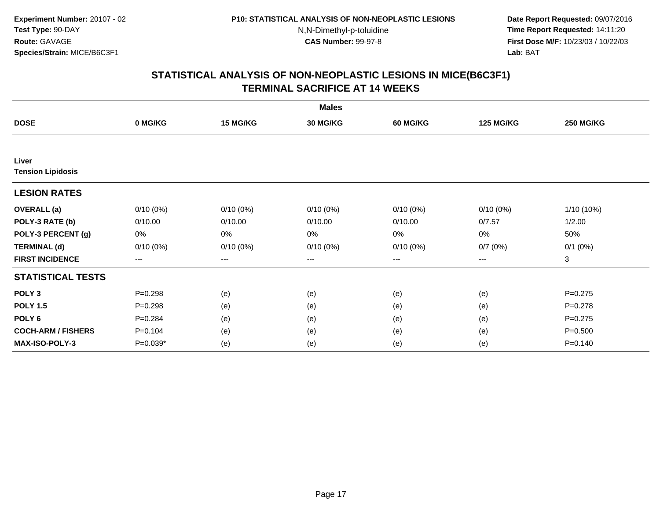**Date Report Requested:** 09/07/2016 **Time Report Requested:** 14:11:20 **First Dose M/F:** 10/23/03 / 10/22/03<br>**Lab:** BAT **Lab:** BAT

|                           |                   |             | <b>Males</b>           |             |                   |                  |
|---------------------------|-------------------|-------------|------------------------|-------------|-------------------|------------------|
| <b>DOSE</b>               | 0 MG/KG           | 15 MG/KG    | 30 MG/KG               | 60 MG/KG    | <b>125 MG/KG</b>  | <b>250 MG/KG</b> |
|                           |                   |             |                        |             |                   |                  |
| Liver                     |                   |             |                        |             |                   |                  |
| <b>Tension Lipidosis</b>  |                   |             |                        |             |                   |                  |
| <b>LESION RATES</b>       |                   |             |                        |             |                   |                  |
| <b>OVERALL</b> (a)        | $0/10(0\%)$       | $0/10(0\%)$ | $0/10(0\%)$            | $0/10(0\%)$ | $0/10(0\%)$       | 1/10 (10%)       |
| POLY-3 RATE (b)           | 0/10.00           | 0/10.00     | 0/10.00                | 0/10.00     | 0/7.57            | 1/2.00           |
| POLY-3 PERCENT (g)        | 0%                | 0%          | 0%                     | 0%          | 0%                | 50%              |
| <b>TERMINAL (d)</b>       | $0/10(0\%)$       | $0/10(0\%)$ | $0/10(0\%)$            | $0/10(0\%)$ | 0/7(0%)           | $0/1$ $(0%)$     |
| <b>FIRST INCIDENCE</b>    | $\qquad \qquad -$ | $--$        | $\qquad \qquad \cdots$ | ---         | $\qquad \qquad -$ | 3                |
| <b>STATISTICAL TESTS</b>  |                   |             |                        |             |                   |                  |
| POLY <sub>3</sub>         | $P = 0.298$       | (e)         | (e)                    | (e)         | (e)               | $P=0.275$        |
| <b>POLY 1.5</b>           | $P = 0.298$       | (e)         | (e)                    | (e)         | (e)               | $P=0.278$        |
| POLY <sub>6</sub>         | $P = 0.284$       | (e)         | (e)                    | (e)         | (e)               | $P=0.275$        |
| <b>COCH-ARM / FISHERS</b> | $P = 0.104$       | (e)         | (e)                    | (e)         | (e)               | $P = 0.500$      |
| <b>MAX-ISO-POLY-3</b>     | $P=0.039*$        | (e)         | (e)                    | (e)         | (e)               | $P = 0.140$      |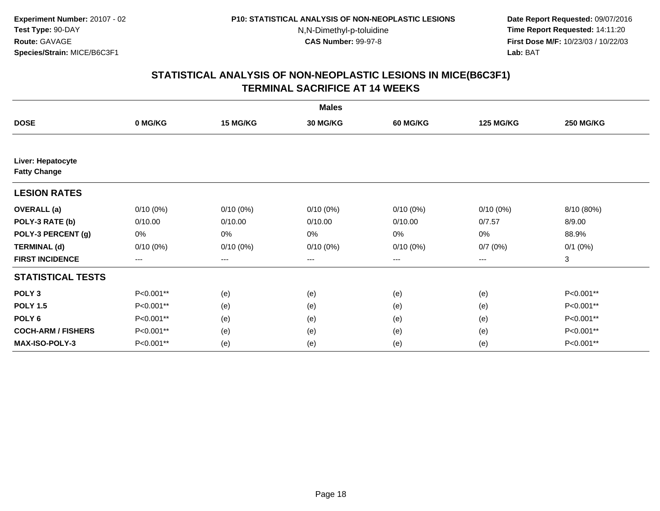**Date Report Requested:** 09/07/2016 **Time Report Requested:** 14:11:20 **First Dose M/F:** 10/23/03 / 10/22/03<br>**Lab:** BAT **Lab:** BAT

|                                          |             |             | <b>Males</b>    |             |                  |                  |
|------------------------------------------|-------------|-------------|-----------------|-------------|------------------|------------------|
| <b>DOSE</b>                              | 0 MG/KG     | 15 MG/KG    | <b>30 MG/KG</b> | 60 MG/KG    | <b>125 MG/KG</b> | <b>250 MG/KG</b> |
|                                          |             |             |                 |             |                  |                  |
| Liver: Hepatocyte<br><b>Fatty Change</b> |             |             |                 |             |                  |                  |
| <b>LESION RATES</b>                      |             |             |                 |             |                  |                  |
| <b>OVERALL</b> (a)                       | $0/10(0\%)$ | $0/10(0\%)$ | $0/10(0\%)$     | $0/10(0\%)$ | $0/10(0\%)$      | 8/10 (80%)       |
| POLY-3 RATE (b)                          | 0/10.00     | 0/10.00     | 0/10.00         | 0/10.00     | 0/7.57           | 8/9.00           |
| POLY-3 PERCENT (g)                       | 0%          | 0%          | 0%              | 0%          | 0%               | 88.9%            |
| <b>TERMINAL (d)</b>                      | $0/10(0\%)$ | $0/10(0\%)$ | $0/10(0\%)$     | $0/10(0\%)$ | 0/7(0%)          | $0/1$ $(0%)$     |
| <b>FIRST INCIDENCE</b>                   | ---         | $---$       | ---             | ---         | $--$             | 3                |
| <b>STATISTICAL TESTS</b>                 |             |             |                 |             |                  |                  |
| POLY <sub>3</sub>                        | P<0.001**   | (e)         | (e)             | (e)         | (e)              | P<0.001**        |
| <b>POLY 1.5</b>                          | P<0.001**   | (e)         | (e)             | (e)         | (e)              | P<0.001**        |
| POLY <sub>6</sub>                        | P<0.001**   | (e)         | (e)             | (e)         | (e)              | P<0.001**        |
| <b>COCH-ARM / FISHERS</b>                | P<0.001**   | (e)         | (e)             | (e)         | (e)              | P<0.001**        |
| MAX-ISO-POLY-3                           | P<0.001**   | (e)         | (e)             | (e)         | (e)              | P<0.001**        |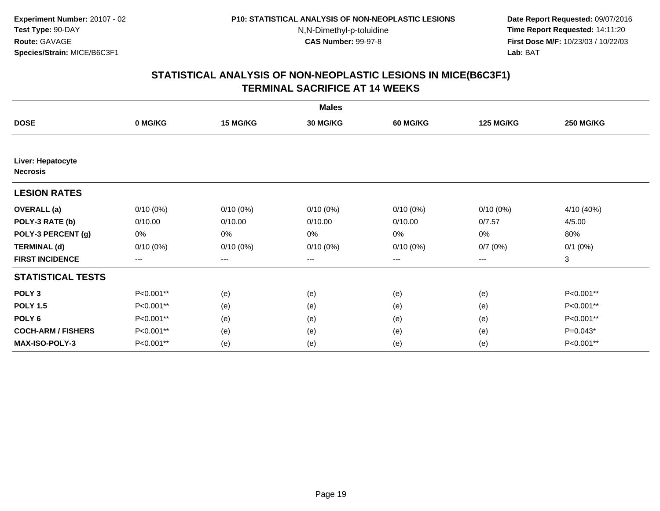**Date Report Requested:** 09/07/2016 **Time Report Requested:** 14:11:20 **First Dose M/F:** 10/23/03 / 10/22/03<br>**Lab:** BAT **Lab:** BAT

|                                      |             |                        | <b>Males</b>      |             |                  |                  |
|--------------------------------------|-------------|------------------------|-------------------|-------------|------------------|------------------|
| <b>DOSE</b>                          | 0 MG/KG     | 15 MG/KG               | 30 MG/KG          | 60 MG/KG    | <b>125 MG/KG</b> | <b>250 MG/KG</b> |
|                                      |             |                        |                   |             |                  |                  |
| Liver: Hepatocyte<br><b>Necrosis</b> |             |                        |                   |             |                  |                  |
| <b>LESION RATES</b>                  |             |                        |                   |             |                  |                  |
| <b>OVERALL</b> (a)                   | $0/10(0\%)$ | $0/10(0\%)$            | $0/10(0\%)$       | $0/10(0\%)$ | $0/10(0\%)$      | 4/10 (40%)       |
| POLY-3 RATE (b)                      | 0/10.00     | 0/10.00                | 0/10.00           | 0/10.00     | 0/7.57           | 4/5.00           |
| POLY-3 PERCENT (g)                   | 0%          | 0%                     | 0%                | 0%          | 0%               | 80%              |
| <b>TERMINAL (d)</b>                  | $0/10(0\%)$ | $0/10(0\%)$            | $0/10(0\%)$       | $0/10(0\%)$ | 0/7(0%)          | $0/1$ $(0%)$     |
| <b>FIRST INCIDENCE</b>               | ---         | $\qquad \qquad \cdots$ | $\qquad \qquad -$ | ---         | $---$            | 3                |
| <b>STATISTICAL TESTS</b>             |             |                        |                   |             |                  |                  |
| POLY <sub>3</sub>                    | P<0.001**   | (e)                    | (e)               | (e)         | (e)              | P<0.001**        |
| <b>POLY 1.5</b>                      | P<0.001**   | (e)                    | (e)               | (e)         | (e)              | P<0.001**        |
| POLY <sub>6</sub>                    | P<0.001**   | (e)                    | (e)               | (e)         | (e)              | P<0.001**        |
| <b>COCH-ARM / FISHERS</b>            | P<0.001**   | (e)                    | (e)               | (e)         | (e)              | $P=0.043*$       |
| MAX-ISO-POLY-3                       | P<0.001**   | (e)                    | (e)               | (e)         | (e)              | P<0.001**        |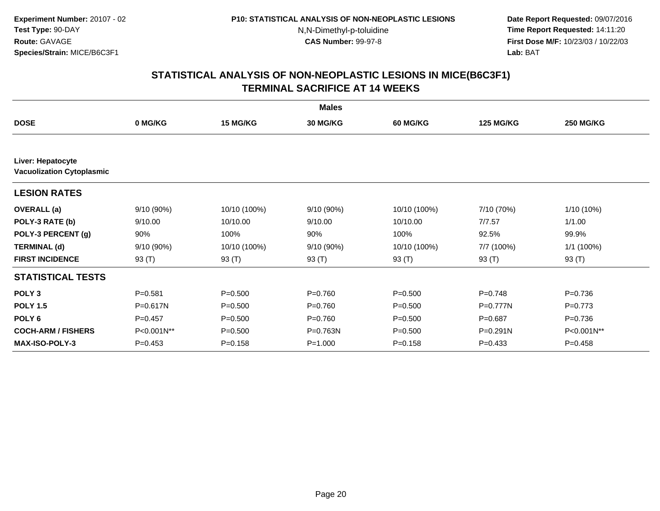**Date Report Requested:** 09/07/2016 **Time Report Requested:** 14:11:20 **First Dose M/F:** 10/23/03 / 10/22/03<br>**Lab:** BAT **Lab:** BAT

|                                                       |             |                 | <b>Males</b>    |                 |                  |                  |
|-------------------------------------------------------|-------------|-----------------|-----------------|-----------------|------------------|------------------|
| <b>DOSE</b>                                           | 0 MG/KG     | <b>15 MG/KG</b> | <b>30 MG/KG</b> | <b>60 MG/KG</b> | <b>125 MG/KG</b> | <b>250 MG/KG</b> |
|                                                       |             |                 |                 |                 |                  |                  |
| Liver: Hepatocyte<br><b>Vacuolization Cytoplasmic</b> |             |                 |                 |                 |                  |                  |
| <b>LESION RATES</b>                                   |             |                 |                 |                 |                  |                  |
| <b>OVERALL</b> (a)                                    | 9/10(90%)   | 10/10 (100%)    | 9/10(90%)       | 10/10 (100%)    | 7/10 (70%)       | 1/10 (10%)       |
| POLY-3 RATE (b)                                       | 9/10.00     | 10/10.00        | 9/10.00         | 10/10.00        | 7/7.57           | 1/1.00           |
| POLY-3 PERCENT (g)                                    | 90%         | 100%            | 90%             | 100%            | 92.5%            | 99.9%            |
| <b>TERMINAL (d)</b>                                   | 9/10(90%)   | 10/10 (100%)    | 9/10 (90%)      | 10/10 (100%)    | 7/7 (100%)       | 1/1 (100%)       |
| <b>FIRST INCIDENCE</b>                                | 93 $(T)$    | 93 (T)          | 93 (T)          | 93 (T)          | 93 (T)           | 93 (T)           |
| <b>STATISTICAL TESTS</b>                              |             |                 |                 |                 |                  |                  |
| POLY <sub>3</sub>                                     | $P = 0.581$ | $P = 0.500$     | $P = 0.760$     | $P = 0.500$     | $P=0.748$        | $P = 0.736$      |
| <b>POLY 1.5</b>                                       | P=0.617N    | $P = 0.500$     | $P = 0.760$     | $P = 0.500$     | $P = 0.777N$     | $P=0.773$        |
| POLY <sub>6</sub>                                     | $P=0.457$   | $P = 0.500$     | $P = 0.760$     | $P = 0.500$     | $P = 0.687$      | $P = 0.736$      |
| <b>COCH-ARM / FISHERS</b>                             | P<0.001N**  | $P = 0.500$     | P=0.763N        | $P = 0.500$     | $P = 0.291N$     | P<0.001N**       |
| <b>MAX-ISO-POLY-3</b>                                 | $P=0.453$   | $P = 0.158$     | $P = 1.000$     | $P = 0.158$     | $P=0.433$        | $P=0.458$        |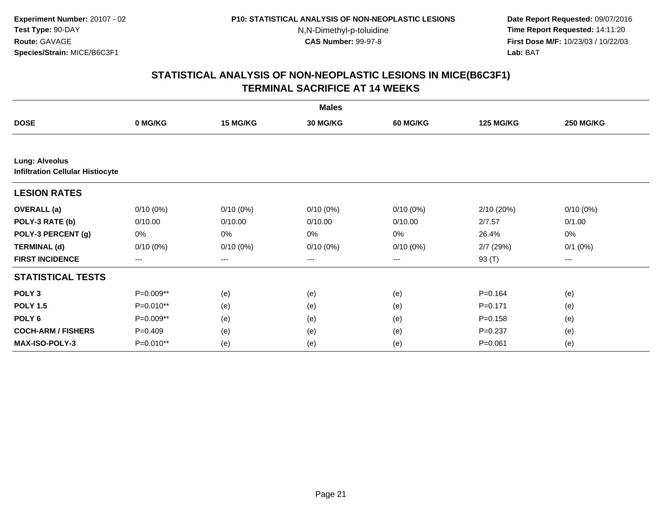**Date Report Requested:** 09/07/2016 **Time Report Requested:** 14:11:20 **First Dose M/F:** 10/23/03 / 10/22/03<br>**Lab:** BAT **Lab:** BAT

|                                                                  |             |             | <b>Males</b>    |             |                  |                  |
|------------------------------------------------------------------|-------------|-------------|-----------------|-------------|------------------|------------------|
| <b>DOSE</b>                                                      | 0 MG/KG     | 15 MG/KG    | <b>30 MG/KG</b> | 60 MG/KG    | <b>125 MG/KG</b> | <b>250 MG/KG</b> |
|                                                                  |             |             |                 |             |                  |                  |
| <b>Lung: Alveolus</b><br><b>Infiltration Cellular Histiocyte</b> |             |             |                 |             |                  |                  |
| <b>LESION RATES</b>                                              |             |             |                 |             |                  |                  |
| <b>OVERALL</b> (a)                                               | $0/10(0\%)$ | $0/10(0\%)$ | $0/10(0\%)$     | $0/10(0\%)$ | 2/10(20%)        | $0/10(0\%)$      |
| POLY-3 RATE (b)                                                  | 0/10.00     | 0/10.00     | 0/10.00         | 0/10.00     | 2/7.57           | 0/1.00           |
| POLY-3 PERCENT (g)                                               | 0%          | 0%          | 0%              | 0%          | 26.4%            | 0%               |
| <b>TERMINAL (d)</b>                                              | $0/10(0\%)$ | $0/10(0\%)$ | $0/10(0\%)$     | 0/10(0%)    | $2/7$ (29%)      | $0/1$ $(0%)$     |
| <b>FIRST INCIDENCE</b>                                           | $--$        | ---         | ---             | $--$        | 93 (T)           | ---              |
| <b>STATISTICAL TESTS</b>                                         |             |             |                 |             |                  |                  |
| POLY <sub>3</sub>                                                | P=0.009**   | (e)         | (e)             | (e)         | $P = 0.164$      | (e)              |
| <b>POLY 1.5</b>                                                  | P=0.010**   | (e)         | (e)             | (e)         | $P = 0.171$      | (e)              |
| POLY <sub>6</sub>                                                | P=0.009**   | (e)         | (e)             | (e)         | $P = 0.158$      | (e)              |
| <b>COCH-ARM / FISHERS</b>                                        | $P=0.409$   | (e)         | (e)             | (e)         | $P = 0.237$      | (e)              |
| <b>MAX-ISO-POLY-3</b>                                            | P=0.010**   | (e)         | (e)             | (e)         | $P = 0.061$      | (e)              |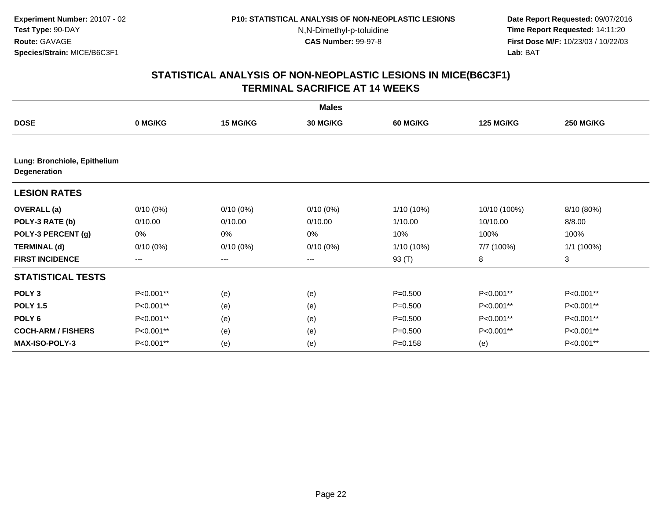**Date Report Requested:** 09/07/2016 **Time Report Requested:** 14:11:20 **First Dose M/F:** 10/23/03 / 10/22/03<br>**Lab:** BAT **Lab:** BAT

|                                                     |                   |                   | <b>Males</b>    |                 |                  |                  |
|-----------------------------------------------------|-------------------|-------------------|-----------------|-----------------|------------------|------------------|
| <b>DOSE</b>                                         | 0 MG/KG           | 15 MG/KG          | <b>30 MG/KG</b> | <b>60 MG/KG</b> | <b>125 MG/KG</b> | <b>250 MG/KG</b> |
|                                                     |                   |                   |                 |                 |                  |                  |
| Lung: Bronchiole, Epithelium<br><b>Degeneration</b> |                   |                   |                 |                 |                  |                  |
| <b>LESION RATES</b>                                 |                   |                   |                 |                 |                  |                  |
| <b>OVERALL</b> (a)                                  | $0/10(0\%)$       | $0/10(0\%)$       | $0/10(0\%)$     | 1/10 (10%)      | 10/10 (100%)     | 8/10 (80%)       |
| POLY-3 RATE (b)                                     | 0/10.00           | 0/10.00           | 0/10.00         | 1/10.00         | 10/10.00         | 8/8.00           |
| POLY-3 PERCENT (g)                                  | 0%                | 0%                | 0%              | 10%             | 100%             | 100%             |
| <b>TERMINAL (d)</b>                                 | $0/10(0\%)$       | $0/10(0\%)$       | $0/10(0\%)$     | 1/10 (10%)      | 7/7 (100%)       | 1/1(100%)        |
| <b>FIRST INCIDENCE</b>                              | $\qquad \qquad -$ | $\qquad \qquad -$ | $---$           | 93 (T)          | 8                | 3                |
| <b>STATISTICAL TESTS</b>                            |                   |                   |                 |                 |                  |                  |
| POLY <sub>3</sub>                                   | P<0.001**         | (e)               | (e)             | $P = 0.500$     | P<0.001**        | P<0.001**        |
| <b>POLY 1.5</b>                                     | P<0.001**         | (e)               | (e)             | $P = 0.500$     | P<0.001**        | P<0.001**        |
| POLY <sub>6</sub>                                   | P<0.001**         | (e)               | (e)             | $P = 0.500$     | P<0.001**        | P<0.001**        |
| <b>COCH-ARM / FISHERS</b>                           | P<0.001**         | (e)               | (e)             | $P = 0.500$     | P<0.001**        | P<0.001**        |
| MAX-ISO-POLY-3                                      | P<0.001**         | (e)               | (e)             | $P = 0.158$     | (e)              | P<0.001**        |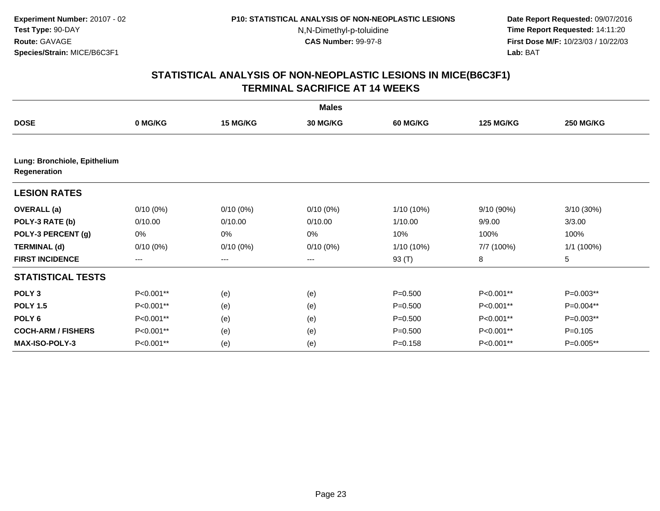**Date Report Requested:** 09/07/2016 **Time Report Requested:** 14:11:20 **First Dose M/F:** 10/23/03 / 10/22/03<br>**Lab:** BAT **Lab:** BAT

|                                              |                   |             | <b>Males</b>    |                 |                  |                  |
|----------------------------------------------|-------------------|-------------|-----------------|-----------------|------------------|------------------|
| <b>DOSE</b>                                  | 0 MG/KG           | 15 MG/KG    | <b>30 MG/KG</b> | <b>60 MG/KG</b> | <b>125 MG/KG</b> | <b>250 MG/KG</b> |
|                                              |                   |             |                 |                 |                  |                  |
| Lung: Bronchiole, Epithelium<br>Regeneration |                   |             |                 |                 |                  |                  |
| <b>LESION RATES</b>                          |                   |             |                 |                 |                  |                  |
| <b>OVERALL</b> (a)                           | $0/10(0\%)$       | $0/10(0\%)$ | $0/10(0\%)$     | 1/10 (10%)      | 9/10 (90%)       | 3/10 (30%)       |
| POLY-3 RATE (b)                              | 0/10.00           | 0/10.00     | 0/10.00         | 1/10.00         | 9/9.00           | 3/3.00           |
| POLY-3 PERCENT (g)                           | 0%                | 0%          | 0%              | 10%             | 100%             | 100%             |
| <b>TERMINAL (d)</b>                          | $0/10(0\%)$       | $0/10(0\%)$ | $0/10(0\%)$     | 1/10 (10%)      | 7/7 (100%)       | 1/1(100%)        |
| <b>FIRST INCIDENCE</b>                       | $\qquad \qquad -$ | $---$       | $---$           | 93 (T)          | 8                | 5                |
| <b>STATISTICAL TESTS</b>                     |                   |             |                 |                 |                  |                  |
| POLY <sub>3</sub>                            | P<0.001**         | (e)         | (e)             | $P = 0.500$     | P<0.001**        | $P=0.003**$      |
| <b>POLY 1.5</b>                              | P<0.001**         | (e)         | (e)             | $P = 0.500$     | P<0.001**        | P=0.004**        |
| POLY <sub>6</sub>                            | P<0.001**         | (e)         | (e)             | $P = 0.500$     | P<0.001**        | P=0.003**        |
| <b>COCH-ARM / FISHERS</b>                    | P<0.001**         | (e)         | (e)             | $P = 0.500$     | P<0.001**        | $P=0.105$        |
| MAX-ISO-POLY-3                               | P<0.001**         | (e)         | (e)             | $P = 0.158$     | P<0.001**        | P=0.005**        |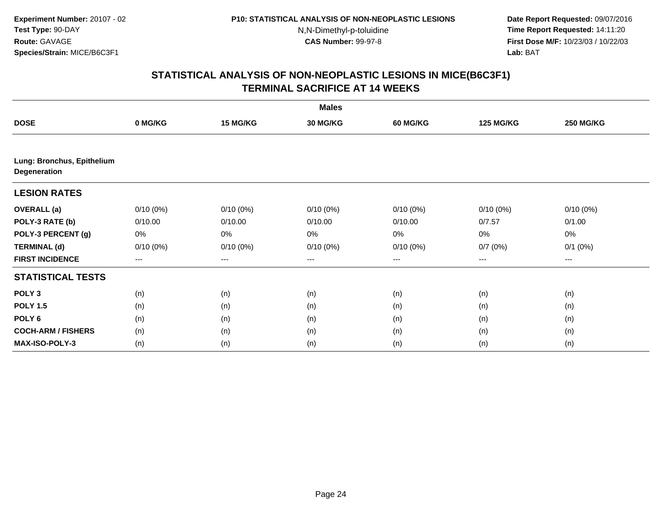**Date Report Requested:** 09/07/2016 **Time Report Requested:** 14:11:20 **First Dose M/F:** 10/23/03 / 10/22/03<br>**Lab:** BAT **Lab:** BAT

|                                            |             |             | <b>Males</b>    |                 |                   |                  |
|--------------------------------------------|-------------|-------------|-----------------|-----------------|-------------------|------------------|
| <b>DOSE</b>                                | 0 MG/KG     | 15 MG/KG    | <b>30 MG/KG</b> | <b>60 MG/KG</b> | <b>125 MG/KG</b>  | <b>250 MG/KG</b> |
|                                            |             |             |                 |                 |                   |                  |
| Lung: Bronchus, Epithelium<br>Degeneration |             |             |                 |                 |                   |                  |
| <b>LESION RATES</b>                        |             |             |                 |                 |                   |                  |
| <b>OVERALL</b> (a)                         | $0/10(0\%)$ | $0/10(0\%)$ | $0/10(0\%)$     | $0/10(0\%)$     | $0/10(0\%)$       | $0/10(0\%)$      |
| POLY-3 RATE (b)                            | 0/10.00     | 0/10.00     | 0/10.00         | 0/10.00         | 0/7.57            | 0/1.00           |
| POLY-3 PERCENT (g)                         | 0%          | 0%          | 0%              | 0%              | 0%                | 0%               |
| <b>TERMINAL (d)</b>                        | $0/10(0\%)$ | $0/10(0\%)$ | $0/10(0\%)$     | $0/10(0\%)$     | 0/7(0%)           | $0/1$ $(0%)$     |
| <b>FIRST INCIDENCE</b>                     | $---$       | $---$       | ---             | $--$            | $\qquad \qquad -$ | ---              |
| <b>STATISTICAL TESTS</b>                   |             |             |                 |                 |                   |                  |
| POLY <sub>3</sub>                          | (n)         | (n)         | (n)             | (n)             | (n)               | (n)              |
| <b>POLY 1.5</b>                            | (n)         | (n)         | (n)             | (n)             | (n)               | (n)              |
| POLY <sub>6</sub>                          | (n)         | (n)         | (n)             | (n)             | (n)               | (n)              |
| <b>COCH-ARM / FISHERS</b>                  | (n)         | (n)         | (n)             | (n)             | (n)               | (n)              |
| <b>MAX-ISO-POLY-3</b>                      | (n)         | (n)         | (n)             | (n)             | (n)               | (n)              |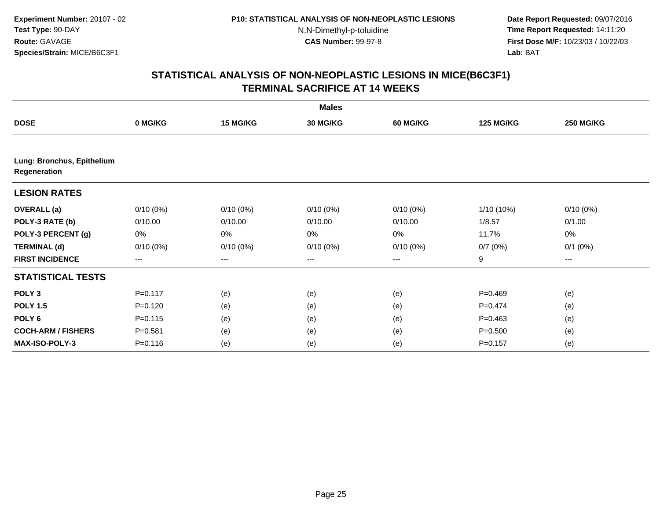**Date Report Requested:** 09/07/2016 **Time Report Requested:** 14:11:20 **First Dose M/F:** 10/23/03 / 10/22/03<br>**Lab:** BAT **Lab:** BAT

|                                            |                        |             | <b>Males</b>    |                        |                  |                  |
|--------------------------------------------|------------------------|-------------|-----------------|------------------------|------------------|------------------|
| <b>DOSE</b>                                | 0 MG/KG                | 15 MG/KG    | <b>30 MG/KG</b> | <b>60 MG/KG</b>        | <b>125 MG/KG</b> | <b>250 MG/KG</b> |
|                                            |                        |             |                 |                        |                  |                  |
| Lung: Bronchus, Epithelium<br>Regeneration |                        |             |                 |                        |                  |                  |
| <b>LESION RATES</b>                        |                        |             |                 |                        |                  |                  |
| <b>OVERALL</b> (a)                         | $0/10(0\%)$            | $0/10(0\%)$ | $0/10(0\%)$     | $0/10(0\%)$            | 1/10 (10%)       | $0/10(0\%)$      |
| POLY-3 RATE (b)                            | 0/10.00                | 0/10.00     | 0/10.00         | 0/10.00                | 1/8.57           | 0/1.00           |
| POLY-3 PERCENT (g)                         | 0%                     | 0%          | 0%              | 0%                     | 11.7%            | 0%               |
| <b>TERMINAL (d)</b>                        | $0/10(0\%)$            | $0/10(0\%)$ | $0/10(0\%)$     | $0/10(0\%)$            | 0/7(0%)          | $0/1$ $(0%)$     |
| <b>FIRST INCIDENCE</b>                     | $\qquad \qquad \cdots$ | ---         | ---             | $\qquad \qquad \cdots$ | 9                | ---              |
| <b>STATISTICAL TESTS</b>                   |                        |             |                 |                        |                  |                  |
| POLY <sub>3</sub>                          | $P = 0.117$            | (e)         | (e)             | (e)                    | $P=0.469$        | (e)              |
| <b>POLY 1.5</b>                            | $P = 0.120$            | (e)         | (e)             | (e)                    | $P=0.474$        | (e)              |
| POLY <sub>6</sub>                          | $P = 0.115$            | (e)         | (e)             | (e)                    | $P=0.463$        | (e)              |
| <b>COCH-ARM / FISHERS</b>                  | $P = 0.581$            | (e)         | (e)             | (e)                    | $P = 0.500$      | (e)              |
| <b>MAX-ISO-POLY-3</b>                      | $P = 0.116$            | (e)         | (e)             | (e)                    | $P = 0.157$      | (e)              |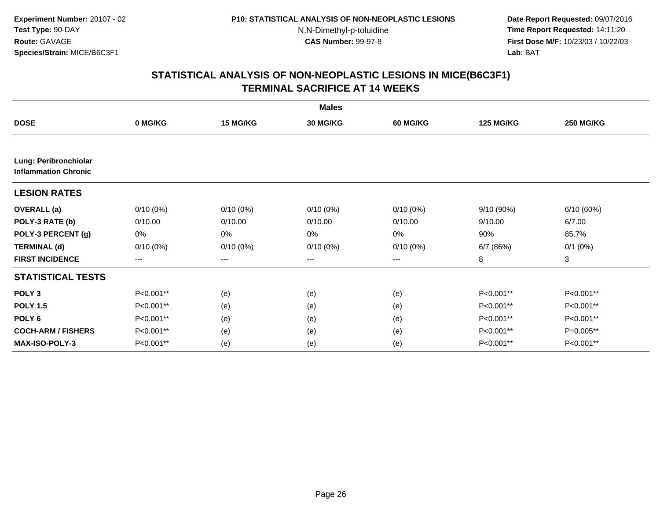**Date Report Requested:** 09/07/2016 **Time Report Requested:** 14:11:20 **First Dose M/F:** 10/23/03 / 10/22/03<br>**Lab:** BAT **Lab:** BAT

|                                                      |                   |                   | <b>Males</b> |                 |                  |                  |
|------------------------------------------------------|-------------------|-------------------|--------------|-----------------|------------------|------------------|
| <b>DOSE</b>                                          | 0 MG/KG           | 15 MG/KG          | 30 MG/KG     | <b>60 MG/KG</b> | <b>125 MG/KG</b> | <b>250 MG/KG</b> |
|                                                      |                   |                   |              |                 |                  |                  |
| Lung: Peribronchiolar<br><b>Inflammation Chronic</b> |                   |                   |              |                 |                  |                  |
| <b>LESION RATES</b>                                  |                   |                   |              |                 |                  |                  |
| <b>OVERALL</b> (a)                                   | $0/10(0\%)$       | $0/10(0\%)$       | $0/10(0\%)$  | $0/10(0\%)$     | 9/10 (90%)       | 6/10(60%)        |
| POLY-3 RATE (b)                                      | 0/10.00           | 0/10.00           | 0/10.00      | 0/10.00         | 9/10.00          | 6/7.00           |
| POLY-3 PERCENT (g)                                   | 0%                | 0%                | 0%           | 0%              | 90%              | 85.7%            |
| <b>TERMINAL (d)</b>                                  | $0/10(0\%)$       | $0/10(0\%)$       | $0/10(0\%)$  | $0/10(0\%)$     | 6/7(86%)         | $0/1$ $(0%)$     |
| <b>FIRST INCIDENCE</b>                               | $\qquad \qquad -$ | $\qquad \qquad -$ | $---$        | ---             | 8                | 3                |
| <b>STATISTICAL TESTS</b>                             |                   |                   |              |                 |                  |                  |
| POLY <sub>3</sub>                                    | P<0.001**         | (e)               | (e)          | (e)             | P<0.001**        | P<0.001**        |
| <b>POLY 1.5</b>                                      | P<0.001**         | (e)               | (e)          | (e)             | P<0.001**        | P<0.001**        |
| POLY <sub>6</sub>                                    | P<0.001**         | (e)               | (e)          | (e)             | P<0.001**        | P<0.001**        |
| <b>COCH-ARM / FISHERS</b>                            | P<0.001**         | (e)               | (e)          | (e)             | P<0.001**        | P=0.005**        |
| <b>MAX-ISO-POLY-3</b>                                | P<0.001**         | (e)               | (e)          | (e)             | P<0.001**        | P<0.001**        |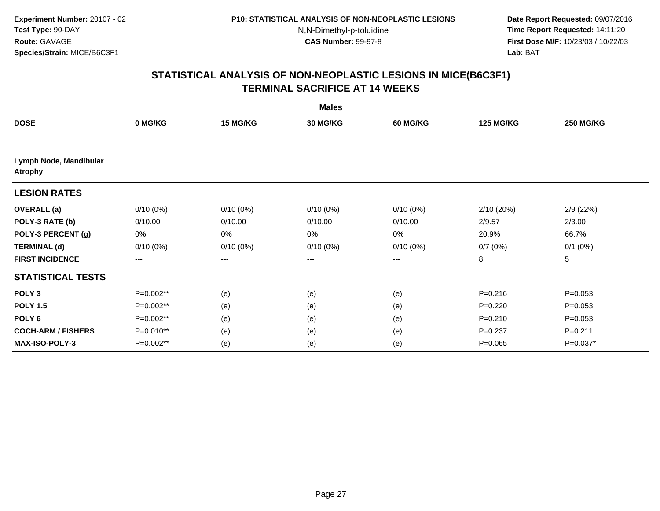**Date Report Requested:** 09/07/2016 **Time Report Requested:** 14:11:20 **First Dose M/F:** 10/23/03 / 10/22/03<br>**Lab:** BAT **Lab:** BAT

|                                          |             |             | <b>Males</b>    |                 |                  |                  |
|------------------------------------------|-------------|-------------|-----------------|-----------------|------------------|------------------|
| <b>DOSE</b>                              | 0 MG/KG     | 15 MG/KG    | <b>30 MG/KG</b> | <b>60 MG/KG</b> | <b>125 MG/KG</b> | <b>250 MG/KG</b> |
|                                          |             |             |                 |                 |                  |                  |
| Lymph Node, Mandibular<br><b>Atrophy</b> |             |             |                 |                 |                  |                  |
| <b>LESION RATES</b>                      |             |             |                 |                 |                  |                  |
| <b>OVERALL</b> (a)                       | $0/10(0\%)$ | $0/10(0\%)$ | $0/10(0\%)$     | $0/10(0\%)$     | 2/10 (20%)       | 2/9(22%)         |
| POLY-3 RATE (b)                          | 0/10.00     | 0/10.00     | 0/10.00         | 0/10.00         | 2/9.57           | 2/3.00           |
| POLY-3 PERCENT (g)                       | 0%          | 0%          | 0%              | 0%              | 20.9%            | 66.7%            |
| <b>TERMINAL (d)</b>                      | $0/10(0\%)$ | $0/10(0\%)$ | $0/10(0\%)$     | $0/10(0\%)$     | 0/7(0%)          | $0/1$ $(0%)$     |
| <b>FIRST INCIDENCE</b>                   | $---$       | $---$       | $---$           | $---$           | 8                | 5                |
| <b>STATISTICAL TESTS</b>                 |             |             |                 |                 |                  |                  |
| POLY <sub>3</sub>                        | P=0.002**   | (e)         | (e)             | (e)             | $P = 0.216$      | $P=0.053$        |
| <b>POLY 1.5</b>                          | P=0.002**   | (e)         | (e)             | (e)             | $P = 0.220$      | $P=0.053$        |
| POLY <sub>6</sub>                        | P=0.002**   | (e)         | (e)             | (e)             | $P = 0.210$      | $P=0.053$        |
| <b>COCH-ARM / FISHERS</b>                | P=0.010**   | (e)         | (e)             | (e)             | $P = 0.237$      | $P = 0.211$      |
| <b>MAX-ISO-POLY-3</b>                    | P=0.002**   | (e)         | (e)             | (e)             | $P=0.065$        | P=0.037*         |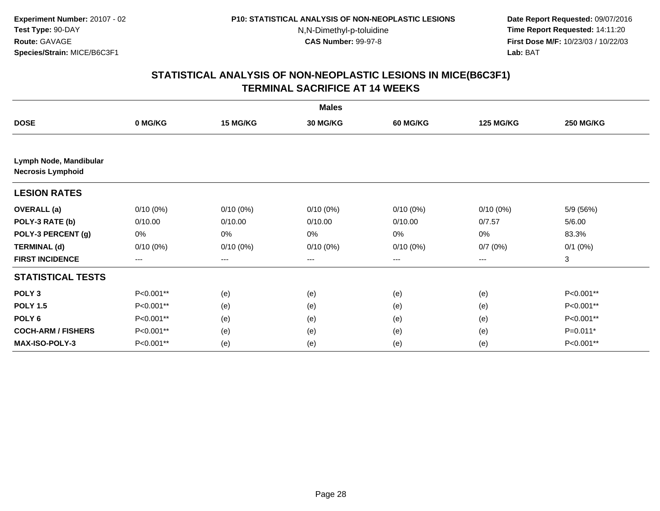**Date Report Requested:** 09/07/2016 **Time Report Requested:** 14:11:20 **First Dose M/F:** 10/23/03 / 10/22/03<br>**Lab:** BAT **Lab:** BAT

|                                                    |             |             | <b>Males</b>    |                        |                  |                  |
|----------------------------------------------------|-------------|-------------|-----------------|------------------------|------------------|------------------|
| <b>DOSE</b>                                        | 0 MG/KG     | 15 MG/KG    | <b>30 MG/KG</b> | <b>60 MG/KG</b>        | <b>125 MG/KG</b> | <b>250 MG/KG</b> |
|                                                    |             |             |                 |                        |                  |                  |
| Lymph Node, Mandibular<br><b>Necrosis Lymphoid</b> |             |             |                 |                        |                  |                  |
| <b>LESION RATES</b>                                |             |             |                 |                        |                  |                  |
| <b>OVERALL</b> (a)                                 | $0/10(0\%)$ | $0/10(0\%)$ | $0/10(0\%)$     | $0/10(0\%)$            | $0/10(0\%)$      | 5/9 (56%)        |
| POLY-3 RATE (b)                                    | 0/10.00     | 0/10.00     | 0/10.00         | 0/10.00                | 0/7.57           | 5/6.00           |
| POLY-3 PERCENT (g)                                 | 0%          | 0%          | 0%              | 0%                     | 0%               | 83.3%            |
| <b>TERMINAL (d)</b>                                | $0/10(0\%)$ | $0/10(0\%)$ | $0/10(0\%)$     | $0/10(0\%)$            | 0/7(0%)          | $0/1$ $(0%)$     |
| <b>FIRST INCIDENCE</b>                             | $---$       | ---         | ---             | $\qquad \qquad \cdots$ | ---              | 3                |
| <b>STATISTICAL TESTS</b>                           |             |             |                 |                        |                  |                  |
| POLY <sub>3</sub>                                  | P<0.001**   | (e)         | (e)             | (e)                    | (e)              | P<0.001**        |
| <b>POLY 1.5</b>                                    | P<0.001**   | (e)         | (e)             | (e)                    | (e)              | P<0.001**        |
| POLY <sub>6</sub>                                  | P<0.001**   | (e)         | (e)             | (e)                    | (e)              | P<0.001**        |
| <b>COCH-ARM / FISHERS</b>                          | P<0.001**   | (e)         | (e)             | (e)                    | (e)              | $P=0.011*$       |
| MAX-ISO-POLY-3                                     | P<0.001**   | (e)         | (e)             | (e)                    | (e)              | P<0.001**        |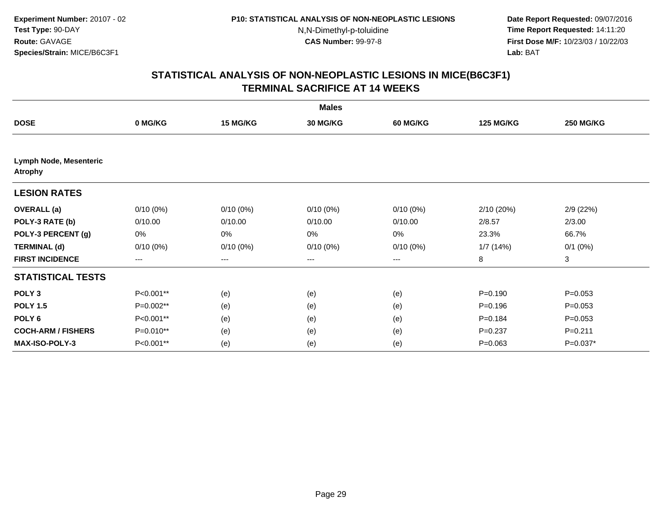**Date Report Requested:** 09/07/2016 **Time Report Requested:** 14:11:20 **First Dose M/F:** 10/23/03 / 10/22/03<br>**Lab:** BAT **Lab:** BAT

|                                          |             |             | <b>Males</b>    |                 |                  |                  |
|------------------------------------------|-------------|-------------|-----------------|-----------------|------------------|------------------|
| <b>DOSE</b>                              | 0 MG/KG     | 15 MG/KG    | <b>30 MG/KG</b> | <b>60 MG/KG</b> | <b>125 MG/KG</b> | <b>250 MG/KG</b> |
|                                          |             |             |                 |                 |                  |                  |
| Lymph Node, Mesenteric<br><b>Atrophy</b> |             |             |                 |                 |                  |                  |
| <b>LESION RATES</b>                      |             |             |                 |                 |                  |                  |
| <b>OVERALL</b> (a)                       | $0/10(0\%)$ | $0/10(0\%)$ | $0/10(0\%)$     | $0/10(0\%)$     | 2/10 (20%)       | 2/9(22%)         |
| POLY-3 RATE (b)                          | 0/10.00     | 0/10.00     | 0/10.00         | 0/10.00         | 2/8.57           | 2/3.00           |
| POLY-3 PERCENT (g)                       | 0%          | 0%          | 0%              | 0%              | 23.3%            | 66.7%            |
| <b>TERMINAL (d)</b>                      | $0/10(0\%)$ | $0/10(0\%)$ | $0/10(0\%)$     | $0/10(0\%)$     | 1/7(14%)         | $0/1$ $(0%)$     |
| <b>FIRST INCIDENCE</b>                   | $---$       | $---$       | $---$           | $---$           | 8                | 3                |
| <b>STATISTICAL TESTS</b>                 |             |             |                 |                 |                  |                  |
| POLY <sub>3</sub>                        | P<0.001**   | (e)         | (e)             | (e)             | $P = 0.190$      | $P=0.053$        |
| <b>POLY 1.5</b>                          | P=0.002**   | (e)         | (e)             | (e)             | $P = 0.196$      | $P=0.053$        |
| POLY <sub>6</sub>                        | P<0.001**   | (e)         | (e)             | (e)             | $P = 0.184$      | $P=0.053$        |
| <b>COCH-ARM / FISHERS</b>                | P=0.010**   | (e)         | (e)             | (e)             | $P = 0.237$      | $P = 0.211$      |
| <b>MAX-ISO-POLY-3</b>                    | P<0.001**   | (e)         | (e)             | (e)             | $P = 0.063$      | P=0.037*         |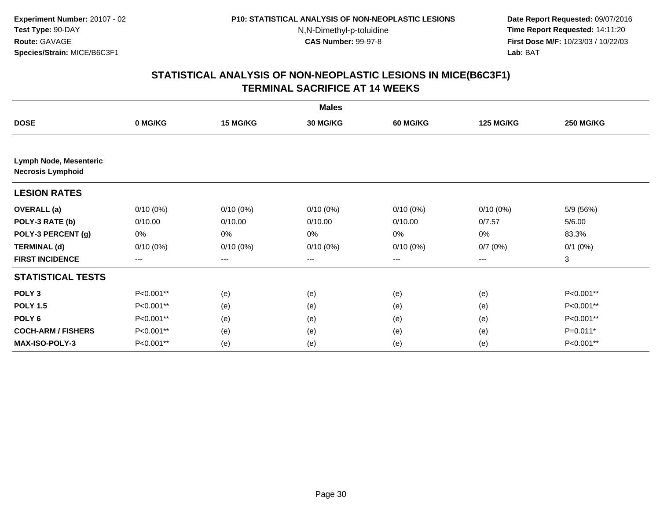**Date Report Requested:** 09/07/2016 **Time Report Requested:** 14:11:20 **First Dose M/F:** 10/23/03 / 10/22/03<br>**Lab:** BAT **Lab:** BAT

|                           |             |             | <b>Males</b>    |                        |                  |                  |
|---------------------------|-------------|-------------|-----------------|------------------------|------------------|------------------|
| <b>DOSE</b>               | 0 MG/KG     | 15 MG/KG    | <b>30 MG/KG</b> | <b>60 MG/KG</b>        | <b>125 MG/KG</b> | <b>250 MG/KG</b> |
| Lymph Node, Mesenteric    |             |             |                 |                        |                  |                  |
| <b>Necrosis Lymphoid</b>  |             |             |                 |                        |                  |                  |
| <b>LESION RATES</b>       |             |             |                 |                        |                  |                  |
| <b>OVERALL</b> (a)        | $0/10(0\%)$ | $0/10(0\%)$ | $0/10(0\%)$     | $0/10(0\%)$            | $0/10(0\%)$      | 5/9 (56%)        |
| POLY-3 RATE (b)           | 0/10.00     | 0/10.00     | 0/10.00         | 0/10.00                | 0/7.57           | 5/6.00           |
| POLY-3 PERCENT (g)        | 0%          | 0%          | 0%              | 0%                     | 0%               | 83.3%            |
| <b>TERMINAL (d)</b>       | $0/10(0\%)$ | $0/10(0\%)$ | $0/10(0\%)$     | $0/10(0\%)$            | 0/7(0%)          | $0/1$ $(0%)$     |
| <b>FIRST INCIDENCE</b>    | ---         | ---         | ---             | $\qquad \qquad \cdots$ | ---              | 3                |
| <b>STATISTICAL TESTS</b>  |             |             |                 |                        |                  |                  |
| POLY <sub>3</sub>         | P<0.001**   | (e)         | (e)             | (e)                    | (e)              | P<0.001**        |
| <b>POLY 1.5</b>           | P<0.001**   | (e)         | (e)             | (e)                    | (e)              | P<0.001**        |
| POLY <sub>6</sub>         | P<0.001**   | (e)         | (e)             | (e)                    | (e)              | P<0.001**        |
| <b>COCH-ARM / FISHERS</b> | P<0.001**   | (e)         | (e)             | (e)                    | (e)              | $P=0.011*$       |
| MAX-ISO-POLY-3            | P<0.001**   | (e)         | (e)             | (e)                    | (e)              | P<0.001**        |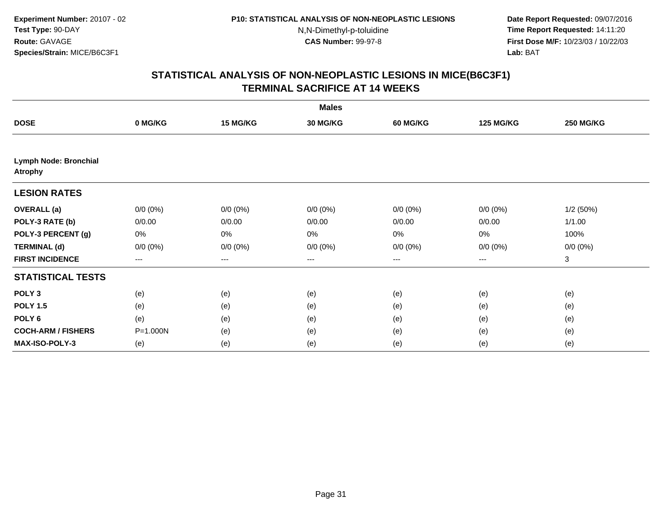**Date Report Requested:** 09/07/2016 **Time Report Requested:** 14:11:20 **First Dose M/F:** 10/23/03 / 10/22/03<br>**Lab:** BAT **Lab:** BAT

|                                                |             |             | <b>Males</b>    |                 |                  |                  |
|------------------------------------------------|-------------|-------------|-----------------|-----------------|------------------|------------------|
| <b>DOSE</b>                                    | 0 MG/KG     | 15 MG/KG    | <b>30 MG/KG</b> | <b>60 MG/KG</b> | <b>125 MG/KG</b> | <b>250 MG/KG</b> |
|                                                |             |             |                 |                 |                  |                  |
| <b>Lymph Node: Bronchial</b><br><b>Atrophy</b> |             |             |                 |                 |                  |                  |
| <b>LESION RATES</b>                            |             |             |                 |                 |                  |                  |
| <b>OVERALL</b> (a)                             | $0/0 (0\%)$ | $0/0 (0\%)$ | $0/0 (0\%)$     | $0/0 (0\%)$     | $0/0 (0\%)$      | 1/2(50%)         |
| POLY-3 RATE (b)                                | 0/0.00      | 0/0.00      | 0/0.00          | 0/0.00          | 0/0.00           | 1/1.00           |
| POLY-3 PERCENT (g)                             | 0%          | 0%          | 0%              | 0%              | 0%               | 100%             |
| <b>TERMINAL (d)</b>                            | $0/0 (0\%)$ | $0/0 (0\%)$ | $0/0 (0\%)$     | $0/0 (0\%)$     | $0/0 (0\%)$      | $0/0 (0\%)$      |
| <b>FIRST INCIDENCE</b>                         | $---$       | ---         | ---             | ---             | $---$            | 3                |
| <b>STATISTICAL TESTS</b>                       |             |             |                 |                 |                  |                  |
| POLY <sub>3</sub>                              | (e)         | (e)         | (e)             | (e)             | (e)              | (e)              |
| <b>POLY 1.5</b>                                | (e)         | (e)         | (e)             | (e)             | (e)              | (e)              |
| POLY <sub>6</sub>                              | (e)         | (e)         | (e)             | (e)             | (e)              | (e)              |
| <b>COCH-ARM / FISHERS</b>                      | P=1.000N    | (e)         | (e)             | (e)             | (e)              | (e)              |
| MAX-ISO-POLY-3                                 | (e)         | (e)         | (e)             | (e)             | (e)              | (e)              |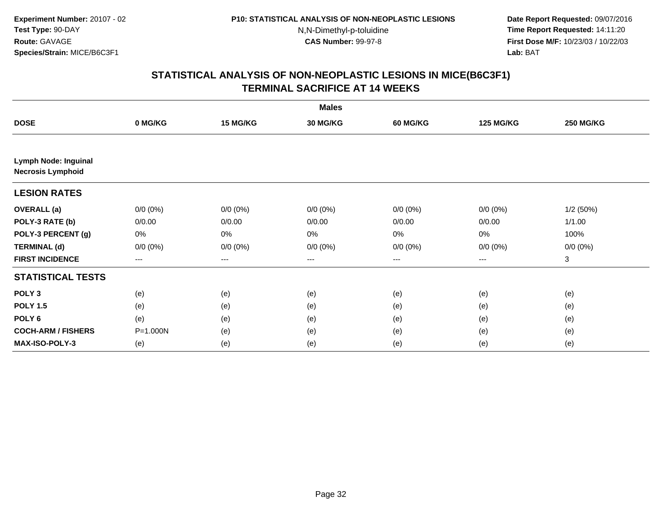**Date Report Requested:** 09/07/2016 **Time Report Requested:** 14:11:20 **First Dose M/F:** 10/23/03 / 10/22/03<br>**Lab:** BAT **Lab:** BAT

|                                                         |                   |             | <b>Males</b> |                   |                  |                  |
|---------------------------------------------------------|-------------------|-------------|--------------|-------------------|------------------|------------------|
| <b>DOSE</b>                                             | 0 MG/KG           | 15 MG/KG    | 30 MG/KG     | <b>60 MG/KG</b>   | <b>125 MG/KG</b> | <b>250 MG/KG</b> |
|                                                         |                   |             |              |                   |                  |                  |
| <b>Lymph Node: Inguinal</b><br><b>Necrosis Lymphoid</b> |                   |             |              |                   |                  |                  |
| <b>LESION RATES</b>                                     |                   |             |              |                   |                  |                  |
| <b>OVERALL</b> (a)                                      | $0/0 (0\%)$       | $0/0 (0\%)$ | $0/0 (0\%)$  | $0/0 (0\%)$       | $0/0 (0\%)$      | 1/2(50%)         |
| POLY-3 RATE (b)                                         | 0/0.00            | 0/0.00      | 0/0.00       | 0/0.00            | 0/0.00           | 1/1.00           |
| POLY-3 PERCENT (g)                                      | 0%                | 0%          | 0%           | 0%                | 0%               | 100%             |
| <b>TERMINAL (d)</b>                                     | $0/0 (0\%)$       | $0/0 (0\%)$ | $0/0 (0\%)$  | $0/0 (0\%)$       | $0/0 (0\%)$      | $0/0 (0\%)$      |
| <b>FIRST INCIDENCE</b>                                  | $\qquad \qquad -$ | ---         | ---          | $\qquad \qquad -$ | $---$            | 3                |
| <b>STATISTICAL TESTS</b>                                |                   |             |              |                   |                  |                  |
| POLY <sub>3</sub>                                       | (e)               | (e)         | (e)          | (e)               | (e)              | (e)              |
| <b>POLY 1.5</b>                                         | (e)               | (e)         | (e)          | (e)               | (e)              | (e)              |
| POLY <sub>6</sub>                                       | (e)               | (e)         | (e)          | (e)               | (e)              | (e)              |
| <b>COCH-ARM / FISHERS</b>                               | P=1.000N          | (e)         | (e)          | (e)               | (e)              | (e)              |
| <b>MAX-ISO-POLY-3</b>                                   | (e)               | (e)         | (e)          | (e)               | (e)              | (e)              |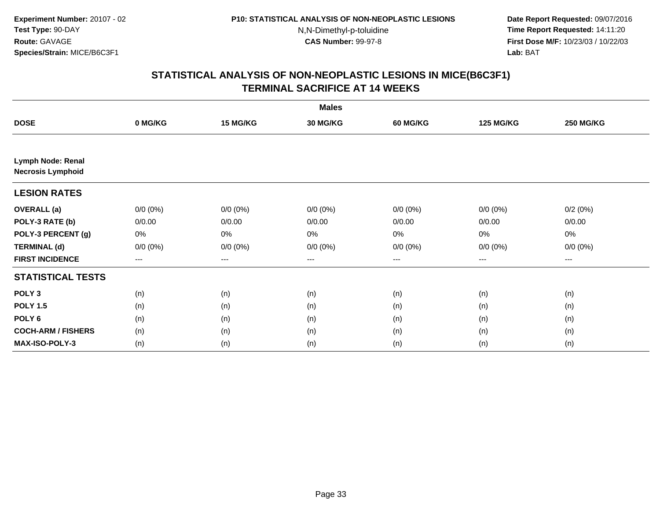**Date Report Requested:** 09/07/2016 **Time Report Requested:** 14:11:20 **First Dose M/F:** 10/23/03 / 10/22/03<br>**Lab:** BAT **Lab:** BAT

|                                               |                   |                   | <b>Males</b> |                 |                  |                  |
|-----------------------------------------------|-------------------|-------------------|--------------|-----------------|------------------|------------------|
| <b>DOSE</b>                                   | 0 MG/KG           | 15 MG/KG          | 30 MG/KG     | <b>60 MG/KG</b> | <b>125 MG/KG</b> | <b>250 MG/KG</b> |
|                                               |                   |                   |              |                 |                  |                  |
| Lymph Node: Renal<br><b>Necrosis Lymphoid</b> |                   |                   |              |                 |                  |                  |
| <b>LESION RATES</b>                           |                   |                   |              |                 |                  |                  |
| <b>OVERALL</b> (a)                            | $0/0 (0\%)$       | $0/0 (0\%)$       | $0/0 (0\%)$  | $0/0 (0\%)$     | $0/0 (0\%)$      | 0/2(0%)          |
| POLY-3 RATE (b)                               | 0/0.00            | 0/0.00            | 0/0.00       | 0/0.00          | 0/0.00           | 0/0.00           |
| POLY-3 PERCENT (g)                            | 0%                | $0\%$             | 0%           | 0%              | 0%               | 0%               |
| <b>TERMINAL (d)</b>                           | $0/0 (0\%)$       | $0/0 (0\%)$       | $0/0 (0\%)$  | $0/0 (0\%)$     | $0/0 (0\%)$      | $0/0 (0\%)$      |
| <b>FIRST INCIDENCE</b>                        | $\qquad \qquad -$ | $\qquad \qquad -$ | $---$        | ---             | $---$            | ---              |
| <b>STATISTICAL TESTS</b>                      |                   |                   |              |                 |                  |                  |
| POLY <sub>3</sub>                             | (n)               | (n)               | (n)          | (n)             | (n)              | (n)              |
| <b>POLY 1.5</b>                               | (n)               | (n)               | (n)          | (n)             | (n)              | (n)              |
| POLY <sub>6</sub>                             | (n)               | (n)               | (n)          | (n)             | (n)              | (n)              |
| <b>COCH-ARM / FISHERS</b>                     | (n)               | (n)               | (n)          | (n)             | (n)              | (n)              |
| MAX-ISO-POLY-3                                | (n)               | (n)               | (n)          | (n)             | (n)              | (n)              |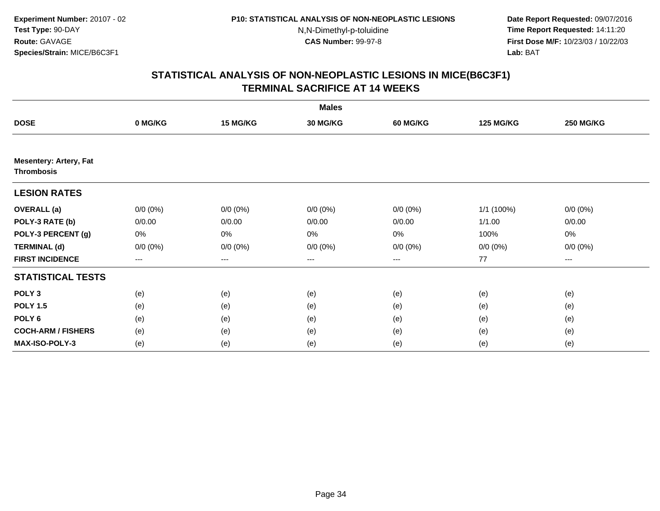**Date Report Requested:** 09/07/2016 **Time Report Requested:** 14:11:20 **First Dose M/F:** 10/23/03 / 10/22/03<br>**Lab:** BAT **Lab:** BAT

|                                                    |             |                                          | <b>Males</b>    |                 |                  |                  |
|----------------------------------------------------|-------------|------------------------------------------|-----------------|-----------------|------------------|------------------|
| <b>DOSE</b>                                        | 0 MG/KG     | 15 MG/KG                                 | <b>30 MG/KG</b> | <b>60 MG/KG</b> | <b>125 MG/KG</b> | <b>250 MG/KG</b> |
|                                                    |             |                                          |                 |                 |                  |                  |
| <b>Mesentery: Artery, Fat</b><br><b>Thrombosis</b> |             |                                          |                 |                 |                  |                  |
| <b>LESION RATES</b>                                |             |                                          |                 |                 |                  |                  |
| <b>OVERALL</b> (a)                                 | $0/0 (0\%)$ | $0/0 (0\%)$                              | $0/0 (0\%)$     | $0/0 (0\%)$     | 1/1 (100%)       | $0/0 (0\%)$      |
| POLY-3 RATE (b)                                    | 0/0.00      | 0/0.00                                   | 0/0.00          | 0/0.00          | 1/1.00           | 0/0.00           |
| POLY-3 PERCENT (g)                                 | 0%          | $0\%$                                    | 0%              | 0%              | 100%             | 0%               |
| <b>TERMINAL (d)</b>                                | $0/0 (0\%)$ | $0/0 (0\%)$                              | $0/0 (0\%)$     | $0/0 (0\%)$     | $0/0 (0\%)$      | $0/0 (0\%)$      |
| <b>FIRST INCIDENCE</b>                             | $\cdots$    | $\hspace{0.05cm} \ldots \hspace{0.05cm}$ | $\cdots$        | $\cdots$        | 77               | $\cdots$         |
| <b>STATISTICAL TESTS</b>                           |             |                                          |                 |                 |                  |                  |
| POLY <sub>3</sub>                                  | (e)         | (e)                                      | (e)             | (e)             | (e)              | (e)              |
| <b>POLY 1.5</b>                                    | (e)         | (e)                                      | (e)             | (e)             | (e)              | (e)              |
| POLY <sub>6</sub>                                  | (e)         | (e)                                      | (e)             | (e)             | (e)              | (e)              |
| <b>COCH-ARM / FISHERS</b>                          | (e)         | (e)                                      | (e)             | (e)             | (e)              | (e)              |
| <b>MAX-ISO-POLY-3</b>                              | (e)         | (e)                                      | (e)             | (e)             | (e)              | (e)              |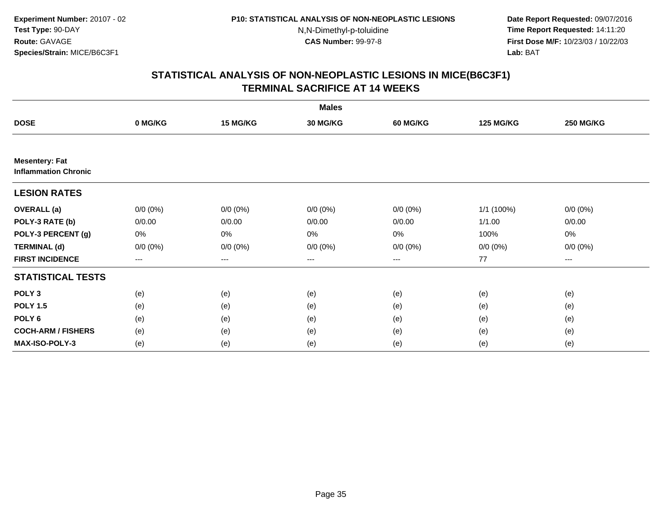**Date Report Requested:** 09/07/2016 **Time Report Requested:** 14:11:20 **First Dose M/F:** 10/23/03 / 10/22/03<br>**Lab:** BAT **Lab:** BAT

|                                                      |             |             | <b>Males</b>    |                 |                  |                  |
|------------------------------------------------------|-------------|-------------|-----------------|-----------------|------------------|------------------|
| <b>DOSE</b>                                          | 0 MG/KG     | 15 MG/KG    | <b>30 MG/KG</b> | <b>60 MG/KG</b> | <b>125 MG/KG</b> | <b>250 MG/KG</b> |
|                                                      |             |             |                 |                 |                  |                  |
| <b>Mesentery: Fat</b><br><b>Inflammation Chronic</b> |             |             |                 |                 |                  |                  |
| <b>LESION RATES</b>                                  |             |             |                 |                 |                  |                  |
| <b>OVERALL</b> (a)                                   | $0/0(0\%)$  | $0/0 (0\%)$ | $0/0 (0\%)$     | $0/0 (0\%)$     | 1/1 (100%)       | $0/0 (0\%)$      |
| POLY-3 RATE (b)                                      | 0/0.00      | 0/0.00      | 0/0.00          | 0/0.00          | 1/1.00           | 0/0.00           |
| POLY-3 PERCENT (g)                                   | 0%          | 0%          | 0%              | 0%              | 100%             | 0%               |
| <b>TERMINAL (d)</b>                                  | $0/0 (0\%)$ | $0/0 (0\%)$ | $0/0 (0\%)$     | $0/0 (0\%)$     | $0/0 (0\%)$      | $0/0 (0\%)$      |
| <b>FIRST INCIDENCE</b>                               | $--$        | ---         | $--$            | ---             | 77               | $--$             |
| <b>STATISTICAL TESTS</b>                             |             |             |                 |                 |                  |                  |
| POLY <sub>3</sub>                                    | (e)         | (e)         | (e)             | (e)             | (e)              | (e)              |
| <b>POLY 1.5</b>                                      | (e)         | (e)         | (e)             | (e)             | (e)              | (e)              |
| POLY <sub>6</sub>                                    | (e)         | (e)         | (e)             | (e)             | (e)              | (e)              |
| <b>COCH-ARM / FISHERS</b>                            | (e)         | (e)         | (e)             | (e)             | (e)              | (e)              |
| MAX-ISO-POLY-3                                       | (e)         | (e)         | (e)             | (e)             | (e)              | (e)              |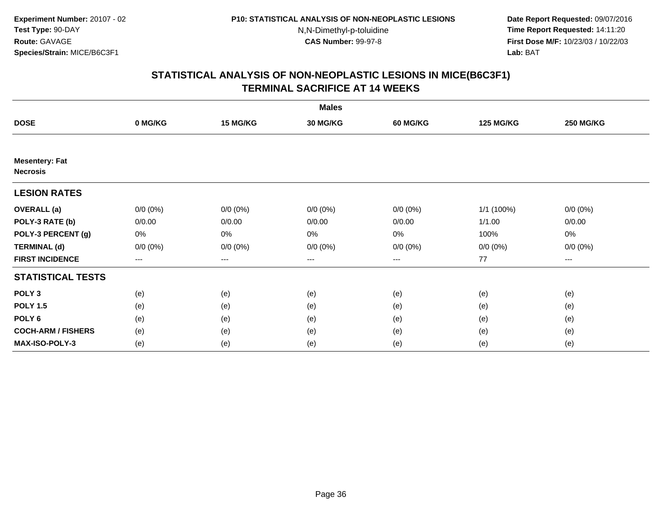**Date Report Requested:** 09/07/2016 **Time Report Requested:** 14:11:20 **First Dose M/F:** 10/23/03 / 10/22/03<br>**Lab:** BAT **Lab:** BAT

|                                          |             |             | <b>Males</b> |                 |                  |                  |
|------------------------------------------|-------------|-------------|--------------|-----------------|------------------|------------------|
| <b>DOSE</b>                              | 0 MG/KG     | 15 MG/KG    | 30 MG/KG     | <b>60 MG/KG</b> | <b>125 MG/KG</b> | <b>250 MG/KG</b> |
|                                          |             |             |              |                 |                  |                  |
| <b>Mesentery: Fat</b><br><b>Necrosis</b> |             |             |              |                 |                  |                  |
| <b>LESION RATES</b>                      |             |             |              |                 |                  |                  |
| <b>OVERALL</b> (a)                       | $0/0 (0\%)$ | $0/0 (0\%)$ | $0/0 (0\%)$  | $0/0 (0\%)$     | 1/1 (100%)       | $0/0 (0\%)$      |
| POLY-3 RATE (b)                          | 0/0.00      | 0/0.00      | 0/0.00       | 0/0.00          | 1/1.00           | 0/0.00           |
| POLY-3 PERCENT (g)                       | 0%          | $0\%$       | 0%           | 0%              | 100%             | 0%               |
| <b>TERMINAL (d)</b>                      | $0/0 (0\%)$ | $0/0 (0\%)$ | $0/0 (0\%)$  | $0/0 (0\%)$     | $0/0 (0\%)$      | $0/0 (0\%)$      |
| <b>FIRST INCIDENCE</b>                   | $\cdots$    | $\cdots$    | $\cdots$     | $\cdots$        | 77               | $\cdots$         |
| <b>STATISTICAL TESTS</b>                 |             |             |              |                 |                  |                  |
| POLY <sub>3</sub>                        | (e)         | (e)         | (e)          | (e)             | (e)              | (e)              |
| <b>POLY 1.5</b>                          | (e)         | (e)         | (e)          | (e)             | (e)              | (e)              |
| POLY <sub>6</sub>                        | (e)         | (e)         | (e)          | (e)             | (e)              | (e)              |
| <b>COCH-ARM / FISHERS</b>                | (e)         | (e)         | (e)          | (e)             | (e)              | (e)              |
| <b>MAX-ISO-POLY-3</b>                    | (e)         | (e)         | (e)          | (e)             | (e)              | (e)              |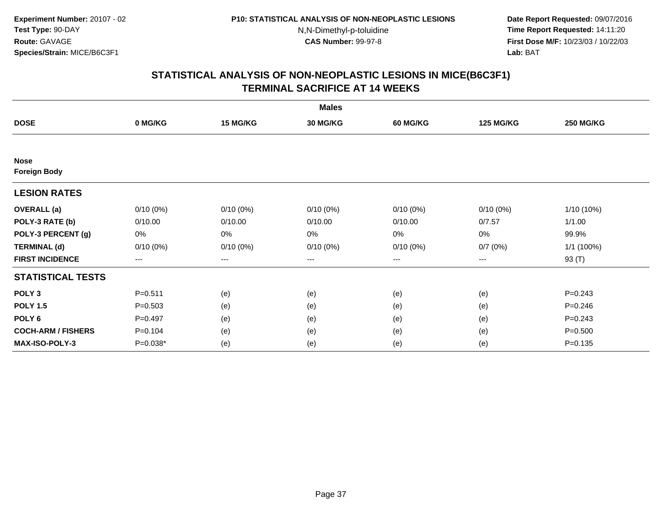**Date Report Requested:** 09/07/2016 **Time Report Requested:** 14:11:20 **First Dose M/F:** 10/23/03 / 10/22/03<br>**Lab:** BAT **Lab:** BAT

|                                    |             |                        | <b>Males</b> |             |                  |                  |
|------------------------------------|-------------|------------------------|--------------|-------------|------------------|------------------|
| <b>DOSE</b>                        | 0 MG/KG     | 15 MG/KG               | 30 MG/KG     | 60 MG/KG    | <b>125 MG/KG</b> | <b>250 MG/KG</b> |
|                                    |             |                        |              |             |                  |                  |
| <b>Nose</b><br><b>Foreign Body</b> |             |                        |              |             |                  |                  |
| <b>LESION RATES</b>                |             |                        |              |             |                  |                  |
| <b>OVERALL</b> (a)                 | $0/10(0\%)$ | $0/10(0\%)$            | $0/10(0\%)$  | $0/10(0\%)$ | $0/10(0\%)$      | 1/10 (10%)       |
| POLY-3 RATE (b)                    | 0/10.00     | 0/10.00                | 0/10.00      | 0/10.00     | 0/7.57           | 1/1.00           |
| POLY-3 PERCENT (g)                 | 0%          | 0%                     | 0%           | 0%          | 0%               | 99.9%            |
| <b>TERMINAL (d)</b>                | $0/10(0\%)$ | $0/10(0\%)$            | $0/10(0\%)$  | $0/10(0\%)$ | 0/7(0%)          | 1/1 (100%)       |
| <b>FIRST INCIDENCE</b>             | ---         | $\qquad \qquad \cdots$ | ---          | ---         | ---              | 93 (T)           |
| <b>STATISTICAL TESTS</b>           |             |                        |              |             |                  |                  |
| POLY <sub>3</sub>                  | $P = 0.511$ | (e)                    | (e)          | (e)         | (e)              | $P = 0.243$      |
| <b>POLY 1.5</b>                    | $P = 0.503$ | (e)                    | (e)          | (e)         | (e)              | $P = 0.246$      |
| POLY <sub>6</sub>                  | $P=0.497$   | (e)                    | (e)          | (e)         | (e)              | $P=0.243$        |
| <b>COCH-ARM / FISHERS</b>          | $P = 0.104$ | (e)                    | (e)          | (e)         | (e)              | $P = 0.500$      |
| <b>MAX-ISO-POLY-3</b>              | $P=0.038*$  | (e)                    | (e)          | (e)         | (e)              | $P = 0.135$      |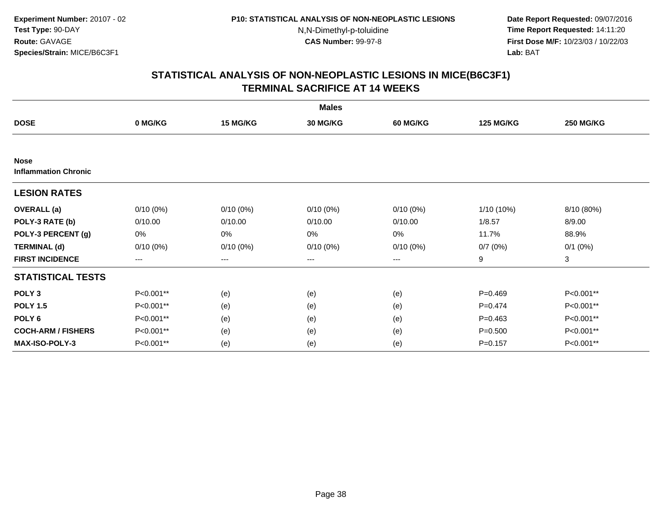**Date Report Requested:** 09/07/2016 **Time Report Requested:** 14:11:20 **First Dose M/F:** 10/23/03 / 10/22/03<br>**Lab:** BAT **Lab:** BAT

|                                            |             |             | <b>Males</b>    |                 |                  |                  |
|--------------------------------------------|-------------|-------------|-----------------|-----------------|------------------|------------------|
| <b>DOSE</b>                                | 0 MG/KG     | 15 MG/KG    | <b>30 MG/KG</b> | <b>60 MG/KG</b> | <b>125 MG/KG</b> | <b>250 MG/KG</b> |
|                                            |             |             |                 |                 |                  |                  |
| <b>Nose</b><br><b>Inflammation Chronic</b> |             |             |                 |                 |                  |                  |
| <b>LESION RATES</b>                        |             |             |                 |                 |                  |                  |
| <b>OVERALL</b> (a)                         | $0/10(0\%)$ | $0/10(0\%)$ | $0/10(0\%)$     | $0/10(0\%)$     | 1/10 (10%)       | 8/10 (80%)       |
| POLY-3 RATE (b)                            | 0/10.00     | 0/10.00     | 0/10.00         | 0/10.00         | 1/8.57           | 8/9.00           |
| POLY-3 PERCENT (g)                         | 0%          | 0%          | 0%              | 0%              | 11.7%            | 88.9%            |
| <b>TERMINAL (d)</b>                        | $0/10(0\%)$ | 0/10(0%)    | $0/10(0\%)$     | $0/10(0\%)$     | 0/7(0%)          | $0/1$ $(0%)$     |
| <b>FIRST INCIDENCE</b>                     | ---         | $---$       | ---             | ---             | 9                | 3                |
| <b>STATISTICAL TESTS</b>                   |             |             |                 |                 |                  |                  |
| POLY <sub>3</sub>                          | P<0.001**   | (e)         | (e)             | (e)             | $P=0.469$        | P<0.001**        |
| <b>POLY 1.5</b>                            | P<0.001**   | (e)         | (e)             | (e)             | $P = 0.474$      | P<0.001**        |
| POLY <sub>6</sub>                          | P<0.001**   | (e)         | (e)             | (e)             | $P = 0.463$      | P<0.001**        |
| <b>COCH-ARM / FISHERS</b>                  | P<0.001**   | (e)         | (e)             | (e)             | $P = 0.500$      | P<0.001**        |
| <b>MAX-ISO-POLY-3</b>                      | P<0.001**   | (e)         | (e)             | (e)             | $P = 0.157$      | P<0.001**        |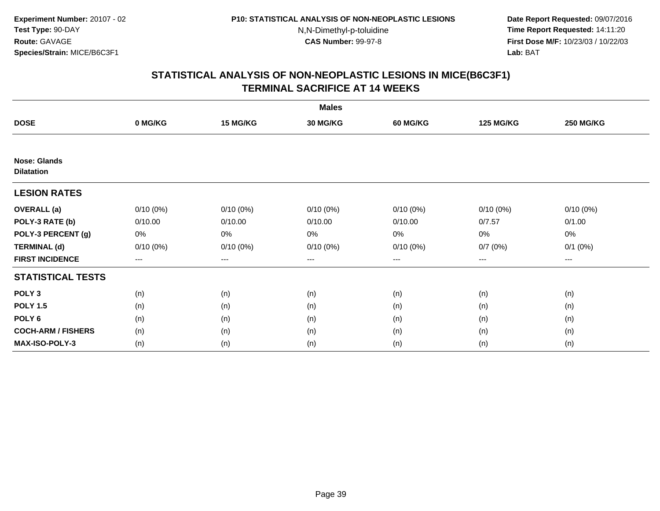**Date Report Requested:** 09/07/2016 **Time Report Requested:** 14:11:20 **First Dose M/F:** 10/23/03 / 10/22/03<br>**Lab:** BAT **Lab:** BAT

|                                          |             |             | <b>Males</b> |             |                  |                  |
|------------------------------------------|-------------|-------------|--------------|-------------|------------------|------------------|
| <b>DOSE</b>                              | 0 MG/KG     | 15 MG/KG    | 30 MG/KG     | 60 MG/KG    | <b>125 MG/KG</b> | <b>250 MG/KG</b> |
|                                          |             |             |              |             |                  |                  |
| <b>Nose: Glands</b><br><b>Dilatation</b> |             |             |              |             |                  |                  |
| <b>LESION RATES</b>                      |             |             |              |             |                  |                  |
| <b>OVERALL</b> (a)                       | $0/10(0\%)$ | $0/10(0\%)$ | $0/10(0\%)$  | $0/10(0\%)$ | $0/10(0\%)$      | $0/10(0\%)$      |
| POLY-3 RATE (b)                          | 0/10.00     | 0/10.00     | 0/10.00      | 0/10.00     | 0/7.57           | 0/1.00           |
| POLY-3 PERCENT (g)                       | 0%          | 0%          | 0%           | 0%          | 0%               | 0%               |
| <b>TERMINAL (d)</b>                      | $0/10(0\%)$ | $0/10(0\%)$ | $0/10(0\%)$  | $0/10(0\%)$ | 0/7(0%)          | $0/1$ $(0%)$     |
| <b>FIRST INCIDENCE</b>                   | ---         | $---$       | ---          | ---         | $---$            | $--$             |
| <b>STATISTICAL TESTS</b>                 |             |             |              |             |                  |                  |
| POLY <sub>3</sub>                        | (n)         | (n)         | (n)          | (n)         | (n)              | (n)              |
| <b>POLY 1.5</b>                          | (n)         | (n)         | (n)          | (n)         | (n)              | (n)              |
| POLY <sub>6</sub>                        | (n)         | (n)         | (n)          | (n)         | (n)              | (n)              |
| <b>COCH-ARM / FISHERS</b>                | (n)         | (n)         | (n)          | (n)         | (n)              | (n)              |
| <b>MAX-ISO-POLY-3</b>                    | (n)         | (n)         | (n)          | (n)         | (n)              | (n)              |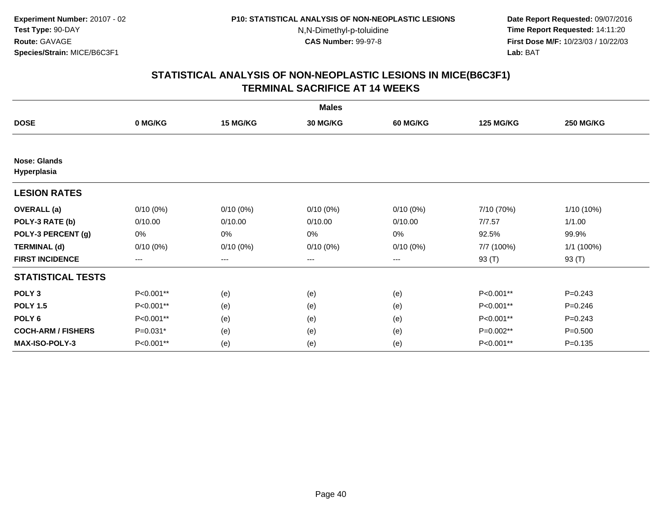**Date Report Requested:** 09/07/2016 **Time Report Requested:** 14:11:20 **First Dose M/F:** 10/23/03 / 10/22/03<br>**Lab:** BAT **Lab:** BAT

|                                    |             |                        | <b>Males</b> |             |                  |                  |
|------------------------------------|-------------|------------------------|--------------|-------------|------------------|------------------|
| <b>DOSE</b>                        | 0 MG/KG     | 15 MG/KG               | 30 MG/KG     | 60 MG/KG    | <b>125 MG/KG</b> | <b>250 MG/KG</b> |
|                                    |             |                        |              |             |                  |                  |
| <b>Nose: Glands</b><br>Hyperplasia |             |                        |              |             |                  |                  |
| <b>LESION RATES</b>                |             |                        |              |             |                  |                  |
| <b>OVERALL</b> (a)                 | $0/10(0\%)$ | $0/10(0\%)$            | $0/10(0\%)$  | $0/10(0\%)$ | 7/10 (70%)       | 1/10 (10%)       |
| POLY-3 RATE (b)                    | 0/10.00     | 0/10.00                | 0/10.00      | 0/10.00     | 7/7.57           | 1/1.00           |
| POLY-3 PERCENT (g)                 | 0%          | 0%                     | 0%           | 0%          | 92.5%            | 99.9%            |
| <b>TERMINAL (d)</b>                | $0/10(0\%)$ | $0/10(0\%)$            | $0/10(0\%)$  | $0/10(0\%)$ | 7/7 (100%)       | 1/1 (100%)       |
| <b>FIRST INCIDENCE</b>             | $---$       | $\qquad \qquad \cdots$ | ---          | ---         | 93 (T)           | 93 (T)           |
| <b>STATISTICAL TESTS</b>           |             |                        |              |             |                  |                  |
| POLY <sub>3</sub>                  | P<0.001**   | (e)                    | (e)          | (e)         | P<0.001**        | $P = 0.243$      |
| <b>POLY 1.5</b>                    | P<0.001**   | (e)                    | (e)          | (e)         | P<0.001**        | $P = 0.246$      |
| POLY <sub>6</sub>                  | P<0.001**   | (e)                    | (e)          | (e)         | P<0.001**        | $P = 0.243$      |
| <b>COCH-ARM / FISHERS</b>          | P=0.031*    | (e)                    | (e)          | (e)         | P=0.002**        | $P = 0.500$      |
| <b>MAX-ISO-POLY-3</b>              | P<0.001**   | (e)                    | (e)          | (e)         | P<0.001**        | $P = 0.135$      |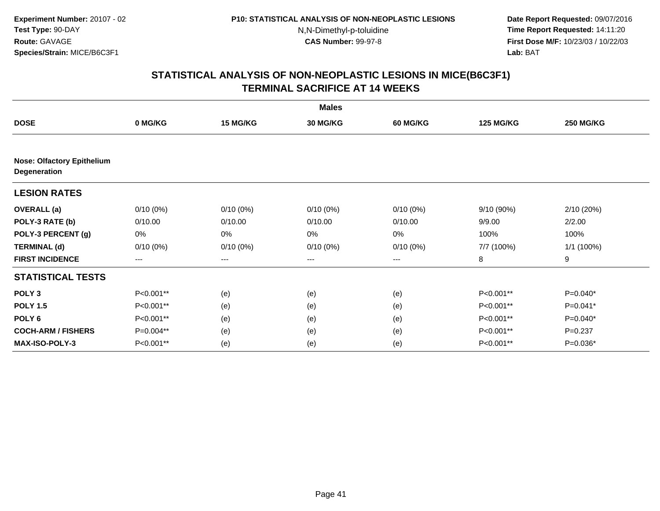**Date Report Requested:** 09/07/2016 **Time Report Requested:** 14:11:20 **First Dose M/F:** 10/23/03 / 10/22/03<br>**Lab:** BAT **Lab:** BAT

|                                                          |                        |                        | <b>Males</b>    |                 |                  |                  |
|----------------------------------------------------------|------------------------|------------------------|-----------------|-----------------|------------------|------------------|
| <b>DOSE</b>                                              | 0 MG/KG                | 15 MG/KG               | <b>30 MG/KG</b> | <b>60 MG/KG</b> | <b>125 MG/KG</b> | <b>250 MG/KG</b> |
|                                                          |                        |                        |                 |                 |                  |                  |
| <b>Nose: Olfactory Epithelium</b><br><b>Degeneration</b> |                        |                        |                 |                 |                  |                  |
| <b>LESION RATES</b>                                      |                        |                        |                 |                 |                  |                  |
| <b>OVERALL</b> (a)                                       | $0/10(0\%)$            | $0/10(0\%)$            | $0/10(0\%)$     | $0/10(0\%)$     | 9/10 (90%)       | 2/10 (20%)       |
| POLY-3 RATE (b)                                          | 0/10.00                | 0/10.00                | 0/10.00         | 0/10.00         | 9/9.00           | 2/2.00           |
| POLY-3 PERCENT (g)                                       | 0%                     | 0%                     | 0%              | 0%              | 100%             | 100%             |
| <b>TERMINAL (d)</b>                                      | $0/10(0\%)$            | $0/10(0\%)$            | $0/10(0\%)$     | $0/10(0\%)$     | 7/7 (100%)       | 1/1(100%)        |
| <b>FIRST INCIDENCE</b>                                   | $\qquad \qquad \cdots$ | $\qquad \qquad \cdots$ | $---$           | ---             | 8                | 9                |
| <b>STATISTICAL TESTS</b>                                 |                        |                        |                 |                 |                  |                  |
| POLY <sub>3</sub>                                        | P<0.001**              | (e)                    | (e)             | (e)             | P<0.001**        | $P=0.040*$       |
| <b>POLY 1.5</b>                                          | P<0.001**              | (e)                    | (e)             | (e)             | P<0.001**        | P=0.041*         |
| POLY <sub>6</sub>                                        | P<0.001**              | (e)                    | (e)             | (e)             | P<0.001**        | P=0.040*         |
| <b>COCH-ARM / FISHERS</b>                                | P=0.004**              | (e)                    | (e)             | (e)             | P<0.001**        | $P=0.237$        |
| <b>MAX-ISO-POLY-3</b>                                    | P<0.001**              | (e)                    | (e)             | (e)             | P<0.001**        | P=0.036*         |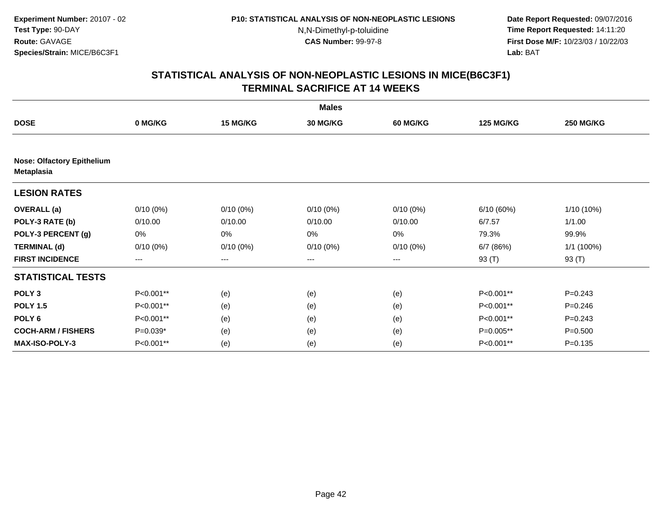**Date Report Requested:** 09/07/2016 **Time Report Requested:** 14:11:20 **First Dose M/F:** 10/23/03 / 10/22/03<br>**Lab:** BAT **Lab:** BAT

|                                                        |                   |                   | <b>Males</b>    |                 |                  |                  |
|--------------------------------------------------------|-------------------|-------------------|-----------------|-----------------|------------------|------------------|
| <b>DOSE</b>                                            | 0 MG/KG           | 15 MG/KG          | <b>30 MG/KG</b> | <b>60 MG/KG</b> | <b>125 MG/KG</b> | <b>250 MG/KG</b> |
|                                                        |                   |                   |                 |                 |                  |                  |
| <b>Nose: Olfactory Epithelium</b><br><b>Metaplasia</b> |                   |                   |                 |                 |                  |                  |
| <b>LESION RATES</b>                                    |                   |                   |                 |                 |                  |                  |
| <b>OVERALL</b> (a)                                     | $0/10(0\%)$       | $0/10(0\%)$       | $0/10(0\%)$     | $0/10(0\%)$     | 6/10(60%)        | 1/10 (10%)       |
| POLY-3 RATE (b)                                        | 0/10.00           | 0/10.00           | 0/10.00         | 0/10.00         | 6/7.57           | 1/1.00           |
| POLY-3 PERCENT (g)                                     | 0%                | 0%                | 0%              | 0%              | 79.3%            | 99.9%            |
| <b>TERMINAL (d)</b>                                    | $0/10(0\%)$       | $0/10(0\%)$       | $0/10(0\%)$     | $0/10(0\%)$     | 6/7(86%)         | 1/1 (100%)       |
| <b>FIRST INCIDENCE</b>                                 | $\qquad \qquad -$ | $\qquad \qquad -$ | ---             | $---$           | 93 (T)           | 93 (T)           |
| <b>STATISTICAL TESTS</b>                               |                   |                   |                 |                 |                  |                  |
| POLY <sub>3</sub>                                      | P<0.001**         | (e)               | (e)             | (e)             | P<0.001**        | $P=0.243$        |
| <b>POLY 1.5</b>                                        | P<0.001**         | (e)               | (e)             | (e)             | P<0.001**        | $P=0.246$        |
| POLY <sub>6</sub>                                      | P<0.001**         | (e)               | (e)             | (e)             | P<0.001**        | $P = 0.243$      |
| <b>COCH-ARM / FISHERS</b>                              | P=0.039*          | (e)               | (e)             | (e)             | P=0.005**        | $P = 0.500$      |
| <b>MAX-ISO-POLY-3</b>                                  | P<0.001**         | (e)               | (e)             | (e)             | P<0.001**        | $P = 0.135$      |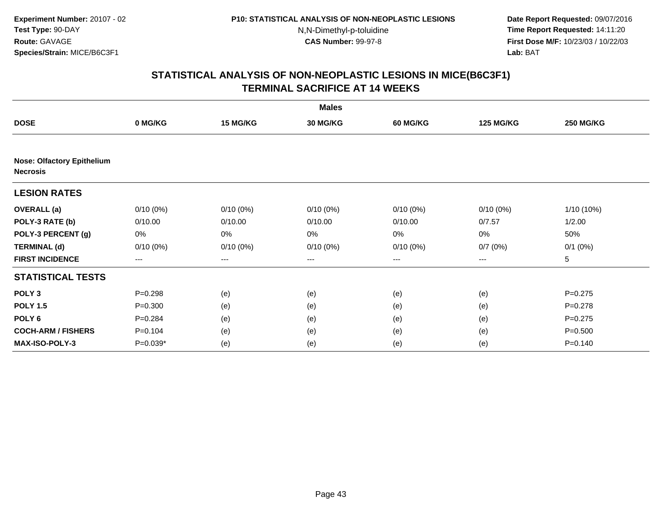**Date Report Requested:** 09/07/2016 **Time Report Requested:** 14:11:20 **First Dose M/F:** 10/23/03 / 10/22/03<br>**Lab:** BAT **Lab:** BAT

|                                                      |                   |             | <b>Males</b>    |                   |                  |                  |
|------------------------------------------------------|-------------------|-------------|-----------------|-------------------|------------------|------------------|
| <b>DOSE</b>                                          | 0 MG/KG           | 15 MG/KG    | <b>30 MG/KG</b> | <b>60 MG/KG</b>   | <b>125 MG/KG</b> | <b>250 MG/KG</b> |
|                                                      |                   |             |                 |                   |                  |                  |
| <b>Nose: Olfactory Epithelium</b><br><b>Necrosis</b> |                   |             |                 |                   |                  |                  |
| <b>LESION RATES</b>                                  |                   |             |                 |                   |                  |                  |
| <b>OVERALL</b> (a)                                   | $0/10(0\%)$       | $0/10(0\%)$ | $0/10(0\%)$     | $0/10(0\%)$       | $0/10(0\%)$      | $1/10(10\%)$     |
| POLY-3 RATE (b)                                      | 0/10.00           | 0/10.00     | 0/10.00         | 0/10.00           | 0/7.57           | 1/2.00           |
| POLY-3 PERCENT (g)                                   | 0%                | 0%          | 0%              | 0%                | $0\%$            | 50%              |
| <b>TERMINAL (d)</b>                                  | $0/10(0\%)$       | $0/10(0\%)$ | $0/10(0\%)$     | $0/10(0\%)$       | 0/7(0%)          | $0/1$ $(0%)$     |
| <b>FIRST INCIDENCE</b>                               | $\qquad \qquad -$ | ---         | ---             | $\qquad \qquad -$ | $---$            | 5                |
| <b>STATISTICAL TESTS</b>                             |                   |             |                 |                   |                  |                  |
| POLY <sub>3</sub>                                    | $P = 0.298$       | (e)         | (e)             | (e)               | (e)              | $P=0.275$        |
| <b>POLY 1.5</b>                                      | $P = 0.300$       | (e)         | (e)             | (e)               | (e)              | $P = 0.278$      |
| POLY <sub>6</sub>                                    | $P = 0.284$       | (e)         | (e)             | (e)               | (e)              | $P=0.275$        |
| <b>COCH-ARM / FISHERS</b>                            | $P = 0.104$       | (e)         | (e)             | (e)               | (e)              | $P = 0.500$      |
| MAX-ISO-POLY-3                                       | $P=0.039*$        | (e)         | (e)             | (e)               | (e)              | $P = 0.140$      |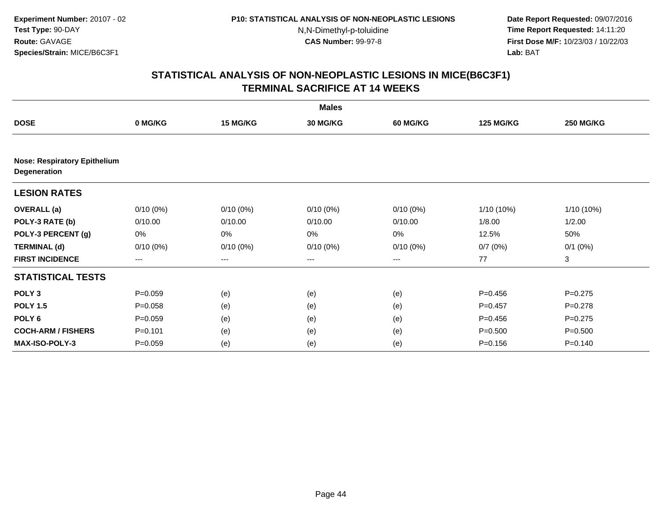**Date Report Requested:** 09/07/2016 **Time Report Requested:** 14:11:20 **First Dose M/F:** 10/23/03 / 10/22/03<br>**Lab:** BAT **Lab:** BAT

|                                                     |                        |             | <b>Males</b>    |                   |                  |                  |
|-----------------------------------------------------|------------------------|-------------|-----------------|-------------------|------------------|------------------|
| <b>DOSE</b>                                         | 0 MG/KG                | 15 MG/KG    | <b>30 MG/KG</b> | <b>60 MG/KG</b>   | <b>125 MG/KG</b> | <b>250 MG/KG</b> |
|                                                     |                        |             |                 |                   |                  |                  |
| <b>Nose: Respiratory Epithelium</b><br>Degeneration |                        |             |                 |                   |                  |                  |
| <b>LESION RATES</b>                                 |                        |             |                 |                   |                  |                  |
| <b>OVERALL</b> (a)                                  | $0/10(0\%)$            | $0/10(0\%)$ | $0/10(0\%)$     | $0/10(0\%)$       | $1/10(10\%)$     | $1/10(10\%)$     |
| POLY-3 RATE (b)                                     | 0/10.00                | 0/10.00     | 0/10.00         | 0/10.00           | 1/8.00           | 1/2.00           |
| POLY-3 PERCENT (g)                                  | 0%                     | 0%          | 0%              | 0%                | 12.5%            | 50%              |
| <b>TERMINAL (d)</b>                                 | $0/10(0\%)$            | $0/10(0\%)$ | $0/10(0\%)$     | $0/10(0\%)$       | 0/7(0%)          | $0/1$ $(0%)$     |
| <b>FIRST INCIDENCE</b>                              | $\qquad \qquad \cdots$ | ---         | ---             | $\qquad \qquad -$ | 77               | 3                |
| <b>STATISTICAL TESTS</b>                            |                        |             |                 |                   |                  |                  |
| POLY <sub>3</sub>                                   | $P = 0.059$            | (e)         | (e)             | (e)               | $P = 0.456$      | $P=0.275$        |
| <b>POLY 1.5</b>                                     | $P = 0.058$            | (e)         | (e)             | (e)               | $P = 0.457$      | $P = 0.278$      |
| POLY <sub>6</sub>                                   | $P=0.059$              | (e)         | (e)             | (e)               | $P = 0.456$      | $P=0.275$        |
| <b>COCH-ARM / FISHERS</b>                           | $P=0.101$              | (e)         | (e)             | (e)               | $P = 0.500$      | $P = 0.500$      |
| <b>MAX-ISO-POLY-3</b>                               | $P = 0.059$            | (e)         | (e)             | (e)               | $P = 0.156$      | $P = 0.140$      |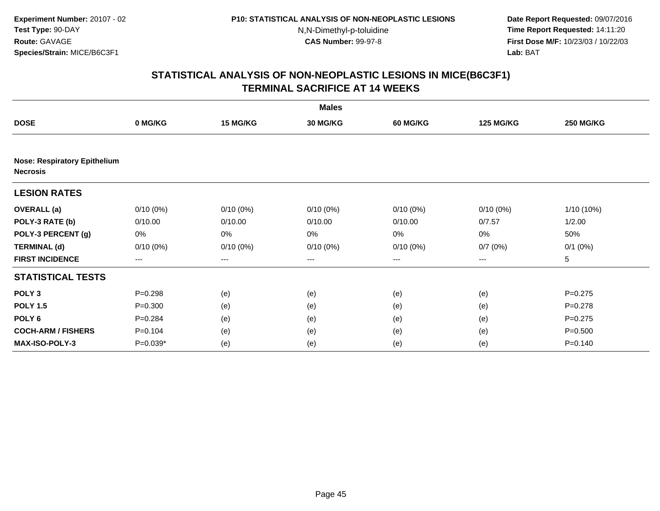**Date Report Requested:** 09/07/2016 **Time Report Requested:** 14:11:20 **First Dose M/F:** 10/23/03 / 10/22/03<br>**Lab:** BAT **Lab:** BAT

|                                                        |                   |             | <b>Males</b>    |                   |                  |                  |
|--------------------------------------------------------|-------------------|-------------|-----------------|-------------------|------------------|------------------|
| <b>DOSE</b>                                            | 0 MG/KG           | 15 MG/KG    | <b>30 MG/KG</b> | <b>60 MG/KG</b>   | <b>125 MG/KG</b> | <b>250 MG/KG</b> |
|                                                        |                   |             |                 |                   |                  |                  |
| <b>Nose: Respiratory Epithelium</b><br><b>Necrosis</b> |                   |             |                 |                   |                  |                  |
| <b>LESION RATES</b>                                    |                   |             |                 |                   |                  |                  |
| <b>OVERALL</b> (a)                                     | $0/10(0\%)$       | $0/10(0\%)$ | $0/10(0\%)$     | $0/10(0\%)$       | 0/10(0%)         | 1/10 (10%)       |
| POLY-3 RATE (b)                                        | 0/10.00           | 0/10.00     | 0/10.00         | 0/10.00           | 0/7.57           | 1/2.00           |
| POLY-3 PERCENT (g)                                     | 0%                | 0%          | 0%              | 0%                | 0%               | 50%              |
| <b>TERMINAL (d)</b>                                    | $0/10(0\%)$       | $0/10(0\%)$ | $0/10(0\%)$     | $0/10(0\%)$       | 0/7(0%)          | $0/1$ (0%)       |
| <b>FIRST INCIDENCE</b>                                 | $\qquad \qquad -$ | ---         | ---             | $\qquad \qquad -$ | $---$            | 5                |
| <b>STATISTICAL TESTS</b>                               |                   |             |                 |                   |                  |                  |
| POLY <sub>3</sub>                                      | $P = 0.298$       | (e)         | (e)             | (e)               | (e)              | $P=0.275$        |
| <b>POLY 1.5</b>                                        | $P = 0.300$       | (e)         | (e)             | (e)               | (e)              | $P=0.278$        |
| POLY <sub>6</sub>                                      | $P = 0.284$       | (e)         | (e)             | (e)               | (e)              | $P=0.275$        |
| <b>COCH-ARM / FISHERS</b>                              | $P = 0.104$       | (e)         | (e)             | (e)               | (e)              | $P = 0.500$      |
| <b>MAX-ISO-POLY-3</b>                                  | $P=0.039*$        | (e)         | (e)             | (e)               | (e)              | $P = 0.140$      |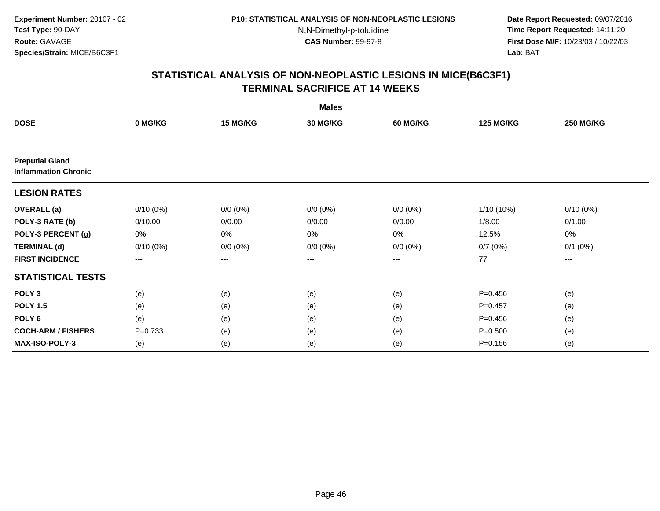**Date Report Requested:** 09/07/2016 **Time Report Requested:** 14:11:20 **First Dose M/F:** 10/23/03 / 10/22/03<br>**Lab:** BAT **Lab:** BAT

|                                                       |             |             | <b>Males</b>    |                 |                  |                  |
|-------------------------------------------------------|-------------|-------------|-----------------|-----------------|------------------|------------------|
| <b>DOSE</b>                                           | 0 MG/KG     | 15 MG/KG    | <b>30 MG/KG</b> | <b>60 MG/KG</b> | <b>125 MG/KG</b> | <b>250 MG/KG</b> |
|                                                       |             |             |                 |                 |                  |                  |
| <b>Preputial Gland</b><br><b>Inflammation Chronic</b> |             |             |                 |                 |                  |                  |
| <b>LESION RATES</b>                                   |             |             |                 |                 |                  |                  |
| <b>OVERALL</b> (a)                                    | $0/10(0\%)$ | $0/0 (0\%)$ | $0/0 (0\%)$     | $0/0 (0\%)$     | 1/10 (10%)       | $0/10(0\%)$      |
| POLY-3 RATE (b)                                       | 0/10.00     | 0/0.00      | 0/0.00          | 0/0.00          | 1/8.00           | 0/1.00           |
| POLY-3 PERCENT (g)                                    | 0%          | 0%          | 0%              | 0%              | 12.5%            | 0%               |
| <b>TERMINAL (d)</b>                                   | $0/10(0\%)$ | $0/0 (0\%)$ | $0/0 (0\%)$     | $0/0 (0\%)$     | 0/7(0%)          | $0/1$ $(0%)$     |
| <b>FIRST INCIDENCE</b>                                | $--$        | $--$        | ---             | ---             | 77               | $--$             |
| <b>STATISTICAL TESTS</b>                              |             |             |                 |                 |                  |                  |
| POLY <sub>3</sub>                                     | (e)         | (e)         | (e)             | (e)             | $P = 0.456$      | (e)              |
| <b>POLY 1.5</b>                                       | (e)         | (e)         | (e)             | (e)             | $P = 0.457$      | (e)              |
| POLY <sub>6</sub>                                     | (e)         | (e)         | (e)             | (e)             | $P=0.456$        | (e)              |
| <b>COCH-ARM / FISHERS</b>                             | $P = 0.733$ | (e)         | (e)             | (e)             | $P = 0.500$      | (e)              |
| <b>MAX-ISO-POLY-3</b>                                 | (e)         | (e)         | (e)             | (e)             | $P = 0.156$      | (e)              |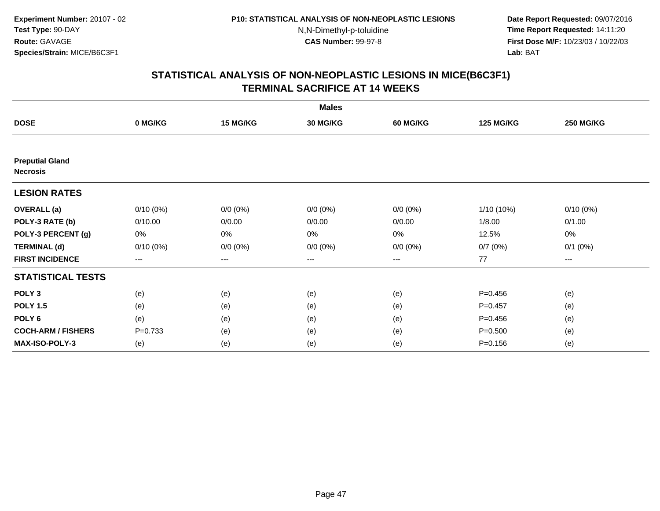**Date Report Requested:** 09/07/2016 **Time Report Requested:** 14:11:20 **First Dose M/F:** 10/23/03 / 10/22/03<br>**Lab:** BAT **Lab:** BAT

|                                           |             |                      | <b>Males</b> |                 |                  |                  |
|-------------------------------------------|-------------|----------------------|--------------|-----------------|------------------|------------------|
| <b>DOSE</b>                               | 0 MG/KG     | 15 MG/KG             | 30 MG/KG     | <b>60 MG/KG</b> | <b>125 MG/KG</b> | <b>250 MG/KG</b> |
|                                           |             |                      |              |                 |                  |                  |
| <b>Preputial Gland</b><br><b>Necrosis</b> |             |                      |              |                 |                  |                  |
| <b>LESION RATES</b>                       |             |                      |              |                 |                  |                  |
| <b>OVERALL</b> (a)                        | $0/10(0\%)$ | $0/0 (0\%)$          | $0/0 (0\%)$  | $0/0 (0\%)$     | 1/10 (10%)       | $0/10(0\%)$      |
| POLY-3 RATE (b)                           | 0/10.00     | 0/0.00               | 0/0.00       | 0/0.00          | 1/8.00           | 0/1.00           |
| POLY-3 PERCENT (g)                        | 0%          | 0%                   | 0%           | 0%              | 12.5%            | $0\%$            |
| <b>TERMINAL (d)</b>                       | $0/10(0\%)$ | $0/0 (0\%)$          | $0/0 (0\%)$  | $0/0 (0\%)$     | 0/7(0%)          | $0/1$ $(0%)$     |
| <b>FIRST INCIDENCE</b>                    | $\cdots$    | $\scriptstyle\cdots$ | ---          | ---             | 77               | $\cdots$         |
| <b>STATISTICAL TESTS</b>                  |             |                      |              |                 |                  |                  |
| POLY <sub>3</sub>                         | (e)         | (e)                  | (e)          | (e)             | $P = 0.456$      | (e)              |
| <b>POLY 1.5</b>                           | (e)         | (e)                  | (e)          | (e)             | $P = 0.457$      | (e)              |
| POLY <sub>6</sub>                         | (e)         | (e)                  | (e)          | (e)             | $P = 0.456$      | (e)              |
| <b>COCH-ARM / FISHERS</b>                 | $P=0.733$   | (e)                  | (e)          | (e)             | $P = 0.500$      | (e)              |
| <b>MAX-ISO-POLY-3</b>                     | (e)         | (e)                  | (e)          | (e)             | $P = 0.156$      | (e)              |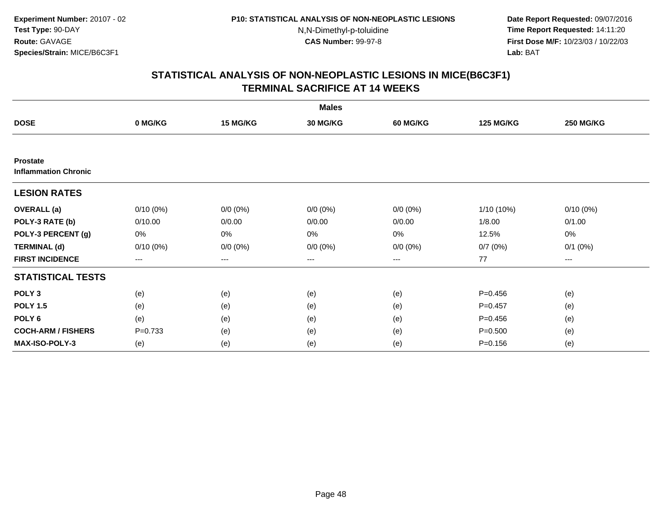**Date Report Requested:** 09/07/2016 **Time Report Requested:** 14:11:20 **First Dose M/F:** 10/23/03 / 10/22/03<br>**Lab:** BAT **Lab:** BAT

|                                                |             |             | <b>Males</b>    |                 |                  |                  |
|------------------------------------------------|-------------|-------------|-----------------|-----------------|------------------|------------------|
| <b>DOSE</b>                                    | 0 MG/KG     | 15 MG/KG    | <b>30 MG/KG</b> | <b>60 MG/KG</b> | <b>125 MG/KG</b> | <b>250 MG/KG</b> |
|                                                |             |             |                 |                 |                  |                  |
| <b>Prostate</b><br><b>Inflammation Chronic</b> |             |             |                 |                 |                  |                  |
| <b>LESION RATES</b>                            |             |             |                 |                 |                  |                  |
| <b>OVERALL</b> (a)                             | $0/10(0\%)$ | $0/0 (0\%)$ | $0/0 (0\%)$     | $0/0 (0\%)$     | 1/10 (10%)       | $0/10(0\%)$      |
| POLY-3 RATE (b)                                | 0/10.00     | 0/0.00      | 0/0.00          | 0/0.00          | 1/8.00           | 0/1.00           |
| POLY-3 PERCENT (g)                             | 0%          | 0%          | 0%              | 0%              | 12.5%            | 0%               |
| <b>TERMINAL (d)</b>                            | $0/10(0\%)$ | $0/0 (0\%)$ | $0/0 (0\%)$     | $0/0 (0\%)$     | 0/7(0%)          | $0/1$ $(0%)$     |
| <b>FIRST INCIDENCE</b>                         | $\cdots$    | $\cdots$    | $\cdots$        | $\cdots$        | 77               | ---              |
| <b>STATISTICAL TESTS</b>                       |             |             |                 |                 |                  |                  |
| POLY <sub>3</sub>                              | (e)         | (e)         | (e)             | (e)             | $P=0.456$        | (e)              |
| <b>POLY 1.5</b>                                | (e)         | (e)         | (e)             | (e)             | $P = 0.457$      | (e)              |
| POLY <sub>6</sub>                              | (e)         | (e)         | (e)             | (e)             | $P=0.456$        | (e)              |
| <b>COCH-ARM / FISHERS</b>                      | $P=0.733$   | (e)         | (e)             | (e)             | $P = 0.500$      | (e)              |
| <b>MAX-ISO-POLY-3</b>                          | (e)         | (e)         | (e)             | (e)             | $P = 0.156$      | (e)              |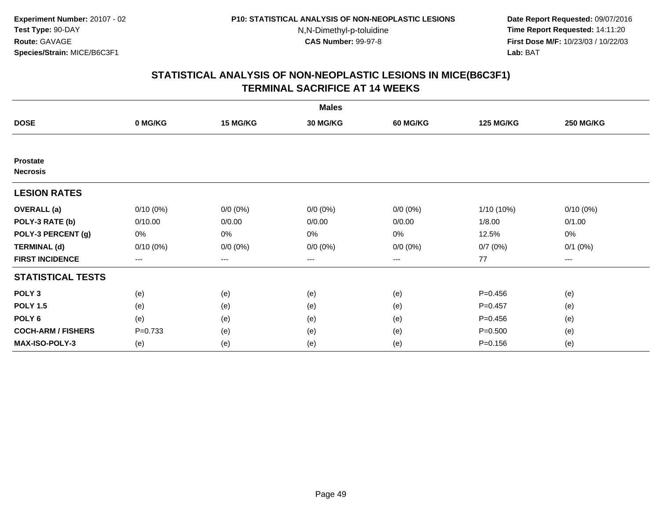**Date Report Requested:** 09/07/2016 **Time Report Requested:** 14:11:20 **First Dose M/F:** 10/23/03 / 10/22/03<br>**Lab:** BAT **Lab:** BAT

|                                    |             |             | <b>Males</b>    |                 |                  |                  |
|------------------------------------|-------------|-------------|-----------------|-----------------|------------------|------------------|
| <b>DOSE</b>                        | 0 MG/KG     | 15 MG/KG    | <b>30 MG/KG</b> | <b>60 MG/KG</b> | <b>125 MG/KG</b> | <b>250 MG/KG</b> |
|                                    |             |             |                 |                 |                  |                  |
| <b>Prostate</b><br><b>Necrosis</b> |             |             |                 |                 |                  |                  |
| <b>LESION RATES</b>                |             |             |                 |                 |                  |                  |
| <b>OVERALL</b> (a)                 | $0/10(0\%)$ | $0/0 (0\%)$ | $0/0 (0\%)$     | $0/0 (0\%)$     | 1/10 (10%)       | $0/10(0\%)$      |
| POLY-3 RATE (b)                    | 0/10.00     | 0/0.00      | 0/0.00          | 0/0.00          | 1/8.00           | 0/1.00           |
| POLY-3 PERCENT (g)                 | 0%          | 0%          | $0\%$           | 0%              | 12.5%            | 0%               |
| <b>TERMINAL (d)</b>                | $0/10(0\%)$ | $0/0 (0\%)$ | $0/0 (0\%)$     | $0/0 (0\%)$     | 0/7(0%)          | $0/1$ $(0%)$     |
| <b>FIRST INCIDENCE</b>             | ---         | $---$       | ---             | ---             | 77               | ---              |
| <b>STATISTICAL TESTS</b>           |             |             |                 |                 |                  |                  |
| POLY <sub>3</sub>                  | (e)         | (e)         | (e)             | (e)             | $P = 0.456$      | (e)              |
| <b>POLY 1.5</b>                    | (e)         | (e)         | (e)             | (e)             | $P=0.457$        | (e)              |
| POLY <sub>6</sub>                  | (e)         | (e)         | (e)             | (e)             | $P = 0.456$      | (e)              |
| <b>COCH-ARM / FISHERS</b>          | $P = 0.733$ | (e)         | (e)             | (e)             | $P = 0.500$      | (e)              |
| <b>MAX-ISO-POLY-3</b>              | (e)         | (e)         | (e)             | (e)             | $P = 0.156$      | (e)              |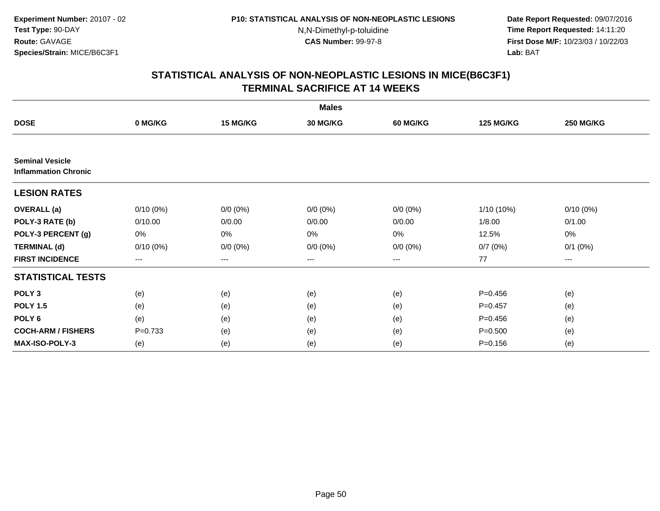**Date Report Requested:** 09/07/2016 **Time Report Requested:** 14:11:20 **First Dose M/F:** 10/23/03 / 10/22/03<br>**Lab:** BAT **Lab:** BAT

|                                                       |             |             | <b>Males</b>    |                 |                  |                  |
|-------------------------------------------------------|-------------|-------------|-----------------|-----------------|------------------|------------------|
| <b>DOSE</b>                                           | 0 MG/KG     | 15 MG/KG    | <b>30 MG/KG</b> | <b>60 MG/KG</b> | <b>125 MG/KG</b> | <b>250 MG/KG</b> |
|                                                       |             |             |                 |                 |                  |                  |
| <b>Seminal Vesicle</b><br><b>Inflammation Chronic</b> |             |             |                 |                 |                  |                  |
| <b>LESION RATES</b>                                   |             |             |                 |                 |                  |                  |
| <b>OVERALL</b> (a)                                    | $0/10(0\%)$ | $0/0 (0\%)$ | $0/0 (0\%)$     | $0/0 (0\%)$     | 1/10 (10%)       | $0/10(0\%)$      |
| POLY-3 RATE (b)                                       | 0/10.00     | 0/0.00      | 0/0.00          | 0/0.00          | 1/8.00           | 0/1.00           |
| POLY-3 PERCENT (g)                                    | 0%          | 0%          | 0%              | 0%              | 12.5%            | 0%               |
| <b>TERMINAL (d)</b>                                   | $0/10(0\%)$ | $0/0 (0\%)$ | $0/0 (0\%)$     | $0/0 (0\%)$     | 0/7(0%)          | $0/1$ $(0%)$     |
| <b>FIRST INCIDENCE</b>                                | $\cdots$    | $\cdots$    | $\cdots$        | $\cdots$        | 77               | ---              |
| <b>STATISTICAL TESTS</b>                              |             |             |                 |                 |                  |                  |
| POLY <sub>3</sub>                                     | (e)         | (e)         | (e)             | (e)             | $P=0.456$        | (e)              |
| <b>POLY 1.5</b>                                       | (e)         | (e)         | (e)             | (e)             | $P = 0.457$      | (e)              |
| POLY <sub>6</sub>                                     | (e)         | (e)         | (e)             | (e)             | $P=0.456$        | (e)              |
| <b>COCH-ARM / FISHERS</b>                             | $P=0.733$   | (e)         | (e)             | (e)             | $P = 0.500$      | (e)              |
| <b>MAX-ISO-POLY-3</b>                                 | (e)         | (e)         | (e)             | (e)             | $P = 0.156$      | (e)              |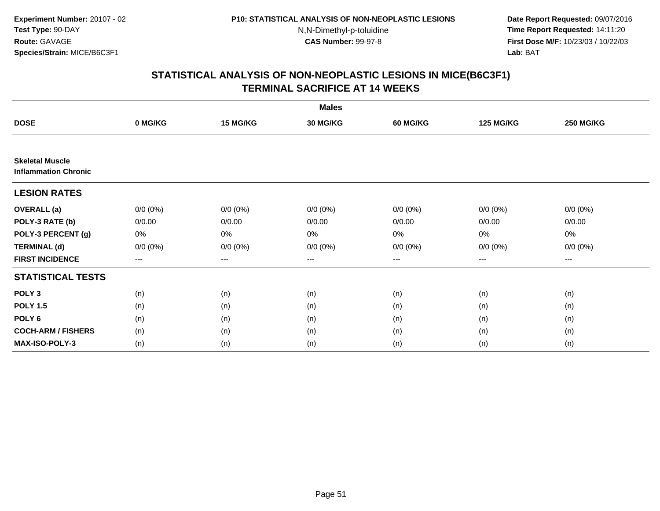**Date Report Requested:** 09/07/2016 **Time Report Requested:** 14:11:20 **First Dose M/F:** 10/23/03 / 10/22/03<br>**Lab:** BAT **Lab:** BAT

|                                                       |             |             | <b>Males</b>    |                 |                  |                  |
|-------------------------------------------------------|-------------|-------------|-----------------|-----------------|------------------|------------------|
| <b>DOSE</b>                                           | 0 MG/KG     | 15 MG/KG    | <b>30 MG/KG</b> | <b>60 MG/KG</b> | <b>125 MG/KG</b> | <b>250 MG/KG</b> |
|                                                       |             |             |                 |                 |                  |                  |
| <b>Skeletal Muscle</b><br><b>Inflammation Chronic</b> |             |             |                 |                 |                  |                  |
| <b>LESION RATES</b>                                   |             |             |                 |                 |                  |                  |
| <b>OVERALL</b> (a)                                    | $0/0 (0\%)$ | $0/0 (0\%)$ | $0/0 (0\%)$     | $0/0 (0\%)$     | $0/0 (0\%)$      | $0/0 (0\%)$      |
| POLY-3 RATE (b)                                       | 0/0.00      | 0/0.00      | 0/0.00          | 0/0.00          | 0/0.00           | 0/0.00           |
| POLY-3 PERCENT (g)                                    | 0%          | 0%          | 0%              | 0%              | 0%               | 0%               |
| <b>TERMINAL (d)</b>                                   | $0/0 (0\%)$ | $0/0 (0\%)$ | $0/0 (0\%)$     | $0/0 (0\%)$     | $0/0 (0\%)$      | $0/0 (0\%)$      |
| <b>FIRST INCIDENCE</b>                                | $--$        | ---         | $--$            | ---             | $--$             | ---              |
| <b>STATISTICAL TESTS</b>                              |             |             |                 |                 |                  |                  |
| POLY <sub>3</sub>                                     | (n)         | (n)         | (n)             | (n)             | (n)              | (n)              |
| <b>POLY 1.5</b>                                       | (n)         | (n)         | (n)             | (n)             | (n)              | (n)              |
| POLY <sub>6</sub>                                     | (n)         | (n)         | (n)             | (n)             | (n)              | (n)              |
| <b>COCH-ARM / FISHERS</b>                             | (n)         | (n)         | (n)             | (n)             | (n)              | (n)              |
| MAX-ISO-POLY-3                                        | (n)         | (n)         | (n)             | (n)             | (n)              | (n)              |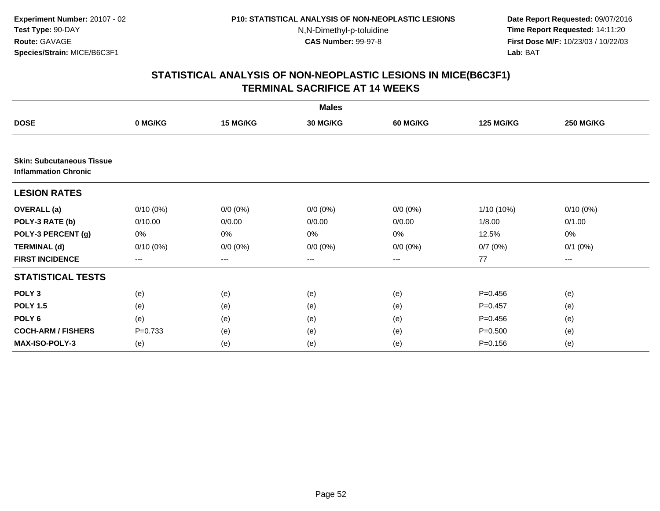**Date Report Requested:** 09/07/2016 **Time Report Requested:** 14:11:20 **First Dose M/F:** 10/23/03 / 10/22/03<br>**Lab:** BAT **Lab:** BAT

|                                                                 |             |             | <b>Males</b>    |                 |                  |                  |
|-----------------------------------------------------------------|-------------|-------------|-----------------|-----------------|------------------|------------------|
| <b>DOSE</b>                                                     | 0 MG/KG     | 15 MG/KG    | <b>30 MG/KG</b> | <b>60 MG/KG</b> | <b>125 MG/KG</b> | <b>250 MG/KG</b> |
|                                                                 |             |             |                 |                 |                  |                  |
| <b>Skin: Subcutaneous Tissue</b><br><b>Inflammation Chronic</b> |             |             |                 |                 |                  |                  |
| <b>LESION RATES</b>                                             |             |             |                 |                 |                  |                  |
| <b>OVERALL</b> (a)                                              | $0/10(0\%)$ | $0/0 (0\%)$ | $0/0 (0\%)$     | $0/0 (0\%)$     | 1/10 (10%)       | $0/10(0\%)$      |
| POLY-3 RATE (b)                                                 | 0/10.00     | 0/0.00      | 0/0.00          | 0/0.00          | 1/8.00           | 0/1.00           |
| POLY-3 PERCENT (g)                                              | 0%          | 0%          | 0%              | 0%              | 12.5%            | 0%               |
| <b>TERMINAL (d)</b>                                             | $0/10(0\%)$ | $0/0 (0\%)$ | $0/0 (0\%)$     | $0/0 (0\%)$     | 0/7(0%)          | $0/1$ $(0%)$     |
| <b>FIRST INCIDENCE</b>                                          | $\cdots$    | $\cdots$    | ---             | $\cdots$        | 77               | ---              |
| <b>STATISTICAL TESTS</b>                                        |             |             |                 |                 |                  |                  |
| POLY <sub>3</sub>                                               | (e)         | (e)         | (e)             | (e)             | $P=0.456$        | (e)              |
| <b>POLY 1.5</b>                                                 | (e)         | (e)         | (e)             | (e)             | $P = 0.457$      | (e)              |
| POLY <sub>6</sub>                                               | (e)         | (e)         | (e)             | (e)             | $P=0.456$        | (e)              |
| <b>COCH-ARM / FISHERS</b>                                       | $P=0.733$   | (e)         | (e)             | (e)             | $P = 0.500$      | (e)              |
| <b>MAX-ISO-POLY-3</b>                                           | (e)         | (e)         | (e)             | (e)             | $P = 0.156$      | (e)              |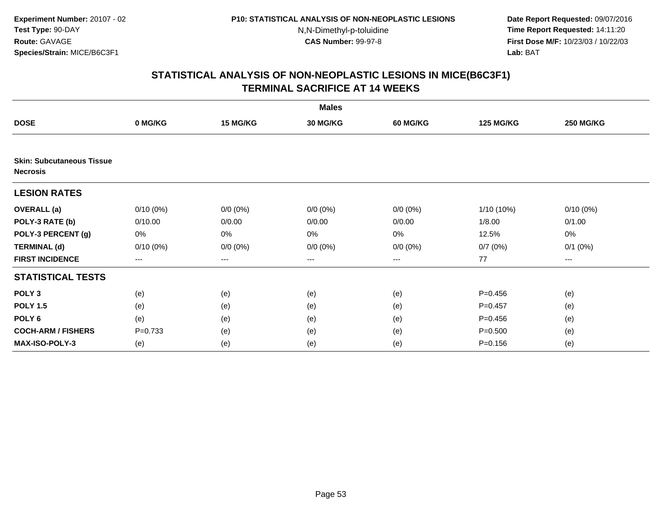**Date Report Requested:** 09/07/2016 **Time Report Requested:** 14:11:20 **First Dose M/F:** 10/23/03 / 10/22/03<br>**Lab:** BAT **Lab:** BAT

|                                                     |             |             | <b>Males</b>    |                 |                  |                  |
|-----------------------------------------------------|-------------|-------------|-----------------|-----------------|------------------|------------------|
| <b>DOSE</b>                                         | 0 MG/KG     | 15 MG/KG    | <b>30 MG/KG</b> | <b>60 MG/KG</b> | <b>125 MG/KG</b> | <b>250 MG/KG</b> |
|                                                     |             |             |                 |                 |                  |                  |
| <b>Skin: Subcutaneous Tissue</b><br><b>Necrosis</b> |             |             |                 |                 |                  |                  |
| <b>LESION RATES</b>                                 |             |             |                 |                 |                  |                  |
| <b>OVERALL</b> (a)                                  | $0/10(0\%)$ | $0/0 (0\%)$ | $0/0 (0\%)$     | $0/0 (0\%)$     | 1/10 (10%)       | $0/10(0\%)$      |
| POLY-3 RATE (b)                                     | 0/10.00     | 0/0.00      | 0/0.00          | 0/0.00          | 1/8.00           | 0/1.00           |
| POLY-3 PERCENT (g)                                  | 0%          | 0%          | 0%              | 0%              | 12.5%            | 0%               |
| <b>TERMINAL (d)</b>                                 | $0/10(0\%)$ | $0/0 (0\%)$ | $0/0 (0\%)$     | $0/0 (0\%)$     | 0/7(0%)          | $0/1$ $(0%)$     |
| <b>FIRST INCIDENCE</b>                              | $--$        | ---         | $--$            | ---             | 77               | ---              |
| <b>STATISTICAL TESTS</b>                            |             |             |                 |                 |                  |                  |
| POLY <sub>3</sub>                                   | (e)         | (e)         | (e)             | (e)             | $P=0.456$        | (e)              |
| <b>POLY 1.5</b>                                     | (e)         | (e)         | (e)             | (e)             | $P = 0.457$      | (e)              |
| POLY <sub>6</sub>                                   | (e)         | (e)         | (e)             | (e)             | $P=0.456$        | (e)              |
| <b>COCH-ARM / FISHERS</b>                           | $P=0.733$   | (e)         | (e)             | (e)             | $P = 0.500$      | (e)              |
| <b>MAX-ISO-POLY-3</b>                               | (e)         | (e)         | (e)             | (e)             | $P = 0.156$      | (e)              |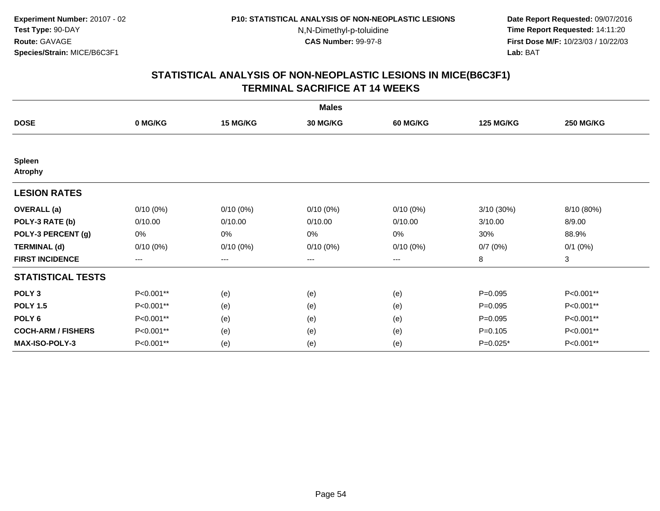**Date Report Requested:** 09/07/2016 **Time Report Requested:** 14:11:20 **First Dose M/F:** 10/23/03 / 10/22/03<br>**Lab:** BAT **Lab:** BAT

|                                 |             |                        | <b>Males</b>    |                 |                  |                  |
|---------------------------------|-------------|------------------------|-----------------|-----------------|------------------|------------------|
| <b>DOSE</b>                     | 0 MG/KG     | <b>15 MG/KG</b>        | <b>30 MG/KG</b> | <b>60 MG/KG</b> | <b>125 MG/KG</b> | <b>250 MG/KG</b> |
|                                 |             |                        |                 |                 |                  |                  |
| <b>Spleen</b><br><b>Atrophy</b> |             |                        |                 |                 |                  |                  |
| <b>LESION RATES</b>             |             |                        |                 |                 |                  |                  |
| <b>OVERALL</b> (a)              | $0/10(0\%)$ | $0/10(0\%)$            | $0/10(0\%)$     | $0/10(0\%)$     | 3/10 (30%)       | 8/10 (80%)       |
| POLY-3 RATE (b)                 | 0/10.00     | 0/10.00                | 0/10.00         | 0/10.00         | 3/10.00          | 8/9.00           |
| POLY-3 PERCENT (g)              | 0%          | 0%                     | 0%              | 0%              | 30%              | 88.9%            |
| <b>TERMINAL (d)</b>             | $0/10(0\%)$ | $0/10(0\%)$            | $0/10(0\%)$     | $0/10(0\%)$     | 0/7(0%)          | $0/1$ $(0%)$     |
| <b>FIRST INCIDENCE</b>          | $---$       | $\qquad \qquad \cdots$ | $---$           | ---             | 8                | 3                |
| <b>STATISTICAL TESTS</b>        |             |                        |                 |                 |                  |                  |
| POLY <sub>3</sub>               | P<0.001**   | (e)                    | (e)             | (e)             | $P = 0.095$      | P<0.001**        |
| <b>POLY 1.5</b>                 | P<0.001**   | (e)                    | (e)             | (e)             | $P=0.095$        | P<0.001**        |
| POLY <sub>6</sub>               | P<0.001**   | (e)                    | (e)             | (e)             | $P=0.095$        | P<0.001**        |
| <b>COCH-ARM / FISHERS</b>       | P<0.001**   | (e)                    | (e)             | (e)             | $P=0.105$        | P<0.001**        |
| <b>MAX-ISO-POLY-3</b>           | P<0.001**   | (e)                    | (e)             | (e)             | $P=0.025*$       | P<0.001**        |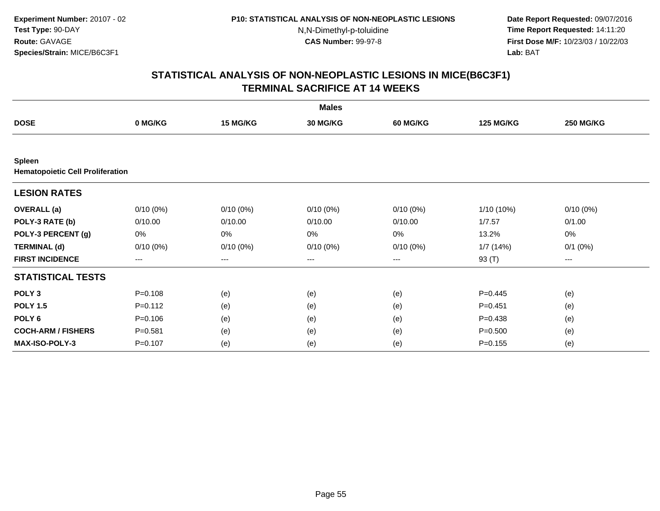**Date Report Requested:** 09/07/2016 **Time Report Requested:** 14:11:20 **First Dose M/F:** 10/23/03 / 10/22/03<br>**Lab:** BAT **Lab:** BAT

|                                                          |             |                   | <b>Males</b> |             |                  |                  |
|----------------------------------------------------------|-------------|-------------------|--------------|-------------|------------------|------------------|
| <b>DOSE</b>                                              | 0 MG/KG     | 15 MG/KG          | 30 MG/KG     | 60 MG/KG    | <b>125 MG/KG</b> | <b>250 MG/KG</b> |
|                                                          |             |                   |              |             |                  |                  |
| <b>Spleen</b><br><b>Hematopoietic Cell Proliferation</b> |             |                   |              |             |                  |                  |
| <b>LESION RATES</b>                                      |             |                   |              |             |                  |                  |
| <b>OVERALL</b> (a)                                       | $0/10(0\%)$ | $0/10(0\%)$       | $0/10(0\%)$  | $0/10(0\%)$ | 1/10 (10%)       | $0/10(0\%)$      |
| POLY-3 RATE (b)                                          | 0/10.00     | 0/10.00           | 0/10.00      | 0/10.00     | 1/7.57           | 0/1.00           |
| POLY-3 PERCENT (g)                                       | 0%          | 0%                | 0%           | 0%          | 13.2%            | 0%               |
| <b>TERMINAL (d)</b>                                      | $0/10(0\%)$ | $0/10(0\%)$       | $0/10(0\%)$  | $0/10(0\%)$ | 1/7(14%)         | $0/1$ $(0%)$     |
| <b>FIRST INCIDENCE</b>                                   | ---         | $\qquad \qquad -$ | ---          | ---         | 93 (T)           | ---              |
| <b>STATISTICAL TESTS</b>                                 |             |                   |              |             |                  |                  |
| POLY <sub>3</sub>                                        | $P = 0.108$ | (e)               | (e)          | (e)         | $P=0.445$        | (e)              |
| <b>POLY 1.5</b>                                          | $P = 0.112$ | (e)               | (e)          | (e)         | $P = 0.451$      | (e)              |
| POLY <sub>6</sub>                                        | $P = 0.106$ | (e)               | (e)          | (e)         | $P = 0.438$      | (e)              |
| <b>COCH-ARM / FISHERS</b>                                | $P = 0.581$ | (e)               | (e)          | (e)         | $P = 0.500$      | (e)              |
| <b>MAX-ISO-POLY-3</b>                                    | $P = 0.107$ | (e)               | (e)          | (e)         | $P = 0.155$      | (e)              |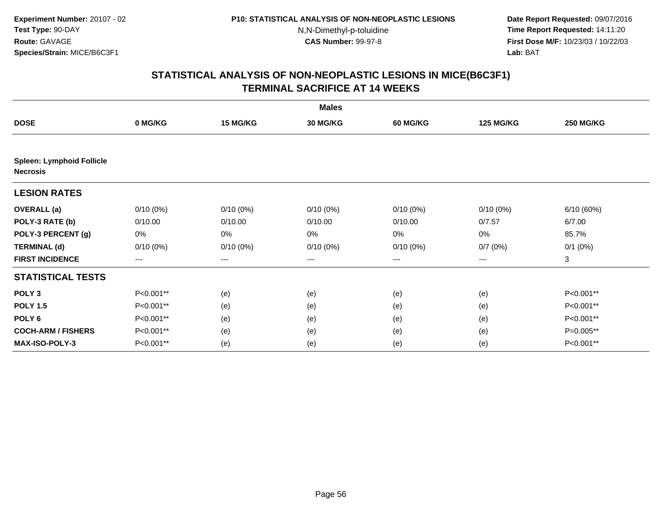**Date Report Requested:** 09/07/2016 **Time Report Requested:** 14:11:20 **First Dose M/F:** 10/23/03 / 10/22/03<br>**Lab:** BAT **Lab:** BAT

|                                                     |                        |             | <b>Males</b> |                 |                  |                  |
|-----------------------------------------------------|------------------------|-------------|--------------|-----------------|------------------|------------------|
| <b>DOSE</b>                                         | 0 MG/KG                | 15 MG/KG    | 30 MG/KG     | <b>60 MG/KG</b> | <b>125 MG/KG</b> | <b>250 MG/KG</b> |
|                                                     |                        |             |              |                 |                  |                  |
| <b>Spleen: Lymphoid Follicle</b><br><b>Necrosis</b> |                        |             |              |                 |                  |                  |
| <b>LESION RATES</b>                                 |                        |             |              |                 |                  |                  |
| <b>OVERALL</b> (a)                                  | $0/10(0\%)$            | $0/10(0\%)$ | $0/10(0\%)$  | $0/10(0\%)$     | $0/10(0\%)$      | 6/10(60%)        |
| POLY-3 RATE (b)                                     | 0/10.00                | 0/10.00     | 0/10.00      | 0/10.00         | 0/7.57           | 6/7.00           |
| POLY-3 PERCENT (g)                                  | 0%                     | 0%          | 0%           | 0%              | 0%               | 85.7%            |
| <b>TERMINAL (d)</b>                                 | $0/10(0\%)$            | $0/10(0\%)$ | $0/10(0\%)$  | $0/10(0\%)$     | 0/7(0%)          | $0/1$ $(0%)$     |
| <b>FIRST INCIDENCE</b>                              | $\qquad \qquad \cdots$ | $---$       | $---$        | ---             | $---$            | 3                |
| <b>STATISTICAL TESTS</b>                            |                        |             |              |                 |                  |                  |
| POLY <sub>3</sub>                                   | P<0.001**              | (e)         | (e)          | (e)             | (e)              | P<0.001**        |
| <b>POLY 1.5</b>                                     | P<0.001**              | (e)         | (e)          | (e)             | (e)              | P<0.001**        |
| POLY <sub>6</sub>                                   | P<0.001**              | (e)         | (e)          | (e)             | (e)              | P<0.001**        |
| <b>COCH-ARM / FISHERS</b>                           | P<0.001**              | (e)         | (e)          | (e)             | (e)              | P=0.005**        |
| <b>MAX-ISO-POLY-3</b>                               | P<0.001**              | (e)         | (e)          | (e)             | (e)              | P<0.001**        |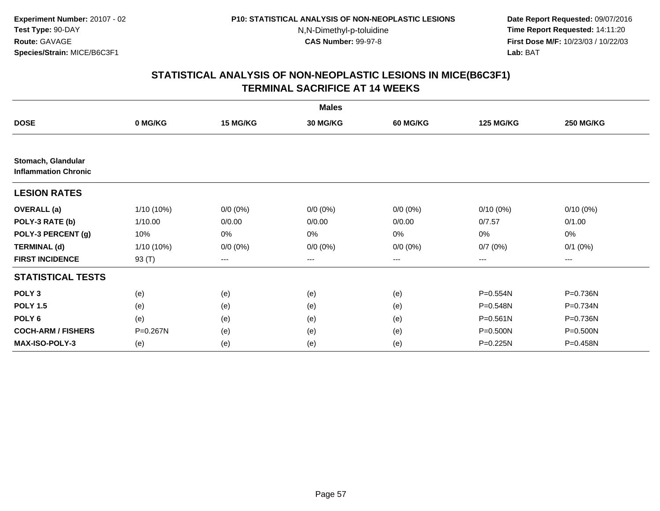**Date Report Requested:** 09/07/2016 **Time Report Requested:** 14:11:20 **First Dose M/F:** 10/23/03 / 10/22/03<br>**Lab:** BAT **Lab:** BAT

|                                                   |              |                   | <b>Males</b> |                 |                  |                  |
|---------------------------------------------------|--------------|-------------------|--------------|-----------------|------------------|------------------|
| <b>DOSE</b>                                       | 0 MG/KG      | 15 MG/KG          | 30 MG/KG     | <b>60 MG/KG</b> | <b>125 MG/KG</b> | <b>250 MG/KG</b> |
|                                                   |              |                   |              |                 |                  |                  |
| Stomach, Glandular<br><b>Inflammation Chronic</b> |              |                   |              |                 |                  |                  |
| <b>LESION RATES</b>                               |              |                   |              |                 |                  |                  |
| <b>OVERALL</b> (a)                                | 1/10 (10%)   | $0/0 (0\%)$       | $0/0 (0\%)$  | $0/0 (0\%)$     | $0/10(0\%)$      | $0/10(0\%)$      |
| POLY-3 RATE (b)                                   | 1/10.00      | 0/0.00            | 0/0.00       | 0/0.00          | 0/7.57           | 0/1.00           |
| POLY-3 PERCENT (g)                                | 10%          | 0%                | 0%           | 0%              | 0%               | 0%               |
| <b>TERMINAL (d)</b>                               | $1/10(10\%)$ | $0/0 (0\%)$       | $0/0 (0\%)$  | $0/0 (0\%)$     | 0/7(0%)          | $0/1$ $(0%)$     |
| <b>FIRST INCIDENCE</b>                            | 93 (T)       | $\qquad \qquad -$ | $---$        | ---             | $---$            | ---              |
| <b>STATISTICAL TESTS</b>                          |              |                   |              |                 |                  |                  |
| POLY <sub>3</sub>                                 | (e)          | (e)               | (e)          | (e)             | P=0.554N         | P=0.736N         |
| <b>POLY 1.5</b>                                   | (e)          | (e)               | (e)          | (e)             | P=0.548N         | P=0.734N         |
| POLY <sub>6</sub>                                 | (e)          | (e)               | (e)          | (e)             | $P = 0.561N$     | P=0.736N         |
| <b>COCH-ARM / FISHERS</b>                         | P=0.267N     | (e)               | (e)          | (e)             | $P = 0.500N$     | $P = 0.500N$     |
| <b>MAX-ISO-POLY-3</b>                             | (e)          | (e)               | (e)          | (e)             | $P = 0.225N$     | P=0.458N         |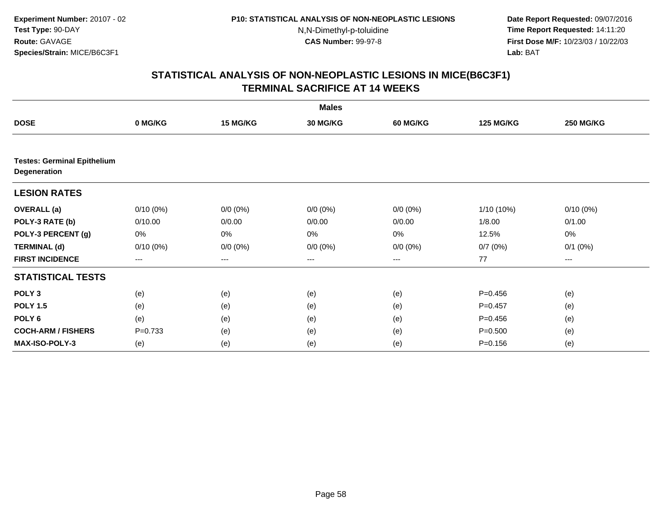**Date Report Requested:** 09/07/2016 **Time Report Requested:** 14:11:20 **First Dose M/F:** 10/23/03 / 10/22/03<br>**Lab:** BAT **Lab:** BAT

|                                                    |             |             | <b>Males</b>    |                 |                  |                  |
|----------------------------------------------------|-------------|-------------|-----------------|-----------------|------------------|------------------|
| <b>DOSE</b>                                        | 0 MG/KG     | 15 MG/KG    | <b>30 MG/KG</b> | <b>60 MG/KG</b> | <b>125 MG/KG</b> | <b>250 MG/KG</b> |
|                                                    |             |             |                 |                 |                  |                  |
| <b>Testes: Germinal Epithelium</b><br>Degeneration |             |             |                 |                 |                  |                  |
| <b>LESION RATES</b>                                |             |             |                 |                 |                  |                  |
| <b>OVERALL</b> (a)                                 | $0/10(0\%)$ | $0/0 (0\%)$ | $0/0 (0\%)$     | $0/0 (0\%)$     | 1/10 (10%)       | $0/10(0\%)$      |
| POLY-3 RATE (b)                                    | 0/10.00     | 0/0.00      | 0/0.00          | 0/0.00          | 1/8.00           | 0/1.00           |
| POLY-3 PERCENT (g)                                 | 0%          | 0%          | 0%              | 0%              | 12.5%            | 0%               |
| <b>TERMINAL (d)</b>                                | $0/10(0\%)$ | $0/0 (0\%)$ | $0/0 (0\%)$     | $0/0 (0\%)$     | 0/7(0%)          | $0/1$ $(0%)$     |
| <b>FIRST INCIDENCE</b>                             | $---$       | $---$       | ---             | $--$            | 77               | ---              |
| <b>STATISTICAL TESTS</b>                           |             |             |                 |                 |                  |                  |
| POLY <sub>3</sub>                                  | (e)         | (e)         | (e)             | (e)             | $P=0.456$        | (e)              |
| <b>POLY 1.5</b>                                    | (e)         | (e)         | (e)             | (e)             | $P = 0.457$      | (e)              |
| POLY <sub>6</sub>                                  | (e)         | (e)         | (e)             | (e)             | $P=0.456$        | (e)              |
| <b>COCH-ARM / FISHERS</b>                          | $P=0.733$   | (e)         | (e)             | (e)             | $P = 0.500$      | (e)              |
| <b>MAX-ISO-POLY-3</b>                              | (e)         | (e)         | (e)             | (e)             | $P = 0.156$      | (e)              |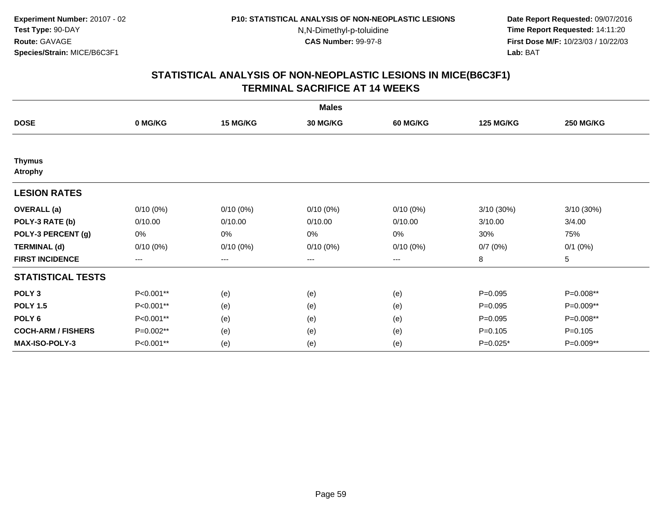**Date Report Requested:** 09/07/2016 **Time Report Requested:** 14:11:20 **First Dose M/F:** 10/23/03 / 10/22/03<br>**Lab:** BAT **Lab:** BAT

|                                 |             |                        | <b>Males</b> |             |                  |                  |
|---------------------------------|-------------|------------------------|--------------|-------------|------------------|------------------|
| <b>DOSE</b>                     | 0 MG/KG     | 15 MG/KG               | 30 MG/KG     | 60 MG/KG    | <b>125 MG/KG</b> | <b>250 MG/KG</b> |
|                                 |             |                        |              |             |                  |                  |
| <b>Thymus</b><br><b>Atrophy</b> |             |                        |              |             |                  |                  |
| <b>LESION RATES</b>             |             |                        |              |             |                  |                  |
| <b>OVERALL</b> (a)              | $0/10(0\%)$ | $0/10(0\%)$            | $0/10(0\%)$  | $0/10(0\%)$ | 3/10 (30%)       | 3/10 (30%)       |
| POLY-3 RATE (b)                 | 0/10.00     | 0/10.00                | 0/10.00      | 0/10.00     | 3/10.00          | 3/4.00           |
| POLY-3 PERCENT (g)              | 0%          | 0%                     | 0%           | 0%          | 30%              | 75%              |
| <b>TERMINAL (d)</b>             | $0/10(0\%)$ | $0/10(0\%)$            | $0/10(0\%)$  | $0/10(0\%)$ | 0/7(0%)          | $0/1$ $(0%)$     |
| <b>FIRST INCIDENCE</b>          | $---$       | $\qquad \qquad \cdots$ | ---          | ---         | 8                | 5                |
| <b>STATISTICAL TESTS</b>        |             |                        |              |             |                  |                  |
| POLY <sub>3</sub>               | P<0.001**   | (e)                    | (e)          | (e)         | $P=0.095$        | P=0.008**        |
| <b>POLY 1.5</b>                 | P<0.001**   | (e)                    | (e)          | (e)         | $P = 0.095$      | $P=0.009**$      |
| POLY <sub>6</sub>               | P<0.001**   | (e)                    | (e)          | (e)         | $P=0.095$        | P=0.008**        |
| <b>COCH-ARM / FISHERS</b>       | P=0.002**   | (e)                    | (e)          | (e)         | $P=0.105$        | $P=0.105$        |
| <b>MAX-ISO-POLY-3</b>           | P<0.001**   | (e)                    | (e)          | (e)         | $P=0.025*$       | P=0.009**        |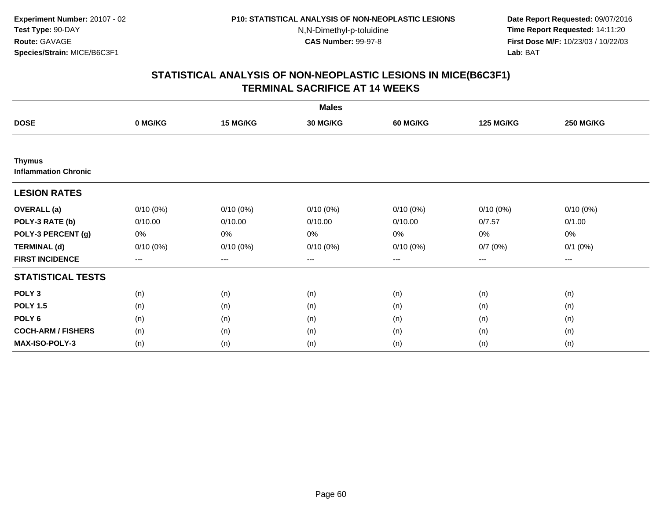**Date Report Requested:** 09/07/2016 **Time Report Requested:** 14:11:20 **First Dose M/F:** 10/23/03 / 10/22/03<br>**Lab:** BAT **Lab:** BAT

|                                              |             |             | <b>Males</b> |             |                  |                  |
|----------------------------------------------|-------------|-------------|--------------|-------------|------------------|------------------|
| <b>DOSE</b>                                  | 0 MG/KG     | 15 MG/KG    | 30 MG/KG     | 60 MG/KG    | <b>125 MG/KG</b> | <b>250 MG/KG</b> |
|                                              |             |             |              |             |                  |                  |
| <b>Thymus</b><br><b>Inflammation Chronic</b> |             |             |              |             |                  |                  |
| <b>LESION RATES</b>                          |             |             |              |             |                  |                  |
| <b>OVERALL</b> (a)                           | $0/10(0\%)$ | $0/10(0\%)$ | $0/10(0\%)$  | $0/10(0\%)$ | $0/10(0\%)$      | $0/10(0\%)$      |
| POLY-3 RATE (b)                              | 0/10.00     | 0/10.00     | 0/10.00      | 0/10.00     | 0/7.57           | 0/1.00           |
| POLY-3 PERCENT (g)                           | 0%          | 0%          | 0%           | 0%          | 0%               | 0%               |
| <b>TERMINAL (d)</b>                          | $0/10(0\%)$ | $0/10(0\%)$ | $0/10(0\%)$  | 0/10(0%)    | 0/7(0%)          | $0/1$ $(0%)$     |
| <b>FIRST INCIDENCE</b>                       | $--$        | $---$       | ---          | ---         | $---$            | $--$             |
| <b>STATISTICAL TESTS</b>                     |             |             |              |             |                  |                  |
| POLY <sub>3</sub>                            | (n)         | (n)         | (n)          | (n)         | (n)              | (n)              |
| <b>POLY 1.5</b>                              | (n)         | (n)         | (n)          | (n)         | (n)              | (n)              |
| POLY <sub>6</sub>                            | (n)         | (n)         | (n)          | (n)         | (n)              | (n)              |
| <b>COCH-ARM / FISHERS</b>                    | (n)         | (n)         | (n)          | (n)         | (n)              | (n)              |
| <b>MAX-ISO-POLY-3</b>                        | (n)         | (n)         | (n)          | (n)         | (n)              | (n)              |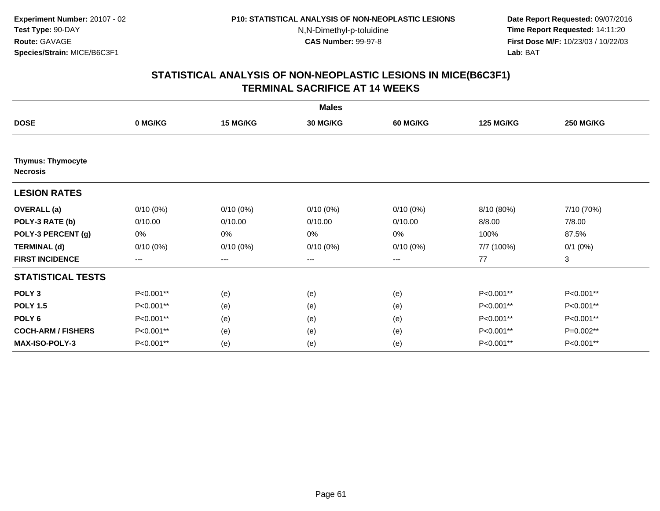**Date Report Requested:** 09/07/2016 **Time Report Requested:** 14:11:20 **First Dose M/F:** 10/23/03 / 10/22/03<br>**Lab:** BAT **Lab:** BAT

|                                             |             |             | <b>Males</b> |                 |                  |                  |
|---------------------------------------------|-------------|-------------|--------------|-----------------|------------------|------------------|
| <b>DOSE</b>                                 | 0 MG/KG     | 15 MG/KG    | 30 MG/KG     | <b>60 MG/KG</b> | <b>125 MG/KG</b> | <b>250 MG/KG</b> |
|                                             |             |             |              |                 |                  |                  |
| <b>Thymus: Thymocyte</b><br><b>Necrosis</b> |             |             |              |                 |                  |                  |
| <b>LESION RATES</b>                         |             |             |              |                 |                  |                  |
| <b>OVERALL</b> (a)                          | $0/10(0\%)$ | $0/10(0\%)$ | $0/10(0\%)$  | $0/10(0\%)$     | 8/10 (80%)       | 7/10 (70%)       |
| POLY-3 RATE (b)                             | 0/10.00     | 0/10.00     | 0/10.00      | 0/10.00         | 8/8.00           | 7/8.00           |
| POLY-3 PERCENT (g)                          | 0%          | 0%          | 0%           | 0%              | 100%             | 87.5%            |
| <b>TERMINAL (d)</b>                         | $0/10(0\%)$ | $0/10(0\%)$ | $0/10(0\%)$  | $0/10(0\%)$     | 7/7 (100%)       | $0/1$ $(0%)$     |
| <b>FIRST INCIDENCE</b>                      | ---         | $--$        | $---$        | ---             | 77               | 3                |
| <b>STATISTICAL TESTS</b>                    |             |             |              |                 |                  |                  |
| POLY <sub>3</sub>                           | P<0.001**   | (e)         | (e)          | (e)             | P<0.001**        | P<0.001**        |
| <b>POLY 1.5</b>                             | P<0.001**   | (e)         | (e)          | (e)             | P<0.001**        | P<0.001**        |
| POLY <sub>6</sub>                           | P<0.001**   | (e)         | (e)          | (e)             | P<0.001**        | P<0.001**        |
| <b>COCH-ARM / FISHERS</b>                   | P<0.001**   | (e)         | (e)          | (e)             | P<0.001**        | P=0.002**        |
| <b>MAX-ISO-POLY-3</b>                       | P<0.001**   | (e)         | (e)          | (e)             | P<0.001**        | P<0.001**        |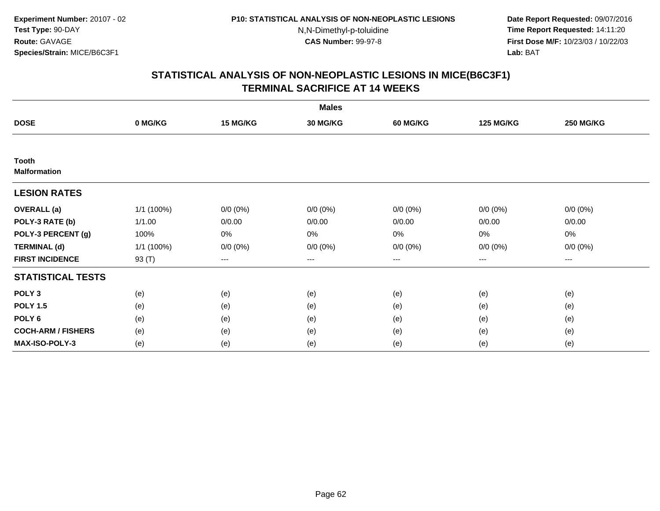**Date Report Requested:** 09/07/2016 **Time Report Requested:** 14:11:20 **First Dose M/F:** 10/23/03 / 10/22/03<br>**Lab:** BAT **Lab:** BAT

|                                     |            |                                          | <b>Males</b>    |                 |                  |                  |
|-------------------------------------|------------|------------------------------------------|-----------------|-----------------|------------------|------------------|
| <b>DOSE</b>                         | 0 MG/KG    | 15 MG/KG                                 | <b>30 MG/KG</b> | <b>60 MG/KG</b> | <b>125 MG/KG</b> | <b>250 MG/KG</b> |
|                                     |            |                                          |                 |                 |                  |                  |
| <b>Tooth</b><br><b>Malformation</b> |            |                                          |                 |                 |                  |                  |
| <b>LESION RATES</b>                 |            |                                          |                 |                 |                  |                  |
| <b>OVERALL</b> (a)                  | 1/1 (100%) | $0/0 (0\%)$                              | $0/0 (0\%)$     | $0/0 (0\%)$     | $0/0 (0\%)$      | $0/0 (0\%)$      |
| POLY-3 RATE (b)                     | 1/1.00     | 0/0.00                                   | 0/0.00          | 0/0.00          | 0/0.00           | 0/0.00           |
| POLY-3 PERCENT (g)                  | 100%       | $0\%$                                    | 0%              | 0%              | 0%               | 0%               |
| <b>TERMINAL (d)</b>                 | 1/1 (100%) | $0/0 (0\%)$                              | $0/0 (0\%)$     | $0/0 (0\%)$     | $0/0 (0\%)$      | $0/0 (0\%)$      |
| <b>FIRST INCIDENCE</b>              | 93 (T)     | $\hspace{0.05cm} \ldots \hspace{0.05cm}$ | $\cdots$        | $\cdots$        | $\cdots$         | ---              |
| <b>STATISTICAL TESTS</b>            |            |                                          |                 |                 |                  |                  |
| POLY <sub>3</sub>                   | (e)        | (e)                                      | (e)             | (e)             | (e)              | (e)              |
| <b>POLY 1.5</b>                     | (e)        | (e)                                      | (e)             | (e)             | (e)              | (e)              |
| POLY <sub>6</sub>                   | (e)        | (e)                                      | (e)             | (e)             | (e)              | (e)              |
| <b>COCH-ARM / FISHERS</b>           | (e)        | (e)                                      | (e)             | (e)             | (e)              | (e)              |
| <b>MAX-ISO-POLY-3</b>               | (e)        | (e)                                      | (e)             | (e)             | (e)              | (e)              |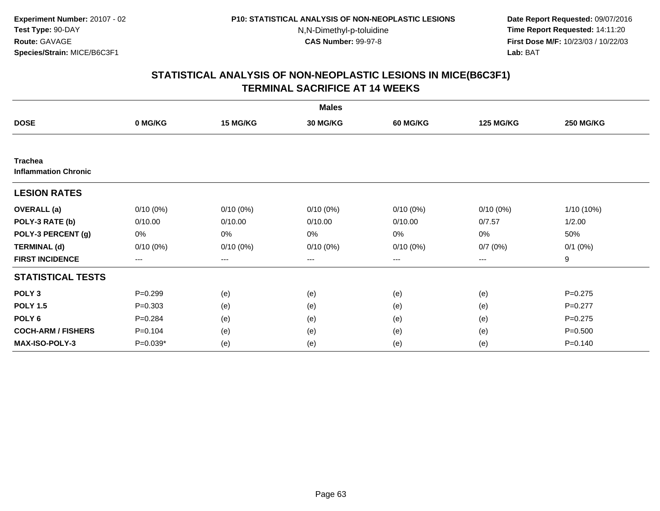**Date Report Requested:** 09/07/2016 **Time Report Requested:** 14:11:20 **First Dose M/F:** 10/23/03 / 10/22/03<br>**Lab:** BAT **Lab:** BAT

|                                               |             |             | <b>Males</b> |             |                  |                  |
|-----------------------------------------------|-------------|-------------|--------------|-------------|------------------|------------------|
| <b>DOSE</b>                                   | 0 MG/KG     | 15 MG/KG    | 30 MG/KG     | 60 MG/KG    | <b>125 MG/KG</b> | <b>250 MG/KG</b> |
|                                               |             |             |              |             |                  |                  |
| <b>Trachea</b><br><b>Inflammation Chronic</b> |             |             |              |             |                  |                  |
| <b>LESION RATES</b>                           |             |             |              |             |                  |                  |
| <b>OVERALL</b> (a)                            | $0/10(0\%)$ | $0/10(0\%)$ | $0/10(0\%)$  | $0/10(0\%)$ | $0/10(0\%)$      | 1/10 (10%)       |
| POLY-3 RATE (b)                               | 0/10.00     | 0/10.00     | 0/10.00      | 0/10.00     | 0/7.57           | 1/2.00           |
| POLY-3 PERCENT (g)                            | 0%          | 0%          | $0\%$        | 0%          | 0%               | 50%              |
| <b>TERMINAL (d)</b>                           | $0/10(0\%)$ | $0/10(0\%)$ | $0/10(0\%)$  | $0/10(0\%)$ | 0/7(0%)          | $0/1$ $(0%)$     |
| <b>FIRST INCIDENCE</b>                        | $\cdots$    | $\cdots$    | ---          | ---         | ---              | 9                |
| <b>STATISTICAL TESTS</b>                      |             |             |              |             |                  |                  |
| POLY <sub>3</sub>                             | $P = 0.299$ | (e)         | (e)          | (e)         | (e)              | $P = 0.275$      |
| <b>POLY 1.5</b>                               | $P = 0.303$ | (e)         | (e)          | (e)         | (e)              | $P=0.277$        |
| POLY <sub>6</sub>                             | $P = 0.284$ | (e)         | (e)          | (e)         | (e)              | $P=0.275$        |
| <b>COCH-ARM / FISHERS</b>                     | $P = 0.104$ | (e)         | (e)          | (e)         | (e)              | $P = 0.500$      |
| <b>MAX-ISO-POLY-3</b>                         | $P=0.039*$  | (e)         | (e)          | (e)         | (e)              | $P = 0.140$      |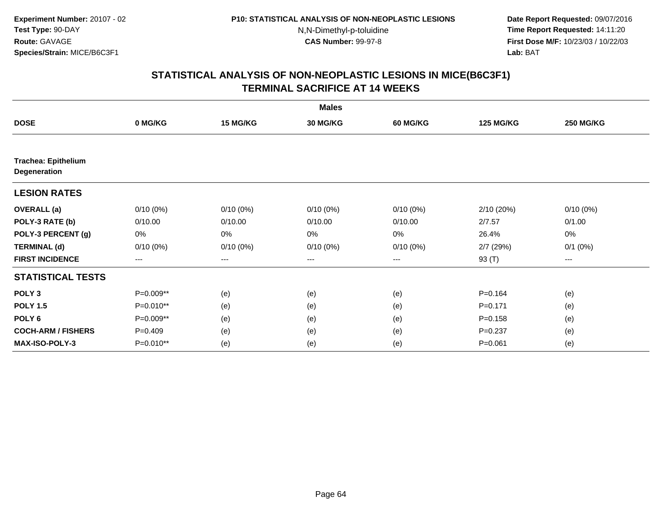**Date Report Requested:** 09/07/2016 **Time Report Requested:** 14:11:20 **First Dose M/F:** 10/23/03 / 10/22/03<br>**Lab:** BAT **Lab:** BAT

|                                                   |                   |                   | <b>Males</b>    |                 |                  |                  |
|---------------------------------------------------|-------------------|-------------------|-----------------|-----------------|------------------|------------------|
| <b>DOSE</b>                                       | 0 MG/KG           | 15 MG/KG          | <b>30 MG/KG</b> | <b>60 MG/KG</b> | <b>125 MG/KG</b> | <b>250 MG/KG</b> |
|                                                   |                   |                   |                 |                 |                  |                  |
| <b>Trachea: Epithelium</b><br><b>Degeneration</b> |                   |                   |                 |                 |                  |                  |
| <b>LESION RATES</b>                               |                   |                   |                 |                 |                  |                  |
| <b>OVERALL</b> (a)                                | $0/10(0\%)$       | $0/10(0\%)$       | $0/10(0\%)$     | $0/10(0\%)$     | 2/10 (20%)       | $0/10(0\%)$      |
| POLY-3 RATE (b)                                   | 0/10.00           | 0/10.00           | 0/10.00         | 0/10.00         | 2/7.57           | 0/1.00           |
| POLY-3 PERCENT (g)                                | 0%                | 0%                | 0%              | 0%              | 26.4%            | 0%               |
| <b>TERMINAL (d)</b>                               | $0/10(0\%)$       | $0/10(0\%)$       | $0/10(0\%)$     | $0/10(0\%)$     | 2/7(29%)         | $0/1$ $(0%)$     |
| <b>FIRST INCIDENCE</b>                            | $\qquad \qquad -$ | $\qquad \qquad -$ | $---$           | $---$           | 93 (T)           | ---              |
| <b>STATISTICAL TESTS</b>                          |                   |                   |                 |                 |                  |                  |
| POLY <sub>3</sub>                                 | P=0.009**         | (e)               | (e)             | (e)             | $P = 0.164$      | (e)              |
| <b>POLY 1.5</b>                                   | P=0.010**         | (e)               | (e)             | (e)             | $P = 0.171$      | (e)              |
| POLY <sub>6</sub>                                 | P=0.009**         | (e)               | (e)             | (e)             | $P = 0.158$      | (e)              |
| <b>COCH-ARM / FISHERS</b>                         | $P = 0.409$       | (e)               | (e)             | (e)             | $P = 0.237$      | (e)              |
| <b>MAX-ISO-POLY-3</b>                             | $P=0.010**$       | (e)               | (e)             | (e)             | $P = 0.061$      | (e)              |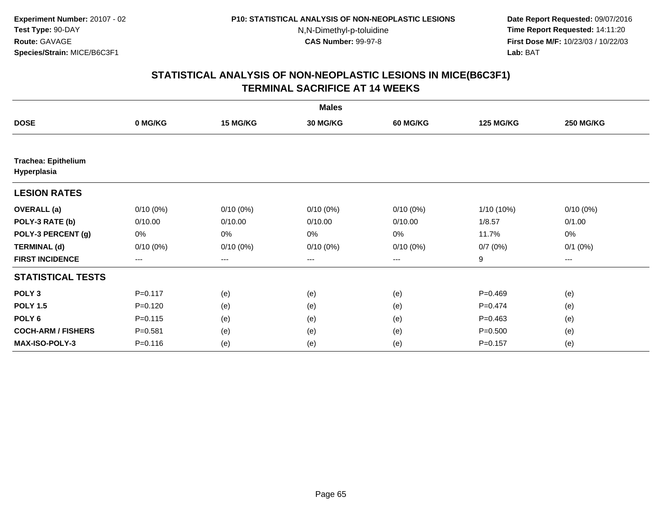**Date Report Requested:** 09/07/2016 **Time Report Requested:** 14:11:20 **First Dose M/F:** 10/23/03 / 10/22/03<br>**Lab:** BAT **Lab:** BAT

|                                           |             |                        | <b>Males</b>    |                 |                  |                  |
|-------------------------------------------|-------------|------------------------|-----------------|-----------------|------------------|------------------|
| <b>DOSE</b>                               | 0 MG/KG     | <b>15 MG/KG</b>        | <b>30 MG/KG</b> | <b>60 MG/KG</b> | <b>125 MG/KG</b> | <b>250 MG/KG</b> |
|                                           |             |                        |                 |                 |                  |                  |
| <b>Trachea: Epithelium</b><br>Hyperplasia |             |                        |                 |                 |                  |                  |
| <b>LESION RATES</b>                       |             |                        |                 |                 |                  |                  |
| <b>OVERALL</b> (a)                        | $0/10(0\%)$ | $0/10(0\%)$            | $0/10(0\%)$     | $0/10(0\%)$     | 1/10 (10%)       | $0/10(0\%)$      |
| POLY-3 RATE (b)                           | 0/10.00     | 0/10.00                | 0/10.00         | 0/10.00         | 1/8.57           | 0/1.00           |
| POLY-3 PERCENT (g)                        | 0%          | 0%                     | 0%              | 0%              | 11.7%            | 0%               |
| <b>TERMINAL (d)</b>                       | $0/10(0\%)$ | $0/10(0\%)$            | $0/10(0\%)$     | $0/10(0\%)$     | 0/7(0%)          | $0/1$ $(0%)$     |
| <b>FIRST INCIDENCE</b>                    | $---$       | $\qquad \qquad \cdots$ | $---$           | ---             | 9                | $---$            |
| <b>STATISTICAL TESTS</b>                  |             |                        |                 |                 |                  |                  |
| POLY <sub>3</sub>                         | $P = 0.117$ | (e)                    | (e)             | (e)             | $P=0.469$        | (e)              |
| <b>POLY 1.5</b>                           | $P = 0.120$ | (e)                    | (e)             | (e)             | $P=0.474$        | (e)              |
| POLY <sub>6</sub>                         | $P = 0.115$ | (e)                    | (e)             | (e)             | $P=0.463$        | (e)              |
| <b>COCH-ARM / FISHERS</b>                 | $P = 0.581$ | (e)                    | (e)             | (e)             | $P = 0.500$      | (e)              |
| <b>MAX-ISO-POLY-3</b>                     | $P = 0.116$ | (e)                    | (e)             | (e)             | $P = 0.157$      | (e)              |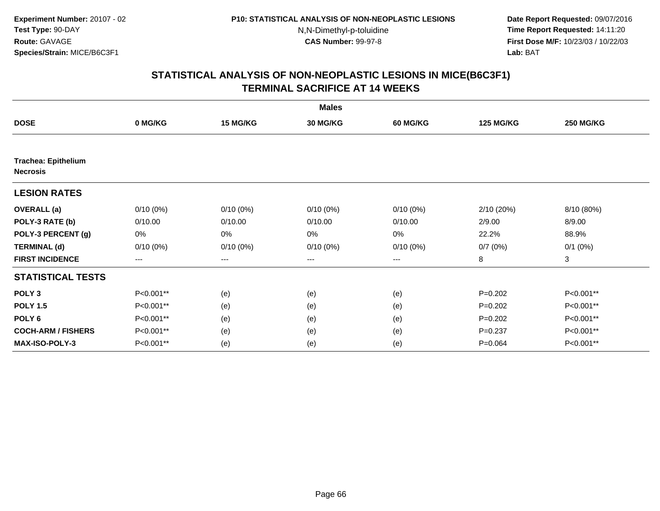**Date Report Requested:** 09/07/2016 **Time Report Requested:** 14:11:20 **First Dose M/F:** 10/23/03 / 10/22/03<br>**Lab:** BAT **Lab:** BAT

|                                               |             |                        | <b>Males</b> |                 |                  |                  |
|-----------------------------------------------|-------------|------------------------|--------------|-----------------|------------------|------------------|
| <b>DOSE</b>                                   | 0 MG/KG     | 15 MG/KG               | 30 MG/KG     | <b>60 MG/KG</b> | <b>125 MG/KG</b> | <b>250 MG/KG</b> |
|                                               |             |                        |              |                 |                  |                  |
| <b>Trachea: Epithelium</b><br><b>Necrosis</b> |             |                        |              |                 |                  |                  |
| <b>LESION RATES</b>                           |             |                        |              |                 |                  |                  |
| <b>OVERALL (a)</b>                            | $0/10(0\%)$ | $0/10(0\%)$            | $0/10(0\%)$  | $0/10(0\%)$     | 2/10 (20%)       | 8/10 (80%)       |
| POLY-3 RATE (b)                               | 0/10.00     | 0/10.00                | 0/10.00      | 0/10.00         | 2/9.00           | 8/9.00           |
| POLY-3 PERCENT (g)                            | 0%          | 0%                     | 0%           | 0%              | 22.2%            | 88.9%            |
| <b>TERMINAL (d)</b>                           | $0/10(0\%)$ | $0/10(0\%)$            | $0/10(0\%)$  | $0/10(0\%)$     | 0/7(0%)          | $0/1$ $(0%)$     |
| <b>FIRST INCIDENCE</b>                        | ---         | $\qquad \qquad \cdots$ | ---          | ---             | 8                | 3                |
| <b>STATISTICAL TESTS</b>                      |             |                        |              |                 |                  |                  |
| POLY <sub>3</sub>                             | P<0.001**   | (e)                    | (e)          | (e)             | $P=0.202$        | P<0.001**        |
| <b>POLY 1.5</b>                               | P<0.001**   | (e)                    | (e)          | (e)             | $P=0.202$        | P<0.001**        |
| POLY <sub>6</sub>                             | P<0.001**   | (e)                    | (e)          | (e)             | $P=0.202$        | P<0.001**        |
| <b>COCH-ARM / FISHERS</b>                     | P<0.001**   | (e)                    | (e)          | (e)             | $P = 0.237$      | P<0.001**        |
| <b>MAX-ISO-POLY-3</b>                         | P<0.001**   | (e)                    | (e)          | (e)             | $P = 0.064$      | P<0.001**        |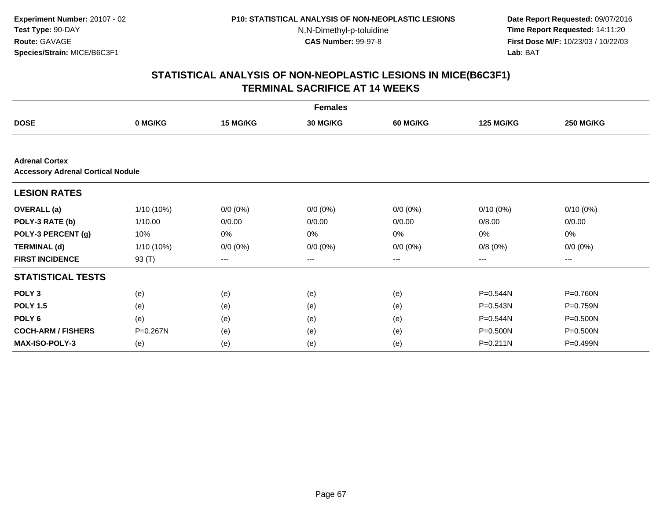**Date Report Requested:** 09/07/2016 **Time Report Requested:** 14:11:20 **First Dose M/F:** 10/23/03 / 10/22/03<br>**Lab:** BAT **Lab:** BAT

|                                                                   |              |             | <b>Females</b>  |                 |                  |                  |
|-------------------------------------------------------------------|--------------|-------------|-----------------|-----------------|------------------|------------------|
| <b>DOSE</b>                                                       | 0 MG/KG      | 15 MG/KG    | <b>30 MG/KG</b> | <b>60 MG/KG</b> | <b>125 MG/KG</b> | <b>250 MG/KG</b> |
|                                                                   |              |             |                 |                 |                  |                  |
| <b>Adrenal Cortex</b><br><b>Accessory Adrenal Cortical Nodule</b> |              |             |                 |                 |                  |                  |
| <b>LESION RATES</b>                                               |              |             |                 |                 |                  |                  |
| <b>OVERALL</b> (a)                                                | $1/10(10\%)$ | $0/0 (0\%)$ | $0/0 (0\%)$     | $0/0 (0\%)$     | $0/10(0\%)$      | $0/10(0\%)$      |
| POLY-3 RATE (b)                                                   | 1/10.00      | 0/0.00      | 0/0.00          | 0/0.00          | 0/8.00           | 0/0.00           |
| POLY-3 PERCENT (g)                                                | 10%          | 0%          | 0%              | 0%              | 0%               | $0\%$            |
| <b>TERMINAL (d)</b>                                               | $1/10(10\%)$ | $0/0 (0\%)$ | $0/0 (0\%)$     | $0/0 (0\%)$     | 0/8(0%)          | $0/0 (0\%)$      |
| <b>FIRST INCIDENCE</b>                                            | 93 (T)       | $--$        | ---             | ---             | $---$            | ---              |
| <b>STATISTICAL TESTS</b>                                          |              |             |                 |                 |                  |                  |
| POLY <sub>3</sub>                                                 | (e)          | (e)         | (e)             | (e)             | P=0.544N         | P=0.760N         |
| <b>POLY 1.5</b>                                                   | (e)          | (e)         | (e)             | (e)             | P=0.543N         | P=0.759N         |
| POLY <sub>6</sub>                                                 | (e)          | (e)         | (e)             | (e)             | P=0.544N         | P=0.500N         |
| <b>COCH-ARM / FISHERS</b>                                         | P=0.267N     | (e)         | (e)             | (e)             | P=0.500N         | P=0.500N         |
| <b>MAX-ISO-POLY-3</b>                                             | (e)          | (e)         | (e)             | (e)             | P=0.211N         | P=0.499N         |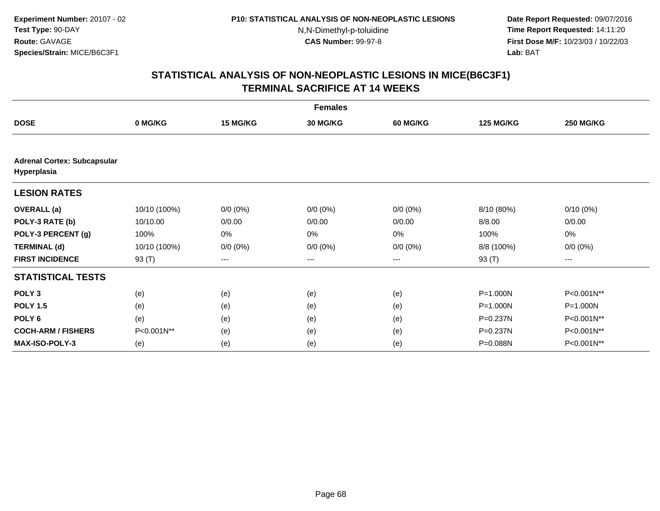**Date Report Requested:** 09/07/2016 **Time Report Requested:** 14:11:20 **First Dose M/F:** 10/23/03 / 10/22/03<br>**Lab:** BAT **Lab:** BAT

|                                                   | <b>Females</b> |                        |                 |                 |                  |                  |  |  |  |
|---------------------------------------------------|----------------|------------------------|-----------------|-----------------|------------------|------------------|--|--|--|
| <b>DOSE</b>                                       | 0 MG/KG        | 15 MG/KG               | <b>30 MG/KG</b> | <b>60 MG/KG</b> | <b>125 MG/KG</b> | <b>250 MG/KG</b> |  |  |  |
|                                                   |                |                        |                 |                 |                  |                  |  |  |  |
| <b>Adrenal Cortex: Subcapsular</b><br>Hyperplasia |                |                        |                 |                 |                  |                  |  |  |  |
| <b>LESION RATES</b>                               |                |                        |                 |                 |                  |                  |  |  |  |
| <b>OVERALL</b> (a)                                | 10/10 (100%)   | $0/0 (0\%)$            | $0/0 (0\%)$     | $0/0 (0\%)$     | 8/10 (80%)       | $0/10(0\%)$      |  |  |  |
| POLY-3 RATE (b)                                   | 10/10.00       | 0/0.00                 | 0/0.00          | 0/0.00          | 8/8.00           | 0/0.00           |  |  |  |
| POLY-3 PERCENT (g)                                | 100%           | 0%                     | 0%              | 0%              | 100%             | 0%               |  |  |  |
| <b>TERMINAL (d)</b>                               | 10/10 (100%)   | $0/0 (0\%)$            | $0/0 (0\%)$     | $0/0 (0\%)$     | 8/8 (100%)       | $0/0 (0\%)$      |  |  |  |
| <b>FIRST INCIDENCE</b>                            | 93 $(T)$       | $\qquad \qquad \cdots$ | ---             | ---             | 93 (T)           | ---              |  |  |  |
| <b>STATISTICAL TESTS</b>                          |                |                        |                 |                 |                  |                  |  |  |  |
| POLY <sub>3</sub>                                 | (e)            | (e)                    | (e)             | (e)             | P=1.000N         | P<0.001N**       |  |  |  |
| <b>POLY 1.5</b>                                   | (e)            | (e)                    | (e)             | (e)             | $P = 1.000N$     | P=1.000N         |  |  |  |
| POLY <sub>6</sub>                                 | (e)            | (e)                    | (e)             | (e)             | P=0.237N         | P<0.001N**       |  |  |  |
| <b>COCH-ARM / FISHERS</b>                         | P<0.001N**     | (e)                    | (e)             | (e)             | P=0.237N         | P<0.001N**       |  |  |  |
| <b>MAX-ISO-POLY-3</b>                             | (e)            | (e)                    | (e)             | (e)             | P=0.088N         | P<0.001N**       |  |  |  |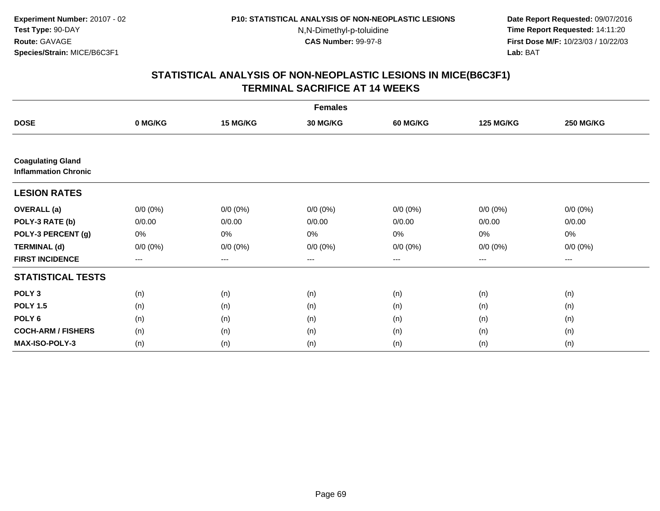**Date Report Requested:** 09/07/2016 **Time Report Requested:** 14:11:20 **First Dose M/F:** 10/23/03 / 10/22/03<br>**Lab:** BAT **Lab:** BAT

| <b>Females</b>                                          |             |             |                 |                 |                  |                  |  |
|---------------------------------------------------------|-------------|-------------|-----------------|-----------------|------------------|------------------|--|
| <b>DOSE</b>                                             | 0 MG/KG     | 15 MG/KG    | <b>30 MG/KG</b> | <b>60 MG/KG</b> | <b>125 MG/KG</b> | <b>250 MG/KG</b> |  |
|                                                         |             |             |                 |                 |                  |                  |  |
| <b>Coagulating Gland</b><br><b>Inflammation Chronic</b> |             |             |                 |                 |                  |                  |  |
| <b>LESION RATES</b>                                     |             |             |                 |                 |                  |                  |  |
| <b>OVERALL</b> (a)                                      | $0/0 (0\%)$ | $0/0 (0\%)$ | $0/0 (0\%)$     | $0/0 (0\%)$     | $0/0 (0\%)$      | $0/0 (0\%)$      |  |
| POLY-3 RATE (b)                                         | 0/0.00      | 0/0.00      | 0/0.00          | 0/0.00          | 0/0.00           | 0/0.00           |  |
| POLY-3 PERCENT (g)                                      | 0%          | $0\%$       | 0%              | 0%              | 0%               | 0%               |  |
| <b>TERMINAL (d)</b>                                     | $0/0 (0\%)$ | $0/0 (0\%)$ | $0/0 (0\%)$     | $0/0 (0\%)$     | $0/0 (0\%)$      | $0/0 (0\%)$      |  |
| <b>FIRST INCIDENCE</b>                                  | $---$       | $\cdots$    | $\cdots$        | $\cdots$        | $\cdots$         | ---              |  |
| <b>STATISTICAL TESTS</b>                                |             |             |                 |                 |                  |                  |  |
| POLY <sub>3</sub>                                       | (n)         | (n)         | (n)             | (n)             | (n)              | (n)              |  |
| <b>POLY 1.5</b>                                         | (n)         | (n)         | (n)             | (n)             | (n)              | (n)              |  |
| POLY <sub>6</sub>                                       | (n)         | (n)         | (n)             | (n)             | (n)              | (n)              |  |
| <b>COCH-ARM / FISHERS</b>                               | (n)         | (n)         | (n)             | (n)             | (n)              | (n)              |  |
| <b>MAX-ISO-POLY-3</b>                                   | (n)         | (n)         | (n)             | (n)             | (n)              | (n)              |  |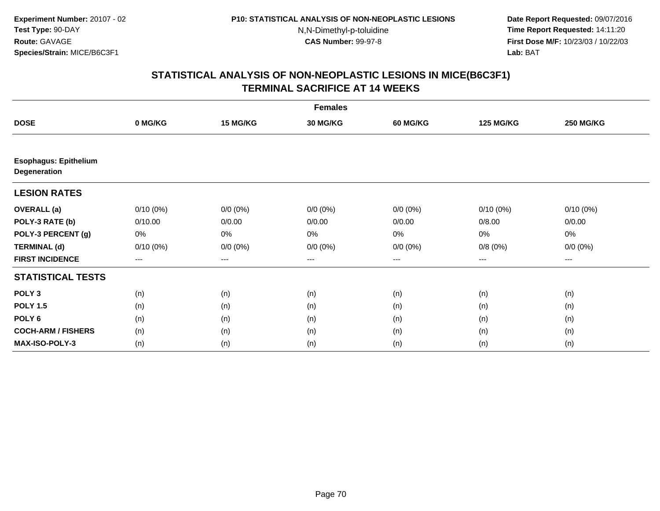**Date Report Requested:** 09/07/2016 **Time Report Requested:** 14:11:20 **First Dose M/F:** 10/23/03 / 10/22/03<br>**Lab:** BAT **Lab:** BAT

|                                              | <b>Females</b> |             |                 |                 |                  |                  |  |  |
|----------------------------------------------|----------------|-------------|-----------------|-----------------|------------------|------------------|--|--|
| <b>DOSE</b>                                  | 0 MG/KG        | 15 MG/KG    | <b>30 MG/KG</b> | <b>60 MG/KG</b> | <b>125 MG/KG</b> | <b>250 MG/KG</b> |  |  |
|                                              |                |             |                 |                 |                  |                  |  |  |
| <b>Esophagus: Epithelium</b><br>Degeneration |                |             |                 |                 |                  |                  |  |  |
| <b>LESION RATES</b>                          |                |             |                 |                 |                  |                  |  |  |
| <b>OVERALL</b> (a)                           | $0/10(0\%)$    | $0/0 (0\%)$ | $0/0 (0\%)$     | $0/0 (0\%)$     | $0/10(0\%)$      | $0/10(0\%)$      |  |  |
| POLY-3 RATE (b)                              | 0/10.00        | 0/0.00      | 0/0.00          | 0/0.00          | 0/8.00           | 0/0.00           |  |  |
| POLY-3 PERCENT (g)                           | 0%             | 0%          | 0%              | 0%              | 0%               | $0\%$            |  |  |
| <b>TERMINAL (d)</b>                          | $0/10(0\%)$    | $0/0 (0\%)$ | $0/0 (0\%)$     | $0/0 (0\%)$     | 0/8(0%)          | $0/0 (0\%)$      |  |  |
| <b>FIRST INCIDENCE</b>                       | $---$          | ---         | ---             | ---             | $---$            | ---              |  |  |
| <b>STATISTICAL TESTS</b>                     |                |             |                 |                 |                  |                  |  |  |
| POLY <sub>3</sub>                            | (n)            | (n)         | (n)             | (n)             | (n)              | (n)              |  |  |
| <b>POLY 1.5</b>                              | (n)            | (n)         | (n)             | (n)             | (n)              | (n)              |  |  |
| POLY <sub>6</sub>                            | (n)            | (n)         | (n)             | (n)             | (n)              | (n)              |  |  |
| <b>COCH-ARM / FISHERS</b>                    | (n)            | (n)         | (n)             | (n)             | (n)              | (n)              |  |  |
| MAX-ISO-POLY-3                               | (n)            | (n)         | (n)             | (n)             | (n)              | (n)              |  |  |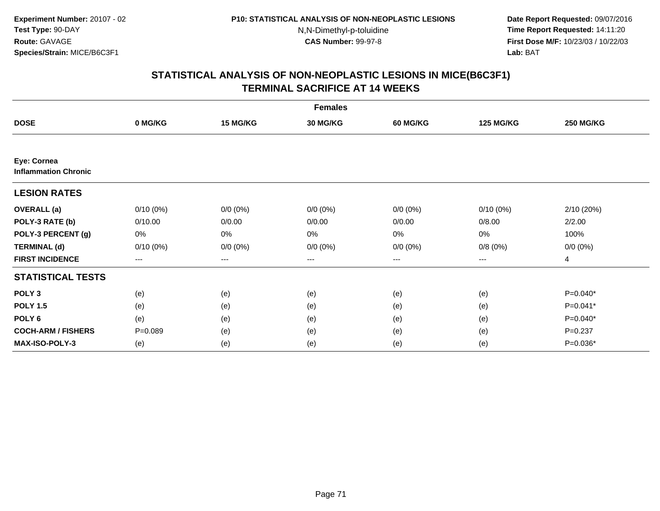**Date Report Requested:** 09/07/2016 **Time Report Requested:** 14:11:20 **First Dose M/F:** 10/23/03 / 10/22/03<br>**Lab:** BAT **Lab:** BAT

|                                            | <b>Females</b> |             |                 |                 |                  |                  |  |  |  |
|--------------------------------------------|----------------|-------------|-----------------|-----------------|------------------|------------------|--|--|--|
| <b>DOSE</b>                                | 0 MG/KG        | 15 MG/KG    | <b>30 MG/KG</b> | <b>60 MG/KG</b> | <b>125 MG/KG</b> | <b>250 MG/KG</b> |  |  |  |
|                                            |                |             |                 |                 |                  |                  |  |  |  |
| Eye: Cornea<br><b>Inflammation Chronic</b> |                |             |                 |                 |                  |                  |  |  |  |
| <b>LESION RATES</b>                        |                |             |                 |                 |                  |                  |  |  |  |
| <b>OVERALL</b> (a)                         | $0/10(0\%)$    | $0/0 (0\%)$ | $0/0 (0\%)$     | $0/0 (0\%)$     | $0/10(0\%)$      | 2/10 (20%)       |  |  |  |
| POLY-3 RATE (b)                            | 0/10.00        | 0/0.00      | 0/0.00          | 0/0.00          | 0/8.00           | 2/2.00           |  |  |  |
| POLY-3 PERCENT (g)                         | 0%             | 0%          | 0%              | 0%              | 0%               | 100%             |  |  |  |
| <b>TERMINAL (d)</b>                        | $0/10(0\%)$    | $0/0 (0\%)$ | $0/0 (0\%)$     | $0/0 (0\%)$     | 0/8(0%)          | $0/0 (0\%)$      |  |  |  |
| <b>FIRST INCIDENCE</b>                     | $--$           | $--$        | ---             | ---             | ---              | 4                |  |  |  |
| <b>STATISTICAL TESTS</b>                   |                |             |                 |                 |                  |                  |  |  |  |
| POLY <sub>3</sub>                          | (e)            | (e)         | (e)             | (e)             | (e)              | P=0.040*         |  |  |  |
| <b>POLY 1.5</b>                            | (e)            | (e)         | (e)             | (e)             | (e)              | P=0.041*         |  |  |  |
| POLY <sub>6</sub>                          | (e)            | (e)         | (e)             | (e)             | (e)              | $P=0.040*$       |  |  |  |
| <b>COCH-ARM / FISHERS</b>                  | $P = 0.089$    | (e)         | (e)             | (e)             | (e)              | $P = 0.237$      |  |  |  |
| <b>MAX-ISO-POLY-3</b>                      | (e)            | (e)         | (e)             | (e)             | (e)              | P=0.036*         |  |  |  |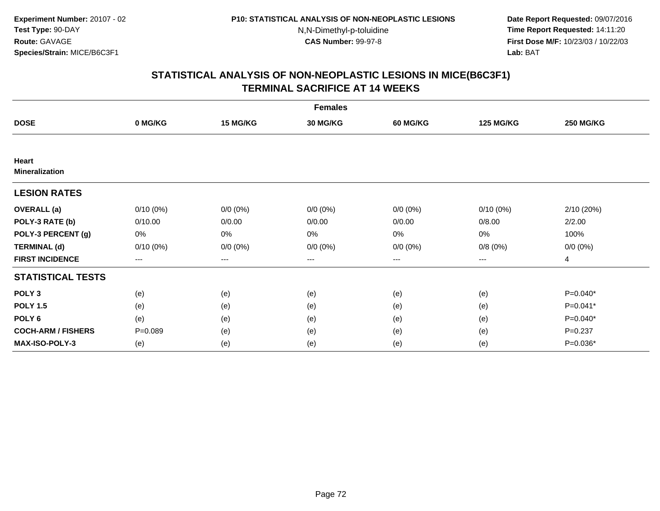**Date Report Requested:** 09/07/2016 **Time Report Requested:** 14:11:20 **First Dose M/F:** 10/23/03 / 10/22/03<br>**Lab:** BAT **Lab:** BAT

| <b>Females</b>                 |             |             |                 |             |                  |                  |  |  |
|--------------------------------|-------------|-------------|-----------------|-------------|------------------|------------------|--|--|
| <b>DOSE</b>                    | 0 MG/KG     | 15 MG/KG    | <b>30 MG/KG</b> | 60 MG/KG    | <b>125 MG/KG</b> | <b>250 MG/KG</b> |  |  |
|                                |             |             |                 |             |                  |                  |  |  |
| Heart<br><b>Mineralization</b> |             |             |                 |             |                  |                  |  |  |
| <b>LESION RATES</b>            |             |             |                 |             |                  |                  |  |  |
| <b>OVERALL</b> (a)             | $0/10(0\%)$ | $0/0 (0\%)$ | $0/0 (0\%)$     | $0/0 (0\%)$ | $0/10(0\%)$      | 2/10 (20%)       |  |  |
| POLY-3 RATE (b)                | 0/10.00     | 0/0.00      | 0/0.00          | 0/0.00      | 0/8.00           | 2/2.00           |  |  |
| POLY-3 PERCENT (g)             | 0%          | 0%          | 0%              | 0%          | 0%               | 100%             |  |  |
| <b>TERMINAL (d)</b>            | $0/10(0\%)$ | $0/0 (0\%)$ | $0/0 (0\%)$     | $0/0 (0\%)$ | 0/8(0%)          | $0/0 (0\%)$      |  |  |
| <b>FIRST INCIDENCE</b>         | ---         | $--$        | $--$            | ---         | $--$             | $\overline{4}$   |  |  |
| <b>STATISTICAL TESTS</b>       |             |             |                 |             |                  |                  |  |  |
| POLY <sub>3</sub>              | (e)         | (e)         | (e)             | (e)         | (e)              | $P=0.040*$       |  |  |
| <b>POLY 1.5</b>                | (e)         | (e)         | (e)             | (e)         | (e)              | P=0.041*         |  |  |
| POLY 6                         | (e)         | (e)         | (e)             | (e)         | (e)              | $P=0.040*$       |  |  |
| <b>COCH-ARM / FISHERS</b>      | $P = 0.089$ | (e)         | (e)             | (e)         | (e)              | $P = 0.237$      |  |  |
| MAX-ISO-POLY-3                 | (e)         | (e)         | (e)             | (e)         | (e)              | P=0.036*         |  |  |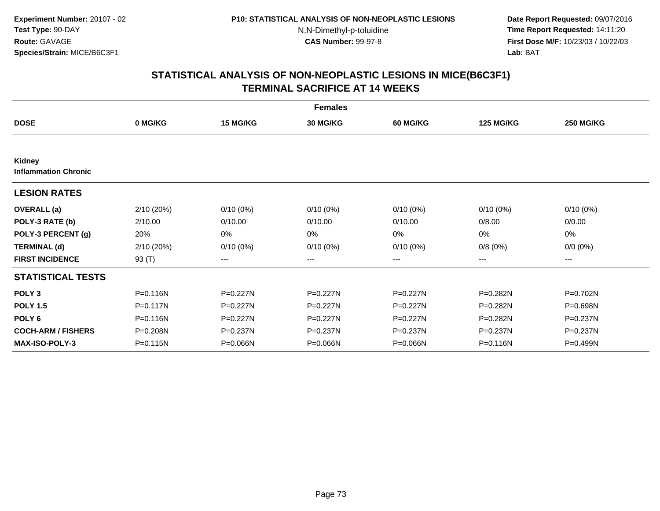**Date Report Requested:** 09/07/2016 **Time Report Requested:** 14:11:20 **First Dose M/F:** 10/23/03 / 10/22/03<br>**Lab:** BAT **Lab:** BAT

| <b>Females</b>                        |            |              |                 |                 |                  |                  |  |  |  |
|---------------------------------------|------------|--------------|-----------------|-----------------|------------------|------------------|--|--|--|
| <b>DOSE</b>                           | 0 MG/KG    | 15 MG/KG     | <b>30 MG/KG</b> | <b>60 MG/KG</b> | <b>125 MG/KG</b> | <b>250 MG/KG</b> |  |  |  |
|                                       |            |              |                 |                 |                  |                  |  |  |  |
| Kidney<br><b>Inflammation Chronic</b> |            |              |                 |                 |                  |                  |  |  |  |
| <b>LESION RATES</b>                   |            |              |                 |                 |                  |                  |  |  |  |
| <b>OVERALL</b> (a)                    | 2/10 (20%) | $0/10(0\%)$  | $0/10(0\%)$     | $0/10(0\%)$     | $0/10(0\%)$      | $0/10(0\%)$      |  |  |  |
| POLY-3 RATE (b)                       | 2/10.00    | 0/10.00      | 0/10.00         | 0/10.00         | 0/8.00           | 0/0.00           |  |  |  |
| POLY-3 PERCENT (g)                    | 20%        | 0%           | 0%              | 0%              | 0%               | 0%               |  |  |  |
| <b>TERMINAL (d)</b>                   | 2/10 (20%) | $0/10(0\%)$  | $0/10(0\%)$     | $0/10(0\%)$     | 0/8(0%)          | $0/0 (0\%)$      |  |  |  |
| <b>FIRST INCIDENCE</b>                | 93 $(T)$   | $--$         | ---             | ---             | ---              | ---              |  |  |  |
| <b>STATISTICAL TESTS</b>              |            |              |                 |                 |                  |                  |  |  |  |
| POLY <sub>3</sub>                     | P=0.116N   | $P=0.227N$   | $P=0.227N$      | $P = 0.227N$    | P=0.282N         | P=0.702N         |  |  |  |
| <b>POLY 1.5</b>                       | P=0.117N   | P=0.227N     | P=0.227N        | P=0.227N        | P=0.282N         | P=0.698N         |  |  |  |
| POLY <sub>6</sub>                     | P=0.116N   | $P = 0.227N$ | P=0.227N        | $P = 0.227N$    | P=0.282N         | P=0.237N         |  |  |  |
| <b>COCH-ARM / FISHERS</b>             | P=0.208N   | P=0.237N     | P=0.237N        | P=0.237N        | $P = 0.237N$     | P=0.237N         |  |  |  |
| <b>MAX-ISO-POLY-3</b>                 | P=0.115N   | P=0.066N     | P=0.066N        | P=0.066N        | P=0.116N         | P=0.499N         |  |  |  |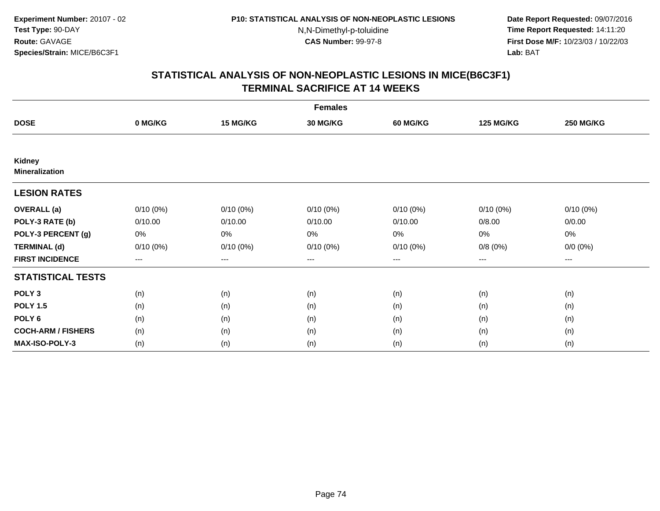**Date Report Requested:** 09/07/2016 **Time Report Requested:** 14:11:20 **First Dose M/F:** 10/23/03 / 10/22/03<br>**Lab:** BAT **Lab:** BAT

| <b>Females</b>                  |             |             |                 |                 |                        |                   |  |  |  |
|---------------------------------|-------------|-------------|-----------------|-----------------|------------------------|-------------------|--|--|--|
| <b>DOSE</b>                     | 0 MG/KG     | 15 MG/KG    | <b>30 MG/KG</b> | <b>60 MG/KG</b> | <b>125 MG/KG</b>       | <b>250 MG/KG</b>  |  |  |  |
|                                 |             |             |                 |                 |                        |                   |  |  |  |
| Kidney<br><b>Mineralization</b> |             |             |                 |                 |                        |                   |  |  |  |
| <b>LESION RATES</b>             |             |             |                 |                 |                        |                   |  |  |  |
| <b>OVERALL</b> (a)              | $0/10(0\%)$ | $0/10(0\%)$ | $0/10(0\%)$     | $0/10(0\%)$     | $0/10(0\%)$            | $0/10(0\%)$       |  |  |  |
| POLY-3 RATE (b)                 | 0/10.00     | 0/10.00     | 0/10.00         | 0/10.00         | 0/8.00                 | 0/0.00            |  |  |  |
| POLY-3 PERCENT (g)              | 0%          | 0%          | 0%              | 0%              | 0%                     | 0%                |  |  |  |
| <b>TERMINAL (d)</b>             | $0/10(0\%)$ | $0/10(0\%)$ | $0/10(0\%)$     | $0/10(0\%)$     | 0/8(0%)                | $0/0 (0\%)$       |  |  |  |
| <b>FIRST INCIDENCE</b>          | ---         | $---$       | ---             | ---             | $\qquad \qquad \cdots$ | $\qquad \qquad -$ |  |  |  |
| <b>STATISTICAL TESTS</b>        |             |             |                 |                 |                        |                   |  |  |  |
| POLY <sub>3</sub>               | (n)         | (n)         | (n)             | (n)             | (n)                    | (n)               |  |  |  |
| <b>POLY 1.5</b>                 | (n)         | (n)         | (n)             | (n)             | (n)                    | (n)               |  |  |  |
| POLY <sub>6</sub>               | (n)         | (n)         | (n)             | (n)             | (n)                    | (n)               |  |  |  |
| <b>COCH-ARM / FISHERS</b>       | (n)         | (n)         | (n)             | (n)             | (n)                    | (n)               |  |  |  |
| <b>MAX-ISO-POLY-3</b>           | (n)         | (n)         | (n)             | (n)             | (n)                    | (n)               |  |  |  |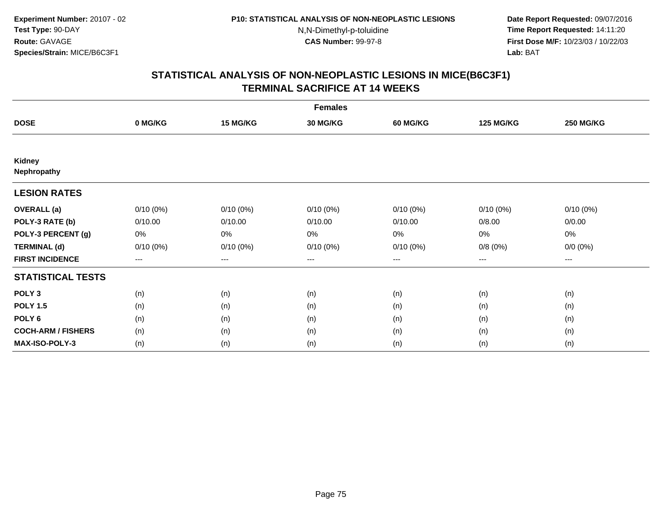**Date Report Requested:** 09/07/2016 **Time Report Requested:** 14:11:20 **First Dose M/F:** 10/23/03 / 10/22/03<br>**Lab:** BAT **Lab:** BAT

| <b>Females</b>               |             |             |                 |                 |                  |                  |  |  |  |
|------------------------------|-------------|-------------|-----------------|-----------------|------------------|------------------|--|--|--|
| <b>DOSE</b>                  | 0 MG/KG     | 15 MG/KG    | <b>30 MG/KG</b> | <b>60 MG/KG</b> | <b>125 MG/KG</b> | <b>250 MG/KG</b> |  |  |  |
|                              |             |             |                 |                 |                  |                  |  |  |  |
| <b>Kidney</b><br>Nephropathy |             |             |                 |                 |                  |                  |  |  |  |
| <b>LESION RATES</b>          |             |             |                 |                 |                  |                  |  |  |  |
| <b>OVERALL</b> (a)           | $0/10(0\%)$ | $0/10(0\%)$ | $0/10(0\%)$     | $0/10(0\%)$     | $0/10(0\%)$      | $0/10(0\%)$      |  |  |  |
| POLY-3 RATE (b)              | 0/10.00     | 0/10.00     | 0/10.00         | 0/10.00         | 0/8.00           | 0/0.00           |  |  |  |
| POLY-3 PERCENT (g)           | 0%          | 0%          | 0%              | 0%              | 0%               | 0%               |  |  |  |
| <b>TERMINAL (d)</b>          | $0/10(0\%)$ | $0/10(0\%)$ | $0/10(0\%)$     | $0/10(0\%)$     | 0/8(0%)          | $0/0 (0\%)$      |  |  |  |
| <b>FIRST INCIDENCE</b>       | ---         | $--$        | $--$            | ---             | $--$             | ---              |  |  |  |
| <b>STATISTICAL TESTS</b>     |             |             |                 |                 |                  |                  |  |  |  |
| POLY <sub>3</sub>            | (n)         | (n)         | (n)             | (n)             | (n)              | (n)              |  |  |  |
| <b>POLY 1.5</b>              | (n)         | (n)         | (n)             | (n)             | (n)              | (n)              |  |  |  |
| POLY 6                       | (n)         | (n)         | (n)             | (n)             | (n)              | (n)              |  |  |  |
| <b>COCH-ARM / FISHERS</b>    | (n)         | (n)         | (n)             | (n)             | (n)              | (n)              |  |  |  |
| MAX-ISO-POLY-3               | (n)         | (n)         | (n)             | (n)             | (n)              | (n)              |  |  |  |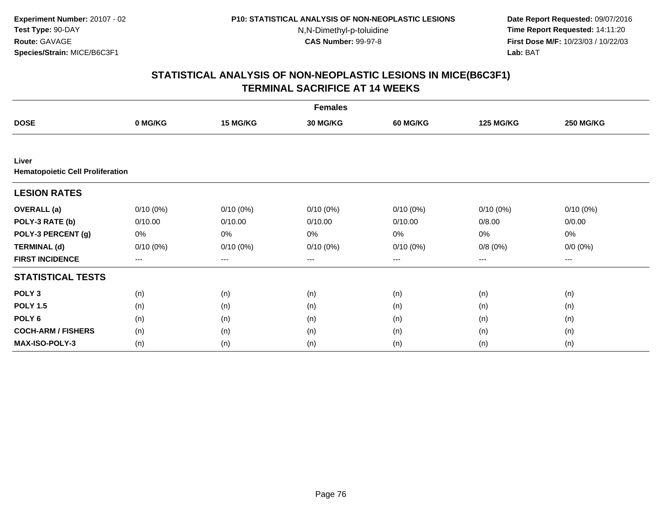**Date Report Requested:** 09/07/2016 **Time Report Requested:** 14:11:20 **First Dose M/F:** 10/23/03 / 10/22/03<br>**Lab:** BAT **Lab:** BAT

| <b>Females</b>                                   |             |             |             |                   |                  |                  |  |  |  |
|--------------------------------------------------|-------------|-------------|-------------|-------------------|------------------|------------------|--|--|--|
| <b>DOSE</b>                                      | 0 MG/KG     | 15 MG/KG    | 30 MG/KG    | 60 MG/KG          | <b>125 MG/KG</b> | <b>250 MG/KG</b> |  |  |  |
|                                                  |             |             |             |                   |                  |                  |  |  |  |
| Liver<br><b>Hematopoietic Cell Proliferation</b> |             |             |             |                   |                  |                  |  |  |  |
| <b>LESION RATES</b>                              |             |             |             |                   |                  |                  |  |  |  |
| <b>OVERALL</b> (a)                               | $0/10(0\%)$ | $0/10(0\%)$ | $0/10(0\%)$ | $0/10(0\%)$       | $0/10(0\%)$      | $0/10(0\%)$      |  |  |  |
| POLY-3 RATE (b)                                  | 0/10.00     | 0/10.00     | 0/10.00     | 0/10.00           | 0/8.00           | 0/0.00           |  |  |  |
| POLY-3 PERCENT (g)                               | 0%          | 0%          | 0%          | 0%                | $0\%$            | 0%               |  |  |  |
| <b>TERMINAL (d)</b>                              | $0/10(0\%)$ | $0/10(0\%)$ | $0/10(0\%)$ | $0/10(0\%)$       | 0/8(0%)          | $0/0 (0\%)$      |  |  |  |
| <b>FIRST INCIDENCE</b>                           | $---$       | ---         | ---         | $\qquad \qquad -$ | $---$            | $---$            |  |  |  |
| <b>STATISTICAL TESTS</b>                         |             |             |             |                   |                  |                  |  |  |  |
| POLY <sub>3</sub>                                | (n)         | (n)         | (n)         | (n)               | (n)              | (n)              |  |  |  |
| <b>POLY 1.5</b>                                  | (n)         | (n)         | (n)         | (n)               | (n)              | (n)              |  |  |  |
| POLY <sub>6</sub>                                | (n)         | (n)         | (n)         | (n)               | (n)              | (n)              |  |  |  |
| <b>COCH-ARM / FISHERS</b>                        | (n)         | (n)         | (n)         | (n)               | (n)              | (n)              |  |  |  |
| MAX-ISO-POLY-3                                   | (n)         | (n)         | (n)         | (n)               | (n)              | (n)              |  |  |  |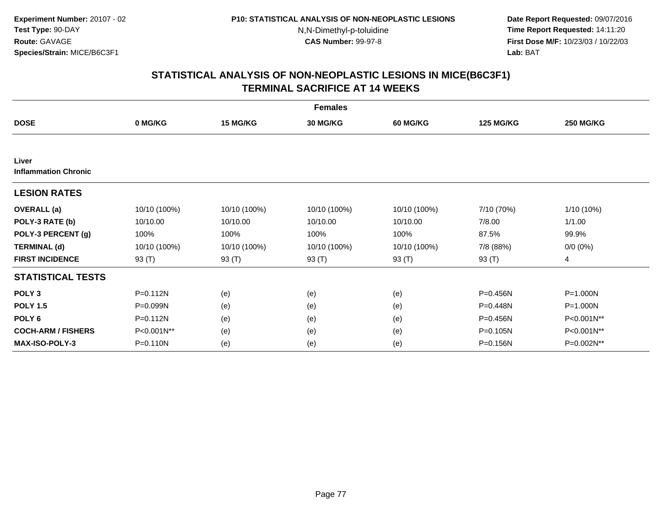**Date Report Requested:** 09/07/2016 **Time Report Requested:** 14:11:20 **First Dose M/F:** 10/23/03 / 10/22/03<br>**Lab:** BAT **Lab:** BAT

| <b>Females</b>                       |              |              |                 |                 |                  |                  |  |  |  |
|--------------------------------------|--------------|--------------|-----------------|-----------------|------------------|------------------|--|--|--|
| <b>DOSE</b>                          | 0 MG/KG      | 15 MG/KG     | <b>30 MG/KG</b> | <b>60 MG/KG</b> | <b>125 MG/KG</b> | <b>250 MG/KG</b> |  |  |  |
|                                      |              |              |                 |                 |                  |                  |  |  |  |
| Liver<br><b>Inflammation Chronic</b> |              |              |                 |                 |                  |                  |  |  |  |
| <b>LESION RATES</b>                  |              |              |                 |                 |                  |                  |  |  |  |
| <b>OVERALL</b> (a)                   | 10/10 (100%) | 10/10 (100%) | 10/10 (100%)    | 10/10 (100%)    | 7/10 (70%)       | 1/10 (10%)       |  |  |  |
| POLY-3 RATE (b)                      | 10/10.00     | 10/10.00     | 10/10.00        | 10/10.00        | 7/8.00           | 1/1.00           |  |  |  |
| POLY-3 PERCENT (g)                   | 100%         | 100%         | 100%            | 100%            | 87.5%            | 99.9%            |  |  |  |
| <b>TERMINAL (d)</b>                  | 10/10 (100%) | 10/10 (100%) | 10/10 (100%)    | 10/10 (100%)    | 7/8 (88%)        | $0/0 (0\%)$      |  |  |  |
| <b>FIRST INCIDENCE</b>               | 93 (T)       | 93 (T)       | 93 (T)          | 93 (T)          | 93 (T)           | 4                |  |  |  |
| <b>STATISTICAL TESTS</b>             |              |              |                 |                 |                  |                  |  |  |  |
| POLY <sub>3</sub>                    | $P = 0.112N$ | (e)          | (e)             | (e)             | P=0.456N         | P=1.000N         |  |  |  |
| <b>POLY 1.5</b>                      | P=0.099N     | (e)          | (e)             | (e)             | P=0.448N         | P=1.000N         |  |  |  |
| POLY <sub>6</sub>                    | $P = 0.112N$ | (e)          | (e)             | (e)             | P=0.456N         | P<0.001N**       |  |  |  |
| <b>COCH-ARM / FISHERS</b>            | P<0.001N**   | (e)          | (e)             | (e)             | P=0.105N         | P<0.001N**       |  |  |  |
| <b>MAX-ISO-POLY-3</b>                | P=0.110N     | (e)          | (e)             | (e)             | P=0.156N         | P=0.002N**       |  |  |  |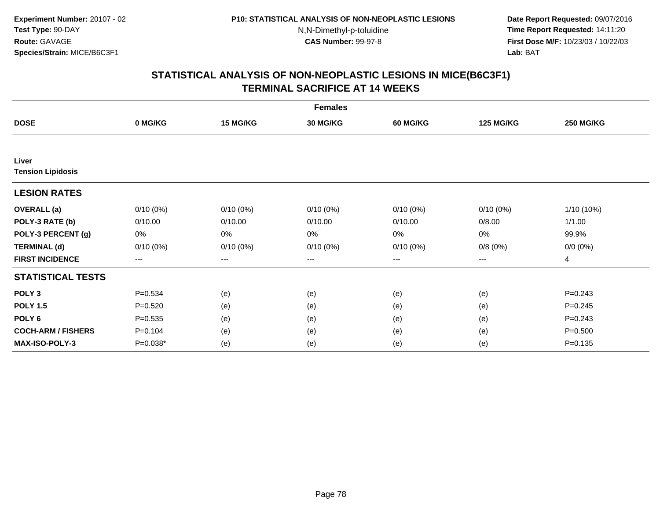**Date Report Requested:** 09/07/2016 **Time Report Requested:** 14:11:20 **First Dose M/F:** 10/23/03 / 10/22/03<br>**Lab:** BAT **Lab:** BAT

| <b>Females</b>            |             |                        |                 |                 |                  |                  |  |  |  |
|---------------------------|-------------|------------------------|-----------------|-----------------|------------------|------------------|--|--|--|
| <b>DOSE</b>               | 0 MG/KG     | 15 MG/KG               | <b>30 MG/KG</b> | <b>60 MG/KG</b> | <b>125 MG/KG</b> | <b>250 MG/KG</b> |  |  |  |
|                           |             |                        |                 |                 |                  |                  |  |  |  |
| Liver                     |             |                        |                 |                 |                  |                  |  |  |  |
| <b>Tension Lipidosis</b>  |             |                        |                 |                 |                  |                  |  |  |  |
| <b>LESION RATES</b>       |             |                        |                 |                 |                  |                  |  |  |  |
| <b>OVERALL</b> (a)        | $0/10(0\%)$ | $0/10(0\%)$            | $0/10(0\%)$     | $0/10(0\%)$     | $0/10(0\%)$      | 1/10 (10%)       |  |  |  |
| POLY-3 RATE (b)           | 0/10.00     | 0/10.00                | 0/10.00         | 0/10.00         | 0/8.00           | 1/1.00           |  |  |  |
| POLY-3 PERCENT (g)        | 0%          | 0%                     | 0%              | 0%              | 0%               | 99.9%            |  |  |  |
| <b>TERMINAL (d)</b>       | $0/10(0\%)$ | $0/10(0\%)$            | $0/10(0\%)$     | $0/10(0\%)$     | 0/8(0%)          | $0/0 (0\%)$      |  |  |  |
| <b>FIRST INCIDENCE</b>    | ---         | $\qquad \qquad \cdots$ | ---             | ---             | $---$            | 4                |  |  |  |
| <b>STATISTICAL TESTS</b>  |             |                        |                 |                 |                  |                  |  |  |  |
| POLY <sub>3</sub>         | $P = 0.534$ | (e)                    | (e)             | (e)             | (e)              | $P = 0.243$      |  |  |  |
| <b>POLY 1.5</b>           | $P = 0.520$ | (e)                    | (e)             | (e)             | (e)              | $P = 0.245$      |  |  |  |
| POLY <sub>6</sub>         | $P = 0.535$ | (e)                    | (e)             | (e)             | (e)              | $P = 0.243$      |  |  |  |
| <b>COCH-ARM / FISHERS</b> | $P = 0.104$ | (e)                    | (e)             | (e)             | (e)              | $P = 0.500$      |  |  |  |
| <b>MAX-ISO-POLY-3</b>     | P=0.038*    | (e)                    | (e)             | (e)             | (e)              | $P = 0.135$      |  |  |  |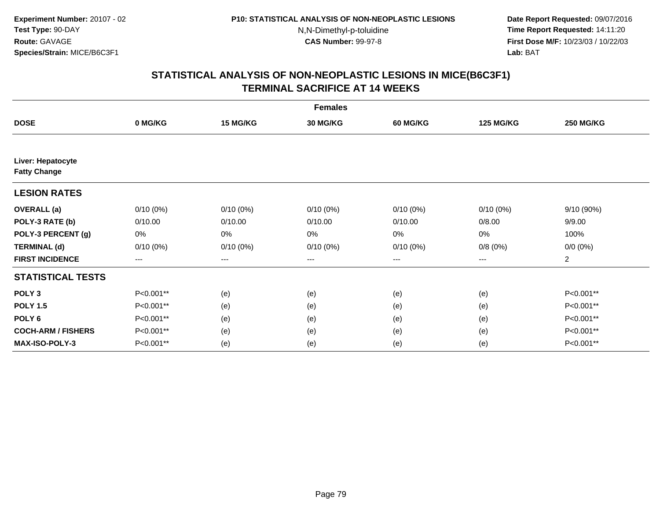**Date Report Requested:** 09/07/2016 **Time Report Requested:** 14:11:20 **First Dose M/F:** 10/23/03 / 10/22/03<br>**Lab:** BAT **Lab:** BAT

| <b>Females</b>                           |             |                        |                 |                 |                  |                  |  |  |  |
|------------------------------------------|-------------|------------------------|-----------------|-----------------|------------------|------------------|--|--|--|
| <b>DOSE</b>                              | 0 MG/KG     | 15 MG/KG               | <b>30 MG/KG</b> | <b>60 MG/KG</b> | <b>125 MG/KG</b> | <b>250 MG/KG</b> |  |  |  |
|                                          |             |                        |                 |                 |                  |                  |  |  |  |
| Liver: Hepatocyte<br><b>Fatty Change</b> |             |                        |                 |                 |                  |                  |  |  |  |
| <b>LESION RATES</b>                      |             |                        |                 |                 |                  |                  |  |  |  |
| <b>OVERALL</b> (a)                       | $0/10(0\%)$ | $0/10(0\%)$            | $0/10(0\%)$     | $0/10(0\%)$     | $0/10(0\%)$      | 9/10 (90%)       |  |  |  |
| POLY-3 RATE (b)                          | 0/10.00     | 0/10.00                | 0/10.00         | 0/10.00         | 0/8.00           | 9/9.00           |  |  |  |
| POLY-3 PERCENT (g)                       | 0%          | 0%                     | 0%              | 0%              | 0%               | 100%             |  |  |  |
| <b>TERMINAL (d)</b>                      | $0/10(0\%)$ | $0/10(0\%)$            | $0/10(0\%)$     | $0/10(0\%)$     | 0/8(0%)          | $0/0 (0\%)$      |  |  |  |
| <b>FIRST INCIDENCE</b>                   | ---         | $\qquad \qquad \cdots$ | ---             | ---             | $---$            | $\overline{a}$   |  |  |  |
| <b>STATISTICAL TESTS</b>                 |             |                        |                 |                 |                  |                  |  |  |  |
| POLY <sub>3</sub>                        | P<0.001**   | (e)                    | (e)             | (e)             | (e)              | P<0.001**        |  |  |  |
| <b>POLY 1.5</b>                          | P<0.001**   | (e)                    | (e)             | (e)             | (e)              | P<0.001**        |  |  |  |
| POLY <sub>6</sub>                        | P<0.001**   | (e)                    | (e)             | (e)             | (e)              | P<0.001**        |  |  |  |
| <b>COCH-ARM / FISHERS</b>                | P<0.001**   | (e)                    | (e)             | (e)             | (e)              | P<0.001**        |  |  |  |
| <b>MAX-ISO-POLY-3</b>                    | P<0.001**   | (e)                    | (e)             | (e)             | (e)              | P<0.001**        |  |  |  |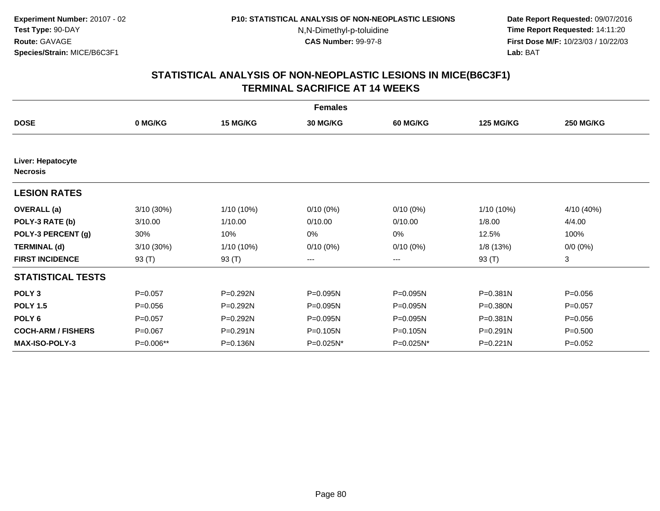**Date Report Requested:** 09/07/2016 **Time Report Requested:** 14:11:20 **First Dose M/F:** 10/23/03 / 10/22/03<br>**Lab:** BAT **Lab:** BAT

|                                      | <b>Females</b> |            |                 |                 |                  |                  |  |  |  |  |
|--------------------------------------|----------------|------------|-----------------|-----------------|------------------|------------------|--|--|--|--|
| <b>DOSE</b>                          | 0 MG/KG        | 15 MG/KG   | <b>30 MG/KG</b> | <b>60 MG/KG</b> | <b>125 MG/KG</b> | <b>250 MG/KG</b> |  |  |  |  |
|                                      |                |            |                 |                 |                  |                  |  |  |  |  |
| Liver: Hepatocyte<br><b>Necrosis</b> |                |            |                 |                 |                  |                  |  |  |  |  |
| <b>LESION RATES</b>                  |                |            |                 |                 |                  |                  |  |  |  |  |
| <b>OVERALL</b> (a)                   | $3/10(30\%)$   | 1/10 (10%) | $0/10(0\%)$     | $0/10(0\%)$     | 1/10 (10%)       | 4/10 (40%)       |  |  |  |  |
| POLY-3 RATE (b)                      | 3/10.00        | 1/10.00    | 0/10.00         | 0/10.00         | 1/8.00           | 4/4.00           |  |  |  |  |
| POLY-3 PERCENT (g)                   | 30%            | 10%        | 0%              | 0%              | 12.5%            | 100%             |  |  |  |  |
| <b>TERMINAL (d)</b>                  | 3/10 (30%)     | 1/10 (10%) | $0/10(0\%)$     | 0/10(0%)        | 1/8 (13%)        | $0/0 (0\%)$      |  |  |  |  |
| <b>FIRST INCIDENCE</b>               | 93 (T)         | 93 (T)     | ---             | ---             | 93 (T)           | 3                |  |  |  |  |
| <b>STATISTICAL TESTS</b>             |                |            |                 |                 |                  |                  |  |  |  |  |
| POLY <sub>3</sub>                    | $P=0.057$      | P=0.292N   | $P = 0.095N$    | P=0.095N        | $P = 0.381N$     | $P = 0.056$      |  |  |  |  |
| <b>POLY 1.5</b>                      | $P = 0.056$    | P=0.292N   | P=0.095N        | P=0.095N        | P=0.380N         | $P = 0.057$      |  |  |  |  |
| POLY <sub>6</sub>                    | $P=0.057$      | P=0.292N   | P=0.095N        | P=0.095N        | $P = 0.381N$     | $P = 0.056$      |  |  |  |  |
| <b>COCH-ARM / FISHERS</b>            | $P = 0.067$    | P=0.291N   | P=0.105N        | P=0.105N        | $P = 0.291N$     | $P = 0.500$      |  |  |  |  |
| <b>MAX-ISO-POLY-3</b>                | P=0.006**      | P=0.136N   | P=0.025N*       | P=0.025N*       | $P = 0.221N$     | $P=0.052$        |  |  |  |  |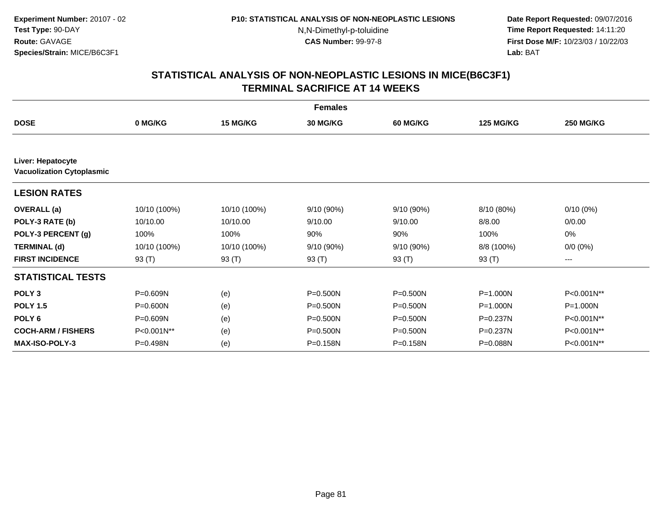**Date Report Requested:** 09/07/2016 **Time Report Requested:** 14:11:20 **First Dose M/F:** 10/23/03 / 10/22/03<br>**Lab:** BAT **Lab:** BAT

| <b>Females</b>                                        |              |                 |                 |                 |                  |                  |  |  |  |
|-------------------------------------------------------|--------------|-----------------|-----------------|-----------------|------------------|------------------|--|--|--|
| <b>DOSE</b>                                           | 0 MG/KG      | <b>15 MG/KG</b> | <b>30 MG/KG</b> | <b>60 MG/KG</b> | <b>125 MG/KG</b> | <b>250 MG/KG</b> |  |  |  |
|                                                       |              |                 |                 |                 |                  |                  |  |  |  |
| Liver: Hepatocyte<br><b>Vacuolization Cytoplasmic</b> |              |                 |                 |                 |                  |                  |  |  |  |
| <b>LESION RATES</b>                                   |              |                 |                 |                 |                  |                  |  |  |  |
| <b>OVERALL</b> (a)                                    | 10/10 (100%) | 10/10 (100%)    | $9/10(90\%)$    | 9/10 (90%)      | 8/10 (80%)       | $0/10(0\%)$      |  |  |  |
| POLY-3 RATE (b)                                       | 10/10.00     | 10/10.00        | 9/10.00         | 9/10.00         | 8/8.00           | 0/0.00           |  |  |  |
| POLY-3 PERCENT (g)                                    | 100%         | 100%            | 90%             | 90%             | 100%             | 0%               |  |  |  |
| <b>TERMINAL (d)</b>                                   | 10/10 (100%) | 10/10 (100%)    | 9/10 (90%)      | 9/10 (90%)      | 8/8 (100%)       | $0/0 (0\%)$      |  |  |  |
| <b>FIRST INCIDENCE</b>                                | 93 (T)       | 93 (T)          | 93 (T)          | 93 (T)          | 93 (T)           | ---              |  |  |  |
| <b>STATISTICAL TESTS</b>                              |              |                 |                 |                 |                  |                  |  |  |  |
| POLY <sub>3</sub>                                     | P=0.609N     | (e)             | P=0.500N        | $P = 0.500N$    | $P = 1.000N$     | P<0.001N**       |  |  |  |
| <b>POLY 1.5</b>                                       | P=0.600N     | (e)             | P=0.500N        | $P = 0.500N$    | P=1.000N         | P=1.000N         |  |  |  |
| POLY <sub>6</sub>                                     | P=0.609N     | (e)             | P=0.500N        | P=0.500N        | $P = 0.237N$     | P<0.001N**       |  |  |  |
| <b>COCH-ARM / FISHERS</b>                             | P<0.001N**   | (e)             | P=0.500N        | $P = 0.500N$    | P=0.237N         | P<0.001N**       |  |  |  |
| <b>MAX-ISO-POLY-3</b>                                 | P=0.498N     | (e)             | P=0.158N        | P=0.158N        | P=0.088N         | P<0.001N**       |  |  |  |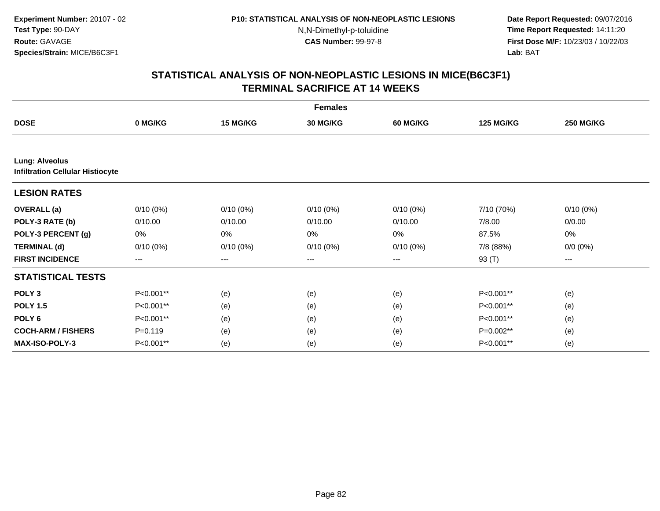**Date Report Requested:** 09/07/2016 **Time Report Requested:** 14:11:20 **First Dose M/F:** 10/23/03 / 10/22/03<br>**Lab:** BAT **Lab:** BAT

| <b>Females</b>                          |             |             |                 |                   |                  |                  |  |  |  |
|-----------------------------------------|-------------|-------------|-----------------|-------------------|------------------|------------------|--|--|--|
| <b>DOSE</b>                             | 0 MG/KG     | 15 MG/KG    | <b>30 MG/KG</b> | <b>60 MG/KG</b>   | <b>125 MG/KG</b> | <b>250 MG/KG</b> |  |  |  |
| <b>Lung: Alveolus</b>                   |             |             |                 |                   |                  |                  |  |  |  |
| <b>Infiltration Cellular Histiocyte</b> |             |             |                 |                   |                  |                  |  |  |  |
| <b>LESION RATES</b>                     |             |             |                 |                   |                  |                  |  |  |  |
| <b>OVERALL</b> (a)                      | $0/10(0\%)$ | $0/10(0\%)$ | $0/10(0\%)$     | $0/10(0\%)$       | 7/10 (70%)       | $0/10(0\%)$      |  |  |  |
| POLY-3 RATE (b)                         | 0/10.00     | 0/10.00     | 0/10.00         | 0/10.00           | 7/8.00           | 0/0.00           |  |  |  |
| POLY-3 PERCENT (g)                      | 0%          | 0%          | 0%              | 0%                | 87.5%            | 0%               |  |  |  |
| <b>TERMINAL (d)</b>                     | $0/10(0\%)$ | $0/10(0\%)$ | $0/10(0\%)$     | $0/10(0\%)$       | 7/8 (88%)        | $0/0 (0\%)$      |  |  |  |
| <b>FIRST INCIDENCE</b>                  | $---$       | ---         | ---             | $\qquad \qquad -$ | 93 (T)           | ---              |  |  |  |
| <b>STATISTICAL TESTS</b>                |             |             |                 |                   |                  |                  |  |  |  |
| POLY <sub>3</sub>                       | P<0.001**   | (e)         | (e)             | (e)               | P<0.001**        | (e)              |  |  |  |
| <b>POLY 1.5</b>                         | P<0.001**   | (e)         | (e)             | (e)               | P<0.001**        | (e)              |  |  |  |
| POLY <sub>6</sub>                       | P<0.001**   | (e)         | (e)             | (e)               | P<0.001**        | (e)              |  |  |  |
| <b>COCH-ARM / FISHERS</b>               | $P = 0.119$ | (e)         | (e)             | (e)               | P=0.002**        | (e)              |  |  |  |
| <b>MAX-ISO-POLY-3</b>                   | P<0.001**   | (e)         | (e)             | (e)               | P<0.001**        | (e)              |  |  |  |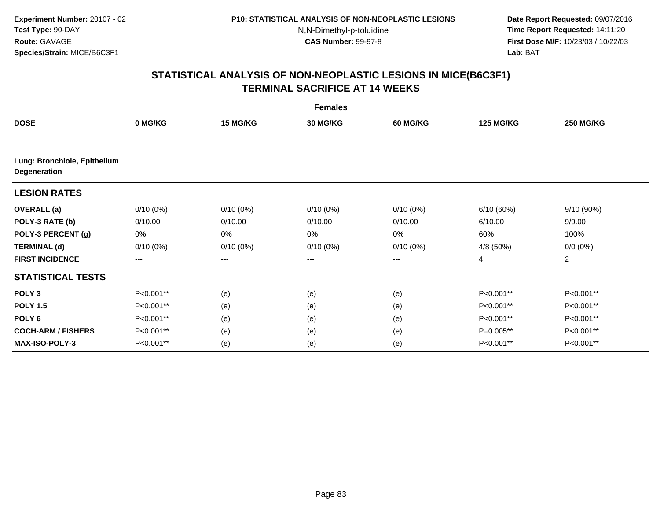**Date Report Requested:** 09/07/2016 **Time Report Requested:** 14:11:20 **First Dose M/F:** 10/23/03 / 10/22/03<br>**Lab:** BAT **Lab:** BAT

|                                              | <b>Females</b> |             |                 |                 |                  |                  |  |  |  |  |
|----------------------------------------------|----------------|-------------|-----------------|-----------------|------------------|------------------|--|--|--|--|
| <b>DOSE</b>                                  | 0 MG/KG        | 15 MG/KG    | <b>30 MG/KG</b> | <b>60 MG/KG</b> | <b>125 MG/KG</b> | <b>250 MG/KG</b> |  |  |  |  |
|                                              |                |             |                 |                 |                  |                  |  |  |  |  |
| Lung: Bronchiole, Epithelium<br>Degeneration |                |             |                 |                 |                  |                  |  |  |  |  |
| <b>LESION RATES</b>                          |                |             |                 |                 |                  |                  |  |  |  |  |
| <b>OVERALL</b> (a)                           | $0/10(0\%)$    | $0/10(0\%)$ | $0/10(0\%)$     | $0/10(0\%)$     | 6/10(60%)        | 9/10(90%)        |  |  |  |  |
| POLY-3 RATE (b)                              | 0/10.00        | 0/10.00     | 0/10.00         | 0/10.00         | 6/10.00          | 9/9.00           |  |  |  |  |
| POLY-3 PERCENT (g)                           | 0%             | 0%          | 0%              | 0%              | 60%              | 100%             |  |  |  |  |
| <b>TERMINAL (d)</b>                          | $0/10(0\%)$    | $0/10(0\%)$ | $0/10(0\%)$     | $0/10(0\%)$     | 4/8 (50%)        | $0/0 (0\%)$      |  |  |  |  |
| <b>FIRST INCIDENCE</b>                       | $---$          | $---$       | ---             | $---$           | 4                | $\overline{c}$   |  |  |  |  |
| <b>STATISTICAL TESTS</b>                     |                |             |                 |                 |                  |                  |  |  |  |  |
| POLY <sub>3</sub>                            | P<0.001**      | (e)         | (e)             | (e)             | P<0.001**        | P<0.001**        |  |  |  |  |
| <b>POLY 1.5</b>                              | P<0.001**      | (e)         | (e)             | (e)             | P<0.001**        | P<0.001**        |  |  |  |  |
| POLY <sub>6</sub>                            | P<0.001**      | (e)         | (e)             | (e)             | P<0.001**        | P<0.001**        |  |  |  |  |
| <b>COCH-ARM / FISHERS</b>                    | P<0.001**      | (e)         | (e)             | (e)             | P=0.005**        | P<0.001**        |  |  |  |  |
| <b>MAX-ISO-POLY-3</b>                        | P<0.001**      | (e)         | (e)             | (e)             | P<0.001**        | P<0.001**        |  |  |  |  |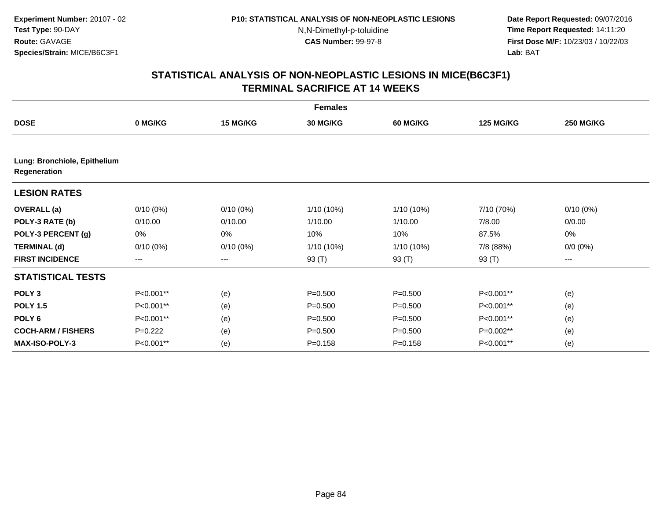**Date Report Requested:** 09/07/2016 **Time Report Requested:** 14:11:20 **First Dose M/F:** 10/23/03 / 10/22/03<br>**Lab:** BAT **Lab:** BAT

|                                              | <b>Females</b> |                 |                 |                 |                  |                  |  |  |  |  |
|----------------------------------------------|----------------|-----------------|-----------------|-----------------|------------------|------------------|--|--|--|--|
| <b>DOSE</b>                                  | 0 MG/KG        | <b>15 MG/KG</b> | <b>30 MG/KG</b> | <b>60 MG/KG</b> | <b>125 MG/KG</b> | <b>250 MG/KG</b> |  |  |  |  |
|                                              |                |                 |                 |                 |                  |                  |  |  |  |  |
| Lung: Bronchiole, Epithelium<br>Regeneration |                |                 |                 |                 |                  |                  |  |  |  |  |
| <b>LESION RATES</b>                          |                |                 |                 |                 |                  |                  |  |  |  |  |
| <b>OVERALL</b> (a)                           | $0/10(0\%)$    | $0/10(0\%)$     | 1/10 (10%)      | 1/10 (10%)      | 7/10 (70%)       | $0/10(0\%)$      |  |  |  |  |
| POLY-3 RATE (b)                              | 0/10.00        | 0/10.00         | 1/10.00         | 1/10.00         | 7/8.00           | 0/0.00           |  |  |  |  |
| POLY-3 PERCENT (g)                           | 0%             | 0%              | 10%             | 10%             | 87.5%            | 0%               |  |  |  |  |
| <b>TERMINAL (d)</b>                          | $0/10(0\%)$    | $0/10(0\%)$     | 1/10 (10%)      | 1/10 (10%)      | 7/8 (88%)        | $0/0 (0\%)$      |  |  |  |  |
| <b>FIRST INCIDENCE</b>                       | ---            | ---             | 93 (T)          | 93 (T)          | 93 (T)           | ---              |  |  |  |  |
| <b>STATISTICAL TESTS</b>                     |                |                 |                 |                 |                  |                  |  |  |  |  |
| POLY <sub>3</sub>                            | P<0.001**      | (e)             | $P = 0.500$     | $P = 0.500$     | P<0.001**        | (e)              |  |  |  |  |
| <b>POLY 1.5</b>                              | P<0.001**      | (e)             | $P = 0.500$     | $P = 0.500$     | P<0.001**        | (e)              |  |  |  |  |
| POLY 6                                       | P<0.001**      | (e)             | $P = 0.500$     | $P = 0.500$     | P<0.001**        | (e)              |  |  |  |  |
| <b>COCH-ARM / FISHERS</b>                    | $P=0.222$      | (e)             | $P = 0.500$     | $P = 0.500$     | P=0.002**        | (e)              |  |  |  |  |
| <b>MAX-ISO-POLY-3</b>                        | P<0.001**      | (e)             | $P = 0.158$     | $P = 0.158$     | P<0.001**        | (e)              |  |  |  |  |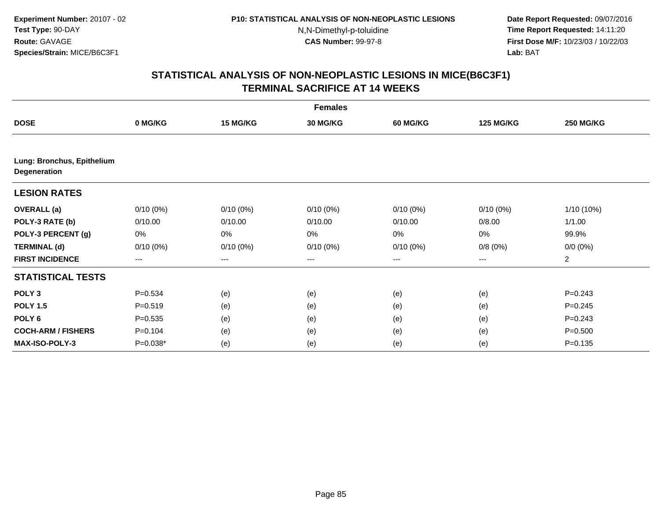**Date Report Requested:** 09/07/2016 **Time Report Requested:** 14:11:20 **First Dose M/F:** 10/23/03 / 10/22/03<br>**Lab:** BAT **Lab:** BAT

|                                                   | <b>Females</b> |             |                 |                   |                  |                  |  |  |  |
|---------------------------------------------------|----------------|-------------|-----------------|-------------------|------------------|------------------|--|--|--|
| <b>DOSE</b>                                       | 0 MG/KG        | 15 MG/KG    | <b>30 MG/KG</b> | <b>60 MG/KG</b>   | <b>125 MG/KG</b> | <b>250 MG/KG</b> |  |  |  |
|                                                   |                |             |                 |                   |                  |                  |  |  |  |
| Lung: Bronchus, Epithelium<br><b>Degeneration</b> |                |             |                 |                   |                  |                  |  |  |  |
| <b>LESION RATES</b>                               |                |             |                 |                   |                  |                  |  |  |  |
| <b>OVERALL</b> (a)                                | $0/10(0\%)$    | $0/10(0\%)$ | $0/10(0\%)$     | $0/10(0\%)$       | $0/10(0\%)$      | 1/10 (10%)       |  |  |  |
| POLY-3 RATE (b)                                   | 0/10.00        | 0/10.00     | 0/10.00         | 0/10.00           | 0/8.00           | 1/1.00           |  |  |  |
| POLY-3 PERCENT (g)                                | 0%             | 0%          | 0%              | 0%                | 0%               | 99.9%            |  |  |  |
| <b>TERMINAL (d)</b>                               | $0/10(0\%)$    | $0/10(0\%)$ | $0/10(0\%)$     | $0/10(0\%)$       | 0/8(0%)          | $0/0 (0\%)$      |  |  |  |
| <b>FIRST INCIDENCE</b>                            | $---$          | ---         | ---             | $\qquad \qquad -$ | ---              | $\overline{2}$   |  |  |  |
| <b>STATISTICAL TESTS</b>                          |                |             |                 |                   |                  |                  |  |  |  |
| POLY <sub>3</sub>                                 | $P = 0.534$    | (e)         | (e)             | (e)               | (e)              | $P = 0.243$      |  |  |  |
| <b>POLY 1.5</b>                                   | $P = 0.519$    | (e)         | (e)             | (e)               | (e)              | $P=0.245$        |  |  |  |
| POLY <sub>6</sub>                                 | $P = 0.535$    | (e)         | (e)             | (e)               | (e)              | $P=0.243$        |  |  |  |
| <b>COCH-ARM / FISHERS</b>                         | $P = 0.104$    | (e)         | (e)             | (e)               | (e)              | $P = 0.500$      |  |  |  |
| <b>MAX-ISO-POLY-3</b>                             | P=0.038*       | (e)         | (e)             | (e)               | (e)              | $P = 0.135$      |  |  |  |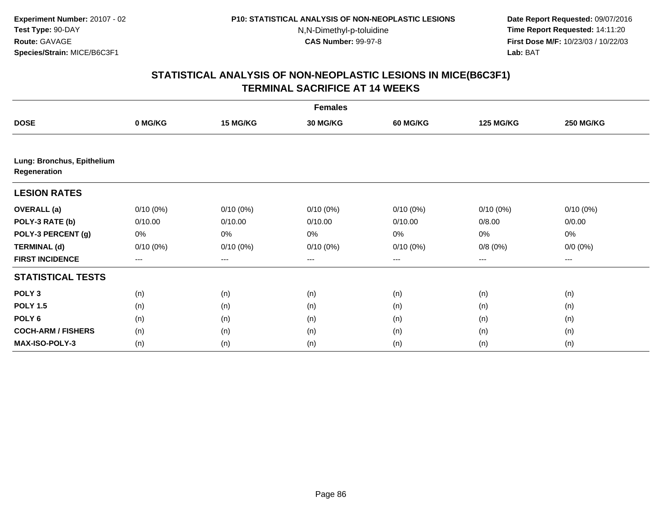**Date Report Requested:** 09/07/2016 **Time Report Requested:** 14:11:20 **First Dose M/F:** 10/23/03 / 10/22/03<br>**Lab:** BAT **Lab:** BAT

| <b>Females</b>                             |                   |             |             |             |                  |                  |  |  |
|--------------------------------------------|-------------------|-------------|-------------|-------------|------------------|------------------|--|--|
| <b>DOSE</b>                                | 0 MG/KG           | 15 MG/KG    | 30 MG/KG    | 60 MG/KG    | <b>125 MG/KG</b> | <b>250 MG/KG</b> |  |  |
|                                            |                   |             |             |             |                  |                  |  |  |
| Lung: Bronchus, Epithelium<br>Regeneration |                   |             |             |             |                  |                  |  |  |
| <b>LESION RATES</b>                        |                   |             |             |             |                  |                  |  |  |
| <b>OVERALL</b> (a)                         | $0/10(0\%)$       | $0/10(0\%)$ | $0/10(0\%)$ | $0/10(0\%)$ | 0/10(0%)         | $0/10(0\%)$      |  |  |
| POLY-3 RATE (b)                            | 0/10.00           | 0/10.00     | 0/10.00     | 0/10.00     | 0/8.00           | 0/0.00           |  |  |
| POLY-3 PERCENT (g)                         | 0%                | 0%          | 0%          | 0%          | 0%               | 0%               |  |  |
| <b>TERMINAL (d)</b>                        | $0/10(0\%)$       | $0/10(0\%)$ | $0/10(0\%)$ | $0/10(0\%)$ | 0/8(0%)          | $0/0 (0\%)$      |  |  |
| <b>FIRST INCIDENCE</b>                     | $\qquad \qquad -$ | ---         | ---         | $--$        | ---              | ---              |  |  |
| <b>STATISTICAL TESTS</b>                   |                   |             |             |             |                  |                  |  |  |
| POLY <sub>3</sub>                          | (n)               | (n)         | (n)         | (n)         | (n)              | (n)              |  |  |
| <b>POLY 1.5</b>                            | (n)               | (n)         | (n)         | (n)         | (n)              | (n)              |  |  |
| POLY <sub>6</sub>                          | (n)               | (n)         | (n)         | (n)         | (n)              | (n)              |  |  |
| <b>COCH-ARM / FISHERS</b>                  | (n)               | (n)         | (n)         | (n)         | (n)              | (n)              |  |  |
| MAX-ISO-POLY-3                             | (n)               | (n)         | (n)         | (n)         | (n)              | (n)              |  |  |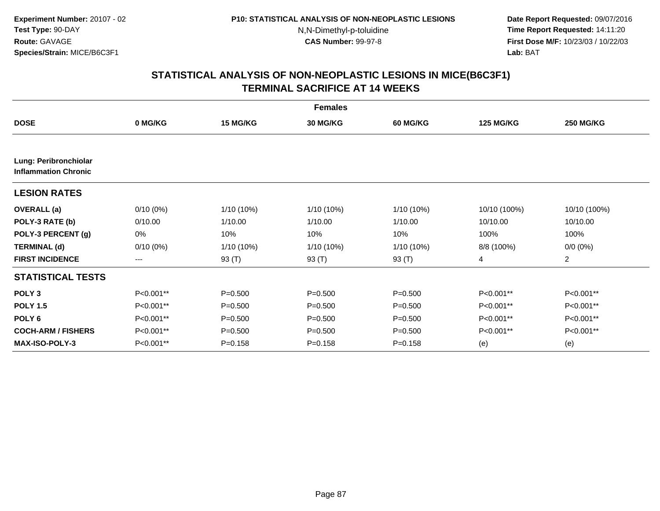**Date Report Requested:** 09/07/2016 **Time Report Requested:** 14:11:20 **First Dose M/F:** 10/23/03 / 10/22/03<br>**Lab:** BAT **Lab:** BAT

|                                                      | <b>Females</b>         |              |                 |                 |                  |                  |  |  |  |
|------------------------------------------------------|------------------------|--------------|-----------------|-----------------|------------------|------------------|--|--|--|
| <b>DOSE</b>                                          | 0 MG/KG                | 15 MG/KG     | <b>30 MG/KG</b> | <b>60 MG/KG</b> | <b>125 MG/KG</b> | <b>250 MG/KG</b> |  |  |  |
| Lung: Peribronchiolar<br><b>Inflammation Chronic</b> |                        |              |                 |                 |                  |                  |  |  |  |
| <b>LESION RATES</b>                                  |                        |              |                 |                 |                  |                  |  |  |  |
| <b>OVERALL</b> (a)                                   | $0/10(0\%)$            | 1/10 (10%)   | $1/10(10\%)$    | 1/10 (10%)      | 10/10 (100%)     | 10/10 (100%)     |  |  |  |
| POLY-3 RATE (b)                                      | 0/10.00                | 1/10.00      | 1/10.00         | 1/10.00         | 10/10.00         | 10/10.00         |  |  |  |
| POLY-3 PERCENT (g)                                   | 0%                     | 10%          | 10%             | 10%             | 100%             | 100%             |  |  |  |
| <b>TERMINAL (d)</b>                                  | $0/10(0\%)$            | $1/10(10\%)$ | 1/10 (10%)      | 1/10 (10%)      | 8/8 (100%)       | $0/0 (0\%)$      |  |  |  |
| <b>FIRST INCIDENCE</b>                               | $\qquad \qquad \cdots$ | 93 (T)       | 93 (T)          | 93 (T)          | 4                | $\overline{2}$   |  |  |  |
| <b>STATISTICAL TESTS</b>                             |                        |              |                 |                 |                  |                  |  |  |  |
| POLY <sub>3</sub>                                    | P<0.001**              | $P = 0.500$  | $P = 0.500$     | $P = 0.500$     | P<0.001**        | P<0.001**        |  |  |  |
| <b>POLY 1.5</b>                                      | P<0.001**              | $P = 0.500$  | $P = 0.500$     | $P = 0.500$     | P<0.001**        | P<0.001**        |  |  |  |
| POLY <sub>6</sub>                                    | P<0.001**              | $P = 0.500$  | $P = 0.500$     | $P = 0.500$     | P<0.001**        | P<0.001**        |  |  |  |
| <b>COCH-ARM / FISHERS</b>                            | P<0.001**              | $P = 0.500$  | $P = 0.500$     | $P = 0.500$     | P<0.001**        | P<0.001**        |  |  |  |
| <b>MAX-ISO-POLY-3</b>                                | P<0.001**              | $P = 0.158$  | $P = 0.158$     | $P = 0.158$     | (e)              | (e)              |  |  |  |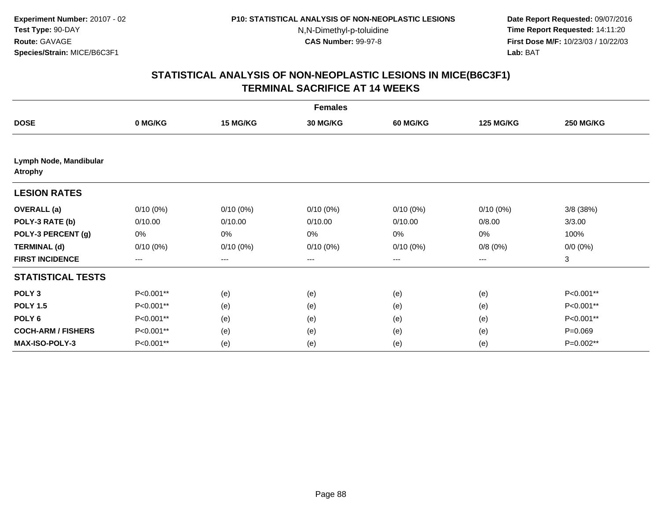**Date Report Requested:** 09/07/2016 **Time Report Requested:** 14:11:20 **First Dose M/F:** 10/23/03 / 10/22/03<br>**Lab:** BAT **Lab:** BAT

|                                          | <b>Females</b>         |             |             |             |                  |                  |  |  |  |
|------------------------------------------|------------------------|-------------|-------------|-------------|------------------|------------------|--|--|--|
| <b>DOSE</b>                              | 0 MG/KG                | 15 MG/KG    | 30 MG/KG    | 60 MG/KG    | <b>125 MG/KG</b> | <b>250 MG/KG</b> |  |  |  |
|                                          |                        |             |             |             |                  |                  |  |  |  |
| Lymph Node, Mandibular<br><b>Atrophy</b> |                        |             |             |             |                  |                  |  |  |  |
| <b>LESION RATES</b>                      |                        |             |             |             |                  |                  |  |  |  |
| <b>OVERALL</b> (a)                       | $0/10(0\%)$            | $0/10(0\%)$ | $0/10(0\%)$ | $0/10(0\%)$ | $0/10(0\%)$      | $3/8$ (38%)      |  |  |  |
| POLY-3 RATE (b)                          | 0/10.00                | 0/10.00     | 0/10.00     | 0/10.00     | 0/8.00           | 3/3.00           |  |  |  |
| POLY-3 PERCENT (g)                       | 0%                     | 0%          | 0%          | 0%          | 0%               | 100%             |  |  |  |
| <b>TERMINAL (d)</b>                      | $0/10(0\%)$            | $0/10(0\%)$ | $0/10(0\%)$ | $0/10(0\%)$ | 0/8(0%)          | $0/0 (0\%)$      |  |  |  |
| <b>FIRST INCIDENCE</b>                   | $\qquad \qquad \cdots$ | $---$       | $---$       | ---         | ---              | 3                |  |  |  |
| <b>STATISTICAL TESTS</b>                 |                        |             |             |             |                  |                  |  |  |  |
| POLY <sub>3</sub>                        | P<0.001**              | (e)         | (e)         | (e)         | (e)              | P<0.001**        |  |  |  |
| <b>POLY 1.5</b>                          | P<0.001**              | (e)         | (e)         | (e)         | (e)              | P<0.001**        |  |  |  |
| POLY <sub>6</sub>                        | P<0.001**              | (e)         | (e)         | (e)         | (e)              | P<0.001**        |  |  |  |
| <b>COCH-ARM / FISHERS</b>                | P<0.001**              | (e)         | (e)         | (e)         | (e)              | $P = 0.069$      |  |  |  |
| <b>MAX-ISO-POLY-3</b>                    | P<0.001**              | (e)         | (e)         | (e)         | (e)              | P=0.002**        |  |  |  |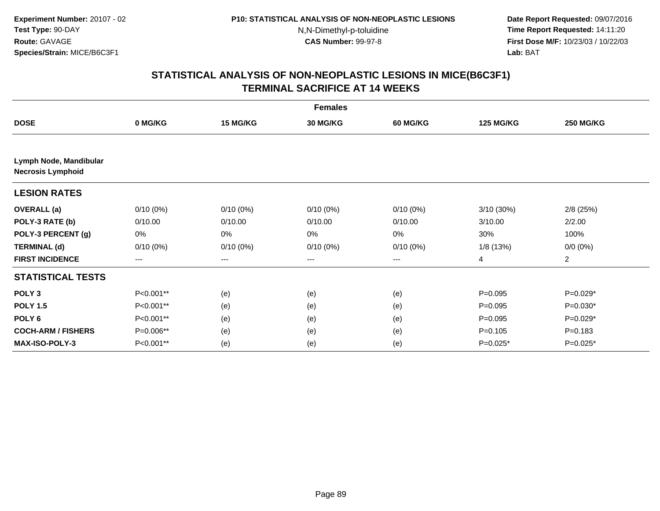**Date Report Requested:** 09/07/2016 **Time Report Requested:** 14:11:20 **First Dose M/F:** 10/23/03 / 10/22/03<br>**Lab:** BAT **Lab:** BAT

| <b>Females</b>                                     |                        |             |                 |                 |                  |                  |  |  |
|----------------------------------------------------|------------------------|-------------|-----------------|-----------------|------------------|------------------|--|--|
| <b>DOSE</b>                                        | 0 MG/KG                | 15 MG/KG    | <b>30 MG/KG</b> | <b>60 MG/KG</b> | <b>125 MG/KG</b> | <b>250 MG/KG</b> |  |  |
|                                                    |                        |             |                 |                 |                  |                  |  |  |
| Lymph Node, Mandibular<br><b>Necrosis Lymphoid</b> |                        |             |                 |                 |                  |                  |  |  |
| <b>LESION RATES</b>                                |                        |             |                 |                 |                  |                  |  |  |
| <b>OVERALL</b> (a)                                 | $0/10(0\%)$            | $0/10(0\%)$ | $0/10(0\%)$     | $0/10(0\%)$     | $3/10(30\%)$     | $2/8$ (25%)      |  |  |
| POLY-3 RATE (b)                                    | 0/10.00                | 0/10.00     | 0/10.00         | 0/10.00         | 3/10.00          | 2/2.00           |  |  |
| POLY-3 PERCENT (g)                                 | 0%                     | 0%          | 0%              | 0%              | 30%              | 100%             |  |  |
| <b>TERMINAL (d)</b>                                | $0/10(0\%)$            | $0/10(0\%)$ | $0/10(0\%)$     | $0/10(0\%)$     | 1/8 (13%)        | $0/0 (0\%)$      |  |  |
| <b>FIRST INCIDENCE</b>                             | $\qquad \qquad \cdots$ | $---$       | $---$           | ---             | 4                | $\overline{2}$   |  |  |
| <b>STATISTICAL TESTS</b>                           |                        |             |                 |                 |                  |                  |  |  |
| POLY <sub>3</sub>                                  | P<0.001**              | (e)         | (e)             | (e)             | $P=0.095$        | $P=0.029*$       |  |  |
| <b>POLY 1.5</b>                                    | P<0.001**              | (e)         | (e)             | (e)             | $P=0.095$        | $P=0.030*$       |  |  |
| POLY <sub>6</sub>                                  | P<0.001**              | (e)         | (e)             | (e)             | $P=0.095$        | $P=0.029*$       |  |  |
| <b>COCH-ARM / FISHERS</b>                          | P=0.006**              | (e)         | (e)             | (e)             | $P = 0.105$      | $P = 0.183$      |  |  |
| <b>MAX-ISO-POLY-3</b>                              | P<0.001**              | (e)         | (e)             | (e)             | $P=0.025*$       | P=0.025*         |  |  |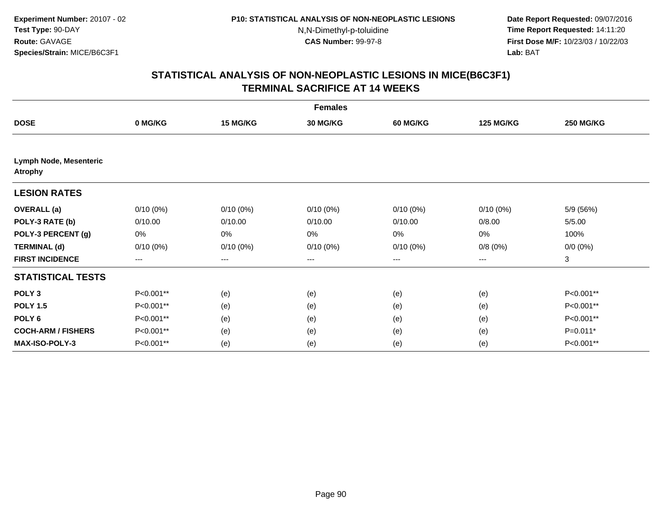**Date Report Requested:** 09/07/2016 **Time Report Requested:** 14:11:20 **First Dose M/F:** 10/23/03 / 10/22/03<br>**Lab:** BAT **Lab:** BAT

|                                                 | <b>Females</b> |             |                 |                 |                  |                  |  |  |  |
|-------------------------------------------------|----------------|-------------|-----------------|-----------------|------------------|------------------|--|--|--|
| <b>DOSE</b>                                     | 0 MG/KG        | 15 MG/KG    | <b>30 MG/KG</b> | <b>60 MG/KG</b> | <b>125 MG/KG</b> | <b>250 MG/KG</b> |  |  |  |
|                                                 |                |             |                 |                 |                  |                  |  |  |  |
| <b>Lymph Node, Mesenteric</b><br><b>Atrophy</b> |                |             |                 |                 |                  |                  |  |  |  |
| <b>LESION RATES</b>                             |                |             |                 |                 |                  |                  |  |  |  |
| <b>OVERALL</b> (a)                              | $0/10(0\%)$    | $0/10(0\%)$ | $0/10(0\%)$     | $0/10(0\%)$     | $0/10(0\%)$      | 5/9 (56%)        |  |  |  |
| POLY-3 RATE (b)                                 | 0/10.00        | 0/10.00     | 0/10.00         | 0/10.00         | 0/8.00           | 5/5.00           |  |  |  |
| POLY-3 PERCENT (g)                              | 0%             | 0%          | 0%              | 0%              | 0%               | 100%             |  |  |  |
| <b>TERMINAL (d)</b>                             | $0/10(0\%)$    | $0/10(0\%)$ | $0/10(0\%)$     | $0/10(0\%)$     | 0/8(0%)          | $0/0 (0\%)$      |  |  |  |
| <b>FIRST INCIDENCE</b>                          | ---            | $---$       | ---             | $---$           | ---              | 3                |  |  |  |
| <b>STATISTICAL TESTS</b>                        |                |             |                 |                 |                  |                  |  |  |  |
| POLY <sub>3</sub>                               | P<0.001**      | (e)         | (e)             | (e)             | (e)              | P<0.001**        |  |  |  |
| <b>POLY 1.5</b>                                 | P<0.001**      | (e)         | (e)             | (e)             | (e)              | P<0.001**        |  |  |  |
| POLY <sub>6</sub>                               | P<0.001**      | (e)         | (e)             | (e)             | (e)              | P<0.001**        |  |  |  |
| <b>COCH-ARM / FISHERS</b>                       | P<0.001**      | (e)         | (e)             | (e)             | (e)              | P=0.011*         |  |  |  |
| MAX-ISO-POLY-3                                  | P<0.001**      | (e)         | (e)             | (e)             | (e)              | P<0.001**        |  |  |  |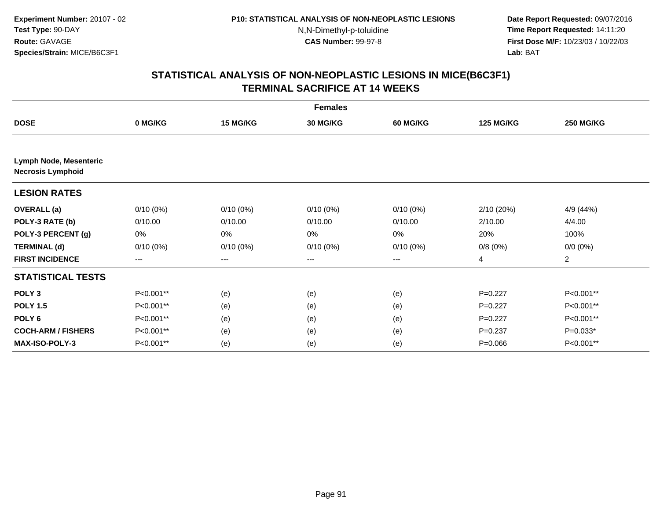**Date Report Requested:** 09/07/2016 **Time Report Requested:** 14:11:20 **First Dose M/F:** 10/23/03 / 10/22/03<br>**Lab:** BAT **Lab:** BAT

|                                                           | <b>Females</b> |             |                 |                   |                  |                  |  |  |  |
|-----------------------------------------------------------|----------------|-------------|-----------------|-------------------|------------------|------------------|--|--|--|
| <b>DOSE</b>                                               | 0 MG/KG        | 15 MG/KG    | <b>30 MG/KG</b> | 60 MG/KG          | <b>125 MG/KG</b> | <b>250 MG/KG</b> |  |  |  |
|                                                           |                |             |                 |                   |                  |                  |  |  |  |
| <b>Lymph Node, Mesenteric</b><br><b>Necrosis Lymphoid</b> |                |             |                 |                   |                  |                  |  |  |  |
| <b>LESION RATES</b>                                       |                |             |                 |                   |                  |                  |  |  |  |
| <b>OVERALL</b> (a)                                        | $0/10(0\%)$    | $0/10(0\%)$ | $0/10(0\%)$     | $0/10(0\%)$       | 2/10(20%)        | 4/9 (44%)        |  |  |  |
| POLY-3 RATE (b)                                           | 0/10.00        | 0/10.00     | 0/10.00         | 0/10.00           | 2/10.00          | 4/4.00           |  |  |  |
| POLY-3 PERCENT (g)                                        | 0%             | 0%          | 0%              | 0%                | 20%              | 100%             |  |  |  |
| <b>TERMINAL (d)</b>                                       | $0/10(0\%)$    | $0/10(0\%)$ | $0/10(0\%)$     | $0/10(0\%)$       | 0/8(0%)          | $0/0 (0\%)$      |  |  |  |
| <b>FIRST INCIDENCE</b>                                    | $---$          | ---         | ---             | $\qquad \qquad -$ | 4                | $\overline{a}$   |  |  |  |
| <b>STATISTICAL TESTS</b>                                  |                |             |                 |                   |                  |                  |  |  |  |
| POLY <sub>3</sub>                                         | P<0.001**      | (e)         | (e)             | (e)               | $P=0.227$        | P<0.001**        |  |  |  |
| <b>POLY 1.5</b>                                           | P<0.001**      | (e)         | (e)             | (e)               | $P=0.227$        | P<0.001**        |  |  |  |
| POLY <sub>6</sub>                                         | P<0.001**      | (e)         | (e)             | (e)               | $P=0.227$        | P<0.001**        |  |  |  |
| <b>COCH-ARM / FISHERS</b>                                 | P<0.001**      | (e)         | (e)             | (e)               | $P = 0.237$      | $P=0.033*$       |  |  |  |
| <b>MAX-ISO-POLY-3</b>                                     | P<0.001**      | (e)         | (e)             | (e)               | $P = 0.066$      | P<0.001**        |  |  |  |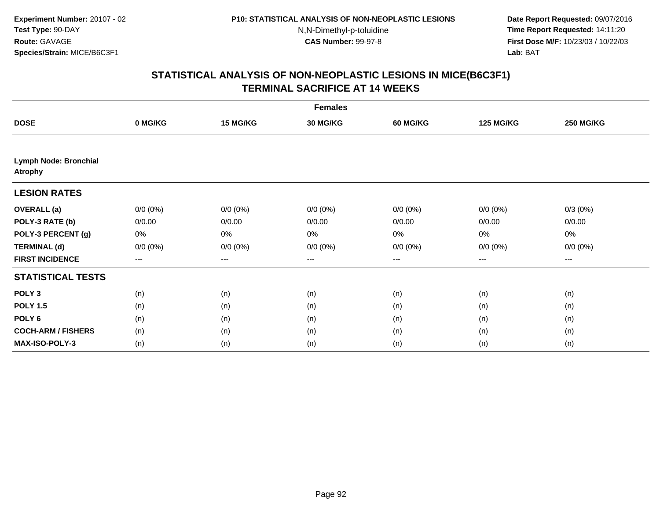**Date Report Requested:** 09/07/2016 **Time Report Requested:** 14:11:20 **First Dose M/F:** 10/23/03 / 10/22/03<br>**Lab:** BAT **Lab:** BAT

|                                                | <b>Females</b> |             |                 |                 |                  |                  |  |  |  |
|------------------------------------------------|----------------|-------------|-----------------|-----------------|------------------|------------------|--|--|--|
| <b>DOSE</b>                                    | 0 MG/KG        | 15 MG/KG    | <b>30 MG/KG</b> | <b>60 MG/KG</b> | <b>125 MG/KG</b> | <b>250 MG/KG</b> |  |  |  |
|                                                |                |             |                 |                 |                  |                  |  |  |  |
| <b>Lymph Node: Bronchial</b><br><b>Atrophy</b> |                |             |                 |                 |                  |                  |  |  |  |
| <b>LESION RATES</b>                            |                |             |                 |                 |                  |                  |  |  |  |
| <b>OVERALL</b> (a)                             | $0/0 (0\%)$    | $0/0 (0\%)$ | $0/0 (0\%)$     | $0/0 (0\%)$     | $0/0 (0\%)$      | $0/3(0\%)$       |  |  |  |
| POLY-3 RATE (b)                                | 0/0.00         | 0/0.00      | 0/0.00          | 0/0.00          | 0/0.00           | 0/0.00           |  |  |  |
| POLY-3 PERCENT (g)                             | 0%             | 0%          | 0%              | 0%              | 0%               | $0\%$            |  |  |  |
| <b>TERMINAL (d)</b>                            | $0/0 (0\%)$    | $0/0 (0\%)$ | $0/0 (0\%)$     | $0/0 (0\%)$     | $0/0 (0\%)$      | $0/0 (0\%)$      |  |  |  |
| <b>FIRST INCIDENCE</b>                         | $---$          | $---$       | ---             | ---             | $---$            | ---              |  |  |  |
| <b>STATISTICAL TESTS</b>                       |                |             |                 |                 |                  |                  |  |  |  |
| POLY <sub>3</sub>                              | (n)            | (n)         | (n)             | (n)             | (n)              | (n)              |  |  |  |
| <b>POLY 1.5</b>                                | (n)            | (n)         | (n)             | (n)             | (n)              | (n)              |  |  |  |
| POLY <sub>6</sub>                              | (n)            | (n)         | (n)             | (n)             | (n)              | (n)              |  |  |  |
| <b>COCH-ARM / FISHERS</b>                      | (n)            | (n)         | (n)             | (n)             | (n)              | (n)              |  |  |  |
| MAX-ISO-POLY-3                                 | (n)            | (n)         | (n)             | (n)             | (n)              | (n)              |  |  |  |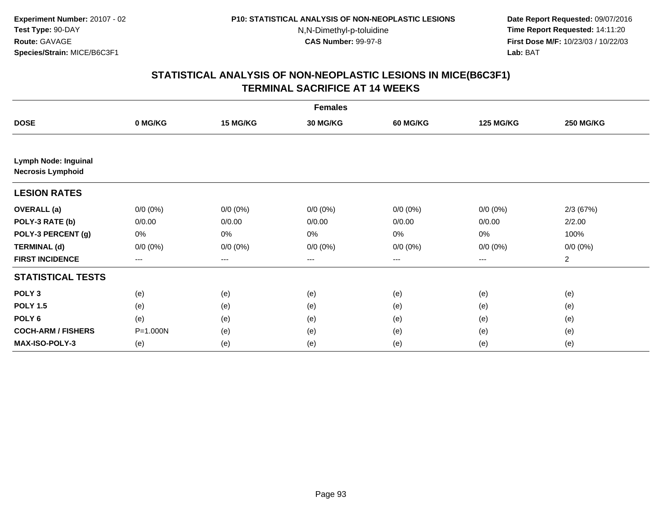**Date Report Requested:** 09/07/2016 **Time Report Requested:** 14:11:20 **First Dose M/F:** 10/23/03 / 10/22/03<br>**Lab:** BAT **Lab:** BAT

|                                                         | <b>Females</b> |             |                 |                 |                   |                  |  |  |
|---------------------------------------------------------|----------------|-------------|-----------------|-----------------|-------------------|------------------|--|--|
| <b>DOSE</b>                                             | 0 MG/KG        | 15 MG/KG    | <b>30 MG/KG</b> | <b>60 MG/KG</b> | <b>125 MG/KG</b>  | <b>250 MG/KG</b> |  |  |
|                                                         |                |             |                 |                 |                   |                  |  |  |
| <b>Lymph Node: Inguinal</b><br><b>Necrosis Lymphoid</b> |                |             |                 |                 |                   |                  |  |  |
| <b>LESION RATES</b>                                     |                |             |                 |                 |                   |                  |  |  |
| <b>OVERALL</b> (a)                                      | $0/0 (0\%)$    | $0/0 (0\%)$ | $0/0 (0\%)$     | $0/0 (0\%)$     | $0/0 (0\%)$       | 2/3(67%)         |  |  |
| POLY-3 RATE (b)                                         | 0/0.00         | 0/0.00      | 0/0.00          | 0/0.00          | 0/0.00            | 2/2.00           |  |  |
| POLY-3 PERCENT (g)                                      | 0%             | 0%          | 0%              | 0%              | 0%                | 100%             |  |  |
| <b>TERMINAL (d)</b>                                     | $0/0 (0\%)$    | $0/0 (0\%)$ | $0/0 (0\%)$     | $0/0 (0\%)$     | $0/0 (0\%)$       | $0/0 (0\%)$      |  |  |
| <b>FIRST INCIDENCE</b>                                  | $---$          | $---$       | ---             | $--$            | $\qquad \qquad -$ | 2                |  |  |
| <b>STATISTICAL TESTS</b>                                |                |             |                 |                 |                   |                  |  |  |
| POLY <sub>3</sub>                                       | (e)            | (e)         | (e)             | (e)             | (e)               | (e)              |  |  |
| <b>POLY 1.5</b>                                         | (e)            | (e)         | (e)             | (e)             | (e)               | (e)              |  |  |
| POLY <sub>6</sub>                                       | (e)            | (e)         | (e)             | (e)             | (e)               | (e)              |  |  |
| <b>COCH-ARM / FISHERS</b>                               | P=1.000N       | (e)         | (e)             | (e)             | (e)               | (e)              |  |  |
| <b>MAX-ISO-POLY-3</b>                                   | (e)            | (e)         | (e)             | (e)             | (e)               | (e)              |  |  |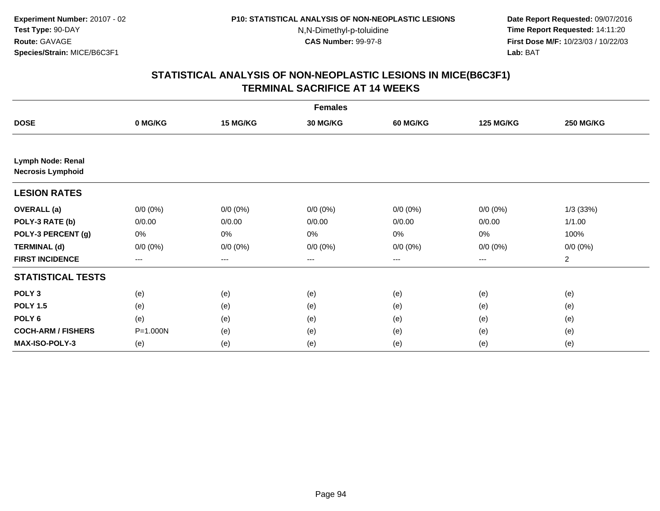**Date Report Requested:** 09/07/2016 **Time Report Requested:** 14:11:20 **First Dose M/F:** 10/23/03 / 10/22/03<br>**Lab:** BAT **Lab:** BAT

|                                               | <b>Females</b>    |                   |                 |             |                  |                  |  |  |  |
|-----------------------------------------------|-------------------|-------------------|-----------------|-------------|------------------|------------------|--|--|--|
| <b>DOSE</b>                                   | 0 MG/KG           | 15 MG/KG          | <b>30 MG/KG</b> | 60 MG/KG    | <b>125 MG/KG</b> | <b>250 MG/KG</b> |  |  |  |
|                                               |                   |                   |                 |             |                  |                  |  |  |  |
| Lymph Node: Renal<br><b>Necrosis Lymphoid</b> |                   |                   |                 |             |                  |                  |  |  |  |
| <b>LESION RATES</b>                           |                   |                   |                 |             |                  |                  |  |  |  |
| <b>OVERALL</b> (a)                            | $0/0 (0\%)$       | $0/0 (0\%)$       | $0/0 (0\%)$     | $0/0 (0\%)$ | $0/0 (0\%)$      | 1/3(33%)         |  |  |  |
| POLY-3 RATE (b)                               | 0/0.00            | 0/0.00            | 0/0.00          | 0/0.00      | 0/0.00           | 1/1.00           |  |  |  |
| POLY-3 PERCENT (g)                            | 0%                | $0\%$             | 0%              | 0%          | 0%               | 100%             |  |  |  |
| <b>TERMINAL (d)</b>                           | $0/0 (0\%)$       | $0/0 (0\%)$       | $0/0 (0\%)$     | $0/0 (0\%)$ | $0/0 (0\%)$      | $0/0 (0\%)$      |  |  |  |
| <b>FIRST INCIDENCE</b>                        | $\qquad \qquad -$ | $\qquad \qquad -$ | $---$           | ---         | $---$            | $\overline{2}$   |  |  |  |
| <b>STATISTICAL TESTS</b>                      |                   |                   |                 |             |                  |                  |  |  |  |
| POLY <sub>3</sub>                             | (e)               | (e)               | (e)             | (e)         | (e)              | (e)              |  |  |  |
| <b>POLY 1.5</b>                               | (e)               | (e)               | (e)             | (e)         | (e)              | (e)              |  |  |  |
| POLY <sub>6</sub>                             | (e)               | (e)               | (e)             | (e)         | (e)              | (e)              |  |  |  |
| <b>COCH-ARM / FISHERS</b>                     | P=1.000N          | (e)               | (e)             | (e)         | (e)              | (e)              |  |  |  |
| <b>MAX-ISO-POLY-3</b>                         | (e)               | (e)               | (e)             | (e)         | (e)              | (e)              |  |  |  |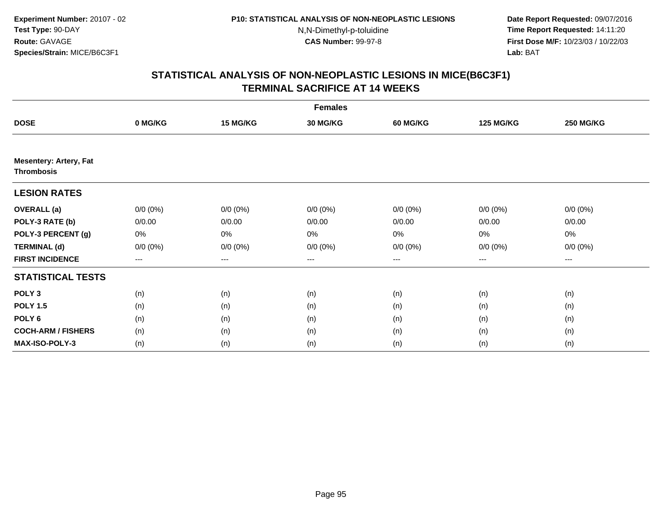**Date Report Requested:** 09/07/2016 **Time Report Requested:** 14:11:20 **First Dose M/F:** 10/23/03 / 10/22/03<br>**Lab:** BAT **Lab:** BAT

|                                                    | <b>Females</b>         |             |                 |                   |                   |                  |  |  |  |
|----------------------------------------------------|------------------------|-------------|-----------------|-------------------|-------------------|------------------|--|--|--|
| <b>DOSE</b>                                        | 0 MG/KG                | 15 MG/KG    | <b>30 MG/KG</b> | <b>60 MG/KG</b>   | <b>125 MG/KG</b>  | <b>250 MG/KG</b> |  |  |  |
|                                                    |                        |             |                 |                   |                   |                  |  |  |  |
| <b>Mesentery: Artery, Fat</b><br><b>Thrombosis</b> |                        |             |                 |                   |                   |                  |  |  |  |
| <b>LESION RATES</b>                                |                        |             |                 |                   |                   |                  |  |  |  |
| <b>OVERALL</b> (a)                                 | $0/0 (0\%)$            | $0/0 (0\%)$ | $0/0 (0\%)$     | $0/0 (0\%)$       | $0/0 (0\%)$       | $0/0 (0\%)$      |  |  |  |
| POLY-3 RATE (b)                                    | 0/0.00                 | 0/0.00      | 0/0.00          | 0/0.00            | 0/0.00            | 0/0.00           |  |  |  |
| POLY-3 PERCENT (g)                                 | 0%                     | 0%          | 0%              | 0%                | 0%                | 0%               |  |  |  |
| <b>TERMINAL (d)</b>                                | $0/0 (0\%)$            | $0/0 (0\%)$ | $0/0 (0\%)$     | $0/0 (0\%)$       | $0/0 (0\%)$       | $0/0 (0\%)$      |  |  |  |
| <b>FIRST INCIDENCE</b>                             | $\qquad \qquad \cdots$ | ---         | ---             | $\qquad \qquad -$ | $\qquad \qquad -$ | ---              |  |  |  |
| <b>STATISTICAL TESTS</b>                           |                        |             |                 |                   |                   |                  |  |  |  |
| POLY <sub>3</sub>                                  | (n)                    | (n)         | (n)             | (n)               | (n)               | (n)              |  |  |  |
| <b>POLY 1.5</b>                                    | (n)                    | (n)         | (n)             | (n)               | (n)               | (n)              |  |  |  |
| POLY <sub>6</sub>                                  | (n)                    | (n)         | (n)             | (n)               | (n)               | (n)              |  |  |  |
| <b>COCH-ARM / FISHERS</b>                          | (n)                    | (n)         | (n)             | (n)               | (n)               | (n)              |  |  |  |
| MAX-ISO-POLY-3                                     | (n)                    | (n)         | (n)             | (n)               | (n)               | (n)              |  |  |  |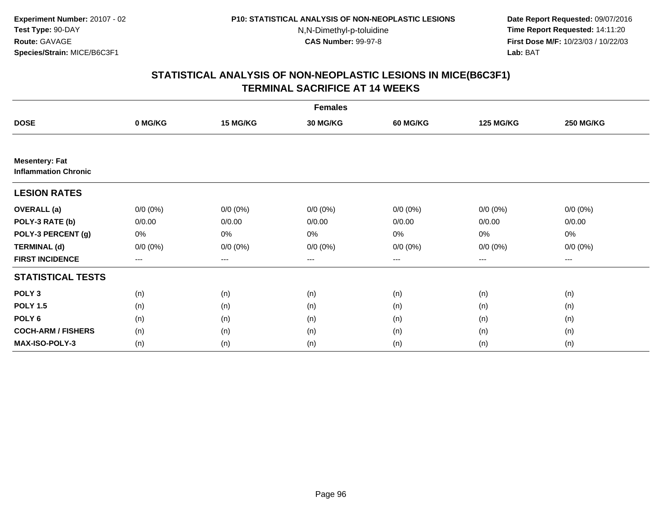**Date Report Requested:** 09/07/2016 **Time Report Requested:** 14:11:20 **First Dose M/F:** 10/23/03 / 10/22/03<br>**Lab:** BAT **Lab:** BAT

|                                                      | <b>Females</b> |             |                 |                 |                  |                  |  |  |
|------------------------------------------------------|----------------|-------------|-----------------|-----------------|------------------|------------------|--|--|
| <b>DOSE</b>                                          | 0 MG/KG        | 15 MG/KG    | <b>30 MG/KG</b> | <b>60 MG/KG</b> | <b>125 MG/KG</b> | <b>250 MG/KG</b> |  |  |
|                                                      |                |             |                 |                 |                  |                  |  |  |
| <b>Mesentery: Fat</b><br><b>Inflammation Chronic</b> |                |             |                 |                 |                  |                  |  |  |
| <b>LESION RATES</b>                                  |                |             |                 |                 |                  |                  |  |  |
| <b>OVERALL</b> (a)                                   | $0/0(0\%)$     | $0/0 (0\%)$ | $0/0 (0\%)$     | $0/0 (0\%)$     | $0/0 (0\%)$      | $0/0 (0\%)$      |  |  |
| POLY-3 RATE (b)                                      | 0/0.00         | 0/0.00      | 0/0.00          | 0/0.00          | 0/0.00           | 0/0.00           |  |  |
| POLY-3 PERCENT (g)                                   | 0%             | 0%          | 0%              | 0%              | 0%               | 0%               |  |  |
| <b>TERMINAL (d)</b>                                  | $0/0 (0\%)$    | $0/0 (0\%)$ | $0/0 (0\%)$     | $0/0 (0\%)$     | $0/0 (0\%)$      | $0/0 (0\%)$      |  |  |
| <b>FIRST INCIDENCE</b>                               | $--$           | ---         | $--$            | ---             | $--$             | $--$             |  |  |
| <b>STATISTICAL TESTS</b>                             |                |             |                 |                 |                  |                  |  |  |
| POLY <sub>3</sub>                                    | (n)            | (n)         | (n)             | (n)             | (n)              | (n)              |  |  |
| <b>POLY 1.5</b>                                      | (n)            | (n)         | (n)             | (n)             | (n)              | (n)              |  |  |
| POLY <sub>6</sub>                                    | (n)            | (n)         | (n)             | (n)             | (n)              | (n)              |  |  |
| <b>COCH-ARM / FISHERS</b>                            | (n)            | (n)         | (n)             | (n)             | (n)              | (n)              |  |  |
| MAX-ISO-POLY-3                                       | (n)            | (n)         | (n)             | (n)             | (n)              | (n)              |  |  |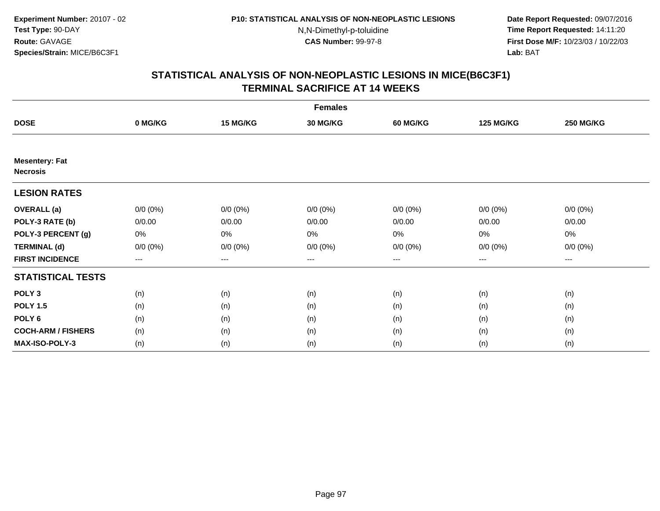**Date Report Requested:** 09/07/2016 **Time Report Requested:** 14:11:20 **First Dose M/F:** 10/23/03 / 10/22/03<br>**Lab:** BAT **Lab:** BAT

|                                          | <b>Females</b> |             |                 |             |                  |                        |  |  |  |
|------------------------------------------|----------------|-------------|-----------------|-------------|------------------|------------------------|--|--|--|
| <b>DOSE</b>                              | 0 MG/KG        | 15 MG/KG    | <b>30 MG/KG</b> | 60 MG/KG    | <b>125 MG/KG</b> | <b>250 MG/KG</b>       |  |  |  |
|                                          |                |             |                 |             |                  |                        |  |  |  |
| <b>Mesentery: Fat</b><br><b>Necrosis</b> |                |             |                 |             |                  |                        |  |  |  |
| <b>LESION RATES</b>                      |                |             |                 |             |                  |                        |  |  |  |
| <b>OVERALL</b> (a)                       | $0/0 (0\%)$    | $0/0 (0\%)$ | $0/0 (0\%)$     | $0/0 (0\%)$ | $0/0 (0\%)$      | $0/0 (0\%)$            |  |  |  |
| POLY-3 RATE (b)                          | 0/0.00         | 0/0.00      | 0/0.00          | 0/0.00      | 0/0.00           | 0/0.00                 |  |  |  |
| POLY-3 PERCENT (g)                       | 0%             | 0%          | 0%              | 0%          | 0%               | 0%                     |  |  |  |
| <b>TERMINAL (d)</b>                      | $0/0 (0\%)$    | $0/0 (0\%)$ | $0/0 (0\%)$     | $0/0 (0\%)$ | $0/0 (0\%)$      | $0/0 (0\%)$            |  |  |  |
| <b>FIRST INCIDENCE</b>                   | $--$           | $--$        | ---             | ---         | ---              | $\qquad \qquad \cdots$ |  |  |  |
| <b>STATISTICAL TESTS</b>                 |                |             |                 |             |                  |                        |  |  |  |
| POLY <sub>3</sub>                        | (n)            | (n)         | (n)             | (n)         | (n)              | (n)                    |  |  |  |
| <b>POLY 1.5</b>                          | (n)            | (n)         | (n)             | (n)         | (n)              | (n)                    |  |  |  |
| POLY <sub>6</sub>                        | (n)            | (n)         | (n)             | (n)         | (n)              | (n)                    |  |  |  |
| <b>COCH-ARM / FISHERS</b>                | (n)            | (n)         | (n)             | (n)         | (n)              | (n)                    |  |  |  |
| MAX-ISO-POLY-3                           | (n)            | (n)         | (n)             | (n)         | (n)              | (n)                    |  |  |  |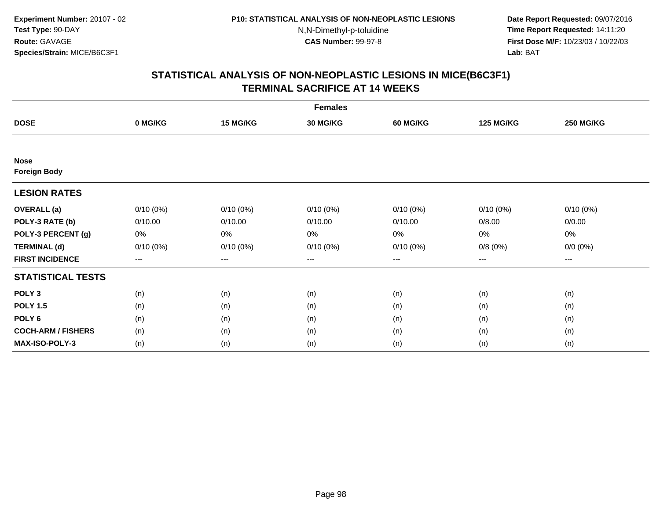**Date Report Requested:** 09/07/2016 **Time Report Requested:** 14:11:20 **First Dose M/F:** 10/23/03 / 10/22/03<br>**Lab:** BAT **Lab:** BAT

|                           | <b>Females</b>    |                   |                 |             |                  |                        |  |  |  |
|---------------------------|-------------------|-------------------|-----------------|-------------|------------------|------------------------|--|--|--|
| <b>DOSE</b>               | 0 MG/KG           | 15 MG/KG          | <b>30 MG/KG</b> | 60 MG/KG    | <b>125 MG/KG</b> | <b>250 MG/KG</b>       |  |  |  |
|                           |                   |                   |                 |             |                  |                        |  |  |  |
| <b>Nose</b>               |                   |                   |                 |             |                  |                        |  |  |  |
| <b>Foreign Body</b>       |                   |                   |                 |             |                  |                        |  |  |  |
| <b>LESION RATES</b>       |                   |                   |                 |             |                  |                        |  |  |  |
| <b>OVERALL</b> (a)        | $0/10(0\%)$       | $0/10(0\%)$       | $0/10(0\%)$     | $0/10(0\%)$ | $0/10(0\%)$      | $0/10(0\%)$            |  |  |  |
| POLY-3 RATE (b)           | 0/10.00           | 0/10.00           | 0/10.00         | 0/10.00     | 0/8.00           | 0/0.00                 |  |  |  |
| POLY-3 PERCENT (g)        | 0%                | 0%                | 0%              | 0%          | 0%               | 0%                     |  |  |  |
| <b>TERMINAL (d)</b>       | $0/10(0\%)$       | $0/10(0\%)$       | $0/10(0\%)$     | $0/10(0\%)$ | 0/8(0%)          | $0/0 (0\%)$            |  |  |  |
| <b>FIRST INCIDENCE</b>    | $\qquad \qquad -$ | $\qquad \qquad -$ | $---$           | ---         | $---$            | $\qquad \qquad \cdots$ |  |  |  |
| <b>STATISTICAL TESTS</b>  |                   |                   |                 |             |                  |                        |  |  |  |
| POLY <sub>3</sub>         | (n)               | (n)               | (n)             | (n)         | (n)              | (n)                    |  |  |  |
| <b>POLY 1.5</b>           | (n)               | (n)               | (n)             | (n)         | (n)              | (n)                    |  |  |  |
| POLY <sub>6</sub>         | (n)               | (n)               | (n)             | (n)         | (n)              | (n)                    |  |  |  |
| <b>COCH-ARM / FISHERS</b> | (n)               | (n)               | (n)             | (n)         | (n)              | (n)                    |  |  |  |
| <b>MAX-ISO-POLY-3</b>     | (n)               | (n)               | (n)             | (n)         | (n)              | (n)                    |  |  |  |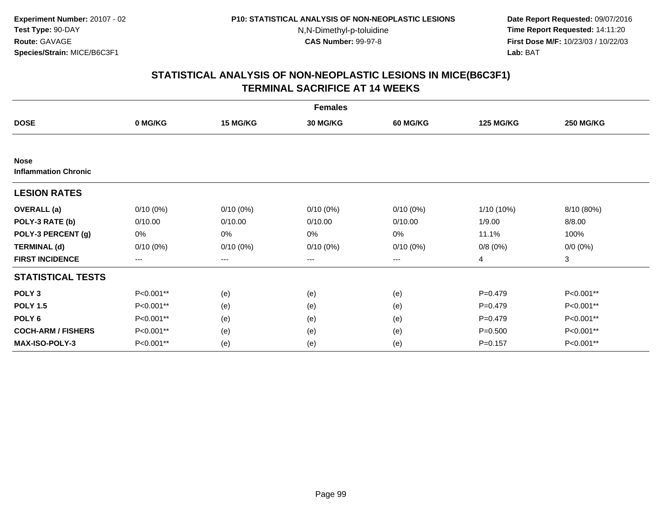**Date Report Requested:** 09/07/2016 **Time Report Requested:** 14:11:20 **First Dose M/F:** 10/23/03 / 10/22/03<br>**Lab:** BAT **Lab:** BAT

|                                            | <b>Females</b> |             |                 |                 |                  |                  |  |  |  |
|--------------------------------------------|----------------|-------------|-----------------|-----------------|------------------|------------------|--|--|--|
| <b>DOSE</b>                                | 0 MG/KG        | 15 MG/KG    | <b>30 MG/KG</b> | <b>60 MG/KG</b> | <b>125 MG/KG</b> | <b>250 MG/KG</b> |  |  |  |
|                                            |                |             |                 |                 |                  |                  |  |  |  |
| <b>Nose</b><br><b>Inflammation Chronic</b> |                |             |                 |                 |                  |                  |  |  |  |
| <b>LESION RATES</b>                        |                |             |                 |                 |                  |                  |  |  |  |
| <b>OVERALL</b> (a)                         | $0/10(0\%)$    | $0/10(0\%)$ | $0/10(0\%)$     | $0/10(0\%)$     | 1/10 (10%)       | 8/10 (80%)       |  |  |  |
| POLY-3 RATE (b)                            | 0/10.00        | 0/10.00     | 0/10.00         | 0/10.00         | 1/9.00           | 8/8.00           |  |  |  |
| POLY-3 PERCENT (g)                         | 0%             | 0%          | $0\%$           | 0%              | 11.1%            | 100%             |  |  |  |
| <b>TERMINAL (d)</b>                        | $0/10(0\%)$    | $0/10(0\%)$ | $0/10(0\%)$     | $0/10(0\%)$     | 0/8(0%)          | $0/0 (0\%)$      |  |  |  |
| <b>FIRST INCIDENCE</b>                     | $\cdots$       | ---         | $---$           | ---             | 4                | 3                |  |  |  |
| <b>STATISTICAL TESTS</b>                   |                |             |                 |                 |                  |                  |  |  |  |
| POLY <sub>3</sub>                          | P<0.001**      | (e)         | (e)             | (e)             | $P=0.479$        | P<0.001**        |  |  |  |
| <b>POLY 1.5</b>                            | P<0.001**      | (e)         | (e)             | (e)             | $P=0.479$        | P<0.001**        |  |  |  |
| POLY <sub>6</sub>                          | P<0.001**      | (e)         | (e)             | (e)             | $P=0.479$        | P<0.001**        |  |  |  |
| <b>COCH-ARM / FISHERS</b>                  | P<0.001**      | (e)         | (e)             | (e)             | $P = 0.500$      | P<0.001**        |  |  |  |
| <b>MAX-ISO-POLY-3</b>                      | P<0.001**      | (e)         | (e)             | (e)             | $P = 0.157$      | P<0.001**        |  |  |  |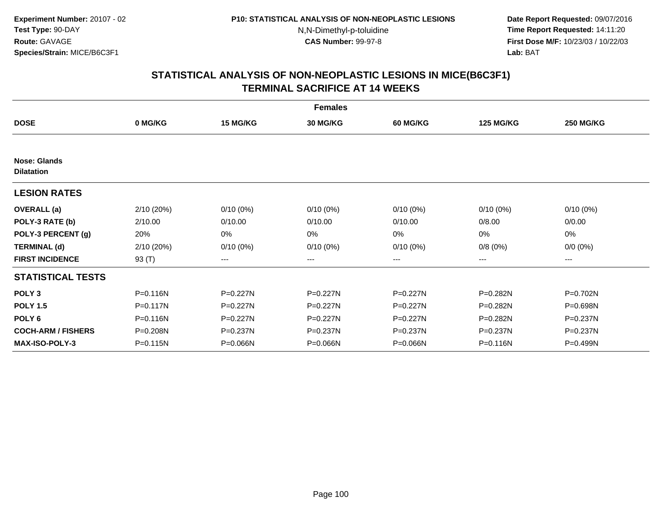**Date Report Requested:** 09/07/2016 **Time Report Requested:** 14:11:20 **First Dose M/F:** 10/23/03 / 10/22/03<br>**Lab:** BAT **Lab:** BAT

|                                          |            |              | <b>Females</b>  |              |                  |                  |
|------------------------------------------|------------|--------------|-----------------|--------------|------------------|------------------|
| <b>DOSE</b>                              | 0 MG/KG    | 15 MG/KG     | <b>30 MG/KG</b> | 60 MG/KG     | <b>125 MG/KG</b> | <b>250 MG/KG</b> |
|                                          |            |              |                 |              |                  |                  |
| <b>Nose: Glands</b><br><b>Dilatation</b> |            |              |                 |              |                  |                  |
| <b>LESION RATES</b>                      |            |              |                 |              |                  |                  |
| <b>OVERALL</b> (a)                       | 2/10 (20%) | $0/10(0\%)$  | $0/10(0\%)$     | $0/10(0\%)$  | $0/10(0\%)$      | $0/10(0\%)$      |
| POLY-3 RATE (b)                          | 2/10.00    | 0/10.00      | 0/10.00         | 0/10.00      | 0/8.00           | 0/0.00           |
| POLY-3 PERCENT (g)                       | 20%        | 0%           | 0%              | 0%           | 0%               | 0%               |
| <b>TERMINAL (d)</b>                      | 2/10 (20%) | $0/10(0\%)$  | $0/10(0\%)$     | $0/10(0\%)$  | 0/8(0%)          | $0/0 (0\%)$      |
| <b>FIRST INCIDENCE</b>                   | 93 $(T)$   | $--$         | ---             | ---          | ---              | ---              |
| <b>STATISTICAL TESTS</b>                 |            |              |                 |              |                  |                  |
| POLY <sub>3</sub>                        | P=0.116N   | P=0.227N     | P=0.227N        | $P = 0.227N$ | P=0.282N         | P=0.702N         |
| <b>POLY 1.5</b>                          | P=0.117N   | P=0.227N     | P=0.227N        | P=0.227N     | P=0.282N         | P=0.698N         |
| POLY <sub>6</sub>                        | P=0.116N   | $P = 0.227N$ | P=0.227N        | $P = 0.227N$ | P=0.282N         | P=0.237N         |
| <b>COCH-ARM / FISHERS</b>                | P=0.208N   | P=0.237N     | P=0.237N        | P=0.237N     | $P = 0.237N$     | P=0.237N         |
| <b>MAX-ISO-POLY-3</b>                    | P=0.115N   | P=0.066N     | P=0.066N        | P=0.066N     | P=0.116N         | P=0.499N         |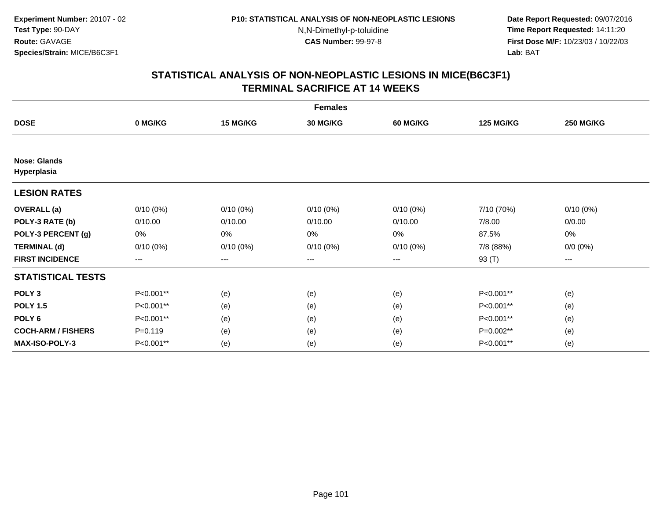**Date Report Requested:** 09/07/2016 **Time Report Requested:** 14:11:20 **First Dose M/F:** 10/23/03 / 10/22/03<br>**Lab:** BAT **Lab:** BAT

|                                    | <b>Females</b> |             |                 |                 |                  |                  |  |  |  |
|------------------------------------|----------------|-------------|-----------------|-----------------|------------------|------------------|--|--|--|
| <b>DOSE</b>                        | 0 MG/KG        | 15 MG/KG    | <b>30 MG/KG</b> | <b>60 MG/KG</b> | <b>125 MG/KG</b> | <b>250 MG/KG</b> |  |  |  |
|                                    |                |             |                 |                 |                  |                  |  |  |  |
| <b>Nose: Glands</b><br>Hyperplasia |                |             |                 |                 |                  |                  |  |  |  |
| <b>LESION RATES</b>                |                |             |                 |                 |                  |                  |  |  |  |
| <b>OVERALL</b> (a)                 | $0/10(0\%)$    | $0/10(0\%)$ | $0/10(0\%)$     | $0/10(0\%)$     | 7/10 (70%)       | $0/10(0\%)$      |  |  |  |
| POLY-3 RATE (b)                    | 0/10.00        | 0/10.00     | 0/10.00         | 0/10.00         | 7/8.00           | 0/0.00           |  |  |  |
| POLY-3 PERCENT (g)                 | 0%             | 0%          | 0%              | 0%              | 87.5%            | 0%               |  |  |  |
| <b>TERMINAL (d)</b>                | $0/10(0\%)$    | $0/10(0\%)$ | $0/10(0\%)$     | $0/10(0\%)$     | 7/8 (88%)        | $0/0 (0\%)$      |  |  |  |
| <b>FIRST INCIDENCE</b>             | $--$           | $--$        | ---             | ---             | 93 (T)           | ---              |  |  |  |
| <b>STATISTICAL TESTS</b>           |                |             |                 |                 |                  |                  |  |  |  |
| POLY <sub>3</sub>                  | P<0.001**      | (e)         | (e)             | (e)             | P<0.001**        | (e)              |  |  |  |
| <b>POLY 1.5</b>                    | P<0.001**      | (e)         | (e)             | (e)             | P<0.001**        | (e)              |  |  |  |
| POLY <sub>6</sub>                  | P<0.001**      | (e)         | (e)             | (e)             | P<0.001**        | (e)              |  |  |  |
| <b>COCH-ARM / FISHERS</b>          | $P = 0.119$    | (e)         | (e)             | (e)             | P=0.002**        | (e)              |  |  |  |
| <b>MAX-ISO-POLY-3</b>              | P<0.001**      | (e)         | (e)             | (e)             | P<0.001**        | (e)              |  |  |  |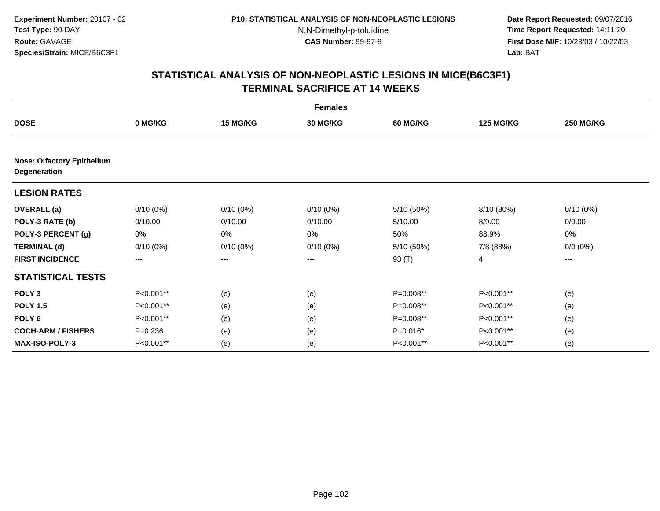**Date Report Requested:** 09/07/2016 **Time Report Requested:** 14:11:20 **First Dose M/F:** 10/23/03 / 10/22/03<br>**Lab:** BAT **Lab:** BAT

|                                                   |             |                 | <b>Females</b>  |                 |                  |                   |
|---------------------------------------------------|-------------|-----------------|-----------------|-----------------|------------------|-------------------|
| <b>DOSE</b>                                       | 0 MG/KG     | <b>15 MG/KG</b> | <b>30 MG/KG</b> | <b>60 MG/KG</b> | <b>125 MG/KG</b> | <b>250 MG/KG</b>  |
|                                                   |             |                 |                 |                 |                  |                   |
| <b>Nose: Olfactory Epithelium</b><br>Degeneration |             |                 |                 |                 |                  |                   |
| <b>LESION RATES</b>                               |             |                 |                 |                 |                  |                   |
| <b>OVERALL</b> (a)                                | $0/10(0\%)$ | $0/10(0\%)$     | $0/10(0\%)$     | 5/10 (50%)      | 8/10 (80%)       | $0/10(0\%)$       |
| POLY-3 RATE (b)                                   | 0/10.00     | 0/10.00         | 0/10.00         | 5/10.00         | 8/9.00           | 0/0.00            |
| POLY-3 PERCENT (g)                                | 0%          | 0%              | 0%              | 50%             | 88.9%            | $0\%$             |
| <b>TERMINAL (d)</b>                               | $0/10(0\%)$ | $0/10(0\%)$     | $0/10(0\%)$     | 5/10 (50%)      | 7/8 (88%)        | $0/0 (0\%)$       |
| <b>FIRST INCIDENCE</b>                            | $---$       | $\cdots$        | $\cdots$        | 93 (T)          | 4                | $\qquad \qquad -$ |
| <b>STATISTICAL TESTS</b>                          |             |                 |                 |                 |                  |                   |
| POLY <sub>3</sub>                                 | P<0.001**   | (e)             | (e)             | P=0.008**       | P<0.001**        | (e)               |
| <b>POLY 1.5</b>                                   | P<0.001**   | (e)             | (e)             | P=0.008**       | P<0.001**        | (e)               |
| POLY <sub>6</sub>                                 | P<0.001**   | (e)             | (e)             | P=0.008**       | P<0.001**        | (e)               |
| <b>COCH-ARM / FISHERS</b>                         | $P = 0.236$ | (e)             | (e)             | $P=0.016*$      | P<0.001**        | (e)               |
| <b>MAX-ISO-POLY-3</b>                             | P<0.001**   | (e)             | (e)             | P<0.001**       | P<0.001**        | (e)               |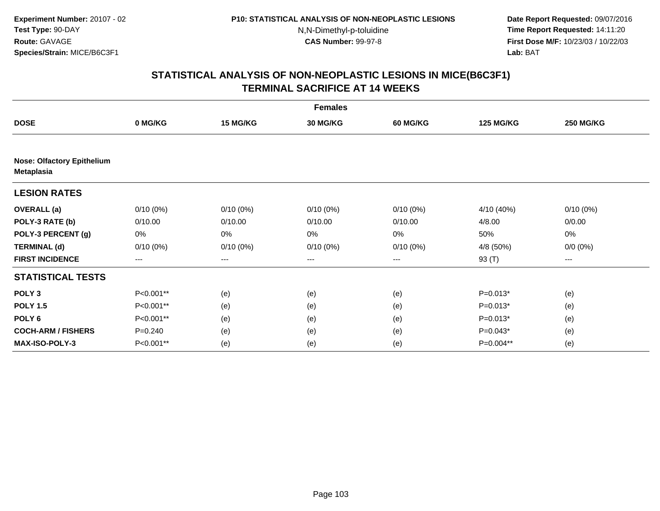**Date Report Requested:** 09/07/2016 **Time Report Requested:** 14:11:20 **First Dose M/F:** 10/23/03 / 10/22/03<br>**Lab:** BAT **Lab:** BAT

|                                                        | <b>Females</b> |             |                 |                   |                  |                  |  |  |  |
|--------------------------------------------------------|----------------|-------------|-----------------|-------------------|------------------|------------------|--|--|--|
| <b>DOSE</b>                                            | 0 MG/KG        | 15 MG/KG    | <b>30 MG/KG</b> | <b>60 MG/KG</b>   | <b>125 MG/KG</b> | <b>250 MG/KG</b> |  |  |  |
|                                                        |                |             |                 |                   |                  |                  |  |  |  |
| <b>Nose: Olfactory Epithelium</b><br><b>Metaplasia</b> |                |             |                 |                   |                  |                  |  |  |  |
| <b>LESION RATES</b>                                    |                |             |                 |                   |                  |                  |  |  |  |
| <b>OVERALL</b> (a)                                     | $0/10(0\%)$    | $0/10(0\%)$ | $0/10(0\%)$     | $0/10(0\%)$       | 4/10 (40%)       | $0/10(0\%)$      |  |  |  |
| POLY-3 RATE (b)                                        | 0/10.00        | 0/10.00     | 0/10.00         | 0/10.00           | 4/8.00           | 0/0.00           |  |  |  |
| POLY-3 PERCENT (g)                                     | 0%             | 0%          | 0%              | 0%                | 50%              | 0%               |  |  |  |
| <b>TERMINAL (d)</b>                                    | $0/10(0\%)$    | $0/10(0\%)$ | $0/10(0\%)$     | $0/10(0\%)$       | 4/8 (50%)        | $0/0 (0\%)$      |  |  |  |
| <b>FIRST INCIDENCE</b>                                 | $---$          | ---         | ---             | $\qquad \qquad -$ | 93 (T)           | ---              |  |  |  |
| <b>STATISTICAL TESTS</b>                               |                |             |                 |                   |                  |                  |  |  |  |
| POLY <sub>3</sub>                                      | P<0.001**      | (e)         | (e)             | (e)               | $P=0.013*$       | (e)              |  |  |  |
| <b>POLY 1.5</b>                                        | P<0.001**      | (e)         | (e)             | (e)               | $P=0.013*$       | (e)              |  |  |  |
| POLY <sub>6</sub>                                      | P<0.001**      | (e)         | (e)             | (e)               | $P=0.013*$       | (e)              |  |  |  |
| <b>COCH-ARM / FISHERS</b>                              | $P = 0.240$    | (e)         | (e)             | (e)               | $P=0.043*$       | (e)              |  |  |  |
| <b>MAX-ISO-POLY-3</b>                                  | P<0.001**      | (e)         | (e)             | (e)               | P=0.004**        | (e)              |  |  |  |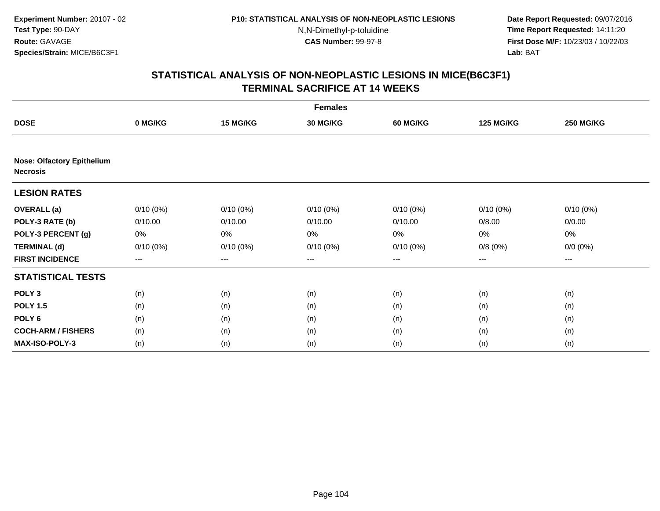**Date Report Requested:** 09/07/2016 **Time Report Requested:** 14:11:20 **First Dose M/F:** 10/23/03 / 10/22/03<br>**Lab:** BAT **Lab:** BAT

|                                                      | <b>Females</b> |             |                 |             |                  |                  |  |  |  |
|------------------------------------------------------|----------------|-------------|-----------------|-------------|------------------|------------------|--|--|--|
| <b>DOSE</b>                                          | 0 MG/KG        | 15 MG/KG    | <b>30 MG/KG</b> | 60 MG/KG    | <b>125 MG/KG</b> | <b>250 MG/KG</b> |  |  |  |
|                                                      |                |             |                 |             |                  |                  |  |  |  |
| <b>Nose: Olfactory Epithelium</b><br><b>Necrosis</b> |                |             |                 |             |                  |                  |  |  |  |
| <b>LESION RATES</b>                                  |                |             |                 |             |                  |                  |  |  |  |
| <b>OVERALL</b> (a)                                   | $0/10(0\%)$    | $0/10(0\%)$ | $0/10(0\%)$     | $0/10(0\%)$ | $0/10(0\%)$      | $0/10(0\%)$      |  |  |  |
| POLY-3 RATE (b)                                      | 0/10.00        | 0/10.00     | 0/10.00         | 0/10.00     | 0/8.00           | 0/0.00           |  |  |  |
| POLY-3 PERCENT (g)                                   | 0%             | 0%          | 0%              | 0%          | 0%               | 0%               |  |  |  |
| <b>TERMINAL (d)</b>                                  | $0/10(0\%)$    | $0/10(0\%)$ | $0/10(0\%)$     | $0/10(0\%)$ | 0/8(0%)          | $0/0 (0\%)$      |  |  |  |
| <b>FIRST INCIDENCE</b>                               | $--$           | ---         | ---             | $--$        | ---              | ---              |  |  |  |
| <b>STATISTICAL TESTS</b>                             |                |             |                 |             |                  |                  |  |  |  |
| POLY <sub>3</sub>                                    | (n)            | (n)         | (n)             | (n)         | (n)              | (n)              |  |  |  |
| <b>POLY 1.5</b>                                      | (n)            | (n)         | (n)             | (n)         | (n)              | (n)              |  |  |  |
| POLY <sub>6</sub>                                    | (n)            | (n)         | (n)             | (n)         | (n)              | (n)              |  |  |  |
| <b>COCH-ARM / FISHERS</b>                            | (n)            | (n)         | (n)             | (n)         | (n)              | (n)              |  |  |  |
| MAX-ISO-POLY-3                                       | (n)            | (n)         | (n)             | (n)         | (n)              | (n)              |  |  |  |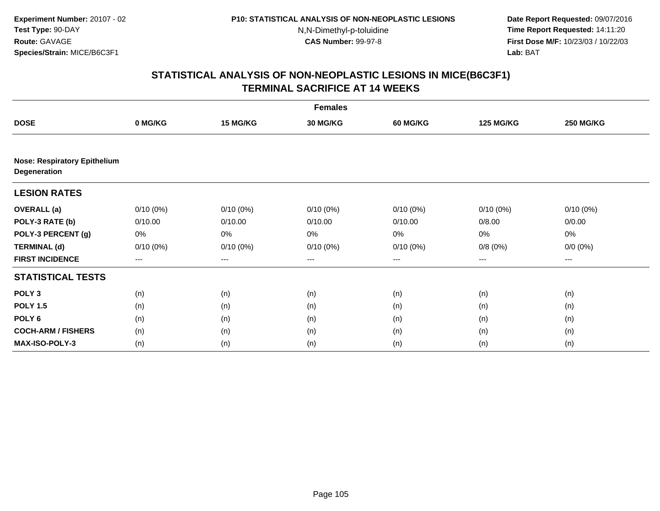**Date Report Requested:** 09/07/2016 **Time Report Requested:** 14:11:20 **First Dose M/F:** 10/23/03 / 10/22/03<br>**Lab:** BAT **Lab:** BAT

|                                                     | <b>Females</b>         |                 |                 |                 |                   |                  |  |  |
|-----------------------------------------------------|------------------------|-----------------|-----------------|-----------------|-------------------|------------------|--|--|
| <b>DOSE</b>                                         | 0 MG/KG                | <b>15 MG/KG</b> | <b>30 MG/KG</b> | <b>60 MG/KG</b> | <b>125 MG/KG</b>  | <b>250 MG/KG</b> |  |  |
|                                                     |                        |                 |                 |                 |                   |                  |  |  |
| <b>Nose: Respiratory Epithelium</b><br>Degeneration |                        |                 |                 |                 |                   |                  |  |  |
| <b>LESION RATES</b>                                 |                        |                 |                 |                 |                   |                  |  |  |
| <b>OVERALL</b> (a)                                  | $0/10(0\%)$            | $0/10(0\%)$     | $0/10(0\%)$     | $0/10(0\%)$     | $0/10(0\%)$       | $0/10(0\%)$      |  |  |
| POLY-3 RATE (b)                                     | 0/10.00                | 0/10.00         | 0/10.00         | 0/10.00         | 0/8.00            | 0/0.00           |  |  |
| POLY-3 PERCENT (g)                                  | 0%                     | 0%              | 0%              | 0%              | 0%                | 0%               |  |  |
| <b>TERMINAL (d)</b>                                 | $0/10(0\%)$            | $0/10(0\%)$     | $0/10(0\%)$     | 0/10(0%)        | 0/8(0%)           | $0/0 (0\%)$      |  |  |
| <b>FIRST INCIDENCE</b>                              | $\qquad \qquad \cdots$ | ---             | ---             | $--$            | $\qquad \qquad -$ | ---              |  |  |
| <b>STATISTICAL TESTS</b>                            |                        |                 |                 |                 |                   |                  |  |  |
| POLY <sub>3</sub>                                   | (n)                    | (n)             | (n)             | (n)             | (n)               | (n)              |  |  |
| <b>POLY 1.5</b>                                     | (n)                    | (n)             | (n)             | (n)             | (n)               | (n)              |  |  |
| POLY <sub>6</sub>                                   | (n)                    | (n)             | (n)             | (n)             | (n)               | (n)              |  |  |
| <b>COCH-ARM / FISHERS</b>                           | (n)                    | (n)             | (n)             | (n)             | (n)               | (n)              |  |  |
| MAX-ISO-POLY-3                                      | (n)                    | (n)             | (n)             | (n)             | (n)               | (n)              |  |  |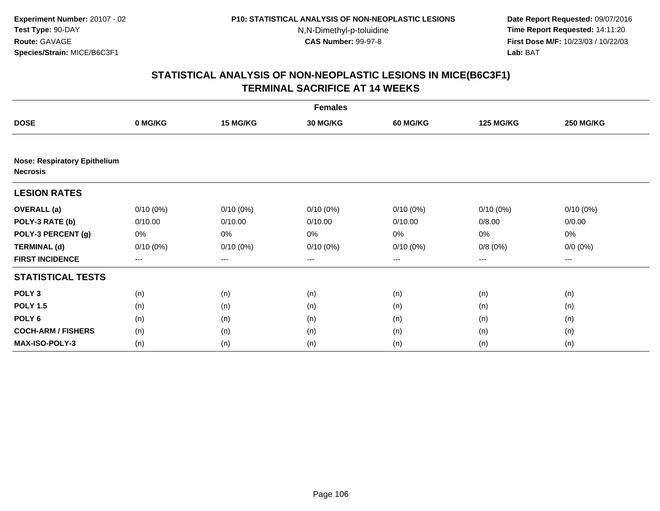**Date Report Requested:** 09/07/2016 **Time Report Requested:** 14:11:20 **First Dose M/F:** 10/23/03 / 10/22/03<br>**Lab:** BAT **Lab:** BAT

|                                                        | <b>Females</b>         |             |             |                 |                  |                  |  |  |
|--------------------------------------------------------|------------------------|-------------|-------------|-----------------|------------------|------------------|--|--|
| <b>DOSE</b>                                            | 0 MG/KG                | 15 MG/KG    | 30 MG/KG    | <b>60 MG/KG</b> | <b>125 MG/KG</b> | <b>250 MG/KG</b> |  |  |
|                                                        |                        |             |             |                 |                  |                  |  |  |
| <b>Nose: Respiratory Epithelium</b><br><b>Necrosis</b> |                        |             |             |                 |                  |                  |  |  |
| <b>LESION RATES</b>                                    |                        |             |             |                 |                  |                  |  |  |
| <b>OVERALL</b> (a)                                     | $0/10(0\%)$            | $0/10(0\%)$ | $0/10(0\%)$ | $0/10(0\%)$     | $0/10(0\%)$      | $0/10(0\%)$      |  |  |
| POLY-3 RATE (b)                                        | 0/10.00                | 0/10.00     | 0/10.00     | 0/10.00         | 0/8.00           | 0/0.00           |  |  |
| POLY-3 PERCENT (g)                                     | 0%                     | 0%          | 0%          | 0%              | 0%               | 0%               |  |  |
| <b>TERMINAL (d)</b>                                    | $0/10(0\%)$            | $0/10(0\%)$ | $0/10(0\%)$ | $0/10(0\%)$     | 0/8(0%)          | $0/0 (0\%)$      |  |  |
| <b>FIRST INCIDENCE</b>                                 | $\qquad \qquad \cdots$ | $---$       | ---         | $--$            | $--$             | ---              |  |  |
| <b>STATISTICAL TESTS</b>                               |                        |             |             |                 |                  |                  |  |  |
| POLY <sub>3</sub>                                      | (n)                    | (n)         | (n)         | (n)             | (n)              | (n)              |  |  |
| <b>POLY 1.5</b>                                        | (n)                    | (n)         | (n)         | (n)             | (n)              | (n)              |  |  |
| POLY <sub>6</sub>                                      | (n)                    | (n)         | (n)         | (n)             | (n)              | (n)              |  |  |
| <b>COCH-ARM / FISHERS</b>                              | (n)                    | (n)         | (n)         | (n)             | (n)              | (n)              |  |  |
| <b>MAX-ISO-POLY-3</b>                                  | (n)                    | (n)         | (n)         | (n)             | (n)              | (n)              |  |  |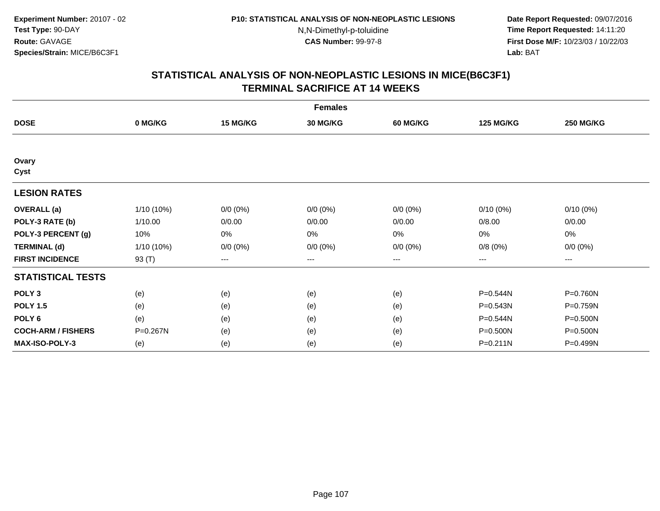**Date Report Requested:** 09/07/2016 **Time Report Requested:** 14:11:20 **First Dose M/F:** 10/23/03 / 10/22/03<br>**Lab:** BAT **Lab:** BAT

|                           | <b>Females</b> |                        |                   |             |                  |                   |  |  |  |
|---------------------------|----------------|------------------------|-------------------|-------------|------------------|-------------------|--|--|--|
| <b>DOSE</b>               | 0 MG/KG        | 15 MG/KG               | <b>30 MG/KG</b>   | 60 MG/KG    | <b>125 MG/KG</b> | <b>250 MG/KG</b>  |  |  |  |
|                           |                |                        |                   |             |                  |                   |  |  |  |
| Ovary<br>Cyst             |                |                        |                   |             |                  |                   |  |  |  |
| <b>LESION RATES</b>       |                |                        |                   |             |                  |                   |  |  |  |
| <b>OVERALL</b> (a)        | 1/10 (10%)     | $0/0 (0\%)$            | $0/0 (0\%)$       | $0/0 (0\%)$ | $0/10(0\%)$      | $0/10(0\%)$       |  |  |  |
| POLY-3 RATE (b)           | 1/10.00        | 0/0.00                 | 0/0.00            | 0/0.00      | 0/8.00           | 0/0.00            |  |  |  |
| POLY-3 PERCENT (g)        | 10%            | 0%                     | 0%                | 0%          | 0%               | 0%                |  |  |  |
| <b>TERMINAL (d)</b>       | 1/10 (10%)     | $0/0 (0\%)$            | $0/0 (0\%)$       | $0/0 (0\%)$ | 0/8(0%)          | $0/0 (0\%)$       |  |  |  |
| <b>FIRST INCIDENCE</b>    | 93 (T)         | $\qquad \qquad \cdots$ | $\qquad \qquad -$ | ---         | $---$            | $\qquad \qquad -$ |  |  |  |
| <b>STATISTICAL TESTS</b>  |                |                        |                   |             |                  |                   |  |  |  |
| POLY <sub>3</sub>         | (e)            | (e)                    | (e)               | (e)         | P=0.544N         | P=0.760N          |  |  |  |
| <b>POLY 1.5</b>           | (e)            | (e)                    | (e)               | (e)         | P=0.543N         | P=0.759N          |  |  |  |
| POLY 6                    | (e)            | (e)                    | (e)               | (e)         | P=0.544N         | P=0.500N          |  |  |  |
| <b>COCH-ARM / FISHERS</b> | P=0.267N       | (e)                    | (e)               | (e)         | P=0.500N         | P=0.500N          |  |  |  |
| <b>MAX-ISO-POLY-3</b>     | (e)            | (e)                    | (e)               | (e)         | P=0.211N         | P=0.499N          |  |  |  |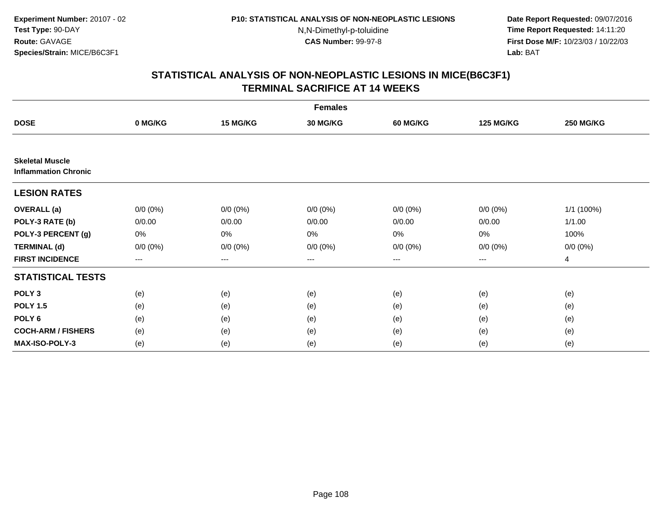**Date Report Requested:** 09/07/2016 **Time Report Requested:** 14:11:20 **First Dose M/F:** 10/23/03 / 10/22/03<br>**Lab:** BAT **Lab:** BAT

|                                                       | <b>Females</b> |             |                 |             |                  |                  |  |  |  |
|-------------------------------------------------------|----------------|-------------|-----------------|-------------|------------------|------------------|--|--|--|
| <b>DOSE</b>                                           | 0 MG/KG        | 15 MG/KG    | <b>30 MG/KG</b> | 60 MG/KG    | <b>125 MG/KG</b> | <b>250 MG/KG</b> |  |  |  |
|                                                       |                |             |                 |             |                  |                  |  |  |  |
| <b>Skeletal Muscle</b><br><b>Inflammation Chronic</b> |                |             |                 |             |                  |                  |  |  |  |
| <b>LESION RATES</b>                                   |                |             |                 |             |                  |                  |  |  |  |
| <b>OVERALL</b> (a)                                    | $0/0 (0\%)$    | $0/0 (0\%)$ | $0/0 (0\%)$     | $0/0 (0\%)$ | $0/0 (0\%)$      | 1/1 (100%)       |  |  |  |
| POLY-3 RATE (b)                                       | 0/0.00         | 0/0.00      | 0/0.00          | 0/0.00      | 0/0.00           | 1/1.00           |  |  |  |
| POLY-3 PERCENT (g)                                    | 0%             | 0%          | 0%              | 0%          | $0\%$            | 100%             |  |  |  |
| <b>TERMINAL (d)</b>                                   | $0/0 (0\%)$    | $0/0 (0\%)$ | $0/0 (0\%)$     | $0/0 (0\%)$ | $0/0 (0\%)$      | $0/0 (0\%)$      |  |  |  |
| <b>FIRST INCIDENCE</b>                                | $\cdots$       | ---         | ---             | $\cdots$    | $\cdots$         | 4                |  |  |  |
| <b>STATISTICAL TESTS</b>                              |                |             |                 |             |                  |                  |  |  |  |
| POLY <sub>3</sub>                                     | (e)            | (e)         | (e)             | (e)         | (e)              | (e)              |  |  |  |
| <b>POLY 1.5</b>                                       | (e)            | (e)         | (e)             | (e)         | (e)              | (e)              |  |  |  |
| POLY <sub>6</sub>                                     | (e)            | (e)         | (e)             | (e)         | (e)              | (e)              |  |  |  |
| <b>COCH-ARM / FISHERS</b>                             | (e)            | (e)         | (e)             | (e)         | (e)              | (e)              |  |  |  |
| <b>MAX-ISO-POLY-3</b>                                 | (e)            | (e)         | (e)             | (e)         | (e)              | (e)              |  |  |  |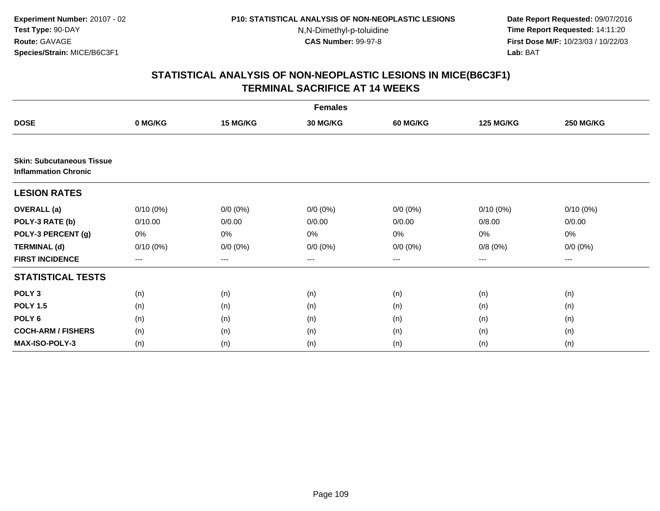**Date Report Requested:** 09/07/2016 **Time Report Requested:** 14:11:20 **First Dose M/F:** 10/23/03 / 10/22/03<br>**Lab:** BAT **Lab:** BAT

|                                                                 | <b>Females</b> |             |                 |                 |                  |                  |  |  |  |
|-----------------------------------------------------------------|----------------|-------------|-----------------|-----------------|------------------|------------------|--|--|--|
| <b>DOSE</b>                                                     | 0 MG/KG        | 15 MG/KG    | <b>30 MG/KG</b> | <b>60 MG/KG</b> | <b>125 MG/KG</b> | <b>250 MG/KG</b> |  |  |  |
|                                                                 |                |             |                 |                 |                  |                  |  |  |  |
| <b>Skin: Subcutaneous Tissue</b><br><b>Inflammation Chronic</b> |                |             |                 |                 |                  |                  |  |  |  |
| <b>LESION RATES</b>                                             |                |             |                 |                 |                  |                  |  |  |  |
| <b>OVERALL</b> (a)                                              | $0/10(0\%)$    | $0/0 (0\%)$ | $0/0 (0\%)$     | $0/0 (0\%)$     | $0/10(0\%)$      | $0/10(0\%)$      |  |  |  |
| POLY-3 RATE (b)                                                 | 0/10.00        | 0/0.00      | 0/0.00          | 0/0.00          | 0/8.00           | 0/0.00           |  |  |  |
| POLY-3 PERCENT (g)                                              | 0%             | 0%          | 0%              | 0%              | 0%               | 0%               |  |  |  |
| <b>TERMINAL (d)</b>                                             | $0/10(0\%)$    | $0/0 (0\%)$ | $0/0 (0\%)$     | $0/0 (0\%)$     | 0/8(0%)          | $0/0 (0\%)$      |  |  |  |
| <b>FIRST INCIDENCE</b>                                          | ---            | ---         | ---             | ---             | ---              | ---              |  |  |  |
| <b>STATISTICAL TESTS</b>                                        |                |             |                 |                 |                  |                  |  |  |  |
| POLY <sub>3</sub>                                               | (n)            | (n)         | (n)             | (n)             | (n)              | (n)              |  |  |  |
| <b>POLY 1.5</b>                                                 | (n)            | (n)         | (n)             | (n)             | (n)              | (n)              |  |  |  |
| POLY <sub>6</sub>                                               | (n)            | (n)         | (n)             | (n)             | (n)              | (n)              |  |  |  |
| <b>COCH-ARM / FISHERS</b>                                       | (n)            | (n)         | (n)             | (n)             | (n)              | (n)              |  |  |  |
| <b>MAX-ISO-POLY-3</b>                                           | (n)            | (n)         | (n)             | (n)             | (n)              | (n)              |  |  |  |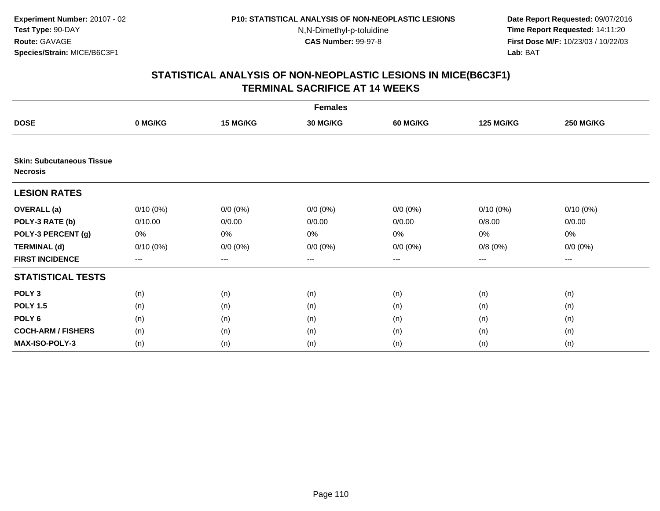**Date Report Requested:** 09/07/2016 **Time Report Requested:** 14:11:20 **First Dose M/F:** 10/23/03 / 10/22/03<br>**Lab:** BAT **Lab:** BAT

|                                                     | <b>Females</b> |             |                 |                 |                  |                  |  |  |  |
|-----------------------------------------------------|----------------|-------------|-----------------|-----------------|------------------|------------------|--|--|--|
| <b>DOSE</b>                                         | 0 MG/KG        | 15 MG/KG    | <b>30 MG/KG</b> | <b>60 MG/KG</b> | <b>125 MG/KG</b> | <b>250 MG/KG</b> |  |  |  |
|                                                     |                |             |                 |                 |                  |                  |  |  |  |
| <b>Skin: Subcutaneous Tissue</b><br><b>Necrosis</b> |                |             |                 |                 |                  |                  |  |  |  |
| <b>LESION RATES</b>                                 |                |             |                 |                 |                  |                  |  |  |  |
| <b>OVERALL</b> (a)                                  | $0/10(0\%)$    | $0/0 (0\%)$ | $0/0 (0\%)$     | $0/0 (0\%)$     | $0/10(0\%)$      | $0/10(0\%)$      |  |  |  |
| POLY-3 RATE (b)                                     | 0/10.00        | 0/0.00      | 0/0.00          | 0/0.00          | 0/8.00           | 0/0.00           |  |  |  |
| POLY-3 PERCENT (g)                                  | 0%             | 0%          | 0%              | 0%              | 0%               | 0%               |  |  |  |
| <b>TERMINAL (d)</b>                                 | $0/10(0\%)$    | $0/0 (0\%)$ | $0/0 (0\%)$     | $0/0 (0\%)$     | 0/8(0%)          | $0/0 (0\%)$      |  |  |  |
| <b>FIRST INCIDENCE</b>                              | ---            | ---         | ---             | $--$            | ---              | ---              |  |  |  |
| <b>STATISTICAL TESTS</b>                            |                |             |                 |                 |                  |                  |  |  |  |
| POLY <sub>3</sub>                                   | (n)            | (n)         | (n)             | (n)             | (n)              | (n)              |  |  |  |
| <b>POLY 1.5</b>                                     | (n)            | (n)         | (n)             | (n)             | (n)              | (n)              |  |  |  |
| POLY <sub>6</sub>                                   | (n)            | (n)         | (n)             | (n)             | (n)              | (n)              |  |  |  |
| <b>COCH-ARM / FISHERS</b>                           | (n)            | (n)         | (n)             | (n)             | (n)              | (n)              |  |  |  |
| MAX-ISO-POLY-3                                      | (n)            | (n)         | (n)             | (n)             | (n)              | (n)              |  |  |  |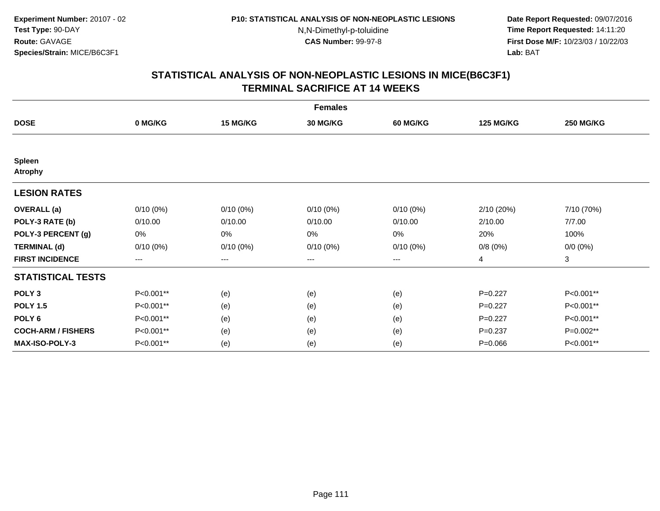**Date Report Requested:** 09/07/2016 **Time Report Requested:** 14:11:20 **First Dose M/F:** 10/23/03 / 10/22/03<br>**Lab:** BAT **Lab:** BAT

|                                 | <b>Females</b> |             |                 |                 |                  |                  |  |  |  |
|---------------------------------|----------------|-------------|-----------------|-----------------|------------------|------------------|--|--|--|
| <b>DOSE</b>                     | 0 MG/KG        | 15 MG/KG    | <b>30 MG/KG</b> | <b>60 MG/KG</b> | <b>125 MG/KG</b> | <b>250 MG/KG</b> |  |  |  |
|                                 |                |             |                 |                 |                  |                  |  |  |  |
| <b>Spleen</b><br><b>Atrophy</b> |                |             |                 |                 |                  |                  |  |  |  |
| <b>LESION RATES</b>             |                |             |                 |                 |                  |                  |  |  |  |
| <b>OVERALL</b> (a)              | $0/10(0\%)$    | $0/10(0\%)$ | $0/10(0\%)$     | $0/10(0\%)$     | 2/10(20%)        | 7/10 (70%)       |  |  |  |
| POLY-3 RATE (b)                 | 0/10.00        | 0/10.00     | 0/10.00         | 0/10.00         | 2/10.00          | 7/7.00           |  |  |  |
| POLY-3 PERCENT (g)              | 0%             | 0%          | 0%              | 0%              | 20%              | 100%             |  |  |  |
| <b>TERMINAL (d)</b>             | $0/10(0\%)$    | $0/10(0\%)$ | $0/10(0\%)$     | $0/10(0\%)$     | 0/8(0%)          | $0/0 (0\%)$      |  |  |  |
| <b>FIRST INCIDENCE</b>          | ---            | $--$        | ---             | ---             | 4                | 3                |  |  |  |
| <b>STATISTICAL TESTS</b>        |                |             |                 |                 |                  |                  |  |  |  |
| POLY <sub>3</sub>               | P<0.001**      | (e)         | (e)             | (e)             | $P=0.227$        | P<0.001**        |  |  |  |
| <b>POLY 1.5</b>                 | P<0.001**      | (e)         | (e)             | (e)             | $P=0.227$        | P<0.001**        |  |  |  |
| POLY <sub>6</sub>               | P<0.001**      | (e)         | (e)             | (e)             | $P=0.227$        | P<0.001**        |  |  |  |
| <b>COCH-ARM / FISHERS</b>       | P<0.001**      | (e)         | (e)             | (e)             | $P = 0.237$      | P=0.002**        |  |  |  |
| <b>MAX-ISO-POLY-3</b>           | P<0.001**      | (e)         | (e)             | (e)             | $P = 0.066$      | P<0.001**        |  |  |  |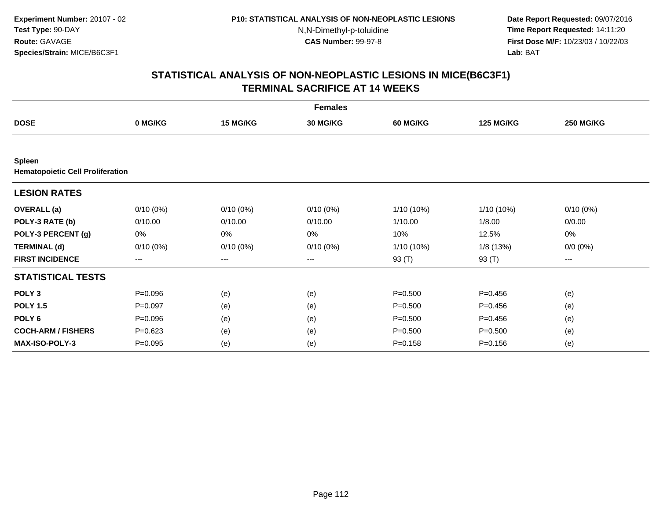**Date Report Requested:** 09/07/2016 **Time Report Requested:** 14:11:20 **First Dose M/F:** 10/23/03 / 10/22/03<br>**Lab:** BAT **Lab:** BAT

|                                                          | <b>Females</b> |                   |                 |                 |                  |                  |  |  |  |
|----------------------------------------------------------|----------------|-------------------|-----------------|-----------------|------------------|------------------|--|--|--|
| <b>DOSE</b>                                              | 0 MG/KG        | 15 MG/KG          | <b>30 MG/KG</b> | <b>60 MG/KG</b> | <b>125 MG/KG</b> | <b>250 MG/KG</b> |  |  |  |
|                                                          |                |                   |                 |                 |                  |                  |  |  |  |
| <b>Spleen</b><br><b>Hematopoietic Cell Proliferation</b> |                |                   |                 |                 |                  |                  |  |  |  |
| <b>LESION RATES</b>                                      |                |                   |                 |                 |                  |                  |  |  |  |
| <b>OVERALL</b> (a)                                       | $0/10(0\%)$    | $0/10(0\%)$       | $0/10(0\%)$     | 1/10 (10%)      | 1/10 (10%)       | $0/10(0\%)$      |  |  |  |
| POLY-3 RATE (b)                                          | 0/10.00        | 0/10.00           | 0/10.00         | 1/10.00         | 1/8.00           | 0/0.00           |  |  |  |
| POLY-3 PERCENT (g)                                       | 0%             | 0%                | 0%              | 10%             | 12.5%            | 0%               |  |  |  |
| <b>TERMINAL (d)</b>                                      | $0/10(0\%)$    | $0/10(0\%)$       | $0/10(0\%)$     | 1/10 (10%)      | 1/8(13%)         | $0/0 (0\%)$      |  |  |  |
| <b>FIRST INCIDENCE</b>                                   | $---$          | $\qquad \qquad -$ | ---             | 93 (T)          | 93 (T)           | ---              |  |  |  |
| <b>STATISTICAL TESTS</b>                                 |                |                   |                 |                 |                  |                  |  |  |  |
| POLY <sub>3</sub>                                        | $P = 0.096$    | (e)               | (e)             | $P = 0.500$     | $P = 0.456$      | (e)              |  |  |  |
| <b>POLY 1.5</b>                                          | $P=0.097$      | (e)               | (e)             | $P = 0.500$     | $P = 0.456$      | (e)              |  |  |  |
| POLY <sub>6</sub>                                        | $P = 0.096$    | (e)               | (e)             | $P = 0.500$     | $P = 0.456$      | (e)              |  |  |  |
| <b>COCH-ARM / FISHERS</b>                                | $P = 0.623$    | (e)               | (e)             | $P = 0.500$     | $P = 0.500$      | (e)              |  |  |  |
| <b>MAX-ISO-POLY-3</b>                                    | $P=0.095$      | (e)               | (e)             | $P = 0.158$     | $P = 0.156$      | (e)              |  |  |  |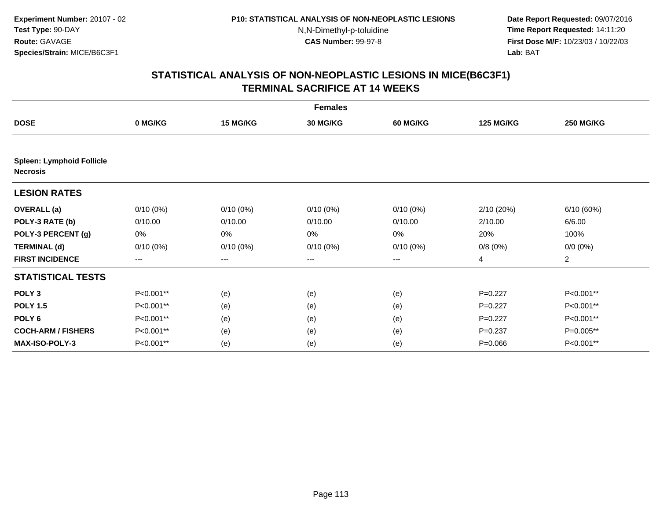**Date Report Requested:** 09/07/2016 **Time Report Requested:** 14:11:20 **First Dose M/F:** 10/23/03 / 10/22/03<br>**Lab:** BAT **Lab:** BAT

|                                                     |             |             | <b>Females</b>  |                 |                  |                  |
|-----------------------------------------------------|-------------|-------------|-----------------|-----------------|------------------|------------------|
| <b>DOSE</b>                                         | 0 MG/KG     | 15 MG/KG    | <b>30 MG/KG</b> | <b>60 MG/KG</b> | <b>125 MG/KG</b> | <b>250 MG/KG</b> |
|                                                     |             |             |                 |                 |                  |                  |
| <b>Spleen: Lymphoid Follicle</b><br><b>Necrosis</b> |             |             |                 |                 |                  |                  |
| <b>LESION RATES</b>                                 |             |             |                 |                 |                  |                  |
| <b>OVERALL</b> (a)                                  | $0/10(0\%)$ | $0/10(0\%)$ | $0/10(0\%)$     | $0/10(0\%)$     | 2/10 (20%)       | 6/10 (60%)       |
| POLY-3 RATE (b)                                     | 0/10.00     | 0/10.00     | 0/10.00         | 0/10.00         | 2/10.00          | 6/6.00           |
| POLY-3 PERCENT (g)                                  | 0%          | 0%          | 0%              | 0%              | 20%              | 100%             |
| <b>TERMINAL (d)</b>                                 | $0/10(0\%)$ | $0/10(0\%)$ | $0/10(0\%)$     | $0/10(0\%)$     | 0/8(0%)          | $0/0 (0\%)$      |
| <b>FIRST INCIDENCE</b>                              | $---$       | $\cdots$    | $\cdots$        | $---$           | 4                | $\overline{c}$   |
| <b>STATISTICAL TESTS</b>                            |             |             |                 |                 |                  |                  |
| POLY <sub>3</sub>                                   | P<0.001**   | (e)         | (e)             | (e)             | $P=0.227$        | P<0.001**        |
| <b>POLY 1.5</b>                                     | P<0.001**   | (e)         | (e)             | (e)             | $P=0.227$        | P<0.001**        |
| POLY <sub>6</sub>                                   | P<0.001**   | (e)         | (e)             | (e)             | $P=0.227$        | P<0.001**        |
| <b>COCH-ARM / FISHERS</b>                           | P<0.001**   | (e)         | (e)             | (e)             | $P = 0.237$      | P=0.005**        |
| <b>MAX-ISO-POLY-3</b>                               | P<0.001**   | (e)         | (e)             | (e)             | $P = 0.066$      | P<0.001**        |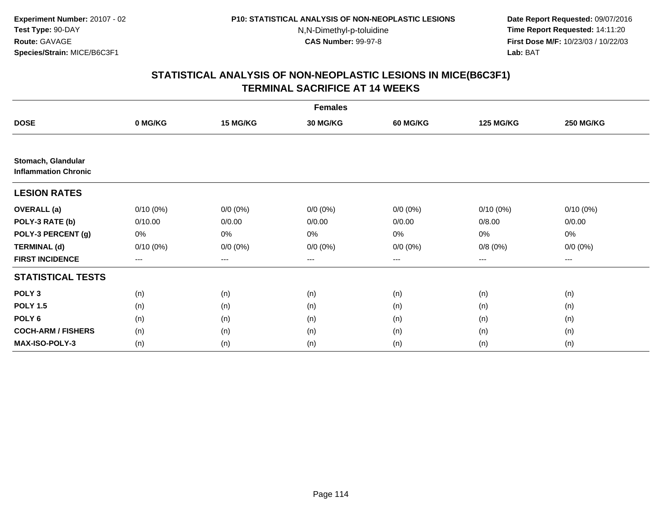**Date Report Requested:** 09/07/2016 **Time Report Requested:** 14:11:20 **First Dose M/F:** 10/23/03 / 10/22/03<br>**Lab:** BAT **Lab:** BAT

|                                                   | <b>Females</b>         |             |                 |                 |                   |                  |  |  |  |
|---------------------------------------------------|------------------------|-------------|-----------------|-----------------|-------------------|------------------|--|--|--|
| <b>DOSE</b>                                       | 0 MG/KG                | 15 MG/KG    | <b>30 MG/KG</b> | <b>60 MG/KG</b> | <b>125 MG/KG</b>  | <b>250 MG/KG</b> |  |  |  |
|                                                   |                        |             |                 |                 |                   |                  |  |  |  |
| Stomach, Glandular<br><b>Inflammation Chronic</b> |                        |             |                 |                 |                   |                  |  |  |  |
| <b>LESION RATES</b>                               |                        |             |                 |                 |                   |                  |  |  |  |
| <b>OVERALL</b> (a)                                | $0/10(0\%)$            | $0/0 (0\%)$ | $0/0 (0\%)$     | $0/0 (0\%)$     | $0/10(0\%)$       | $0/10(0\%)$      |  |  |  |
| POLY-3 RATE (b)                                   | 0/10.00                | 0/0.00      | 0/0.00          | 0/0.00          | 0/8.00            | 0/0.00           |  |  |  |
| POLY-3 PERCENT (g)                                | 0%                     | 0%          | 0%              | 0%              | 0%                | 0%               |  |  |  |
| <b>TERMINAL (d)</b>                               | $0/10(0\%)$            | $0/0 (0\%)$ | $0/0 (0\%)$     | $0/0 (0\%)$     | 0/8(0%)           | $0/0 (0\%)$      |  |  |  |
| <b>FIRST INCIDENCE</b>                            | $\qquad \qquad \cdots$ | $---$       | $--$            | $--$            | $\qquad \qquad -$ | ---              |  |  |  |
| <b>STATISTICAL TESTS</b>                          |                        |             |                 |                 |                   |                  |  |  |  |
| POLY <sub>3</sub>                                 | (n)                    | (n)         | (n)             | (n)             | (n)               | (n)              |  |  |  |
| <b>POLY 1.5</b>                                   | (n)                    | (n)         | (n)             | (n)             | (n)               | (n)              |  |  |  |
| POLY <sub>6</sub>                                 | (n)                    | (n)         | (n)             | (n)             | (n)               | (n)              |  |  |  |
| <b>COCH-ARM / FISHERS</b>                         | (n)                    | (n)         | (n)             | (n)             | (n)               | (n)              |  |  |  |
| <b>MAX-ISO-POLY-3</b>                             | (n)                    | (n)         | (n)             | (n)             | (n)               | (n)              |  |  |  |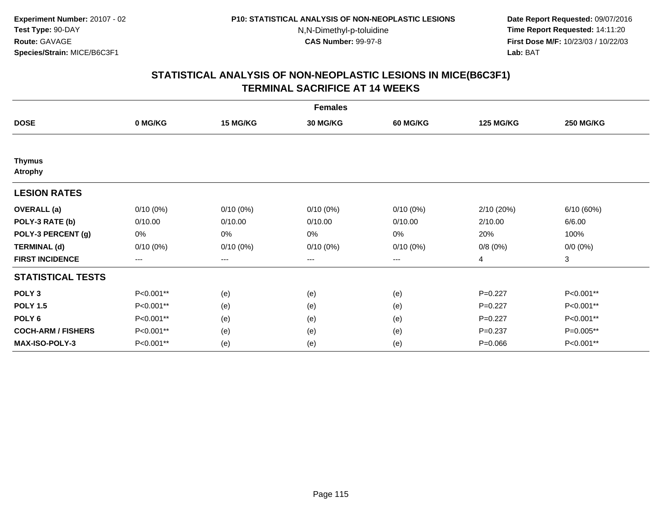**Date Report Requested:** 09/07/2016 **Time Report Requested:** 14:11:20 **First Dose M/F:** 10/23/03 / 10/22/03<br>**Lab:** BAT **Lab:** BAT

|                                 | <b>Females</b> |             |                 |                 |                  |                  |  |  |  |
|---------------------------------|----------------|-------------|-----------------|-----------------|------------------|------------------|--|--|--|
| <b>DOSE</b>                     | 0 MG/KG        | 15 MG/KG    | <b>30 MG/KG</b> | <b>60 MG/KG</b> | <b>125 MG/KG</b> | <b>250 MG/KG</b> |  |  |  |
|                                 |                |             |                 |                 |                  |                  |  |  |  |
| <b>Thymus</b><br><b>Atrophy</b> |                |             |                 |                 |                  |                  |  |  |  |
| <b>LESION RATES</b>             |                |             |                 |                 |                  |                  |  |  |  |
| <b>OVERALL</b> (a)              | $0/10(0\%)$    | $0/10(0\%)$ | $0/10(0\%)$     | $0/10(0\%)$     | 2/10 (20%)       | 6/10(60%)        |  |  |  |
| POLY-3 RATE (b)                 | 0/10.00        | 0/10.00     | 0/10.00         | 0/10.00         | 2/10.00          | 6/6.00           |  |  |  |
| POLY-3 PERCENT (g)              | 0%             | 0%          | 0%              | 0%              | 20%              | 100%             |  |  |  |
| <b>TERMINAL (d)</b>             | $0/10(0\%)$    | $0/10(0\%)$ | $0/10(0\%)$     | $0/10(0\%)$     | 0/8(0%)          | $0/0 (0\%)$      |  |  |  |
| <b>FIRST INCIDENCE</b>          | ---            | $--$        | ---             | ---             | 4                | 3                |  |  |  |
| <b>STATISTICAL TESTS</b>        |                |             |                 |                 |                  |                  |  |  |  |
| POLY <sub>3</sub>               | P<0.001**      | (e)         | (e)             | (e)             | $P=0.227$        | P<0.001**        |  |  |  |
| <b>POLY 1.5</b>                 | P<0.001**      | (e)         | (e)             | (e)             | $P=0.227$        | P<0.001**        |  |  |  |
| POLY <sub>6</sub>               | P<0.001**      | (e)         | (e)             | (e)             | $P=0.227$        | P<0.001**        |  |  |  |
| <b>COCH-ARM / FISHERS</b>       | P<0.001**      | (e)         | (e)             | (e)             | $P = 0.237$      | P=0.005**        |  |  |  |
| <b>MAX-ISO-POLY-3</b>           | P<0.001**      | (e)         | (e)             | (e)             | $P = 0.066$      | P<0.001**        |  |  |  |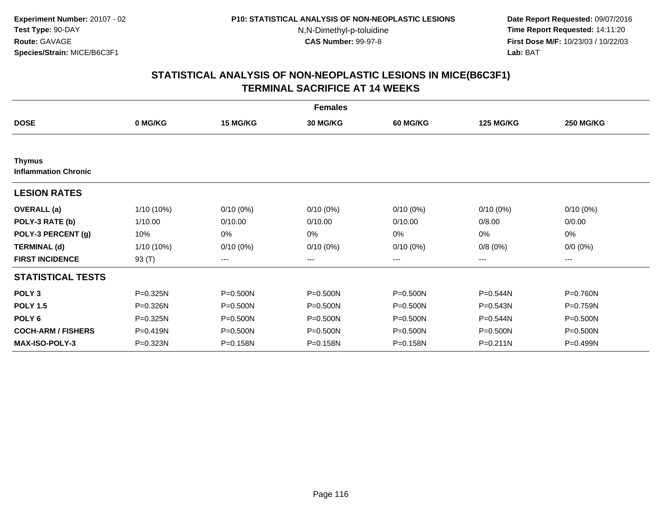**Date Report Requested:** 09/07/2016 **Time Report Requested:** 14:11:20 **First Dose M/F:** 10/23/03 / 10/22/03<br>**Lab:** BAT **Lab:** BAT

|                                              |              |              | <b>Females</b>  |                 |                  |                  |
|----------------------------------------------|--------------|--------------|-----------------|-----------------|------------------|------------------|
| <b>DOSE</b>                                  | 0 MG/KG      | 15 MG/KG     | <b>30 MG/KG</b> | <b>60 MG/KG</b> | <b>125 MG/KG</b> | <b>250 MG/KG</b> |
|                                              |              |              |                 |                 |                  |                  |
| <b>Thymus</b><br><b>Inflammation Chronic</b> |              |              |                 |                 |                  |                  |
| <b>LESION RATES</b>                          |              |              |                 |                 |                  |                  |
| <b>OVERALL</b> (a)                           | 1/10 (10%)   | $0/10(0\%)$  | $0/10(0\%)$     | $0/10(0\%)$     | $0/10(0\%)$      | $0/10(0\%)$      |
| POLY-3 RATE (b)                              | 1/10.00      | 0/10.00      | 0/10.00         | 0/10.00         | 0/8.00           | 0/0.00           |
| POLY-3 PERCENT (g)                           | 10%          | 0%           | $0\%$           | 0%              | 0%               | 0%               |
| <b>TERMINAL (d)</b>                          | 1/10 (10%)   | $0/10(0\%)$  | $0/10(0\%)$     | $0/10(0\%)$     | 0/8(0%)          | $0/0 (0\%)$      |
| <b>FIRST INCIDENCE</b>                       | 93 (T)       | $--$         | ---             | ---             | ---              | ---              |
| <b>STATISTICAL TESTS</b>                     |              |              |                 |                 |                  |                  |
| POLY <sub>3</sub>                            | P=0.325N     | P=0.500N     | $P = 0.500N$    | $P = 0.500N$    | P=0.544N         | P=0.760N         |
| <b>POLY 1.5</b>                              | P=0.326N     | P=0.500N     | $P = 0.500N$    | $P = 0.500N$    | $P = 0.543N$     | P=0.759N         |
| POLY <sub>6</sub>                            | $P = 0.325N$ | P=0.500N     | $P = 0.500N$    | $P = 0.500N$    | P=0.544N         | $P = 0.500N$     |
| <b>COCH-ARM / FISHERS</b>                    | P=0.419N     | $P = 0.500N$ | P=0.500N        | $P = 0.500N$    | $P = 0.500N$     | $P = 0.500N$     |
| <b>MAX-ISO-POLY-3</b>                        | P=0.323N     | P=0.158N     | P=0.158N        | P=0.158N        | $P = 0.211N$     | P=0.499N         |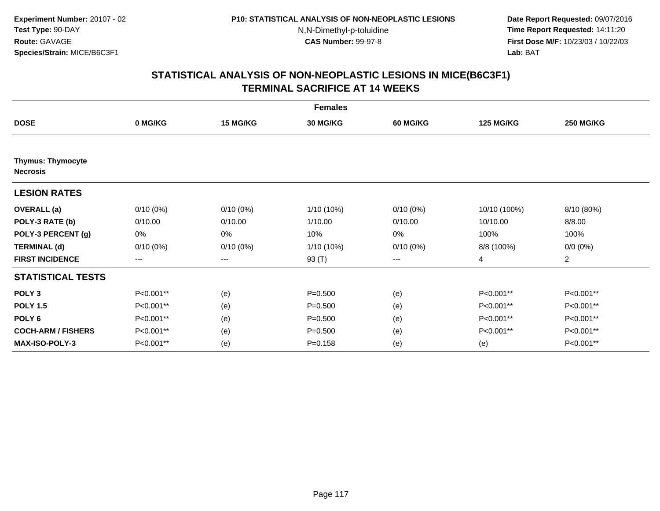**Date Report Requested:** 09/07/2016 **Time Report Requested:** 14:11:20 **First Dose M/F:** 10/23/03 / 10/22/03<br>**Lab:** BAT **Lab:** BAT

|                                             | <b>Females</b>         |             |                 |                 |                  |                  |  |  |  |
|---------------------------------------------|------------------------|-------------|-----------------|-----------------|------------------|------------------|--|--|--|
| <b>DOSE</b>                                 | 0 MG/KG                | 15 MG/KG    | <b>30 MG/KG</b> | <b>60 MG/KG</b> | <b>125 MG/KG</b> | <b>250 MG/KG</b> |  |  |  |
|                                             |                        |             |                 |                 |                  |                  |  |  |  |
| <b>Thymus: Thymocyte</b><br><b>Necrosis</b> |                        |             |                 |                 |                  |                  |  |  |  |
| <b>LESION RATES</b>                         |                        |             |                 |                 |                  |                  |  |  |  |
| <b>OVERALL</b> (a)                          | $0/10(0\%)$            | $0/10(0\%)$ | 1/10 (10%)      | $0/10(0\%)$     | 10/10 (100%)     | 8/10 (80%)       |  |  |  |
| POLY-3 RATE (b)                             | 0/10.00                | 0/10.00     | 1/10.00         | 0/10.00         | 10/10.00         | 8/8.00           |  |  |  |
| POLY-3 PERCENT (g)                          | 0%                     | 0%          | 10%             | 0%              | 100%             | 100%             |  |  |  |
| <b>TERMINAL (d)</b>                         | $0/10(0\%)$            | $0/10(0\%)$ | 1/10 (10%)      | $0/10(0\%)$     | 8/8 (100%)       | $0/0 (0\%)$      |  |  |  |
| <b>FIRST INCIDENCE</b>                      | $\qquad \qquad \cdots$ | ---         | 93 (T)          | ---             | 4                | $\overline{2}$   |  |  |  |
| <b>STATISTICAL TESTS</b>                    |                        |             |                 |                 |                  |                  |  |  |  |
| POLY <sub>3</sub>                           | P<0.001**              | (e)         | $P = 0.500$     | (e)             | P<0.001**        | P<0.001**        |  |  |  |
| <b>POLY 1.5</b>                             | P<0.001**              | (e)         | $P = 0.500$     | (e)             | P<0.001**        | P<0.001**        |  |  |  |
| POLY <sub>6</sub>                           | P<0.001**              | (e)         | $P = 0.500$     | (e)             | P<0.001**        | P<0.001**        |  |  |  |
| <b>COCH-ARM / FISHERS</b>                   | P<0.001**              | (e)         | $P = 0.500$     | (e)             | P<0.001**        | P<0.001**        |  |  |  |
| <b>MAX-ISO-POLY-3</b>                       | P<0.001**              | (e)         | $P = 0.158$     | (e)             | (e)              | P<0.001**        |  |  |  |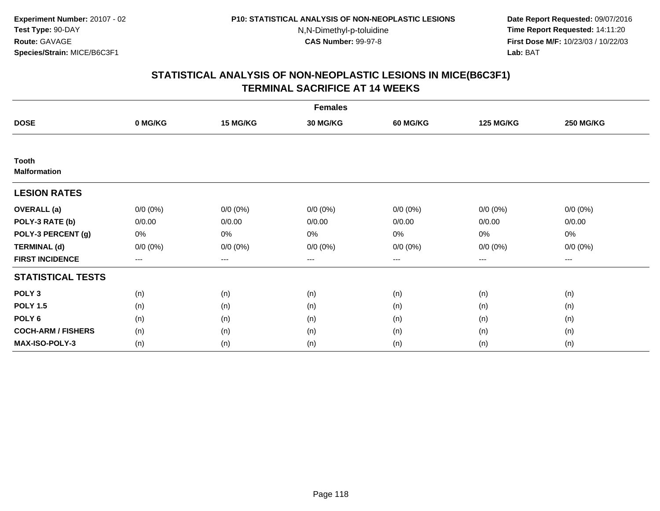**Date Report Requested:** 09/07/2016 **Time Report Requested:** 14:11:20 **First Dose M/F:** 10/23/03 / 10/22/03<br>**Lab:** BAT **Lab:** BAT

|                                     | <b>Females</b> |                        |                 |                 |                        |                  |  |  |  |
|-------------------------------------|----------------|------------------------|-----------------|-----------------|------------------------|------------------|--|--|--|
| <b>DOSE</b>                         | 0 MG/KG        | 15 MG/KG               | <b>30 MG/KG</b> | <b>60 MG/KG</b> | <b>125 MG/KG</b>       | <b>250 MG/KG</b> |  |  |  |
|                                     |                |                        |                 |                 |                        |                  |  |  |  |
| <b>Tooth</b><br><b>Malformation</b> |                |                        |                 |                 |                        |                  |  |  |  |
| <b>LESION RATES</b>                 |                |                        |                 |                 |                        |                  |  |  |  |
| <b>OVERALL</b> (a)                  | $0/0 (0\%)$    | $0/0 (0\%)$            | $0/0 (0\%)$     | $0/0 (0\%)$     | $0/0 (0\%)$            | $0/0 (0\%)$      |  |  |  |
| POLY-3 RATE (b)                     | 0/0.00         | 0/0.00                 | 0/0.00          | 0/0.00          | 0/0.00                 | 0/0.00           |  |  |  |
| POLY-3 PERCENT (g)                  | 0%             | 0%                     | 0%              | 0%              | 0%                     | 0%               |  |  |  |
| <b>TERMINAL (d)</b>                 | $0/0 (0\%)$    | $0/0 (0\%)$            | $0/0 (0\%)$     | $0/0 (0\%)$     | $0/0 (0\%)$            | $0/0 (0\%)$      |  |  |  |
| <b>FIRST INCIDENCE</b>              | ---            | $\qquad \qquad \cdots$ | ---             | ---             | $\qquad \qquad \cdots$ | $\cdots$         |  |  |  |
| <b>STATISTICAL TESTS</b>            |                |                        |                 |                 |                        |                  |  |  |  |
| POLY <sub>3</sub>                   | (n)            | (n)                    | (n)             | (n)             | (n)                    | (n)              |  |  |  |
| <b>POLY 1.5</b>                     | (n)            | (n)                    | (n)             | (n)             | (n)                    | (n)              |  |  |  |
| POLY <sub>6</sub>                   | (n)            | (n)                    | (n)             | (n)             | (n)                    | (n)              |  |  |  |
| <b>COCH-ARM / FISHERS</b>           | (n)            | (n)                    | (n)             | (n)             | (n)                    | (n)              |  |  |  |
| <b>MAX-ISO-POLY-3</b>               | (n)            | (n)                    | (n)             | (n)             | (n)                    | (n)              |  |  |  |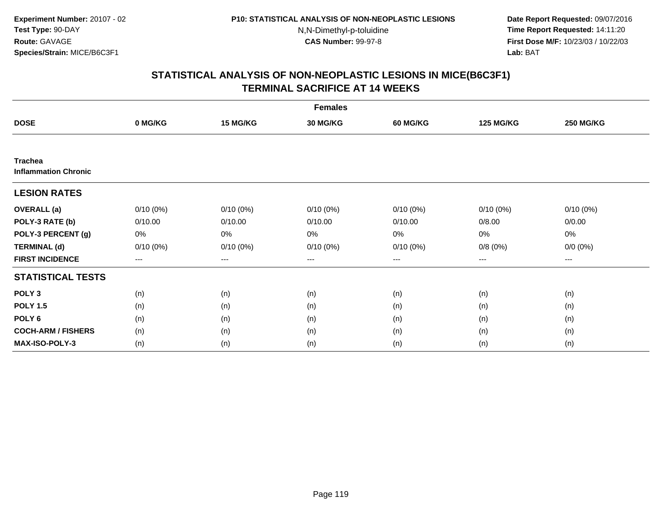**Date Report Requested:** 09/07/2016 **Time Report Requested:** 14:11:20 **First Dose M/F:** 10/23/03 / 10/22/03<br>**Lab:** BAT **Lab:** BAT

|                                               | <b>Females</b> |             |                 |                 |                  |                  |  |  |  |
|-----------------------------------------------|----------------|-------------|-----------------|-----------------|------------------|------------------|--|--|--|
| <b>DOSE</b>                                   | 0 MG/KG        | 15 MG/KG    | <b>30 MG/KG</b> | <b>60 MG/KG</b> | <b>125 MG/KG</b> | <b>250 MG/KG</b> |  |  |  |
|                                               |                |             |                 |                 |                  |                  |  |  |  |
| <b>Trachea</b><br><b>Inflammation Chronic</b> |                |             |                 |                 |                  |                  |  |  |  |
| <b>LESION RATES</b>                           |                |             |                 |                 |                  |                  |  |  |  |
| <b>OVERALL</b> (a)                            | $0/10(0\%)$    | $0/10(0\%)$ | $0/10(0\%)$     | $0/10(0\%)$     | $0/10(0\%)$      | $0/10(0\%)$      |  |  |  |
| POLY-3 RATE (b)                               | 0/10.00        | 0/10.00     | 0/10.00         | 0/10.00         | 0/8.00           | 0/0.00           |  |  |  |
| POLY-3 PERCENT (g)                            | 0%             | 0%          | 0%              | 0%              | 0%               | 0%               |  |  |  |
| <b>TERMINAL (d)</b>                           | $0/10(0\%)$    | $0/10(0\%)$ | $0/10(0\%)$     | $0/10(0\%)$     | 0/8(0%)          | $0/0 (0\%)$      |  |  |  |
| <b>FIRST INCIDENCE</b>                        | $\cdots$       | $\cdots$    | $\cdots$        | $\cdots$        | $\cdots$         | ---              |  |  |  |
| <b>STATISTICAL TESTS</b>                      |                |             |                 |                 |                  |                  |  |  |  |
| POLY <sub>3</sub>                             | (n)            | (n)         | (n)             | (n)             | (n)              | (n)              |  |  |  |
| <b>POLY 1.5</b>                               | (n)            | (n)         | (n)             | (n)             | (n)              | (n)              |  |  |  |
| POLY <sub>6</sub>                             | (n)            | (n)         | (n)             | (n)             | (n)              | (n)              |  |  |  |
| <b>COCH-ARM / FISHERS</b>                     | (n)            | (n)         | (n)             | (n)             | (n)              | (n)              |  |  |  |
| <b>MAX-ISO-POLY-3</b>                         | (n)            | (n)         | (n)             | (n)             | (n)              | (n)              |  |  |  |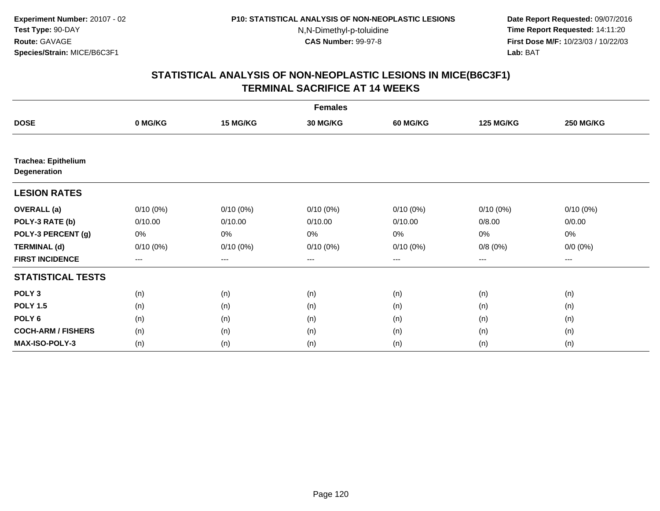**Date Report Requested:** 09/07/2016 **Time Report Requested:** 14:11:20 **First Dose M/F:** 10/23/03 / 10/22/03<br>**Lab:** BAT **Lab:** BAT

|                                            | <b>Females</b> |             |                 |             |                  |                  |  |  |  |
|--------------------------------------------|----------------|-------------|-----------------|-------------|------------------|------------------|--|--|--|
| <b>DOSE</b>                                | 0 MG/KG        | 15 MG/KG    | <b>30 MG/KG</b> | 60 MG/KG    | <b>125 MG/KG</b> | <b>250 MG/KG</b> |  |  |  |
|                                            |                |             |                 |             |                  |                  |  |  |  |
| <b>Trachea: Epithelium</b><br>Degeneration |                |             |                 |             |                  |                  |  |  |  |
| <b>LESION RATES</b>                        |                |             |                 |             |                  |                  |  |  |  |
| <b>OVERALL</b> (a)                         | $0/10(0\%)$    | $0/10(0\%)$ | $0/10(0\%)$     | $0/10(0\%)$ | $0/10(0\%)$      | $0/10(0\%)$      |  |  |  |
| POLY-3 RATE (b)                            | 0/10.00        | 0/10.00     | 0/10.00         | 0/10.00     | 0/8.00           | 0/0.00           |  |  |  |
| POLY-3 PERCENT (g)                         | 0%             | 0%          | 0%              | 0%          | 0%               | 0%               |  |  |  |
| <b>TERMINAL (d)</b>                        | $0/10(0\%)$    | $0/10(0\%)$ | $0/10(0\%)$     | $0/10(0\%)$ | 0/8(0%)          | $0/0 (0\%)$      |  |  |  |
| <b>FIRST INCIDENCE</b>                     | $--$           | $--$        | ---             | ---         | ---              | $--$             |  |  |  |
| <b>STATISTICAL TESTS</b>                   |                |             |                 |             |                  |                  |  |  |  |
| POLY <sub>3</sub>                          | (n)            | (n)         | (n)             | (n)         | (n)              | (n)              |  |  |  |
| <b>POLY 1.5</b>                            | (n)            | (n)         | (n)             | (n)         | (n)              | (n)              |  |  |  |
| POLY <sub>6</sub>                          | (n)            | (n)         | (n)             | (n)         | (n)              | (n)              |  |  |  |
| <b>COCH-ARM / FISHERS</b>                  | (n)            | (n)         | (n)             | (n)         | (n)              | (n)              |  |  |  |
| <b>MAX-ISO-POLY-3</b>                      | (n)            | (n)         | (n)             | (n)         | (n)              | (n)              |  |  |  |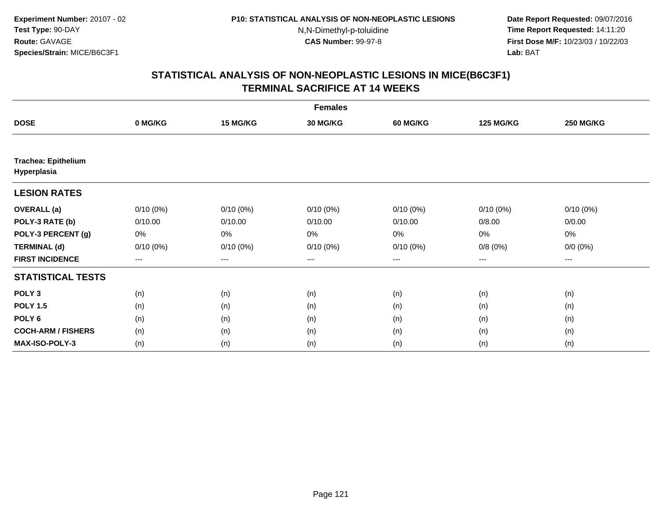**Date Report Requested:** 09/07/2016 **Time Report Requested:** 14:11:20 **First Dose M/F:** 10/23/03 / 10/22/03<br>**Lab:** BAT **Lab:** BAT

| <b>Females</b>                            |                   |                   |                 |             |                  |                  |  |  |
|-------------------------------------------|-------------------|-------------------|-----------------|-------------|------------------|------------------|--|--|
| <b>DOSE</b>                               | 0 MG/KG           | 15 MG/KG          | <b>30 MG/KG</b> | 60 MG/KG    | <b>125 MG/KG</b> | <b>250 MG/KG</b> |  |  |
|                                           |                   |                   |                 |             |                  |                  |  |  |
| <b>Trachea: Epithelium</b><br>Hyperplasia |                   |                   |                 |             |                  |                  |  |  |
| <b>LESION RATES</b>                       |                   |                   |                 |             |                  |                  |  |  |
| <b>OVERALL</b> (a)                        | $0/10(0\%)$       | $0/10(0\%)$       | $0/10(0\%)$     | $0/10(0\%)$ | $0/10(0\%)$      | $0/10(0\%)$      |  |  |
| POLY-3 RATE (b)                           | 0/10.00           | 0/10.00           | 0/10.00         | 0/10.00     | 0/8.00           | 0/0.00           |  |  |
| POLY-3 PERCENT (g)                        | 0%                | 0%                | 0%              | 0%          | 0%               | 0%               |  |  |
| <b>TERMINAL (d)</b>                       | $0/10(0\%)$       | $0/10(0\%)$       | $0/10(0\%)$     | $0/10(0\%)$ | 0/8(0%)          | $0/0 (0\%)$      |  |  |
| <b>FIRST INCIDENCE</b>                    | $\qquad \qquad -$ | $\qquad \qquad -$ | $---$           | ---         | $---$            | ---              |  |  |
| <b>STATISTICAL TESTS</b>                  |                   |                   |                 |             |                  |                  |  |  |
| POLY <sub>3</sub>                         | (n)               | (n)               | (n)             | (n)         | (n)              | (n)              |  |  |
| <b>POLY 1.5</b>                           | (n)               | (n)               | (n)             | (n)         | (n)              | (n)              |  |  |
| POLY <sub>6</sub>                         | (n)               | (n)               | (n)             | (n)         | (n)              | (n)              |  |  |
| <b>COCH-ARM / FISHERS</b>                 | (n)               | (n)               | (n)             | (n)         | (n)              | (n)              |  |  |
| <b>MAX-ISO-POLY-3</b>                     | (n)               | (n)               | (n)             | (n)         | (n)              | (n)              |  |  |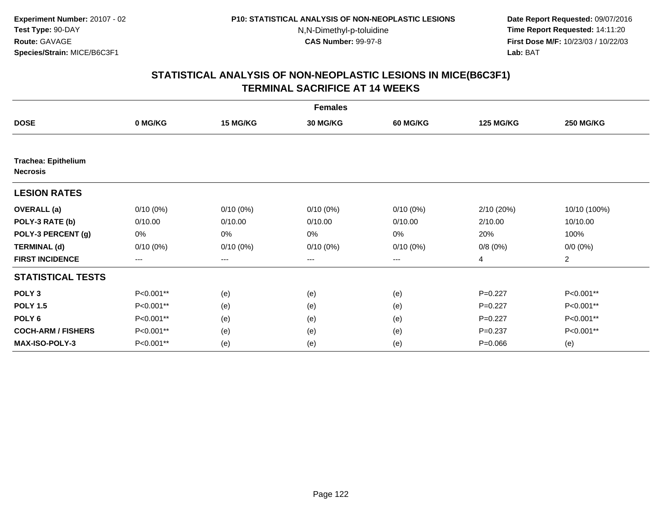**Date Report Requested:** 09/07/2016 **Time Report Requested:** 14:11:20 **First Dose M/F:** 10/23/03 / 10/22/03<br>**Lab:** BAT **Lab:** BAT

| <b>Females</b>             |             |                        |                 |             |                  |                  |  |  |
|----------------------------|-------------|------------------------|-----------------|-------------|------------------|------------------|--|--|
| <b>DOSE</b>                | 0 MG/KG     | 15 MG/KG               | <b>30 MG/KG</b> | 60 MG/KG    | <b>125 MG/KG</b> | <b>250 MG/KG</b> |  |  |
| <b>Trachea: Epithelium</b> |             |                        |                 |             |                  |                  |  |  |
| <b>Necrosis</b>            |             |                        |                 |             |                  |                  |  |  |
| <b>LESION RATES</b>        |             |                        |                 |             |                  |                  |  |  |
| <b>OVERALL</b> (a)         | $0/10(0\%)$ | $0/10(0\%)$            | $0/10(0\%)$     | $0/10(0\%)$ | 2/10 (20%)       | 10/10 (100%)     |  |  |
| POLY-3 RATE (b)            | 0/10.00     | 0/10.00                | 0/10.00         | 0/10.00     | 2/10.00          | 10/10.00         |  |  |
| POLY-3 PERCENT (g)         | 0%          | 0%                     | 0%              | 0%          | 20%              | 100%             |  |  |
| <b>TERMINAL (d)</b>        | $0/10(0\%)$ | $0/10(0\%)$            | $0/10(0\%)$     | $0/10(0\%)$ | 0/8(0%)          | $0/0 (0\%)$      |  |  |
| <b>FIRST INCIDENCE</b>     | $---$       | $\qquad \qquad \cdots$ | ---             | ---         | 4                | $\overline{2}$   |  |  |
| <b>STATISTICAL TESTS</b>   |             |                        |                 |             |                  |                  |  |  |
| POLY <sub>3</sub>          | P<0.001**   | (e)                    | (e)             | (e)         | $P=0.227$        | P<0.001**        |  |  |
| <b>POLY 1.5</b>            | P<0.001**   | (e)                    | (e)             | (e)         | $P=0.227$        | P<0.001**        |  |  |
| POLY <sub>6</sub>          | P<0.001**   | (e)                    | (e)             | (e)         | $P=0.227$        | P<0.001**        |  |  |
| <b>COCH-ARM / FISHERS</b>  | P<0.001**   | (e)                    | (e)             | (e)         | $P = 0.237$      | P<0.001**        |  |  |
| <b>MAX-ISO-POLY-3</b>      | P<0.001**   | (e)                    | (e)             | (e)         | $P = 0.066$      | (e)              |  |  |